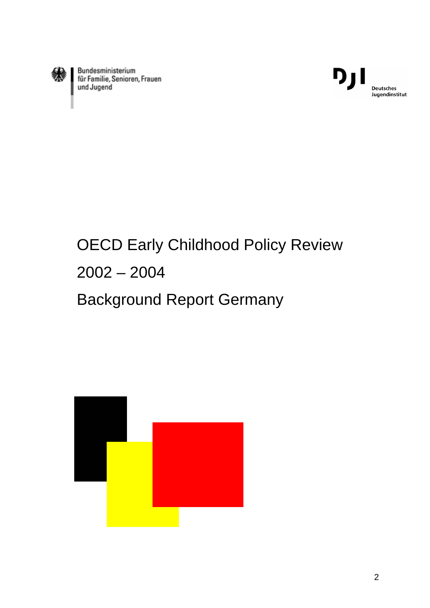

Bundesministerium<br>für Familie, Senioren, Frauen<br>und Jugend



# OECD Early Childhood Policy Review 2002 – 2004 Background Report Germany

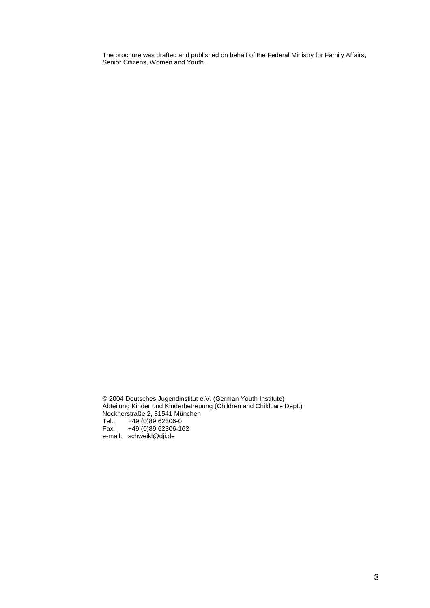The brochure was drafted and published on behalf of the Federal Ministry for Family Affairs, Senior Citizens, Women and Youth.

© 2004 Deutsches Jugendinstitut e.V. (German Youth Institute) Abteilung Kinder und Kinderbetreuung (Children and Childcare Dept.) Nockherstraße 2, 81541 München Tel.: +49 (0)89 62306-0 Fax:  $+49(0)8962306-162$ e-mail: schweikl@dji.de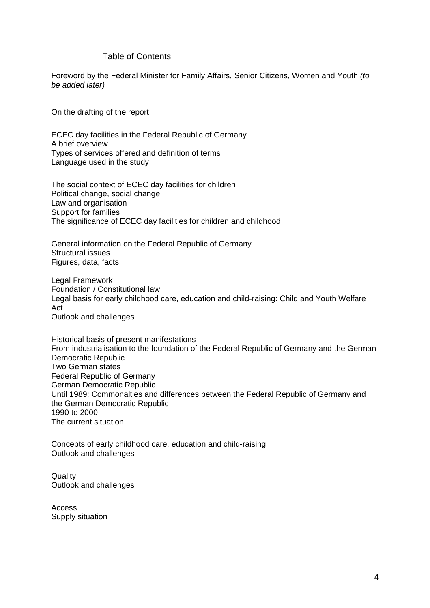## Table of Contents

Foreword by the Federal Minister for Family Affairs, Senior Citizens, Women and Youth (to be added later)

On the drafting of the report

ECEC day facilities in the Federal Republic of Germany A brief overview Types of services offered and definition of terms Language used in the study

The social context of ECEC day facilities for children Political change, social change Law and organisation Support for families The significance of ECEC day facilities for children and childhood

General information on the Federal Republic of Germany Structural issues Figures, data, facts

Legal Framework Foundation / Constitutional law Legal basis for early childhood care, education and child-raising: Child and Youth Welfare Act Outlook and challenges

Historical basis of present manifestations From industrialisation to the foundation of the Federal Republic of Germany and the German Democratic Republic Two German states Federal Republic of Germany German Democratic Republic Until 1989: Commonalties and differences between the Federal Republic of Germany and the German Democratic Republic 1990 to 2000 The current situation

Concepts of early childhood care, education and child-raising Outlook and challenges

**Quality** Outlook and challenges

Access Supply situation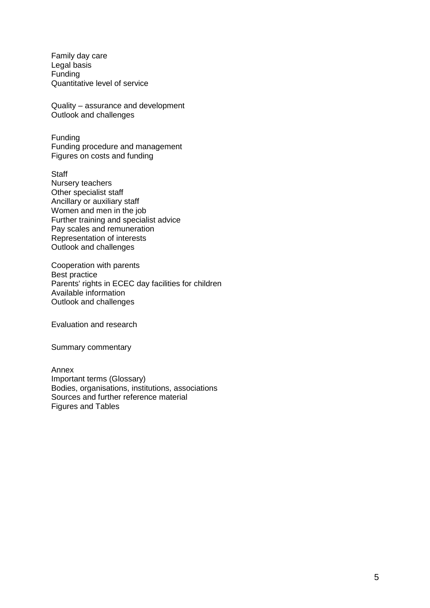Family day care Legal basis Funding Quantitative level of service

Quality – assurance and development Outlook and challenges

Funding Funding procedure and management Figures on costs and funding

**Staff** Nursery teachers Other specialist staff Ancillary or auxiliary staff Women and men in the job Further training and specialist advice Pay scales and remuneration Representation of interests Outlook and challenges

Cooperation with parents Best practice Parents' rights in ECEC day facilities for children Available information Outlook and challenges

Evaluation and research

Summary commentary

Annex Important terms (Glossary) Bodies, organisations, institutions, associations Sources and further reference material Figures and Tables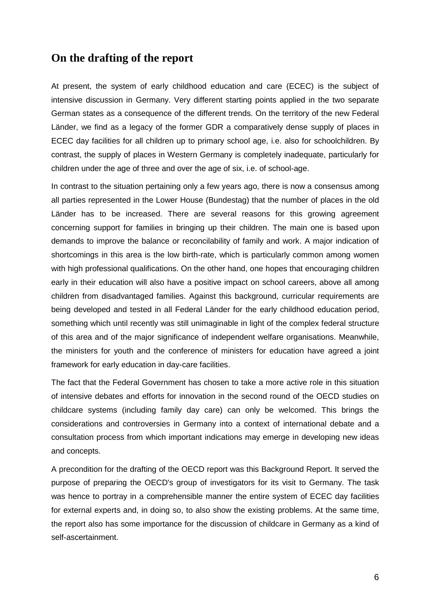# **On the drafting of the report**

At present, the system of early childhood education and care (ECEC) is the subject of intensive discussion in Germany. Very different starting points applied in the two separate German states as a consequence of the different trends. On the territory of the new Federal Länder, we find as a legacy of the former GDR a comparatively dense supply of places in ECEC day facilities for all children up to primary school age, i.e. also for schoolchildren. By contrast, the supply of places in Western Germany is completely inadequate, particularly for children under the age of three and over the age of six, i.e. of school-age.

In contrast to the situation pertaining only a few years ago, there is now a consensus among all parties represented in the Lower House (Bundestag) that the number of places in the old Länder has to be increased. There are several reasons for this growing agreement concerning support for families in bringing up their children. The main one is based upon demands to improve the balance or reconcilability of family and work. A major indication of shortcomings in this area is the low birth-rate, which is particularly common among women with high professional qualifications. On the other hand, one hopes that encouraging children early in their education will also have a positive impact on school careers, above all among children from disadvantaged families. Against this background, curricular requirements are being developed and tested in all Federal Länder for the early childhood education period, something which until recently was still unimaginable in light of the complex federal structure of this area and of the major significance of independent welfare organisations. Meanwhile, the ministers for youth and the conference of ministers for education have agreed a joint framework for early education in day-care facilities.

The fact that the Federal Government has chosen to take a more active role in this situation of intensive debates and efforts for innovation in the second round of the OECD studies on childcare systems (including family day care) can only be welcomed. This brings the considerations and controversies in Germany into a context of international debate and a consultation process from which important indications may emerge in developing new ideas and concepts.

A precondition for the drafting of the OECD report was this Background Report. It served the purpose of preparing the OECD's group of investigators for its visit to Germany. The task was hence to portray in a comprehensible manner the entire system of ECEC day facilities for external experts and, in doing so, to also show the existing problems. At the same time, the report also has some importance for the discussion of childcare in Germany as a kind of self-ascertainment.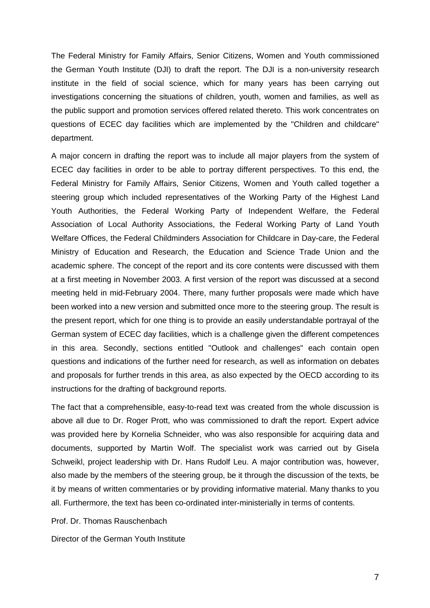The Federal Ministry for Family Affairs, Senior Citizens, Women and Youth commissioned the German Youth Institute (DJI) to draft the report. The DJI is a non-university research institute in the field of social science, which for many years has been carrying out investigations concerning the situations of children, youth, women and families, as well as the public support and promotion services offered related thereto. This work concentrates on questions of ECEC day facilities which are implemented by the "Children and childcare" department.

A major concern in drafting the report was to include all major players from the system of ECEC day facilities in order to be able to portray different perspectives. To this end, the Federal Ministry for Family Affairs, Senior Citizens, Women and Youth called together a steering group which included representatives of the Working Party of the Highest Land Youth Authorities, the Federal Working Party of Independent Welfare, the Federal Association of Local Authority Associations, the Federal Working Party of Land Youth Welfare Offices, the Federal Childminders Association for Childcare in Day-care, the Federal Ministry of Education and Research, the Education and Science Trade Union and the academic sphere. The concept of the report and its core contents were discussed with them at a first meeting in November 2003. A first version of the report was discussed at a second meeting held in mid-February 2004. There, many further proposals were made which have been worked into a new version and submitted once more to the steering group. The result is the present report, which for one thing is to provide an easily understandable portrayal of the German system of ECEC day facilities, which is a challenge given the different competences in this area. Secondly, sections entitled "Outlook and challenges" each contain open questions and indications of the further need for research, as well as information on debates and proposals for further trends in this area, as also expected by the OECD according to its instructions for the drafting of background reports.

The fact that a comprehensible, easy-to-read text was created from the whole discussion is above all due to Dr. Roger Prott, who was commissioned to draft the report. Expert advice was provided here by Kornelia Schneider, who was also responsible for acquiring data and documents, supported by Martin Wolf. The specialist work was carried out by Gisela Schweikl, project leadership with Dr. Hans Rudolf Leu. A major contribution was, however, also made by the members of the steering group, be it through the discussion of the texts, be it by means of written commentaries or by providing informative material. Many thanks to you all. Furthermore, the text has been co-ordinated inter-ministerially in terms of contents.

Prof. Dr. Thomas Rauschenbach

Director of the German Youth Institute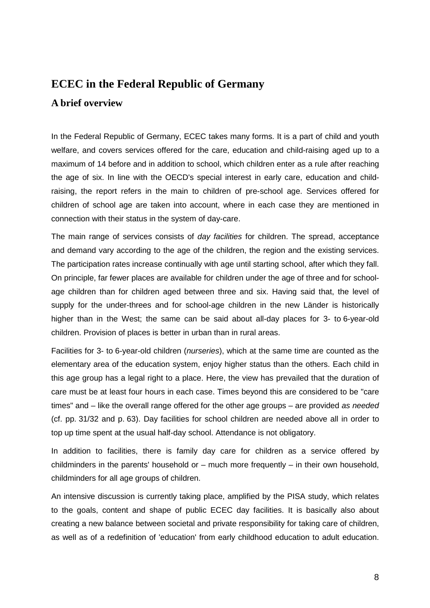# **ECEC in the Federal Republic of Germany**

# **A brief overview**

In the Federal Republic of Germany, ECEC takes many forms. It is a part of child and youth welfare, and covers services offered for the care, education and child-raising aged up to a maximum of 14 before and in addition to school, which children enter as a rule after reaching the age of six. In line with the OECD's special interest in early care, education and childraising, the report refers in the main to children of pre-school age. Services offered for children of school age are taken into account, where in each case they are mentioned in connection with their status in the system of day-care.

The main range of services consists of *day facilities* for children. The spread, acceptance and demand vary according to the age of the children, the region and the existing services. The participation rates increase continually with age until starting school, after which they fall. On principle, far fewer places are available for children under the age of three and for schoolage children than for children aged between three and six. Having said that, the level of supply for the under-threes and for school-age children in the new Länder is historically higher than in the West; the same can be said about all-day places for 3- to 6-year-old children. Provision of places is better in urban than in rural areas.

Facilities for 3- to 6-year-old children (nurseries), which at the same time are counted as the elementary area of the education system, enjoy higher status than the others. Each child in this age group has a legal right to a place. Here, the view has prevailed that the duration of care must be at least four hours in each case. Times beyond this are considered to be "care times" and – like the overall range offered for the other age groups – are provided as needed (cf. pp. 31/32 and p. 63). Day facilities for school children are needed above all in order to top up time spent at the usual half-day school. Attendance is not obligatory.

In addition to facilities, there is family day care for children as a service offered by childminders in the parents' household or  $-$  much more frequently  $-$  in their own household. childminders for all age groups of children.

An intensive discussion is currently taking place, amplified by the PISA study, which relates to the goals, content and shape of public ECEC day facilities. It is basically also about creating a new balance between societal and private responsibility for taking care of children, as well as of a redefinition of 'education' from early childhood education to adult education.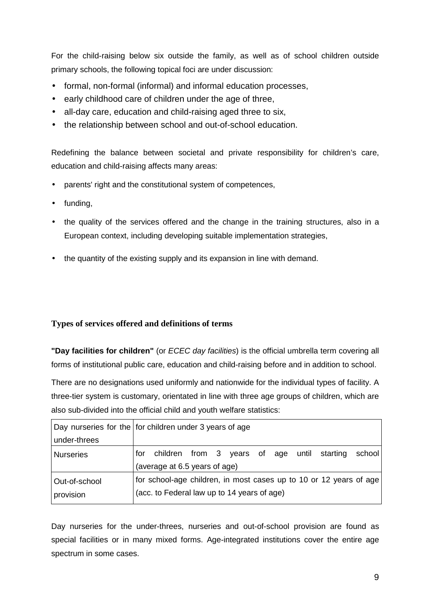For the child-raising below six outside the family, as well as of school children outside primary schools, the following topical foci are under discussion:

- formal, non-formal (informal) and informal education processes,
- early childhood care of children under the age of three.
- all-day care, education and child-raising aged three to six,
- the relationship between school and out-of-school education.

Redefining the balance between societal and private responsibility for children's care, education and child-raising affects many areas:

- parents' right and the constitutional system of competences,
- funding,
- the quality of the services offered and the change in the training structures, also in a European context, including developing suitable implementation strategies,
- the quantity of the existing supply and its expansion in line with demand.

# **Types of services offered and definitions of terms**

**"Day facilities for children"** (or ECEC day facilities) is the official umbrella term covering all forms of institutional public care, education and child-raising before and in addition to school.

There are no designations used uniformly and nationwide for the individual types of facility. A three-tier system is customary, orientated in line with three age groups of children, which are also sub-divided into the official child and youth welfare statistics:

|                  | Day nurseries for the for children under 3 years of age                                       |  |  |  |
|------------------|-----------------------------------------------------------------------------------------------|--|--|--|
| under-threes     |                                                                                               |  |  |  |
| <b>Nurseries</b> | children from 3 years of age until starting<br>school<br>for<br>(average at 6.5 years of age) |  |  |  |
|                  |                                                                                               |  |  |  |
| Out-of-school    | for school-age children, in most cases up to 10 or 12 years of age                            |  |  |  |
| provision        | (acc. to Federal law up to 14 years of age)                                                   |  |  |  |

Day nurseries for the under-threes, nurseries and out-of-school provision are found as special facilities or in many mixed forms. Age-integrated institutions cover the entire age spectrum in some cases.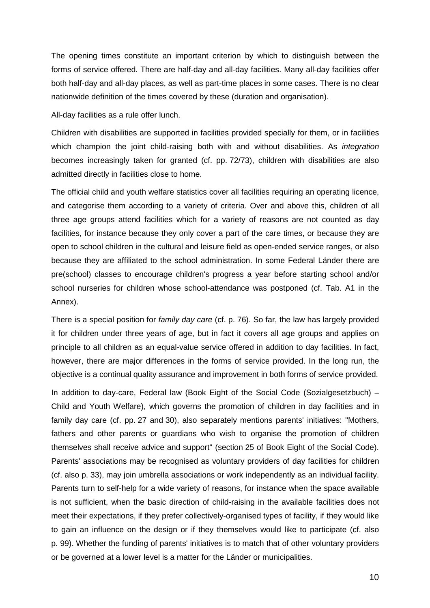The opening times constitute an important criterion by which to distinguish between the forms of service offered. There are half-day and all-day facilities. Many all-day facilities offer both half-day and all-day places, as well as part-time places in some cases. There is no clear nationwide definition of the times covered by these (duration and organisation).

All-day facilities as a rule offer lunch.

Children with disabilities are supported in facilities provided specially for them, or in facilities which champion the joint child-raising both with and without disabilities. As *integration* becomes increasingly taken for granted (cf. pp. 72/73), children with disabilities are also admitted directly in facilities close to home.

The official child and youth welfare statistics cover all facilities requiring an operating licence, and categorise them according to a variety of criteria. Over and above this, children of all three age groups attend facilities which for a variety of reasons are not counted as day facilities, for instance because they only cover a part of the care times, or because they are open to school children in the cultural and leisure field as open-ended service ranges, or also because they are affiliated to the school administration. In some Federal Länder there are pre(school) classes to encourage children's progress a year before starting school and/or school nurseries for children whose school-attendance was postponed (cf. Tab. A1 in the Annex).

There is a special position for *family day care* (cf. p. 76). So far, the law has largely provided it for children under three years of age, but in fact it covers all age groups and applies on principle to all children as an equal-value service offered in addition to day facilities. In fact, however, there are major differences in the forms of service provided. In the long run, the objective is a continual quality assurance and improvement in both forms of service provided.

In addition to day-care, Federal law (Book Eight of the Social Code (Sozialgesetzbuch) – Child and Youth Welfare), which governs the promotion of children in day facilities and in family day care (cf. pp. 27 and 30), also separately mentions parents' initiatives: "Mothers, fathers and other parents or guardians who wish to organise the promotion of children themselves shall receive advice and support" (section 25 of Book Eight of the Social Code). Parents' associations may be recognised as voluntary providers of day facilities for children (cf. also p. 33), may join umbrella associations or work independently as an individual facility. Parents turn to self-help for a wide variety of reasons, for instance when the space available is not sufficient, when the basic direction of child-raising in the available facilities does not meet their expectations, if they prefer collectively-organised types of facility, if they would like to gain an influence on the design or if they themselves would like to participate (cf. also p. 99). Whether the funding of parents' initiatives is to match that of other voluntary providers or be governed at a lower level is a matter for the Länder or municipalities.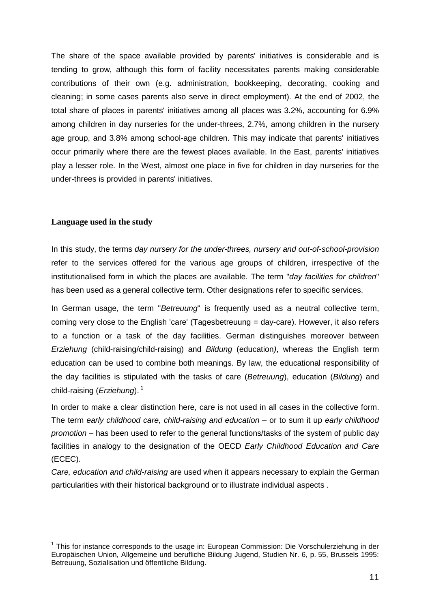The share of the space available provided by parents' initiatives is considerable and is tending to grow, although this form of facility necessitates parents making considerable contributions of their own (e.g. administration, bookkeeping, decorating, cooking and cleaning; in some cases parents also serve in direct employment). At the end of 2002, the total share of places in parents' initiatives among all places was 3.2%, accounting for 6.9% among children in day nurseries for the under-threes, 2.7%, among children in the nursery age group, and 3.8% among school-age children. This may indicate that parents' initiatives occur primarily where there are the fewest places available. In the East, parents' initiatives play a lesser role. In the West, almost one place in five for children in day nurseries for the under-threes is provided in parents' initiatives.

# **Language used in the study**

l

In this study, the terms day nursery for the under-threes, nursery and out-of-school-provision refer to the services offered for the various age groups of children, irrespective of the institutionalised form in which the places are available. The term "day facilities for children" has been used as a general collective term. Other designations refer to specific services.

In German usage, the term "Betreuung" is frequently used as a neutral collective term, coming very close to the English 'care' (Tagesbetreuung = day-care). However, it also refers to a function or a task of the day facilities. German distinguishes moreover between Erziehung (child-raising/child-raising) and Bildung (education), whereas the English term education can be used to combine both meanings. By law, the educational responsibility of the day facilities is stipulated with the tasks of care (Betreuung), education (Bildung) and child-raising (*Erziehung*).<sup>1</sup>

In order to make a clear distinction here, care is not used in all cases in the collective form. The term early childhood care, child-raising and education – or to sum it up early childhood promotion – has been used to refer to the general functions/tasks of the system of public day facilities in analogy to the designation of the OECD Early Childhood Education and Care (ECEC).

Care, education and child-raising are used when it appears necessary to explain the German particularities with their historical background or to illustrate individual aspects .

<sup>&</sup>lt;sup>1</sup> This for instance corresponds to the usage in: European Commission: Die Vorschulerziehung in der Europäischen Union, Allgemeine und berufliche Bildung Jugend, Studien Nr. 6, p. 55, Brussels 1995: Betreuung, Sozialisation und öffentliche Bildung.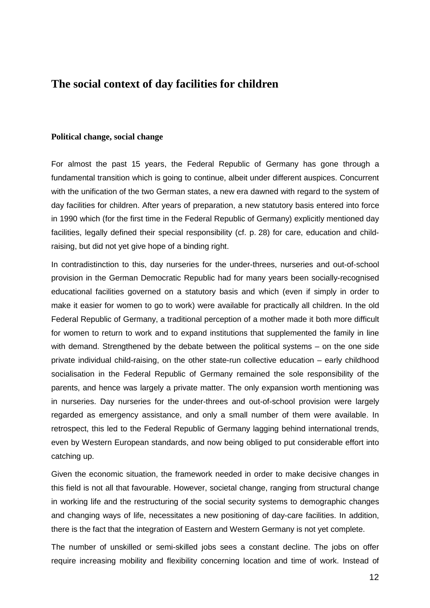# **The social context of day facilities for children**

#### **Political change, social change**

For almost the past 15 years, the Federal Republic of Germany has gone through a fundamental transition which is going to continue, albeit under different auspices. Concurrent with the unification of the two German states, a new era dawned with regard to the system of day facilities for children. After years of preparation, a new statutory basis entered into force in 1990 which (for the first time in the Federal Republic of Germany) explicitly mentioned day facilities, legally defined their special responsibility (cf. p. 28) for care, education and childraising, but did not yet give hope of a binding right.

In contradistinction to this, day nurseries for the under-threes, nurseries and out-of-school provision in the German Democratic Republic had for many years been socially-recognised educational facilities governed on a statutory basis and which (even if simply in order to make it easier for women to go to work) were available for practically all children. In the old Federal Republic of Germany, a traditional perception of a mother made it both more difficult for women to return to work and to expand institutions that supplemented the family in line with demand. Strengthened by the debate between the political systems – on the one side private individual child-raising, on the other state-run collective education – early childhood socialisation in the Federal Republic of Germany remained the sole responsibility of the parents, and hence was largely a private matter. The only expansion worth mentioning was in nurseries. Day nurseries for the under-threes and out-of-school provision were largely regarded as emergency assistance, and only a small number of them were available. In retrospect, this led to the Federal Republic of Germany lagging behind international trends, even by Western European standards, and now being obliged to put considerable effort into catching up.

Given the economic situation, the framework needed in order to make decisive changes in this field is not all that favourable. However, societal change, ranging from structural change in working life and the restructuring of the social security systems to demographic changes and changing ways of life, necessitates a new positioning of day-care facilities. In addition, there is the fact that the integration of Eastern and Western Germany is not yet complete.

The number of unskilled or semi-skilled jobs sees a constant decline. The jobs on offer require increasing mobility and flexibility concerning location and time of work. Instead of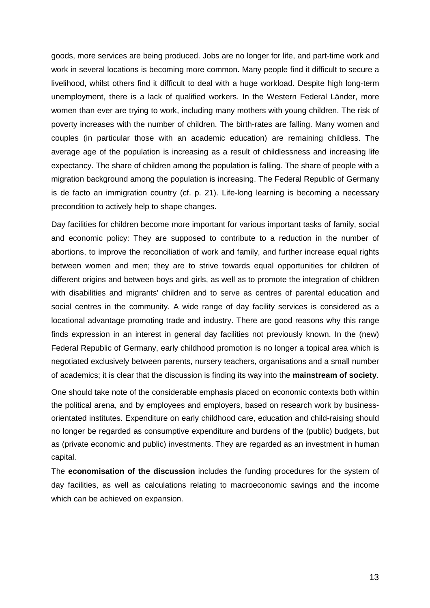goods, more services are being produced. Jobs are no longer for life, and part-time work and work in several locations is becoming more common. Many people find it difficult to secure a livelihood, whilst others find it difficult to deal with a huge workload. Despite high long-term unemployment, there is a lack of qualified workers. In the Western Federal Länder, more women than ever are trying to work, including many mothers with young children. The risk of poverty increases with the number of children. The birth-rates are falling. Many women and couples (in particular those with an academic education) are remaining childless. The average age of the population is increasing as a result of childlessness and increasing life expectancy. The share of children among the population is falling. The share of people with a migration background among the population is increasing. The Federal Republic of Germany is de facto an immigration country (cf. p. 21). Life-long learning is becoming a necessary precondition to actively help to shape changes.

Day facilities for children become more important for various important tasks of family, social and economic policy: They are supposed to contribute to a reduction in the number of abortions, to improve the reconciliation of work and family, and further increase equal rights between women and men; they are to strive towards equal opportunities for children of different origins and between boys and girls, as well as to promote the integration of children with disabilities and migrants' children and to serve as centres of parental education and social centres in the community. A wide range of day facility services is considered as a locational advantage promoting trade and industry. There are good reasons why this range finds expression in an interest in general day facilities not previously known. In the (new) Federal Republic of Germany, early childhood promotion is no longer a topical area which is negotiated exclusively between parents, nursery teachers, organisations and a small number of academics; it is clear that the discussion is finding its way into the **mainstream of society**.

One should take note of the considerable emphasis placed on economic contexts both within the political arena, and by employees and employers, based on research work by businessorientated institutes. Expenditure on early childhood care, education and child-raising should no longer be regarded as consumptive expenditure and burdens of the (public) budgets, but as (private economic and public) investments. They are regarded as an investment in human capital.

The **economisation of the discussion** includes the funding procedures for the system of day facilities, as well as calculations relating to macroeconomic savings and the income which can be achieved on expansion.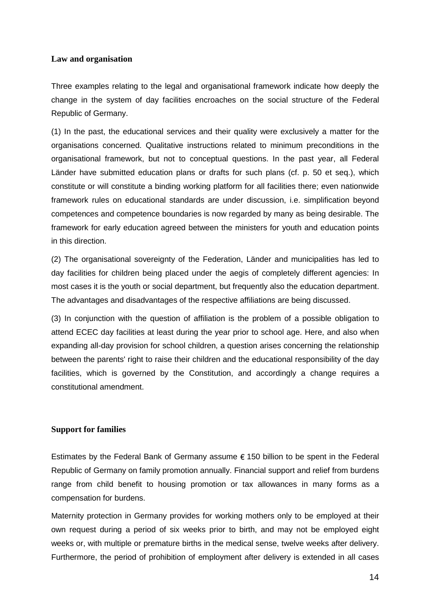# **Law and organisation**

Three examples relating to the legal and organisational framework indicate how deeply the change in the system of day facilities encroaches on the social structure of the Federal Republic of Germany.

(1) In the past, the educational services and their quality were exclusively a matter for the organisations concerned. Qualitative instructions related to minimum preconditions in the organisational framework, but not to conceptual questions. In the past year, all Federal Länder have submitted education plans or drafts for such plans (cf. p. 50 et seq.), which constitute or will constitute a binding working platform for all facilities there; even nationwide framework rules on educational standards are under discussion, i.e. simplification beyond competences and competence boundaries is now regarded by many as being desirable. The framework for early education agreed between the ministers for youth and education points in this direction.

(2) The organisational sovereignty of the Federation, Länder and municipalities has led to day facilities for children being placed under the aegis of completely different agencies: In most cases it is the youth or social department, but frequently also the education department. The advantages and disadvantages of the respective affiliations are being discussed.

(3) In conjunction with the question of affiliation is the problem of a possible obligation to attend ECEC day facilities at least during the year prior to school age. Here, and also when expanding all-day provision for school children, a question arises concerning the relationship between the parents' right to raise their children and the educational responsibility of the day facilities, which is governed by the Constitution, and accordingly a change requires a constitutional amendment.

## **Support for families**

Estimates by the Federal Bank of Germany assume  $\epsilon$  150 billion to be spent in the Federal Republic of Germany on family promotion annually. Financial support and relief from burdens range from child benefit to housing promotion or tax allowances in many forms as a compensation for burdens.

Maternity protection in Germany provides for working mothers only to be employed at their own request during a period of six weeks prior to birth, and may not be employed eight weeks or, with multiple or premature births in the medical sense, twelve weeks after delivery. Furthermore, the period of prohibition of employment after delivery is extended in all cases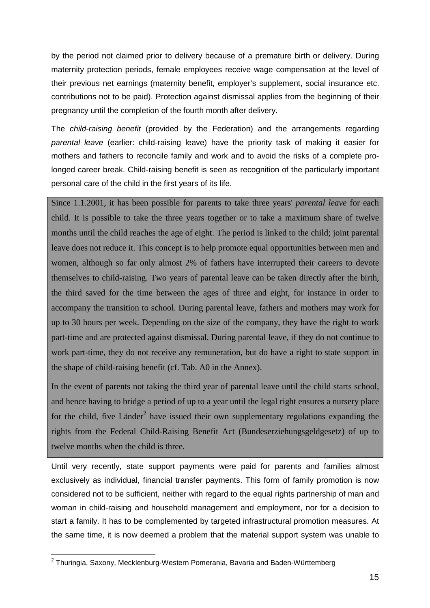by the period not claimed prior to delivery because of a premature birth or delivery. During maternity protection periods, female employees receive wage compensation at the level of their previous net earnings (maternity benefit, employer's supplement, social insurance etc. contributions not to be paid). Protection against dismissal applies from the beginning of their pregnancy until the completion of the fourth month after delivery.

The child-raising benefit (provided by the Federation) and the arrangements regarding parental leave (earlier: child-raising leave) have the priority task of making it easier for mothers and fathers to reconcile family and work and to avoid the risks of a complete prolonged career break. Child-raising benefit is seen as recognition of the particularly important personal care of the child in the first years of its life.

Since 1.1.2001, it has been possible for parents to take three years' *parental leave* for each child. It is possible to take the three years together or to take a maximum share of twelve months until the child reaches the age of eight. The period is linked to the child; joint parental leave does not reduce it. This concept is to help promote equal opportunities between men and women, although so far only almost 2% of fathers have interrupted their careers to devote themselves to child-raising. Two years of parental leave can be taken directly after the birth, the third saved for the time between the ages of three and eight, for instance in order to accompany the transition to school. During parental leave, fathers and mothers may work for up to 30 hours per week. Depending on the size of the company, they have the right to work part-time and are protected against dismissal. During parental leave, if they do not continue to work part-time, they do not receive any remuneration, but do have a right to state support in the shape of child-raising benefit (cf. Tab. A0 in the Annex).

In the event of parents not taking the third year of parental leave until the child starts school, and hence having to bridge a period of up to a year until the legal right ensures a nursery place for the child, five Länder<sup>2</sup> have issued their own supplementary regulations expanding the rights from the Federal Child-Raising Benefit Act (Bundeserziehungsgeldgesetz) of up to twelve months when the child is three.

Until very recently, state support payments were paid for parents and families almost exclusively as individual, financial transfer payments. This form of family promotion is now considered not to be sufficient, neither with regard to the equal rights partnership of man and woman in child-raising and household management and employment, nor for a decision to start a family. It has to be complemented by targeted infrastructural promotion measures. At the same time, it is now deemed a problem that the material support system was unable to

l

 $^2$  Thuringia, Saxony, Mecklenburg-Western Pomerania, Bavaria and Baden-Württemberg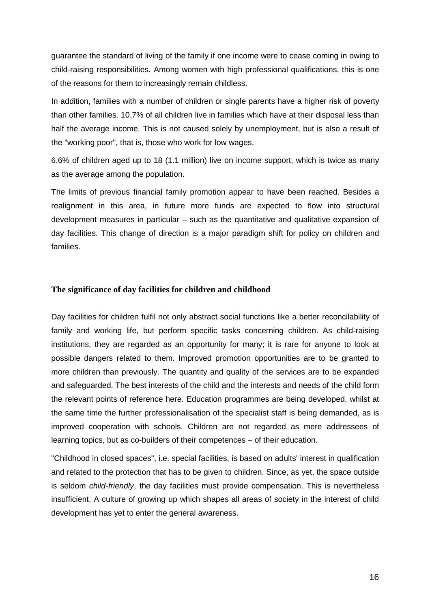guarantee the standard of living of the family if one income were to cease coming in owing to child-raising responsibilities. Among women with high professional qualifications, this is one of the reasons for them to increasingly remain childless.

In addition, families with a number of children or single parents have a higher risk of poverty than other families. 10.7% of all children live in families which have at their disposal less than half the average income. This is not caused solely by unemployment, but is also a result of the "working poor", that is, those who work for low wages.

6.6% of children aged up to 18 (1.1 million) live on income support, which is twice as many as the average among the population.

The limits of previous financial family promotion appear to have been reached. Besides a realignment in this area, in future more funds are expected to flow into structural development measures in particular – such as the quantitative and qualitative expansion of day facilities. This change of direction is a major paradigm shift for policy on children and families.

## **The significance of day facilities for children and childhood**

Day facilities for children fulfil not only abstract social functions like a better reconcilability of family and working life, but perform specific tasks concerning children. As child-raising institutions, they are regarded as an opportunity for many; it is rare for anyone to look at possible dangers related to them. Improved promotion opportunities are to be granted to more children than previously. The quantity and quality of the services are to be expanded and safeguarded. The best interests of the child and the interests and needs of the child form the relevant points of reference here. Education programmes are being developed, whilst at the same time the further professionalisation of the specialist staff is being demanded, as is improved cooperation with schools. Children are not regarded as mere addressees of learning topics, but as co-builders of their competences – of their education.

"Childhood in closed spaces", i.e. special facilities, is based on adults' interest in qualification and related to the protection that has to be given to children. Since, as yet, the space outside is seldom child-friendly, the day facilities must provide compensation. This is nevertheless insufficient. A culture of growing up which shapes all areas of society in the interest of child development has yet to enter the general awareness.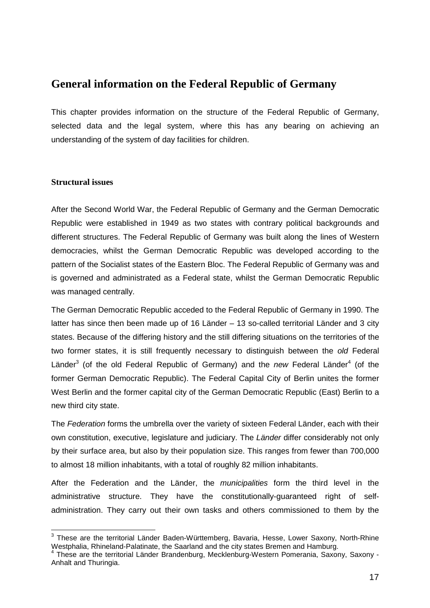# **General information on the Federal Republic of Germany**

This chapter provides information on the structure of the Federal Republic of Germany, selected data and the legal system, where this has any bearing on achieving an understanding of the system of day facilities for children.

# **Structural issues**

After the Second World War, the Federal Republic of Germany and the German Democratic Republic were established in 1949 as two states with contrary political backgrounds and different structures. The Federal Republic of Germany was built along the lines of Western democracies, whilst the German Democratic Republic was developed according to the pattern of the Socialist states of the Eastern Bloc. The Federal Republic of Germany was and is governed and administrated as a Federal state, whilst the German Democratic Republic was managed centrally.

The German Democratic Republic acceded to the Federal Republic of Germany in 1990. The latter has since then been made up of 16 Länder – 13 so-called territorial Länder and 3 city states. Because of the differing history and the still differing situations on the territories of the two former states, it is still frequently necessary to distinguish between the old Federal Länder<sup>3</sup> (of the old Federal Republic of Germany) and the new Federal Länder<sup>4</sup> (of the former German Democratic Republic). The Federal Capital City of Berlin unites the former West Berlin and the former capital city of the German Democratic Republic (East) Berlin to a new third city state.

The Federation forms the umbrella over the variety of sixteen Federal Länder, each with their own constitution, executive, legislature and judiciary. The Länder differ considerably not only by their surface area, but also by their population size. This ranges from fewer than 700,000 to almost 18 million inhabitants, with a total of roughly 82 million inhabitants.

After the Federation and the Länder, the *municipalities* form the third level in the administrative structure. They have the constitutionally-guaranteed right of selfadministration. They carry out their own tasks and others commissioned to them by the

l  $3$  These are the territorial Länder Baden-Württemberg, Bavaria, Hesse, Lower Saxony, North-Rhine Westphalia, Rhineland-Palatinate, the Saarland and the city states Bremen and Hamburg.

<sup>4</sup> These are the territorial Länder Brandenburg, Mecklenburg-Western Pomerania, Saxony, Saxony - Anhalt and Thuringia.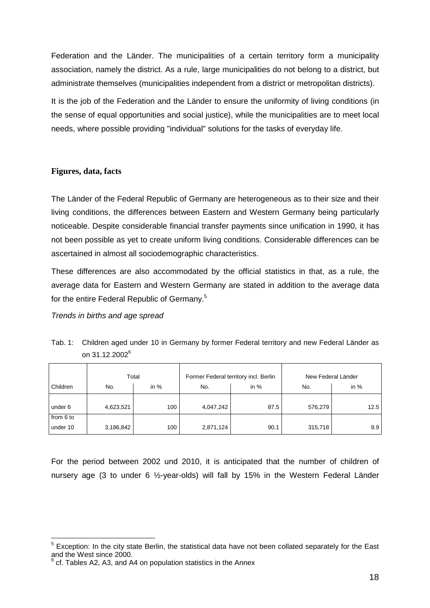Federation and the Länder. The municipalities of a certain territory form a municipality association, namely the district. As a rule, large municipalities do not belong to a district, but administrate themselves (municipalities independent from a district or metropolitan districts).

It is the job of the Federation and the Länder to ensure the uniformity of living conditions (in the sense of equal opportunities and social justice), while the municipalities are to meet local needs, where possible providing "individual" solutions for the tasks of everyday life.

# **Figures, data, facts**

The Länder of the Federal Republic of Germany are heterogeneous as to their size and their living conditions, the differences between Eastern and Western Germany being particularly noticeable. Despite considerable financial transfer payments since unification in 1990, it has not been possible as yet to create uniform living conditions. Considerable differences can be ascertained in almost all sociodemographic characteristics.

These differences are also accommodated by the official statistics in that, as a rule, the average data for Eastern and Western Germany are stated in addition to the average data for the entire Federal Republic of Germany.<sup>5</sup>

## Trends in births and age spread

l

|           | Total     |        | Former Federal territory incl. Berlin |        | New Federal Länder |        |  |
|-----------|-----------|--------|---------------------------------------|--------|--------------------|--------|--|
| Children  | No.       | in $%$ | No.                                   | in $%$ | No.                | in $%$ |  |
|           |           |        |                                       |        |                    |        |  |
| under 6   | 4,623,521 | 100    | 4,047,242                             | 87.5   | 576,279            | 12.5   |  |
| from 6 to |           |        |                                       |        |                    |        |  |
| under 10  | 3,186,842 | 100    | 2,871,124                             | 90.1   | 315,718            | 9.9    |  |

Tab. 1: Children aged under 10 in Germany by former Federal territory and new Federal Länder as on 31.12.2002<sup>6</sup>

For the period between 2002 und 2010, it is anticipated that the number of children of nursery age (3 to under 6 ½-year-olds) will fall by 15% in the Western Federal Länder

 $5$  Exception: In the city state Berlin, the statistical data have not been collated separately for the East and the West since 2000.

 $6$  cf. Tables A2, A3, and A4 on population statistics in the Annex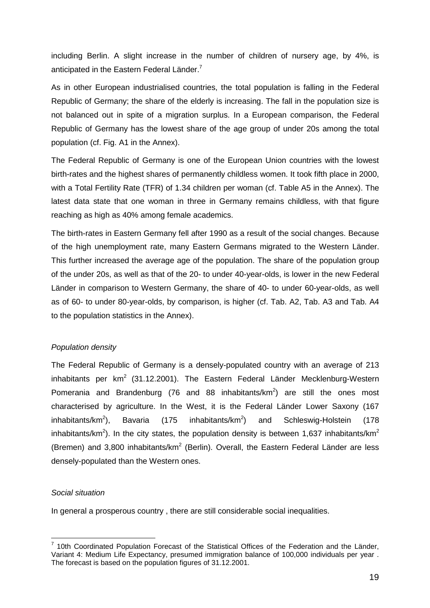including Berlin. A slight increase in the number of children of nursery age, by 4%, is anticipated in the Eastern Federal Länder. $^7$ 

As in other European industrialised countries, the total population is falling in the Federal Republic of Germany; the share of the elderly is increasing. The fall in the population size is not balanced out in spite of a migration surplus. In a European comparison, the Federal Republic of Germany has the lowest share of the age group of under 20s among the total population (cf. Fig. A1 in the Annex).

The Federal Republic of Germany is one of the European Union countries with the lowest birth-rates and the highest shares of permanently childless women. It took fifth place in 2000, with a Total Fertility Rate (TFR) of 1.34 children per woman (cf. Table A5 in the Annex). The latest data state that one woman in three in Germany remains childless, with that figure reaching as high as 40% among female academics.

The birth-rates in Eastern Germany fell after 1990 as a result of the social changes. Because of the high unemployment rate, many Eastern Germans migrated to the Western Länder. This further increased the average age of the population. The share of the population group of the under 20s, as well as that of the 20- to under 40-year-olds, is lower in the new Federal Länder in comparison to Western Germany, the share of 40- to under 60-year-olds, as well as of 60- to under 80-year-olds, by comparison, is higher (cf. Tab. A2, Tab. A3 and Tab. A4 to the population statistics in the Annex).

## Population density

The Federal Republic of Germany is a densely-populated country with an average of 213  $in$ habitants per km<sup>2</sup> (31.12.2001). The Eastern Federal Länder Mecklenburg-Western Pomerania and Brandenburg (76 and 88 inhabitants/ $km^2$ ) are still the ones most characterised by agriculture. In the West, it is the Federal Länder Lower Saxony (167 inhabitants/ $km^2$ ). Bavaria (175 inhabitants/km<sup>2</sup>) ) and Schleswig-Holstein (178 inhabitants/km<sup>2</sup>). In the city states, the population density is between 1,637 inhabitants/km<sup>2</sup> (Bremen) and 3,800 inhabitants/km<sup>2</sup> (Berlin). Overall, the Eastern Federal Länder are less densely-populated than the Western ones.

## Social situation

In general a prosperous country , there are still considerable social inequalities.

**TECOLLET**<br><sup>7</sup> 10th Coordinated Population Forecast of the Statistical Offices of the Federation and the Länder, Variant 4: Medium Life Expectancy, presumed immigration balance of 100,000 individuals per year . The forecast is based on the population figures of 31.12.2001.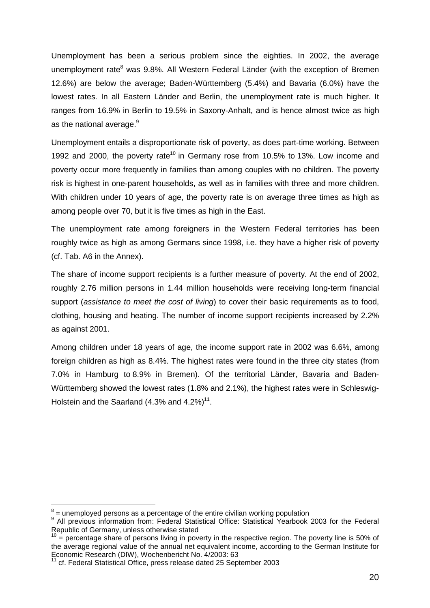Unemployment has been a serious problem since the eighties. In 2002, the average unemployment rate<sup>8</sup> was 9.8%. All Western Federal Länder (with the exception of Bremen 12.6%) are below the average; Baden-Württemberg (5.4%) and Bavaria (6.0%) have the lowest rates. In all Eastern Länder and Berlin, the unemployment rate is much higher. It ranges from 16.9% in Berlin to 19.5% in Saxony-Anhalt, and is hence almost twice as high as the national average.<sup>9</sup>

Unemployment entails a disproportionate risk of poverty, as does part-time working. Between 1992 and 2000, the poverty rate<sup>10</sup> in Germany rose from 10.5% to 13%. Low income and poverty occur more frequently in families than among couples with no children. The poverty risk is highest in one-parent households, as well as in families with three and more children. With children under 10 years of age, the poverty rate is on average three times as high as among people over 70, but it is five times as high in the East.

The unemployment rate among foreigners in the Western Federal territories has been roughly twice as high as among Germans since 1998, i.e. they have a higher risk of poverty (cf. Tab. A6 in the Annex).

The share of income support recipients is a further measure of poverty. At the end of 2002, roughly 2.76 million persons in 1.44 million households were receiving long-term financial support (assistance to meet the cost of living) to cover their basic requirements as to food, clothing, housing and heating. The number of income support recipients increased by 2.2% as against 2001.

Among children under 18 years of age, the income support rate in 2002 was 6.6%, among foreign children as high as 8.4%. The highest rates were found in the three city states (from 7.0% in Hamburg to 8.9% in Bremen). Of the territorial Länder, Bavaria and Baden-Württemberg showed the lowest rates (1.8% and 2.1%), the highest rates were in Schleswig-Holstein and the Saarland  $(4.3\%$  and  $4.2\%)$ <sup>11</sup>.

l

 $8$  = unemployed persons as a percentage of the entire civilian working population

<sup>9</sup> All previous information from: Federal Statistical Office: Statistical Yearbook 2003 for the Federal Republic of Germany, unless otherwise stated

 $10$  = percentage share of persons living in poverty in the respective region. The poverty line is 50% of the average regional value of the annual net equivalent income, according to the German Institute for Economic Research (DIW), Wochenbericht No. 4/2003: 63

<sup>&</sup>lt;sup>11</sup> cf. Federal Statistical Office, press release dated 25 September 2003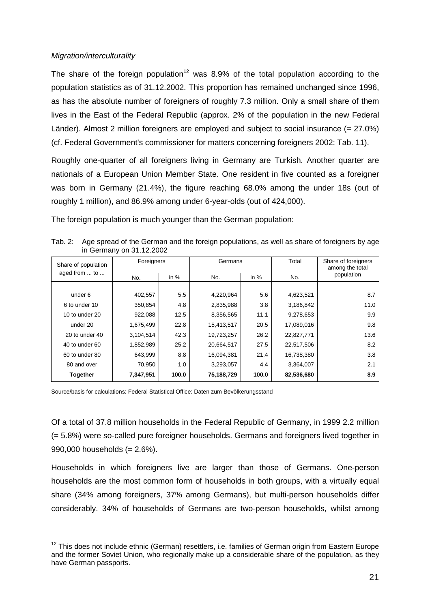## Migration/interculturality

The share of the foreign population<sup>12</sup> was 8.9% of the total population according to the population statistics as of 31.12.2002. This proportion has remained unchanged since 1996, as has the absolute number of foreigners of roughly 7.3 million. Only a small share of them lives in the East of the Federal Republic (approx. 2% of the population in the new Federal Länder). Almost 2 million foreigners are employed and subject to social insurance (= 27.0%) (cf. Federal Government's commissioner for matters concerning foreigners 2002: Tab. 11).

Roughly one-quarter of all foreigners living in Germany are Turkish. Another quarter are nationals of a European Union Member State. One resident in five counted as a foreigner was born in Germany (21.4%), the figure reaching 68.0% among the under 18s (out of roughly 1 million), and 86.9% among under 6-year-olds (out of 424,000).

The foreign population is much younger than the German population:

Tab. 2: Age spread of the German and the foreign populations, as well as share of foreigners by age in Germany on 31.12.2002

| Share of population | Foreigners |        | Germans    |        | Total      | Share of foreigners<br>among the total<br>population |  |
|---------------------|------------|--------|------------|--------|------------|------------------------------------------------------|--|
| aged from  to       | No.        | in $%$ |            | in $%$ | No.        |                                                      |  |
|                     |            |        |            |        |            |                                                      |  |
| under 6             | 402,557    | 5.5    | 4,220,964  | 5.6    | 4,623,521  | 8.7                                                  |  |
| 6 to under 10       | 350,854    | 4.8    | 2,835,988  | 3.8    | 3,186,842  | 11.0                                                 |  |
| 10 to under 20      | 922,088    | 12.5   | 8,356,565  | 11.1   | 9,278,653  | 9.9                                                  |  |
| under 20            | 1,675,499  | 22.8   | 15,413,517 | 20.5   | 17,089,016 | 9.8                                                  |  |
| 20 to under 40      | 3,104,514  | 42.3   | 19,723,257 | 26.2   | 22,827,771 | 13.6                                                 |  |
| 40 to under 60      | 1,852,989  | 25.2   | 20,664,517 | 27.5   | 22,517,506 | 8.2                                                  |  |
| 60 to under 80      | 643,999    | 8.8    | 16,094,381 | 21.4   | 16,738,380 | 3.8                                                  |  |
| 80 and over         | 70,950     | 1.0    | 3,293,057  | 4.4    | 3,364,007  | 2.1                                                  |  |
| <b>Together</b>     | 7,347,951  | 100.0  | 75,188,729 | 100.0  | 82,536,680 | 8.9                                                  |  |

Source/basis for calculations: Federal Statistical Office: Daten zum Bevölkerungsstand

Of a total of 37.8 million households in the Federal Republic of Germany, in 1999 2.2 million (= 5.8%) were so-called pure foreigner households. Germans and foreigners lived together in 990,000 households (= 2.6%).

Households in which foreigners live are larger than those of Germans. One-person households are the most common form of households in both groups, with a virtually equal share (34% among foreigners, 37% among Germans), but multi-person households differ considerably. 34% of households of Germans are two-person households, whilst among

l  $12$  This does not include ethnic (German) resettlers, i.e. families of German origin from Eastern Europe and the former Soviet Union, who regionally make up a considerable share of the population, as they have German passports.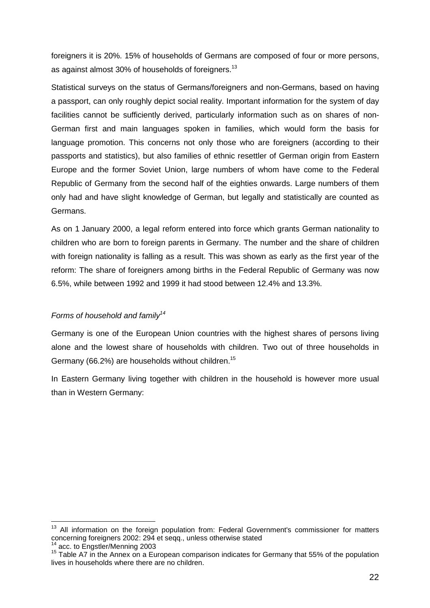foreigners it is 20%. 15% of households of Germans are composed of four or more persons, as against almost 30% of households of foreigners.<sup>13</sup>

Statistical surveys on the status of Germans/foreigners and non-Germans, based on having a passport, can only roughly depict social reality. Important information for the system of day facilities cannot be sufficiently derived, particularly information such as on shares of non-German first and main languages spoken in families, which would form the basis for language promotion. This concerns not only those who are foreigners (according to their passports and statistics), but also families of ethnic resettler of German origin from Eastern Europe and the former Soviet Union, large numbers of whom have come to the Federal Republic of Germany from the second half of the eighties onwards. Large numbers of them only had and have slight knowledge of German, but legally and statistically are counted as Germans.

As on 1 January 2000, a legal reform entered into force which grants German nationality to children who are born to foreign parents in Germany. The number and the share of children with foreign nationality is falling as a result. This was shown as early as the first year of the reform: The share of foreigners among births in the Federal Republic of Germany was now 6.5%, while between 1992 and 1999 it had stood between 12.4% and 13.3%.

# Forms of household and family<sup>14</sup>

Germany is one of the European Union countries with the highest shares of persons living alone and the lowest share of households with children. Two out of three households in Germany (66.2%) are households without children.15

In Eastern Germany living together with children in the household is however more usual than in Western Germany:

l

<sup>&</sup>lt;sup>13</sup> All information on the foreign population from: Federal Government's commissioner for matters concerning foreigners 2002: 294 et seqq., unless otherwise stated

<sup>14</sup> acc. to Engstler/Menning 2003<br><sup>14</sup> acc. to Engstler/Menning 2003<br><sup>15</sup> Table A7 in the Annex on a European comparison indicates for Germany that 55% of the population lives in households where there are no children.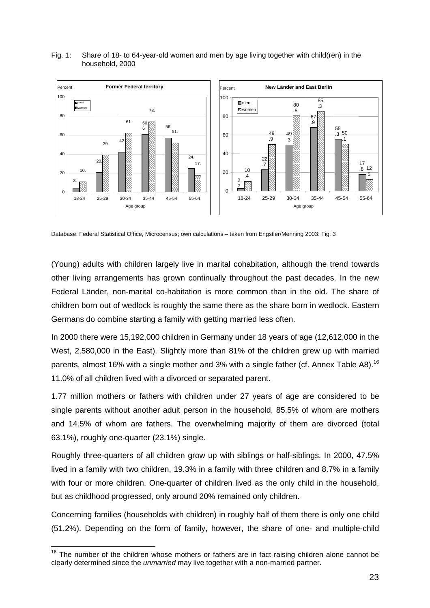#### Fig. 1: Share of 18- to 64-year-old women and men by age living together with child(ren) in the household, 2000



Database: Federal Statistical Office, Microcensus; own calculations – taken from Engstler/Menning 2003: Fig. 3

(Young) adults with children largely live in marital cohabitation, although the trend towards other living arrangements has grown continually throughout the past decades. In the new Federal Länder, non-marital co-habitation is more common than in the old. The share of children born out of wedlock is roughly the same there as the share born in wedlock. Eastern Germans do combine starting a family with getting married less often.

In 2000 there were 15,192,000 children in Germany under 18 years of age (12,612,000 in the West, 2,580,000 in the East). Slightly more than 81% of the children grew up with married parents, almost 16% with a single mother and 3% with a single father (cf. Annex Table A8).<sup>16</sup> 11.0% of all children lived with a divorced or separated parent.

1.77 million mothers or fathers with children under 27 years of age are considered to be single parents without another adult person in the household, 85.5% of whom are mothers and 14.5% of whom are fathers. The overwhelming majority of them are divorced (total 63.1%), roughly one-quarter (23.1%) single.

Roughly three-quarters of all children grow up with siblings or half-siblings. In 2000, 47.5% lived in a family with two children, 19.3% in a family with three children and 8.7% in a family with four or more children. One-quarter of children lived as the only child in the household, but as childhood progressed, only around 20% remained only children.

Concerning families (households with children) in roughly half of them there is only one child (51.2%). Depending on the form of family, however, the share of one- and multiple-child

l  $16$  The number of the children whose mothers or fathers are in fact raising children alone cannot be clearly determined since the unmarried may live together with a non-married partner.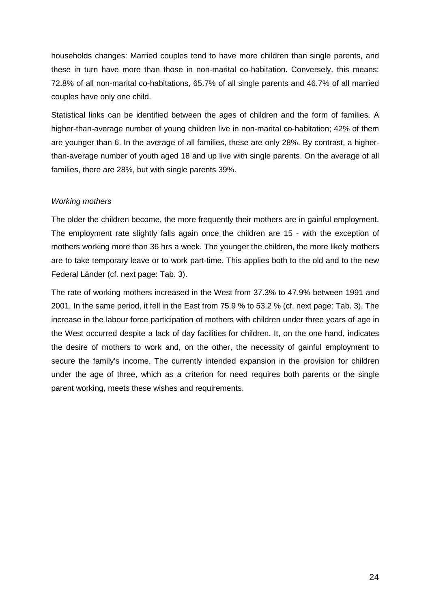households changes: Married couples tend to have more children than single parents, and these in turn have more than those in non-marital co-habitation. Conversely, this means: 72.8% of all non-marital co-habitations, 65.7% of all single parents and 46.7% of all married couples have only one child.

Statistical links can be identified between the ages of children and the form of families. A higher-than-average number of young children live in non-marital co-habitation; 42% of them are younger than 6. In the average of all families, these are only 28%. By contrast, a higherthan-average number of youth aged 18 and up live with single parents. On the average of all families, there are 28%, but with single parents 39%.

## Working mothers

The older the children become, the more frequently their mothers are in gainful employment. The employment rate slightly falls again once the children are 15 - with the exception of mothers working more than 36 hrs a week. The younger the children, the more likely mothers are to take temporary leave or to work part-time. This applies both to the old and to the new Federal Länder (cf. next page: Tab. 3).

The rate of working mothers increased in the West from 37.3% to 47.9% between 1991 and 2001. In the same period, it fell in the East from 75.9 % to 53.2 % (cf. next page: Tab. 3). The increase in the labour force participation of mothers with children under three years of age in the West occurred despite a lack of day facilities for children. It, on the one hand, indicates the desire of mothers to work and, on the other, the necessity of gainful employment to secure the family's income. The currently intended expansion in the provision for children under the age of three, which as a criterion for need requires both parents or the single parent working, meets these wishes and requirements.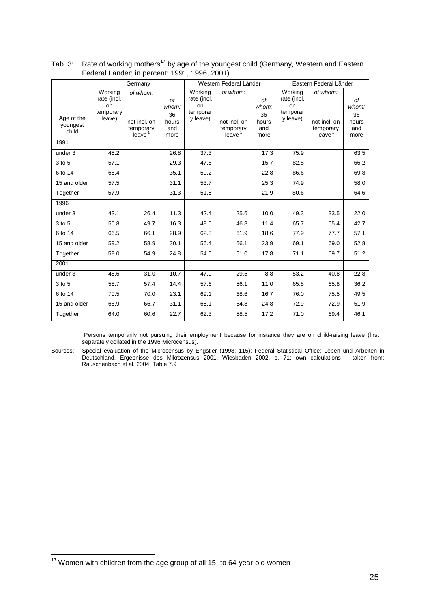|                                 | Germany                                             |                                                             |                                                      | Western Federal Länder                               |                                                             |                                                  | Eastern Federal Länder                               |                                                             |                                                  |
|---------------------------------|-----------------------------------------------------|-------------------------------------------------------------|------------------------------------------------------|------------------------------------------------------|-------------------------------------------------------------|--------------------------------------------------|------------------------------------------------------|-------------------------------------------------------------|--------------------------------------------------|
| Age of the<br>youngest<br>child | Working<br>rate (incl.<br>on<br>temporary<br>leave) | of whom:<br>not incl. on<br>temporary<br>leave <sup>1</sup> | <sub>of</sub><br>whom:<br>36<br>hours<br>and<br>more | Working<br>rate (incl.<br>on<br>temporar<br>y leave) | of whom:<br>not incl. on<br>temporary<br>leave <sup>1</sup> | <b>of</b><br>whom:<br>36<br>hours<br>and<br>more | Working<br>rate (incl.<br>on<br>temporar<br>y leave) | of whom:<br>not incl. on<br>temporary<br>leave <sup>1</sup> | <b>of</b><br>whom:<br>36<br>hours<br>and<br>more |
| 1991                            |                                                     |                                                             |                                                      |                                                      |                                                             |                                                  |                                                      |                                                             |                                                  |
| under 3                         | 45.2                                                |                                                             | 26.8                                                 | 37.3                                                 |                                                             | 17.3                                             | 75.9                                                 |                                                             | 63.5                                             |
| 3 to 5                          | 57.1                                                |                                                             | 29.3                                                 | 47.6                                                 |                                                             | 15.7                                             | 82.8                                                 |                                                             | 66.2                                             |
| 6 to 14                         | 66.4                                                |                                                             | 35.1                                                 | 59.2                                                 |                                                             | 22.8                                             | 86.6                                                 |                                                             | 69.8                                             |
| 15 and older                    | 57.5                                                |                                                             | 31.1                                                 | 53.7                                                 |                                                             | 25.3                                             | 74.9                                                 |                                                             | 58.0                                             |
| Together                        | 57.9                                                |                                                             | 31.3                                                 | 51.5                                                 |                                                             | 21.9                                             | 80.6                                                 |                                                             | 64.6                                             |
| 1996                            |                                                     |                                                             |                                                      |                                                      |                                                             |                                                  |                                                      |                                                             |                                                  |
| under 3                         | 43.1                                                | 26.4                                                        | 11.3                                                 | 42.4                                                 | 25.6                                                        | 10.0                                             | 49.3                                                 | 33.5                                                        | 22.0                                             |
| 3 to 5                          | 50.8                                                | 49.7                                                        | 16.3                                                 | 48.0                                                 | 46.8                                                        | 11.4                                             | 65.7                                                 | 65.4                                                        | 42.7                                             |
| 6 to 14                         | 66.5                                                | 66.1                                                        | 28.9                                                 | 62.3                                                 | 61.9                                                        | 18.6                                             | 77.9                                                 | 77.7                                                        | 57.1                                             |
| 15 and older                    | 59.2                                                | 58.9                                                        | 30.1                                                 | 56.4                                                 | 56.1                                                        | 23.9                                             | 69.1                                                 | 69.0                                                        | 52.8                                             |
| Together                        | 58.0                                                | 54.9                                                        | 24.8                                                 | 54.5                                                 | 51.0                                                        | 17.8                                             | 71.1                                                 | 69.7                                                        | 51.2                                             |
| 2001                            |                                                     |                                                             |                                                      |                                                      |                                                             |                                                  |                                                      |                                                             |                                                  |
| under 3                         | 48.6                                                | 31.0                                                        | 10.7                                                 | 47.9                                                 | 29.5                                                        | 8.8                                              | 53.2                                                 | 40.8                                                        | 22.8                                             |
| 3 to 5                          | 58.7                                                | 57.4                                                        | 14.4                                                 | 57.6                                                 | 56.1                                                        | 11.0                                             | 65.8                                                 | 65.8                                                        | 36.2                                             |
| 6 to 14                         | 70.5                                                | 70.0                                                        | 23.1                                                 | 69.1                                                 | 68.6                                                        | 16.7                                             | 76.0                                                 | 75.5                                                        | 49.5                                             |
| 15 and older                    | 66.9                                                | 66.7                                                        | 31.1                                                 | 65.1                                                 | 64.8                                                        | 24.8                                             | 72.9                                                 | 72.9                                                        | 51.9                                             |
| Together                        | 64.0                                                | 60.6                                                        | 22.7                                                 | 62.3                                                 | 58.5                                                        | 17.2                                             | 71.0                                                 | 69.4                                                        | 46.1                                             |

| Tab. 3: Rate of working mothers <sup>17</sup> by age of the youngest child (Germany, Western and Eastern |
|----------------------------------------------------------------------------------------------------------|
| Federal Länder; in percent; 1991, 1996, 2001)                                                            |

 1Persons temporarily not pursuing their employment because for instance they are on child-raising leave (first separately collated in the 1996 Microcensus).

Sources: Special evaluation of the Microcensus by Engstler (1998: 115); Federal Statistical Office: Leben und Arbeiten in Deutschland. Ergebnisse des Mikrozensus 2001, Wiesbaden 2002, p. 71; own calculations – taken from: Rauschenbach et al. 2004: Table 7.9

l

 $17$  Women with children from the age group of all 15- to 64-year-old women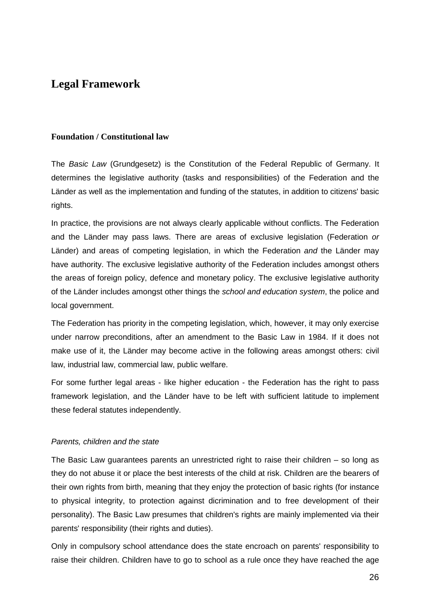# **Legal Framework**

# **Foundation / Constitutional law**

The Basic Law (Grundgesetz) is the Constitution of the Federal Republic of Germany. It determines the legislative authority (tasks and responsibilities) of the Federation and the Länder as well as the implementation and funding of the statutes, in addition to citizens' basic rights.

In practice, the provisions are not always clearly applicable without conflicts. The Federation and the Länder may pass laws. There are areas of exclusive legislation (Federation or Länder) and areas of competing legislation, in which the Federation and the Länder may have authority. The exclusive legislative authority of the Federation includes amongst others the areas of foreign policy, defence and monetary policy. The exclusive legislative authority of the Länder includes amongst other things the school and education system, the police and local government.

The Federation has priority in the competing legislation, which, however, it may only exercise under narrow preconditions, after an amendment to the Basic Law in 1984. If it does not make use of it, the Länder may become active in the following areas amongst others: civil law, industrial law, commercial law, public welfare.

For some further legal areas - like higher education - the Federation has the right to pass framework legislation, and the Länder have to be left with sufficient latitude to implement these federal statutes independently.

## Parents, children and the state

The Basic Law guarantees parents an unrestricted right to raise their children – so long as they do not abuse it or place the best interests of the child at risk. Children are the bearers of their own rights from birth, meaning that they enjoy the protection of basic rights (for instance to physical integrity, to protection against dicrimination and to free development of their personality). The Basic Law presumes that children's rights are mainly implemented via their parents' responsibility (their rights and duties).

Only in compulsory school attendance does the state encroach on parents' responsibility to raise their children. Children have to go to school as a rule once they have reached the age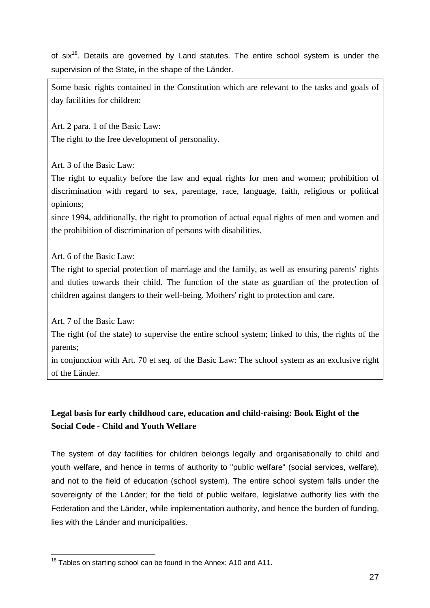of six<sup>18</sup>. Details are governed by Land statutes. The entire school system is under the supervision of the State, in the shape of the Länder.

Some basic rights contained in the Constitution which are relevant to the tasks and goals of day facilities for children:

Art. 2 para. 1 of the Basic Law: The right to the free development of personality.

Art. 3 of the Basic Law:

The right to equality before the law and equal rights for men and women; prohibition of discrimination with regard to sex, parentage, race, language, faith, religious or political opinions;

since 1994, additionally, the right to promotion of actual equal rights of men and women and the prohibition of discrimination of persons with disabilities.

Art. 6 of the Basic Law:

The right to special protection of marriage and the family, as well as ensuring parents' rights and duties towards their child. The function of the state as guardian of the protection of children against dangers to their well-being. Mothers' right to protection and care.

Art. 7 of the Basic Law:

The right (of the state) to supervise the entire school system; linked to this, the rights of the parents;

in conjunction with Art. 70 et seq. of the Basic Law: The school system as an exclusive right of the Länder.

# **Legal basis for early childhood care, education and child-raising: Book Eight of the Social Code - Child and Youth Welfare**

The system of day facilities for children belongs legally and organisationally to child and youth welfare, and hence in terms of authority to "public welfare" (social services, welfare), and not to the field of education (school system). The entire school system falls under the sovereignty of the Länder; for the field of public welfare, legislative authority lies with the Federation and the Länder, while implementation authority, and hence the burden of funding, lies with the Länder and municipalities.

l <sup>18</sup> Tables on starting school can be found in the Annex: A10 and A11.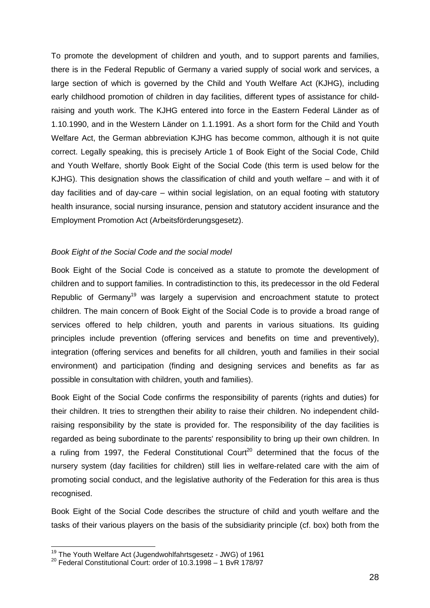To promote the development of children and youth, and to support parents and families, there is in the Federal Republic of Germany a varied supply of social work and services, a large section of which is governed by the Child and Youth Welfare Act (KJHG), including early childhood promotion of children in day facilities, different types of assistance for childraising and youth work. The KJHG entered into force in the Eastern Federal Länder as of 1.10.1990, and in the Western Länder on 1.1.1991. As a short form for the Child and Youth Welfare Act, the German abbreviation KJHG has become common, although it is not quite correct. Legally speaking, this is precisely Article 1 of Book Eight of the Social Code, Child and Youth Welfare, shortly Book Eight of the Social Code (this term is used below for the KJHG). This designation shows the classification of child and youth welfare – and with it of day facilities and of day-care – within social legislation, on an equal footing with statutory health insurance, social nursing insurance, pension and statutory accident insurance and the Employment Promotion Act (Arbeitsförderungsgesetz).

# Book Eight of the Social Code and the social model

Book Eight of the Social Code is conceived as a statute to promote the development of children and to support families. In contradistinction to this, its predecessor in the old Federal Republic of Germany<sup>19</sup> was largely a supervision and encroachment statute to protect children. The main concern of Book Eight of the Social Code is to provide a broad range of services offered to help children, youth and parents in various situations. Its guiding principles include prevention (offering services and benefits on time and preventively), integration (offering services and benefits for all children, youth and families in their social environment) and participation (finding and designing services and benefits as far as possible in consultation with children, youth and families).

Book Eight of the Social Code confirms the responsibility of parents (rights and duties) for their children. It tries to strengthen their ability to raise their children. No independent childraising responsibility by the state is provided for. The responsibility of the day facilities is regarded as being subordinate to the parents' responsibility to bring up their own children. In a ruling from 1997, the Federal Constitutional Court<sup>20</sup> determined that the focus of the nursery system (day facilities for children) still lies in welfare-related care with the aim of promoting social conduct, and the legislative authority of the Federation for this area is thus recognised.

Book Eight of the Social Code describes the structure of child and youth welfare and the tasks of their various players on the basis of the subsidiarity principle (cf. box) both from the

l

<sup>&</sup>lt;sup>19</sup> The Youth Welfare Act (Jugendwohlfahrtsgesetz - JWG) of 1961<br><sup>20</sup> Federal Constitutional Court: order of 10.3.1998 – 1 BvR 178/97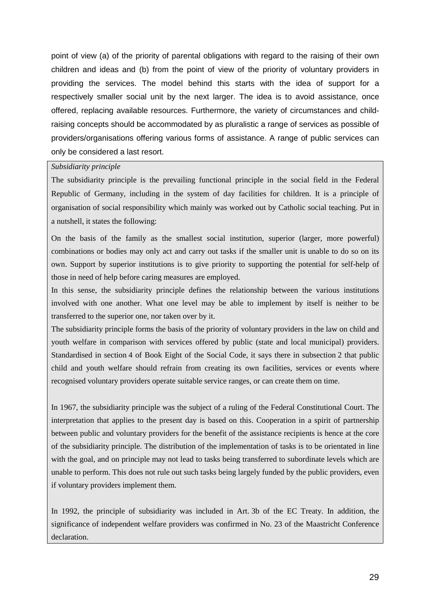point of view (a) of the priority of parental obligations with regard to the raising of their own children and ideas and (b) from the point of view of the priority of voluntary providers in providing the services. The model behind this starts with the idea of support for a respectively smaller social unit by the next larger. The idea is to avoid assistance, once offered, replacing available resources. Furthermore, the variety of circumstances and childraising concepts should be accommodated by as pluralistic a range of services as possible of providers/organisations offering various forms of assistance. A range of public services can only be considered a last resort.

#### *Subsidiarity principle*

The subsidiarity principle is the prevailing functional principle in the social field in the Federal Republic of Germany, including in the system of day facilities for children. It is a principle of organisation of social responsibility which mainly was worked out by Catholic social teaching. Put in a nutshell, it states the following:

On the basis of the family as the smallest social institution, superior (larger, more powerful) combinations or bodies may only act and carry out tasks if the smaller unit is unable to do so on its own. Support by superior institutions is to give priority to supporting the potential for self-help of those in need of help before caring measures are employed.

In this sense, the subsidiarity principle defines the relationship between the various institutions involved with one another. What one level may be able to implement by itself is neither to be transferred to the superior one, nor taken over by it.

The subsidiarity principle forms the basis of the priority of voluntary providers in the law on child and youth welfare in comparison with services offered by public (state and local municipal) providers. Standardised in section 4 of Book Eight of the Social Code, it says there in subsection 2 that public child and youth welfare should refrain from creating its own facilities, services or events where recognised voluntary providers operate suitable service ranges, or can create them on time.

In 1967, the subsidiarity principle was the subject of a ruling of the Federal Constitutional Court. The interpretation that applies to the present day is based on this. Cooperation in a spirit of partnership between public and voluntary providers for the benefit of the assistance recipients is hence at the core of the subsidiarity principle. The distribution of the implementation of tasks is to be orientated in line with the goal, and on principle may not lead to tasks being transferred to subordinate levels which are unable to perform. This does not rule out such tasks being largely funded by the public providers, even if voluntary providers implement them.

In 1992, the principle of subsidiarity was included in Art. 3b of the EC Treaty. In addition, the significance of independent welfare providers was confirmed in No. 23 of the Maastricht Conference declaration.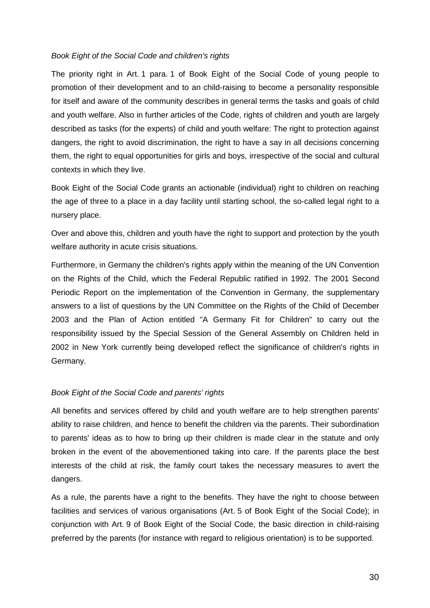## Book Eight of the Social Code and children's rights

The priority right in Art. 1 para. 1 of Book Eight of the Social Code of young people to promotion of their development and to an child-raising to become a personality responsible for itself and aware of the community describes in general terms the tasks and goals of child and youth welfare. Also in further articles of the Code, rights of children and youth are largely described as tasks (for the experts) of child and youth welfare: The right to protection against dangers, the right to avoid discrimination, the right to have a say in all decisions concerning them, the right to equal opportunities for girls and boys, irrespective of the social and cultural contexts in which they live.

Book Eight of the Social Code grants an actionable (individual) right to children on reaching the age of three to a place in a day facility until starting school, the so-called legal right to a nursery place.

Over and above this, children and youth have the right to support and protection by the youth welfare authority in acute crisis situations.

Furthermore, in Germany the children's rights apply within the meaning of the UN Convention on the Rights of the Child, which the Federal Republic ratified in 1992. The 2001 Second Periodic Report on the implementation of the Convention in Germany, the supplementary answers to a list of questions by the UN Committee on the Rights of the Child of December 2003 and the Plan of Action entitled "A Germany Fit for Children" to carry out the responsibility issued by the Special Session of the General Assembly on Children held in 2002 in New York currently being developed reflect the significance of children's rights in Germany.

# Book Eight of the Social Code and parents' rights

All benefits and services offered by child and youth welfare are to help strengthen parents' ability to raise children, and hence to benefit the children via the parents. Their subordination to parents' ideas as to how to bring up their children is made clear in the statute and only broken in the event of the abovementioned taking into care. If the parents place the best interests of the child at risk, the family court takes the necessary measures to avert the dangers.

As a rule, the parents have a right to the benefits. They have the right to choose between facilities and services of various organisations (Art. 5 of Book Eight of the Social Code); in conjunction with Art. 9 of Book Eight of the Social Code, the basic direction in child-raising preferred by the parents (for instance with regard to religious orientation) is to be supported.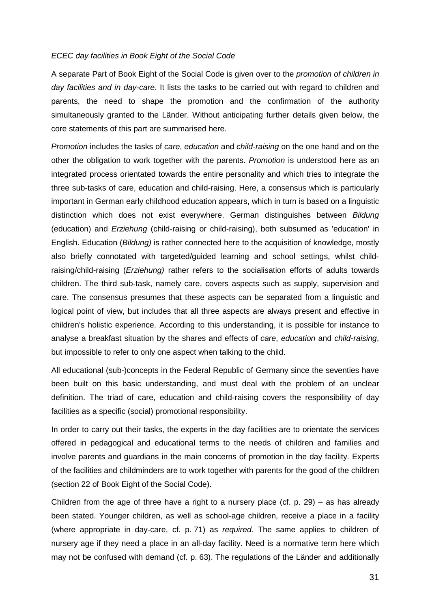#### ECEC day facilities in Book Eight of the Social Code

A separate Part of Book Eight of the Social Code is given over to the promotion of children in day facilities and in day-care. It lists the tasks to be carried out with regard to children and parents, the need to shape the promotion and the confirmation of the authority simultaneously granted to the Länder. Without anticipating further details given below, the core statements of this part are summarised here.

Promotion includes the tasks of care, education and child-raising on the one hand and on the other the obligation to work together with the parents. Promotion is understood here as an integrated process orientated towards the entire personality and which tries to integrate the three sub-tasks of care, education and child-raising. Here, a consensus which is particularly important in German early childhood education appears, which in turn is based on a linguistic distinction which does not exist everywhere. German distinguishes between Bildung (education) and Erziehung (child-raising or child-raising), both subsumed as 'education' in English. Education (Bildung) is rather connected here to the acquisition of knowledge, mostly also briefly connotated with targeted/guided learning and school settings, whilst childraising/child-raising (*Erziehung*) rather refers to the socialisation efforts of adults towards children. The third sub-task, namely care, covers aspects such as supply, supervision and care. The consensus presumes that these aspects can be separated from a linguistic and logical point of view, but includes that all three aspects are always present and effective in children's holistic experience. According to this understanding, it is possible for instance to analyse a breakfast situation by the shares and effects of care, education and child-raising, but impossible to refer to only one aspect when talking to the child.

All educational (sub-)concepts in the Federal Republic of Germany since the seventies have been built on this basic understanding, and must deal with the problem of an unclear definition. The triad of care, education and child-raising covers the responsibility of day facilities as a specific (social) promotional responsibility.

In order to carry out their tasks, the experts in the day facilities are to orientate the services offered in pedagogical and educational terms to the needs of children and families and involve parents and guardians in the main concerns of promotion in the day facility. Experts of the facilities and childminders are to work together with parents for the good of the children (section 22 of Book Eight of the Social Code).

Children from the age of three have a right to a nursery place (cf. p. 29) – as has already been stated. Younger children, as well as school-age children, receive a place in a facility (where appropriate in day-care, cf. p. 71) as required. The same applies to children of nursery age if they need a place in an all-day facility. Need is a normative term here which may not be confused with demand (cf. p. 63). The regulations of the Länder and additionally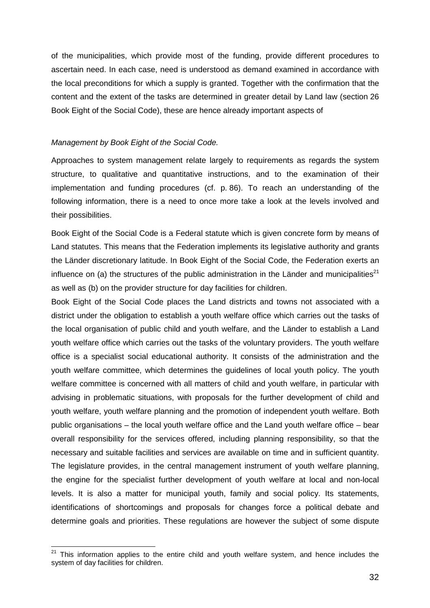of the municipalities, which provide most of the funding, provide different procedures to ascertain need. In each case, need is understood as demand examined in accordance with the local preconditions for which a supply is granted. Together with the confirmation that the content and the extent of the tasks are determined in greater detail by Land law (section 26 Book Eight of the Social Code), these are hence already important aspects of

#### Management by Book Eight of the Social Code.

l

Approaches to system management relate largely to requirements as regards the system structure, to qualitative and quantitative instructions, and to the examination of their implementation and funding procedures (cf. p. 86). To reach an understanding of the following information, there is a need to once more take a look at the levels involved and their possibilities.

Book Eight of the Social Code is a Federal statute which is given concrete form by means of Land statutes. This means that the Federation implements its legislative authority and grants the Länder discretionary latitude. In Book Eight of the Social Code, the Federation exerts an influence on (a) the structures of the public administration in the Länder and municipalities<sup>21</sup> as well as (b) on the provider structure for day facilities for children.

Book Eight of the Social Code places the Land districts and towns not associated with a district under the obligation to establish a youth welfare office which carries out the tasks of the local organisation of public child and youth welfare, and the Länder to establish a Land youth welfare office which carries out the tasks of the voluntary providers. The youth welfare office is a specialist social educational authority. It consists of the administration and the youth welfare committee, which determines the guidelines of local youth policy. The youth welfare committee is concerned with all matters of child and youth welfare, in particular with advising in problematic situations, with proposals for the further development of child and youth welfare, youth welfare planning and the promotion of independent youth welfare. Both public organisations – the local youth welfare office and the Land youth welfare office – bear overall responsibility for the services offered, including planning responsibility, so that the necessary and suitable facilities and services are available on time and in sufficient quantity. The legislature provides, in the central management instrument of youth welfare planning, the engine for the specialist further development of youth welfare at local and non-local levels. It is also a matter for municipal youth, family and social policy. Its statements, identifications of shortcomings and proposals for changes force a political debate and determine goals and priorities. These regulations are however the subject of some dispute

 $21$  This information applies to the entire child and youth welfare system, and hence includes the system of day facilities for children.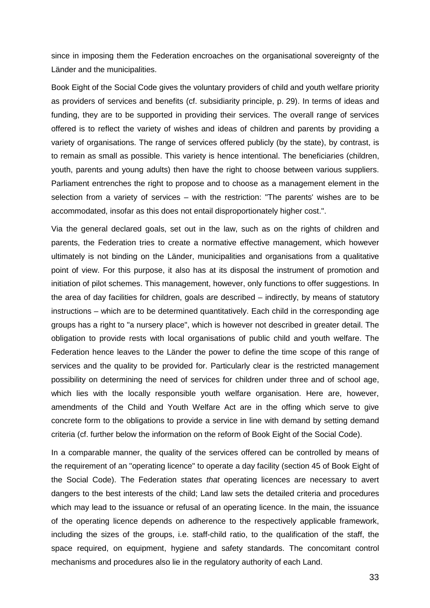since in imposing them the Federation encroaches on the organisational sovereignty of the Länder and the municipalities.

Book Eight of the Social Code gives the voluntary providers of child and youth welfare priority as providers of services and benefits (cf. subsidiarity principle, p. 29). In terms of ideas and funding, they are to be supported in providing their services. The overall range of services offered is to reflect the variety of wishes and ideas of children and parents by providing a variety of organisations. The range of services offered publicly (by the state), by contrast, is to remain as small as possible. This variety is hence intentional. The beneficiaries (children, youth, parents and young adults) then have the right to choose between various suppliers. Parliament entrenches the right to propose and to choose as a management element in the selection from a variety of services – with the restriction: "The parents' wishes are to be accommodated, insofar as this does not entail disproportionately higher cost.".

Via the general declared goals, set out in the law, such as on the rights of children and parents, the Federation tries to create a normative effective management, which however ultimately is not binding on the Länder, municipalities and organisations from a qualitative point of view. For this purpose, it also has at its disposal the instrument of promotion and initiation of pilot schemes. This management, however, only functions to offer suggestions. In the area of day facilities for children, goals are described – indirectly, by means of statutory instructions – which are to be determined quantitatively. Each child in the corresponding age groups has a right to "a nursery place", which is however not described in greater detail. The obligation to provide rests with local organisations of public child and youth welfare. The Federation hence leaves to the Länder the power to define the time scope of this range of services and the quality to be provided for. Particularly clear is the restricted management possibility on determining the need of services for children under three and of school age, which lies with the locally responsible youth welfare organisation. Here are, however, amendments of the Child and Youth Welfare Act are in the offing which serve to give concrete form to the obligations to provide a service in line with demand by setting demand criteria (cf. further below the information on the reform of Book Eight of the Social Code).

In a comparable manner, the quality of the services offered can be controlled by means of the requirement of an "operating licence" to operate a day facility (section 45 of Book Eight of the Social Code). The Federation states that operating licences are necessary to avert dangers to the best interests of the child; Land law sets the detailed criteria and procedures which may lead to the issuance or refusal of an operating licence. In the main, the issuance of the operating licence depends on adherence to the respectively applicable framework, including the sizes of the groups, i.e. staff-child ratio, to the qualification of the staff, the space required, on equipment, hygiene and safety standards. The concomitant control mechanisms and procedures also lie in the regulatory authority of each Land.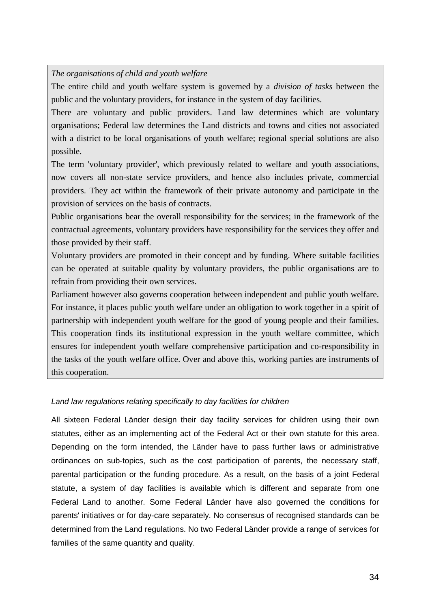*The organisations of child and youth welfare* 

The entire child and youth welfare system is governed by a *division of tasks* between the public and the voluntary providers, for instance in the system of day facilities.

There are voluntary and public providers. Land law determines which are voluntary organisations; Federal law determines the Land districts and towns and cities not associated with a district to be local organisations of youth welfare; regional special solutions are also possible.

The term 'voluntary provider', which previously related to welfare and youth associations, now covers all non-state service providers, and hence also includes private, commercial providers. They act within the framework of their private autonomy and participate in the provision of services on the basis of contracts.

Public organisations bear the overall responsibility for the services; in the framework of the contractual agreements, voluntary providers have responsibility for the services they offer and those provided by their staff.

Voluntary providers are promoted in their concept and by funding. Where suitable facilities can be operated at suitable quality by voluntary providers, the public organisations are to refrain from providing their own services.

Parliament however also governs cooperation between independent and public youth welfare. For instance, it places public youth welfare under an obligation to work together in a spirit of partnership with independent youth welfare for the good of young people and their families. This cooperation finds its institutional expression in the youth welfare committee, which ensures for independent youth welfare comprehensive participation and co-responsibility in the tasks of the youth welfare office. Over and above this, working parties are instruments of this cooperation.

# Land law regulations relating specifically to day facilities for children

All sixteen Federal Länder design their day facility services for children using their own statutes, either as an implementing act of the Federal Act or their own statute for this area. Depending on the form intended, the Länder have to pass further laws or administrative ordinances on sub-topics, such as the cost participation of parents, the necessary staff, parental participation or the funding procedure. As a result, on the basis of a joint Federal statute, a system of day facilities is available which is different and separate from one Federal Land to another. Some Federal Länder have also governed the conditions for parents' initiatives or for day-care separately. No consensus of recognised standards can be determined from the Land regulations. No two Federal Länder provide a range of services for families of the same quantity and quality.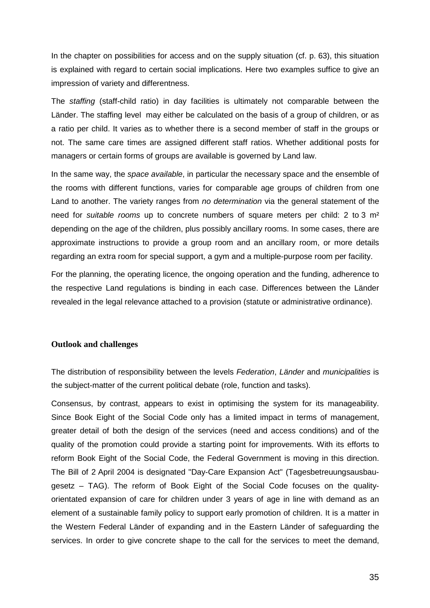In the chapter on possibilities for access and on the supply situation (cf. p. 63), this situation is explained with regard to certain social implications. Here two examples suffice to give an impression of variety and differentness.

The staffing (staff-child ratio) in day facilities is ultimately not comparable between the Länder. The staffing level may either be calculated on the basis of a group of children, or as a ratio per child. It varies as to whether there is a second member of staff in the groups or not. The same care times are assigned different staff ratios. Whether additional posts for managers or certain forms of groups are available is governed by Land law.

In the same way, the *space available*, in particular the necessary space and the ensemble of the rooms with different functions, varies for comparable age groups of children from one Land to another. The variety ranges from no determination via the general statement of the need for suitable rooms up to concrete numbers of square meters per child: 2 to 3  $m<sup>2</sup>$ depending on the age of the children, plus possibly ancillary rooms. In some cases, there are approximate instructions to provide a group room and an ancillary room, or more details regarding an extra room for special support, a gym and a multiple-purpose room per facility.

For the planning, the operating licence, the ongoing operation and the funding, adherence to the respective Land regulations is binding in each case. Differences between the Länder revealed in the legal relevance attached to a provision (statute or administrative ordinance).

## **Outlook and challenges**

The distribution of responsibility between the levels Federation, Länder and municipalities is the subject-matter of the current political debate (role, function and tasks).

Consensus, by contrast, appears to exist in optimising the system for its manageability. Since Book Eight of the Social Code only has a limited impact in terms of management, greater detail of both the design of the services (need and access conditions) and of the quality of the promotion could provide a starting point for improvements. With its efforts to reform Book Eight of the Social Code, the Federal Government is moving in this direction. The Bill of 2 April 2004 is designated "Day-Care Expansion Act" (Tagesbetreuungsausbaugesetz – TAG). The reform of Book Eight of the Social Code focuses on the qualityorientated expansion of care for children under 3 years of age in line with demand as an element of a sustainable family policy to support early promotion of children. It is a matter in the Western Federal Länder of expanding and in the Eastern Länder of safeguarding the services. In order to give concrete shape to the call for the services to meet the demand,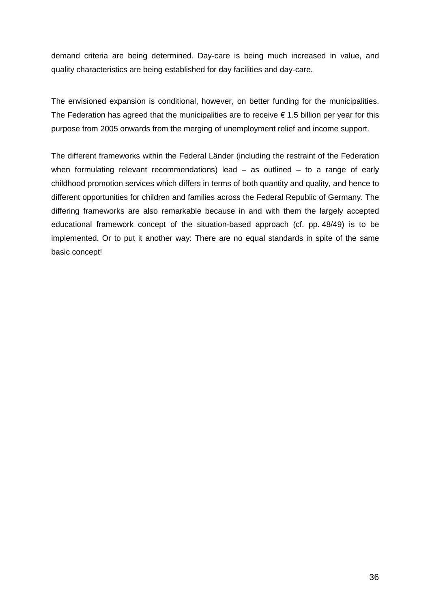demand criteria are being determined. Day-care is being much increased in value, and quality characteristics are being established for day facilities and day-care.

The envisioned expansion is conditional, however, on better funding for the municipalities. The Federation has agreed that the municipalities are to receive  $\epsilon$  1.5 billion per year for this purpose from 2005 onwards from the merging of unemployment relief and income support.

The different frameworks within the Federal Länder (including the restraint of the Federation when formulating relevant recommendations) lead  $-$  as outlined  $-$  to a range of early childhood promotion services which differs in terms of both quantity and quality, and hence to different opportunities for children and families across the Federal Republic of Germany. The differing frameworks are also remarkable because in and with them the largely accepted educational framework concept of the situation-based approach (cf. pp. 48/49) is to be implemented. Or to put it another way: There are no equal standards in spite of the same basic concept!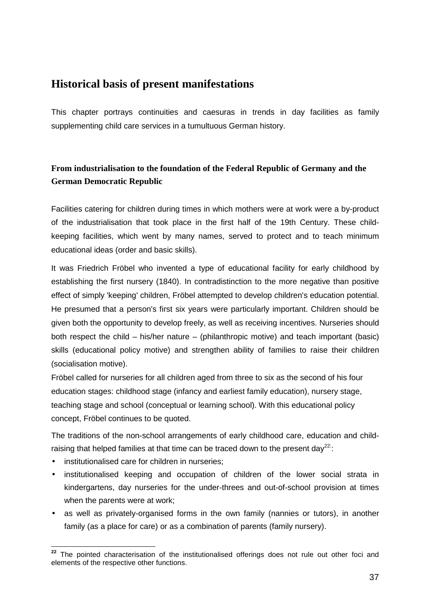# **Historical basis of present manifestations**

This chapter portrays continuities and caesuras in trends in day facilities as family supplementing child care services in a tumultuous German history.

# **From industrialisation to the foundation of the Federal Republic of Germany and the German Democratic Republic**

Facilities catering for children during times in which mothers were at work were a by-product of the industrialisation that took place in the first half of the 19th Century. These childkeeping facilities, which went by many names, served to protect and to teach minimum educational ideas (order and basic skills).

It was Friedrich Fröbel who invented a type of educational facility for early childhood by establishing the first nursery (1840). In contradistinction to the more negative than positive effect of simply 'keeping' children, Fröbel attempted to develop children's education potential. He presumed that a person's first six years were particularly important. Children should be given both the opportunity to develop freely, as well as receiving incentives. Nurseries should both respect the child – his/her nature – (philanthropic motive) and teach important (basic) skills (educational policy motive) and strengthen ability of families to raise their children (socialisation motive).

Fröbel called for nurseries for all children aged from three to six as the second of his four education stages: childhood stage (infancy and earliest family education), nursery stage, teaching stage and school (conceptual or learning school). With this educational policy concept, Fröbel continues to be quoted.

The traditions of the non-school arrangements of early childhood care, education and childraising that helped families at that time can be traced down to the present day<sup>22:</sup>:

- institutionalised care for children in nurseries;
- institutionalised keeping and occupation of children of the lower social strata in kindergartens, day nurseries for the under-threes and out-of-school provision at times when the parents were at work;
- as well as privately-organised forms in the own family (nannies or tutors), in another family (as a place for care) or as a combination of parents (family nursery).

l **<sup>22</sup>** The pointed characterisation of the institutionalised offerings does not rule out other foci and elements of the respective other functions.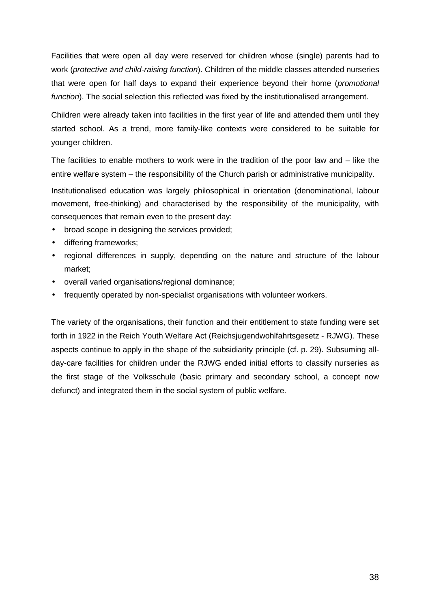Facilities that were open all day were reserved for children whose (single) parents had to work (protective and child-raising function). Children of the middle classes attended nurseries that were open for half days to expand their experience beyond their home (promotional function). The social selection this reflected was fixed by the institutionalised arrangement.

Children were already taken into facilities in the first year of life and attended them until they started school. As a trend, more family-like contexts were considered to be suitable for younger children.

The facilities to enable mothers to work were in the tradition of the poor law and – like the entire welfare system – the responsibility of the Church parish or administrative municipality.

Institutionalised education was largely philosophical in orientation (denominational, labour movement, free-thinking) and characterised by the responsibility of the municipality, with consequences that remain even to the present day:

- broad scope in designing the services provided;
- differing frameworks;
- regional differences in supply, depending on the nature and structure of the labour market;
- overall varied organisations/regional dominance;
- frequently operated by non-specialist organisations with volunteer workers.

The variety of the organisations, their function and their entitlement to state funding were set forth in 1922 in the Reich Youth Welfare Act (Reichsjugendwohlfahrtsgesetz - RJWG). These aspects continue to apply in the shape of the subsidiarity principle (cf. p. 29). Subsuming allday-care facilities for children under the RJWG ended initial efforts to classify nurseries as the first stage of the Volksschule (basic primary and secondary school, a concept now defunct) and integrated them in the social system of public welfare.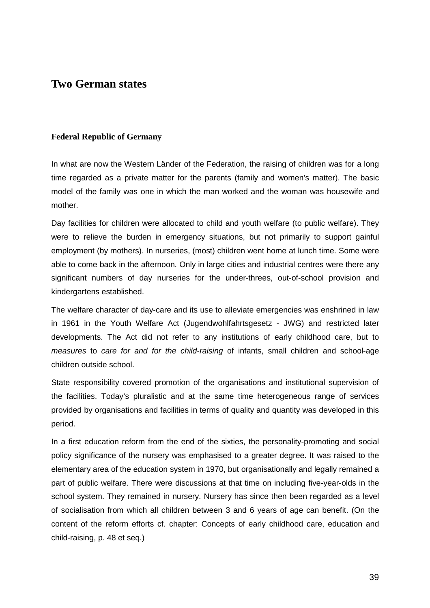# **Two German states**

# **Federal Republic of Germany**

In what are now the Western Länder of the Federation, the raising of children was for a long time regarded as a private matter for the parents (family and women's matter). The basic model of the family was one in which the man worked and the woman was housewife and mother.

Day facilities for children were allocated to child and youth welfare (to public welfare). They were to relieve the burden in emergency situations, but not primarily to support gainful employment (by mothers). In nurseries, (most) children went home at lunch time. Some were able to come back in the afternoon. Only in large cities and industrial centres were there any significant numbers of day nurseries for the under-threes, out-of-school provision and kindergartens established.

The welfare character of day-care and its use to alleviate emergencies was enshrined in law in 1961 in the Youth Welfare Act (Jugendwohlfahrtsgesetz - JWG) and restricted later developments. The Act did not refer to any institutions of early childhood care, but to measures to care for and for the child-raising of infants, small children and school-age children outside school.

State responsibility covered promotion of the organisations and institutional supervision of the facilities. Today's pluralistic and at the same time heterogeneous range of services provided by organisations and facilities in terms of quality and quantity was developed in this period.

In a first education reform from the end of the sixties, the personality-promoting and social policy significance of the nursery was emphasised to a greater degree. It was raised to the elementary area of the education system in 1970, but organisationally and legally remained a part of public welfare. There were discussions at that time on including five-year-olds in the school system. They remained in nursery. Nursery has since then been regarded as a level of socialisation from which all children between 3 and 6 years of age can benefit. (On the content of the reform efforts cf. chapter: Concepts of early childhood care, education and child-raising, p. 48 et seq.)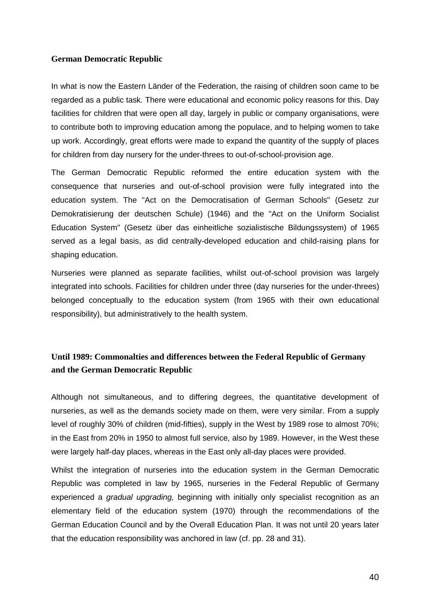#### **German Democratic Republic**

In what is now the Eastern Länder of the Federation, the raising of children soon came to be regarded as a public task. There were educational and economic policy reasons for this. Day facilities for children that were open all day, largely in public or company organisations, were to contribute both to improving education among the populace, and to helping women to take up work. Accordingly, great efforts were made to expand the quantity of the supply of places for children from day nursery for the under-threes to out-of-school-provision age.

The German Democratic Republic reformed the entire education system with the consequence that nurseries and out-of-school provision were fully integrated into the education system. The "Act on the Democratisation of German Schools" (Gesetz zur Demokratisierung der deutschen Schule) (1946) and the "Act on the Uniform Socialist Education System" (Gesetz über das einheitliche sozialistische Bildungssystem) of 1965 served as a legal basis, as did centrally-developed education and child-raising plans for shaping education.

Nurseries were planned as separate facilities, whilst out-of-school provision was largely integrated into schools. Facilities for children under three (day nurseries for the under-threes) belonged conceptually to the education system (from 1965 with their own educational responsibility), but administratively to the health system.

# **Until 1989: Commonalties and differences between the Federal Republic of Germany and the German Democratic Republic**

Although not simultaneous, and to differing degrees, the quantitative development of nurseries, as well as the demands society made on them, were very similar. From a supply level of roughly 30% of children (mid-fifties), supply in the West by 1989 rose to almost 70%; in the East from 20% in 1950 to almost full service, also by 1989. However, in the West these were largely half-day places, whereas in the East only all-day places were provided.

Whilst the integration of nurseries into the education system in the German Democratic Republic was completed in law by 1965, nurseries in the Federal Republic of Germany experienced a *gradual upgrading*, beginning with initially only specialist recognition as an elementary field of the education system (1970) through the recommendations of the German Education Council and by the Overall Education Plan. It was not until 20 years later that the education responsibility was anchored in law (cf. pp. 28 and 31).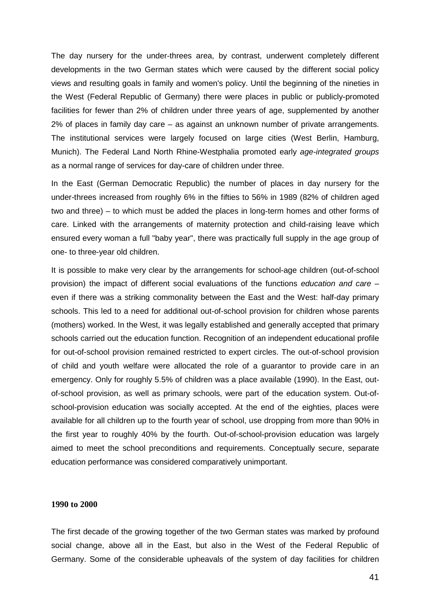The day nursery for the under-threes area, by contrast, underwent completely different developments in the two German states which were caused by the different social policy views and resulting goals in family and women's policy. Until the beginning of the nineties in the West (Federal Republic of Germany) there were places in public or publicly-promoted facilities for fewer than 2% of children under three years of age, supplemented by another 2% of places in family day care – as against an unknown number of private arrangements. The institutional services were largely focused on large cities (West Berlin, Hamburg, Munich). The Federal Land North Rhine-Westphalia promoted early age-integrated groups as a normal range of services for day-care of children under three.

In the East (German Democratic Republic) the number of places in day nursery for the under-threes increased from roughly 6% in the fifties to 56% in 1989 (82% of children aged two and three) – to which must be added the places in long-term homes and other forms of care. Linked with the arrangements of maternity protection and child-raising leave which ensured every woman a full "baby year", there was practically full supply in the age group of one- to three-year old children.

It is possible to make very clear by the arrangements for school-age children (out-of-school provision) the impact of different social evaluations of the functions education and care – even if there was a striking commonality between the East and the West: half-day primary schools. This led to a need for additional out-of-school provision for children whose parents (mothers) worked. In the West, it was legally established and generally accepted that primary schools carried out the education function. Recognition of an independent educational profile for out-of-school provision remained restricted to expert circles. The out-of-school provision of child and youth welfare were allocated the role of a guarantor to provide care in an emergency. Only for roughly 5.5% of children was a place available (1990). In the East, outof-school provision, as well as primary schools, were part of the education system. Out-ofschool-provision education was socially accepted. At the end of the eighties, places were available for all children up to the fourth year of school, use dropping from more than 90% in the first year to roughly 40% by the fourth. Out-of-school-provision education was largely aimed to meet the school preconditions and requirements. Conceptually secure, separate education performance was considered comparatively unimportant.

#### **1990 to 2000**

The first decade of the growing together of the two German states was marked by profound social change, above all in the East, but also in the West of the Federal Republic of Germany. Some of the considerable upheavals of the system of day facilities for children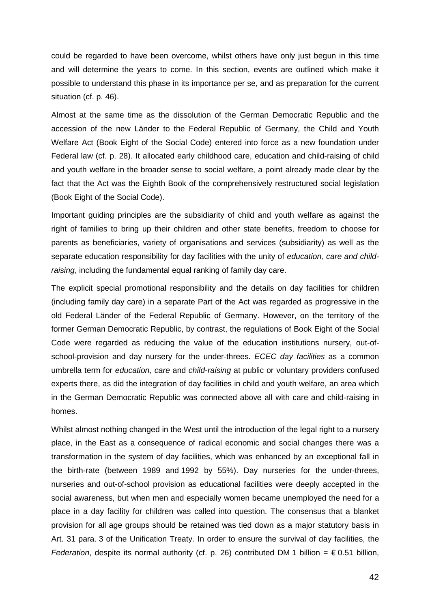could be regarded to have been overcome, whilst others have only just begun in this time and will determine the years to come. In this section, events are outlined which make it possible to understand this phase in its importance per se, and as preparation for the current situation (cf. p. 46).

Almost at the same time as the dissolution of the German Democratic Republic and the accession of the new Länder to the Federal Republic of Germany, the Child and Youth Welfare Act (Book Eight of the Social Code) entered into force as a new foundation under Federal law (cf. p. 28). It allocated early childhood care, education and child-raising of child and youth welfare in the broader sense to social welfare, a point already made clear by the fact that the Act was the Eighth Book of the comprehensively restructured social legislation (Book Eight of the Social Code).

Important guiding principles are the subsidiarity of child and youth welfare as against the right of families to bring up their children and other state benefits, freedom to choose for parents as beneficiaries, variety of organisations and services (subsidiarity) as well as the separate education responsibility for day facilities with the unity of education, care and childraising, including the fundamental equal ranking of family day care.

The explicit special promotional responsibility and the details on day facilities for children (including family day care) in a separate Part of the Act was regarded as progressive in the old Federal Länder of the Federal Republic of Germany. However, on the territory of the former German Democratic Republic, by contrast, the regulations of Book Eight of the Social Code were regarded as reducing the value of the education institutions nursery, out-ofschool-provision and day nursery for the under-threes. ECEC day facilities as a common umbrella term for education, care and child-raising at public or voluntary providers confused experts there, as did the integration of day facilities in child and youth welfare, an area which in the German Democratic Republic was connected above all with care and child-raising in homes.

Whilst almost nothing changed in the West until the introduction of the legal right to a nursery place, in the East as a consequence of radical economic and social changes there was a transformation in the system of day facilities, which was enhanced by an exceptional fall in the birth-rate (between 1989 and 1992 by 55%). Day nurseries for the under-threes, nurseries and out-of-school provision as educational facilities were deeply accepted in the social awareness, but when men and especially women became unemployed the need for a place in a day facility for children was called into question. The consensus that a blanket provision for all age groups should be retained was tied down as a major statutory basis in Art. 31 para. 3 of the Unification Treaty. In order to ensure the survival of day facilities, the Federation, despite its normal authority (cf. p. 26) contributed DM 1 billion =  $\epsilon$  0.51 billion,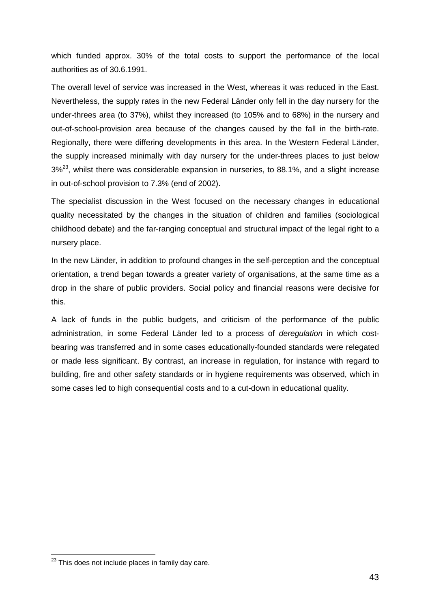which funded approx. 30% of the total costs to support the performance of the local authorities as of 30.6.1991.

The overall level of service was increased in the West, whereas it was reduced in the East. Nevertheless, the supply rates in the new Federal Länder only fell in the day nursery for the under-threes area (to 37%), whilst they increased (to 105% and to 68%) in the nursery and out-of-school-provision area because of the changes caused by the fall in the birth-rate. Regionally, there were differing developments in this area. In the Western Federal Länder, the supply increased minimally with day nursery for the under-threes places to just below  $3\%^{23}$ , whilst there was considerable expansion in nurseries, to 88.1%, and a slight increase in out-of-school provision to 7.3% (end of 2002).

The specialist discussion in the West focused on the necessary changes in educational quality necessitated by the changes in the situation of children and families (sociological childhood debate) and the far-ranging conceptual and structural impact of the legal right to a nursery place.

In the new Länder, in addition to profound changes in the self-perception and the conceptual orientation, a trend began towards a greater variety of organisations, at the same time as a drop in the share of public providers. Social policy and financial reasons were decisive for this.

A lack of funds in the public budgets, and criticism of the performance of the public administration, in some Federal Länder led to a process of deregulation in which costbearing was transferred and in some cases educationally-founded standards were relegated or made less significant. By contrast, an increase in regulation, for instance with regard to building, fire and other safety standards or in hygiene requirements was observed, which in some cases led to high consequential costs and to a cut-down in educational quality.

l

 $23$  This does not include places in family day care.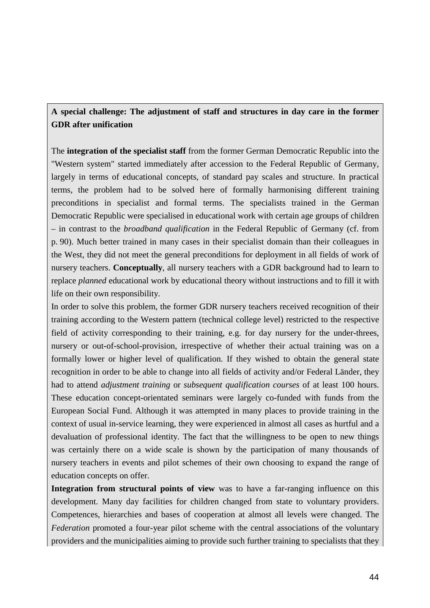# **A special challenge: The adjustment of staff and structures in day care in the former GDR after unification**

The **integration of the specialist staff** from the former German Democratic Republic into the "Western system" started immediately after accession to the Federal Republic of Germany, largely in terms of educational concepts, of standard pay scales and structure. In practical terms, the problem had to be solved here of formally harmonising different training preconditions in specialist and formal terms. The specialists trained in the German Democratic Republic were specialised in educational work with certain age groups of children – in contrast to the *broadband qualification* in the Federal Republic of Germany (cf. from p. 90). Much better trained in many cases in their specialist domain than their colleagues in the West, they did not meet the general preconditions for deployment in all fields of work of nursery teachers. **Conceptually**, all nursery teachers with a GDR background had to learn to replace *planned* educational work by educational theory without instructions and to fill it with life on their own responsibility.

In order to solve this problem, the former GDR nursery teachers received recognition of their training according to the Western pattern (technical college level) restricted to the respective field of activity corresponding to their training, e.g. for day nursery for the under-threes, nursery or out-of-school-provision, irrespective of whether their actual training was on a formally lower or higher level of qualification. If they wished to obtain the general state recognition in order to be able to change into all fields of activity and/or Federal Länder, they had to attend *adjustment training* or *subsequent qualification courses* of at least 100 hours. These education concept-orientated seminars were largely co-funded with funds from the European Social Fund. Although it was attempted in many places to provide training in the context of usual in-service learning, they were experienced in almost all cases as hurtful and a devaluation of professional identity. The fact that the willingness to be open to new things was certainly there on a wide scale is shown by the participation of many thousands of nursery teachers in events and pilot schemes of their own choosing to expand the range of education concepts on offer.

**Integration from structural points of view** was to have a far-ranging influence on this development. Many day facilities for children changed from state to voluntary providers. Competences, hierarchies and bases of cooperation at almost all levels were changed. The *Federation* promoted a four-year pilot scheme with the central associations of the voluntary providers and the municipalities aiming to provide such further training to specialists that they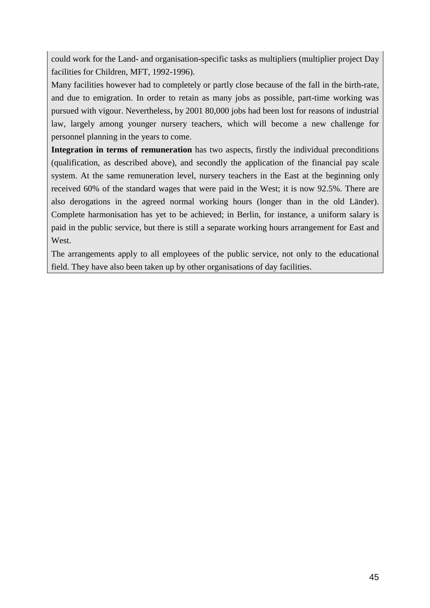could work for the Land- and organisation-specific tasks as multipliers (multiplier project Day facilities for Children, MFT, 1992-1996).

Many facilities however had to completely or partly close because of the fall in the birth-rate, and due to emigration. In order to retain as many jobs as possible, part-time working was pursued with vigour. Nevertheless, by 2001 80,000 jobs had been lost for reasons of industrial law, largely among younger nursery teachers, which will become a new challenge for personnel planning in the years to come.

**Integration in terms of remuneration** has two aspects, firstly the individual preconditions (qualification, as described above), and secondly the application of the financial pay scale system. At the same remuneration level, nursery teachers in the East at the beginning only received 60% of the standard wages that were paid in the West; it is now 92.5%. There are also derogations in the agreed normal working hours (longer than in the old Länder). Complete harmonisation has yet to be achieved; in Berlin, for instance, a uniform salary is paid in the public service, but there is still a separate working hours arrangement for East and West.

The arrangements apply to all employees of the public service, not only to the educational field. They have also been taken up by other organisations of day facilities.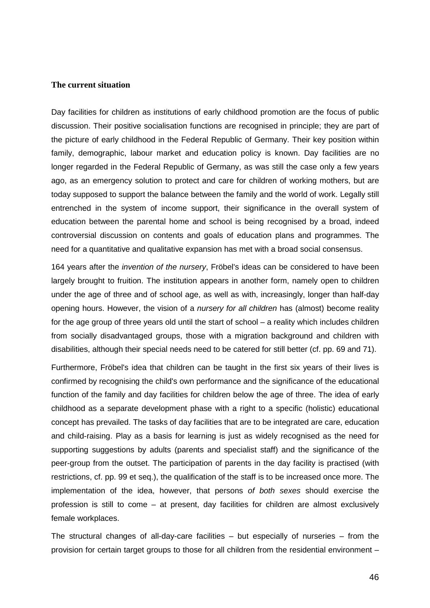#### **The current situation**

Day facilities for children as institutions of early childhood promotion are the focus of public discussion. Their positive socialisation functions are recognised in principle; they are part of the picture of early childhood in the Federal Republic of Germany. Their key position within family, demographic, labour market and education policy is known. Day facilities are no longer regarded in the Federal Republic of Germany, as was still the case only a few years ago, as an emergency solution to protect and care for children of working mothers, but are today supposed to support the balance between the family and the world of work. Legally still entrenched in the system of income support, their significance in the overall system of education between the parental home and school is being recognised by a broad, indeed controversial discussion on contents and goals of education plans and programmes. The need for a quantitative and qualitative expansion has met with a broad social consensus.

164 years after the *invention of the nursery*, Fröbel's ideas can be considered to have been largely brought to fruition. The institution appears in another form, namely open to children under the age of three and of school age, as well as with, increasingly, longer than half-day opening hours. However, the vision of a nursery for all children has (almost) become reality for the age group of three years old until the start of school – a reality which includes children from socially disadvantaged groups, those with a migration background and children with disabilities, although their special needs need to be catered for still better (cf. pp. 69 and 71).

Furthermore, Fröbel's idea that children can be taught in the first six years of their lives is confirmed by recognising the child's own performance and the significance of the educational function of the family and day facilities for children below the age of three. The idea of early childhood as a separate development phase with a right to a specific (holistic) educational concept has prevailed. The tasks of day facilities that are to be integrated are care, education and child-raising. Play as a basis for learning is just as widely recognised as the need for supporting suggestions by adults (parents and specialist staff) and the significance of the peer-group from the outset. The participation of parents in the day facility is practised (with restrictions, cf. pp. 99 et seq.), the qualification of the staff is to be increased once more. The implementation of the idea, however, that persons of both sexes should exercise the profession is still to come – at present, day facilities for children are almost exclusively female workplaces.

The structural changes of all-day-care facilities – but especially of nurseries – from the provision for certain target groups to those for all children from the residential environment –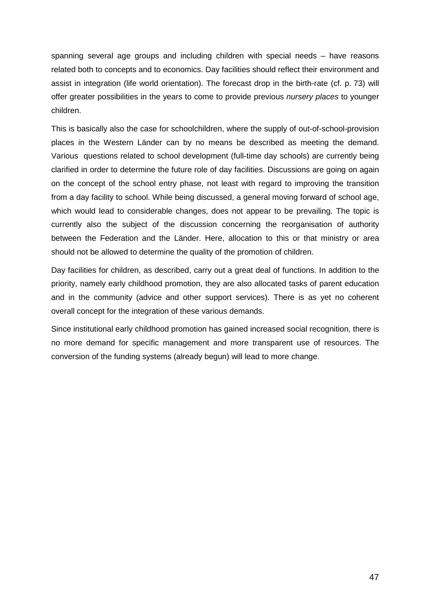spanning several age groups and including children with special needs – have reasons related both to concepts and to economics. Day facilities should reflect their environment and assist in integration (life world orientation). The forecast drop in the birth-rate (cf. p. 73) will offer greater possibilities in the years to come to provide previous *nursery places* to younger children.

This is basically also the case for schoolchildren, where the supply of out-of-school-provision places in the Western Länder can by no means be described as meeting the demand. Various questions related to school development (full-time day schools) are currently being clarified in order to determine the future role of day facilities. Discussions are going on again on the concept of the school entry phase, not least with regard to improving the transition from a day facility to school. While being discussed, a general moving forward of school age, which would lead to considerable changes, does not appear to be prevailing. The topic is currently also the subject of the discussion concerning the reorganisation of authority between the Federation and the Länder. Here, allocation to this or that ministry or area should not be allowed to determine the quality of the promotion of children.

Day facilities for children, as described, carry out a great deal of functions. In addition to the priority, namely early childhood promotion, they are also allocated tasks of parent education and in the community (advice and other support services). There is as yet no coherent overall concept for the integration of these various demands.

Since institutional early childhood promotion has gained increased social recognition, there is no more demand for specific management and more transparent use of resources. The conversion of the funding systems (already begun) will lead to more change.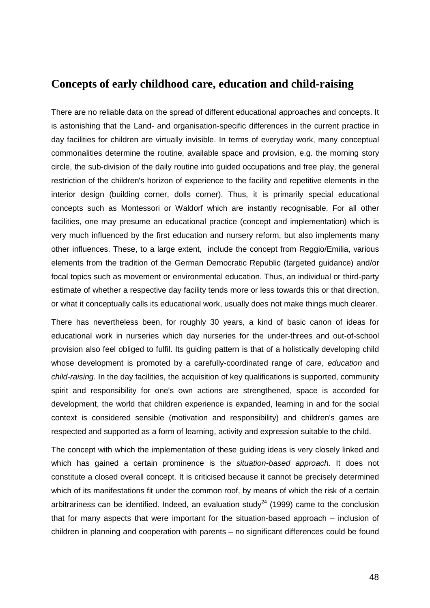# **Concepts of early childhood care, education and child-raising**

There are no reliable data on the spread of different educational approaches and concepts. It is astonishing that the Land- and organisation-specific differences in the current practice in day facilities for children are virtually invisible. In terms of everyday work, many conceptual commonalities determine the routine, available space and provision, e.g. the morning story circle, the sub-division of the daily routine into guided occupations and free play, the general restriction of the children's horizon of experience to the facility and repetitive elements in the interior design (building corner, dolls corner). Thus, it is primarily special educational concepts such as Montessori or Waldorf which are instantly recognisable. For all other facilities, one may presume an educational practice (concept and implementation) which is very much influenced by the first education and nursery reform, but also implements many other influences. These, to a large extent, include the concept from Reggio/Emilia, various elements from the tradition of the German Democratic Republic (targeted guidance) and/or focal topics such as movement or environmental education. Thus, an individual or third-party estimate of whether a respective day facility tends more or less towards this or that direction, or what it conceptually calls its educational work, usually does not make things much clearer.

There has nevertheless been, for roughly 30 years, a kind of basic canon of ideas for educational work in nurseries which day nurseries for the under-threes and out-of-school provision also feel obliged to fulfil. Its guiding pattern is that of a holistically developing child whose development is promoted by a carefully-coordinated range of care, education and child-raising. In the day facilities, the acquisition of key qualifications is supported, community spirit and responsibility for one's own actions are strengthened, space is accorded for development, the world that children experience is expanded, learning in and for the social context is considered sensible (motivation and responsibility) and children's games are respected and supported as a form of learning, activity and expression suitable to the child.

The concept with which the implementation of these guiding ideas is very closely linked and which has gained a certain prominence is the situation-based approach. It does not constitute a closed overall concept. It is criticised because it cannot be precisely determined which of its manifestations fit under the common roof, by means of which the risk of a certain arbitrariness can be identified. Indeed, an evaluation study<sup>24</sup> (1999) came to the conclusion that for many aspects that were important for the situation-based approach – inclusion of children in planning and cooperation with parents – no significant differences could be found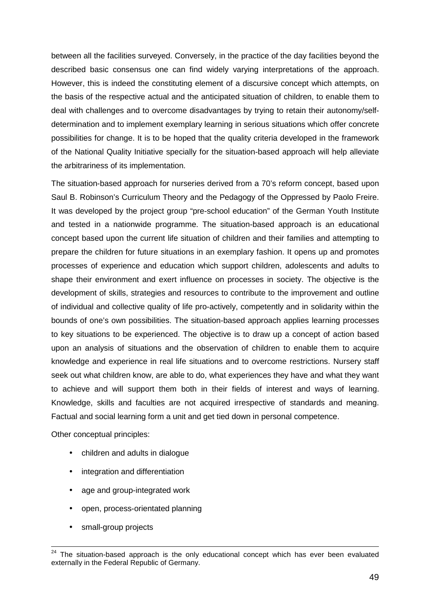between all the facilities surveyed. Conversely, in the practice of the day facilities beyond the described basic consensus one can find widely varying interpretations of the approach. However, this is indeed the constituting element of a discursive concept which attempts, on the basis of the respective actual and the anticipated situation of children, to enable them to deal with challenges and to overcome disadvantages by trying to retain their autonomy/selfdetermination and to implement exemplary learning in serious situations which offer concrete possibilities for change. It is to be hoped that the quality criteria developed in the framework of the National Quality Initiative specially for the situation-based approach will help alleviate the arbitrariness of its implementation.

The situation-based approach for nurseries derived from a 70's reform concept, based upon Saul B. Robinson's Curriculum Theory and the Pedagogy of the Oppressed by Paolo Freire. It was developed by the project group "pre-school education" of the German Youth Institute and tested in a nationwide programme. The situation-based approach is an educational concept based upon the current life situation of children and their families and attempting to prepare the children for future situations in an exemplary fashion. It opens up and promotes processes of experience and education which support children, adolescents and adults to shape their environment and exert influence on processes in society. The objective is the development of skills, strategies and resources to contribute to the improvement and outline of individual and collective quality of life pro-actively, competently and in solidarity within the bounds of one's own possibilities. The situation-based approach applies learning processes to key situations to be experienced. The objective is to draw up a concept of action based upon an analysis of situations and the observation of children to enable them to acquire knowledge and experience in real life situations and to overcome restrictions. Nursery staff seek out what children know, are able to do, what experiences they have and what they want to achieve and will support them both in their fields of interest and ways of learning. Knowledge, skills and faculties are not acquired irrespective of standards and meaning. Factual and social learning form a unit and get tied down in personal competence.

Other conceptual principles:

- children and adults in dialogue
- integration and differentiation
- age and group-integrated work
- open, process-orientated planning
- small-group projects

 $24$  The situation-based approach is the only educational concept which has ever been evaluated externally in the Federal Republic of Germany.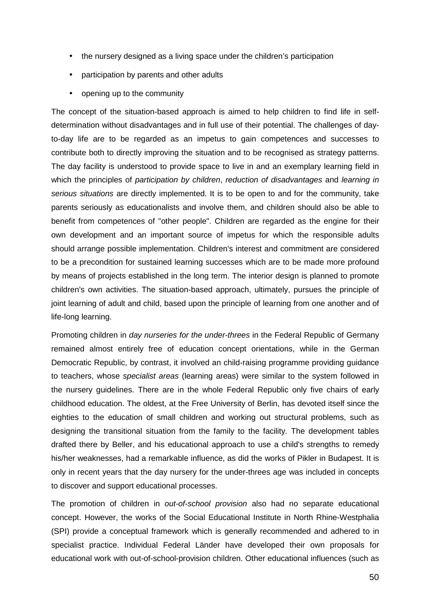- the nursery designed as a living space under the children's participation
- participation by parents and other adults
- opening up to the community

The concept of the situation-based approach is aimed to help children to find life in selfdetermination without disadvantages and in full use of their potential. The challenges of dayto-day life are to be regarded as an impetus to gain competences and successes to contribute both to directly improving the situation and to be recognised as strategy patterns. The day facility is understood to provide space to live in and an exemplary learning field in which the principles of *participation by children*, reduction of disadvantages and *learning in* serious situations are directly implemented. It is to be open to and for the community, take parents seriously as educationalists and involve them, and children should also be able to benefit from competences of "other people". Children are regarded as the engine for their own development and an important source of impetus for which the responsible adults should arrange possible implementation. Children's interest and commitment are considered to be a precondition for sustained learning successes which are to be made more profound by means of projects established in the long term. The interior design is planned to promote children's own activities. The situation-based approach, ultimately, pursues the principle of joint learning of adult and child, based upon the principle of learning from one another and of life-long learning.

Promoting children in day nurseries for the under-threes in the Federal Republic of Germany remained almost entirely free of education concept orientations, while in the German Democratic Republic, by contrast, it involved an child-raising programme providing guidance to teachers, whose specialist areas (learning areas) were similar to the system followed in the nursery guidelines. There are in the whole Federal Republic only five chairs of early childhood education. The oldest, at the Free University of Berlin, has devoted itself since the eighties to the education of small children and working out structural problems, such as designing the transitional situation from the family to the facility. The development tables drafted there by Beller, and his educational approach to use a child's strengths to remedy his/her weaknesses, had a remarkable influence, as did the works of Pikler in Budapest. It is only in recent years that the day nursery for the under-threes age was included in concepts to discover and support educational processes.

The promotion of children in out-of-school provision also had no separate educational concept. However, the works of the Social Educational Institute in North Rhine-Westphalia (SPI) provide a conceptual framework which is generally recommended and adhered to in specialist practice. Individual Federal Länder have developed their own proposals for educational work with out-of-school-provision children. Other educational influences (such as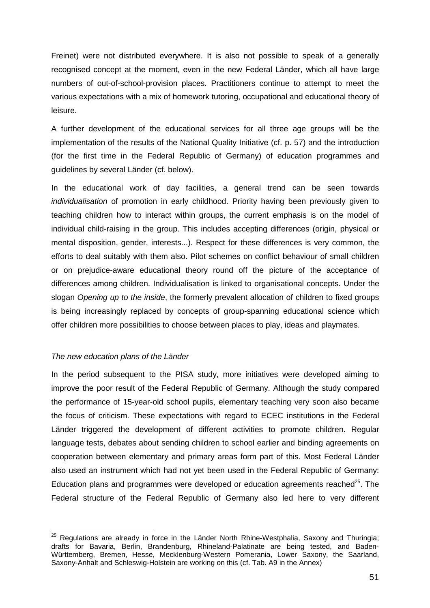Freinet) were not distributed everywhere. It is also not possible to speak of a generally recognised concept at the moment, even in the new Federal Länder, which all have large numbers of out-of-school-provision places. Practitioners continue to attempt to meet the various expectations with a mix of homework tutoring, occupational and educational theory of leisure.

A further development of the educational services for all three age groups will be the implementation of the results of the National Quality Initiative (cf. p. 57) and the introduction (for the first time in the Federal Republic of Germany) of education programmes and guidelines by several Länder (cf. below).

In the educational work of day facilities, a general trend can be seen towards individualisation of promotion in early childhood. Priority having been previously given to teaching children how to interact within groups, the current emphasis is on the model of individual child-raising in the group. This includes accepting differences (origin, physical or mental disposition, gender, interests...). Respect for these differences is very common, the efforts to deal suitably with them also. Pilot schemes on conflict behaviour of small children or on prejudice-aware educational theory round off the picture of the acceptance of differences among children. Individualisation is linked to organisational concepts. Under the slogan Opening up to the inside, the formerly prevalent allocation of children to fixed groups is being increasingly replaced by concepts of group-spanning educational science which offer children more possibilities to choose between places to play, ideas and playmates.

## The new education plans of the Länder

In the period subsequent to the PISA study, more initiatives were developed aiming to improve the poor result of the Federal Republic of Germany. Although the study compared the performance of 15-year-old school pupils, elementary teaching very soon also became the focus of criticism. These expectations with regard to ECEC institutions in the Federal Länder triggered the development of different activities to promote children. Regular language tests, debates about sending children to school earlier and binding agreements on cooperation between elementary and primary areas form part of this. Most Federal Länder also used an instrument which had not yet been used in the Federal Republic of Germany: Education plans and programmes were developed or education agreements reached $^{25}$ . The Federal structure of the Federal Republic of Germany also led here to very different

l  $25$  Regulations are already in force in the Länder North Rhine-Westphalia, Saxony and Thuringia; drafts for Bavaria, Berlin, Brandenburg, Rhineland-Palatinate are being tested, and Baden-Württemberg, Bremen, Hesse, Mecklenburg-Western Pomerania, Lower Saxony, the Saarland, Saxony-Anhalt and Schleswig-Holstein are working on this (cf. Tab. A9 in the Annex)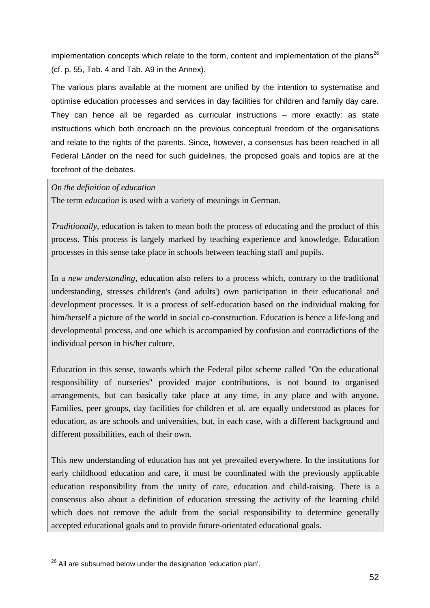implementation concepts which relate to the form, content and implementation of the plans<sup>26</sup> (cf. p. 55, Tab. 4 and Tab. A9 in the Annex).

The various plans available at the moment are unified by the intention to systematise and optimise education processes and services in day facilities for children and family day care. They can hence all be regarded as curricular instructions – more exactly: as state instructions which both encroach on the previous conceptual freedom of the organisations and relate to the rights of the parents. Since, however, a consensus has been reached in all Federal Länder on the need for such guidelines, the proposed goals and topics are at the forefront of the debates.

*On the definition of education* 

The term *education* is used with a variety of meanings in German.

*Traditionally*, education is taken to mean both the process of educating and the product of this process. This process is largely marked by teaching experience and knowledge. Education processes in this sense take place in schools between teaching staff and pupils.

In a *new understanding*, education also refers to a process which, contrary to the traditional understanding, stresses children's (and adults') own participation in their educational and development processes. It is a process of self-education based on the individual making for him/herself a picture of the world in social co-construction. Education is hence a life-long and developmental process, and one which is accompanied by confusion and contradictions of the individual person in his/her culture.

Education in this sense, towards which the Federal pilot scheme called "On the educational responsibility of nurseries" provided major contributions, is not bound to organised arrangements, but can basically take place at any time, in any place and with anyone. Families, peer groups, day facilities for children et al. are equally understood as places for education, as are schools and universities, but, in each case, with a different background and different possibilities, each of their own.

This new understanding of education has not yet prevailed everywhere. In the institutions for early childhood education and care, it must be coordinated with the previously applicable education responsibility from the unity of care, education and child-raising. There is a consensus also about a definition of education stressing the activity of the learning child which does not remove the adult from the social responsibility to determine generally accepted educational goals and to provide future-orientated educational goals.

l  $26$  All are subsumed below under the designation 'education plan'.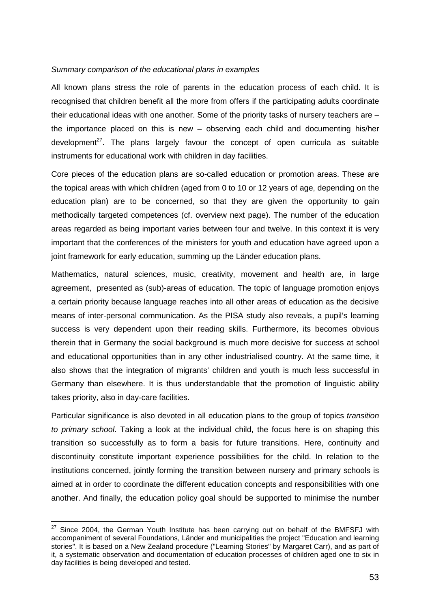#### Summary comparison of the educational plans in examples

All known plans stress the role of parents in the education process of each child. It is recognised that children benefit all the more from offers if the participating adults coordinate their educational ideas with one another. Some of the priority tasks of nursery teachers are – the importance placed on this is new – observing each child and documenting his/her development<sup>27</sup>. The plans largely favour the concept of open curricula as suitable instruments for educational work with children in day facilities.

Core pieces of the education plans are so-called education or promotion areas. These are the topical areas with which children (aged from 0 to 10 or 12 years of age, depending on the education plan) are to be concerned, so that they are given the opportunity to gain methodically targeted competences (cf. overview next page). The number of the education areas regarded as being important varies between four and twelve. In this context it is very important that the conferences of the ministers for youth and education have agreed upon a joint framework for early education, summing up the Länder education plans.

Mathematics, natural sciences, music, creativity, movement and health are, in large agreement, presented as (sub)-areas of education. The topic of language promotion enjoys a certain priority because language reaches into all other areas of education as the decisive means of inter-personal communication. As the PISA study also reveals, a pupil's learning success is very dependent upon their reading skills. Furthermore, its becomes obvious therein that in Germany the social background is much more decisive for success at school and educational opportunities than in any other industrialised country. At the same time, it also shows that the integration of migrants' children and youth is much less successful in Germany than elsewhere. It is thus understandable that the promotion of linguistic ability takes priority, also in day-care facilities.

Particular significance is also devoted in all education plans to the group of topics transition to primary school. Taking a look at the individual child, the focus here is on shaping this transition so successfully as to form a basis for future transitions. Here, continuity and discontinuity constitute important experience possibilities for the child. In relation to the institutions concerned, jointly forming the transition between nursery and primary schools is aimed at in order to coordinate the different education concepts and responsibilities with one another. And finally, the education policy goal should be supported to minimise the number

l

 $27$  Since 2004, the German Youth Institute has been carrying out on behalf of the BMFSFJ with accompaniment of several Foundations, Länder and municipalities the project "Education and learning stories". It is based on a New Zealand procedure ("Learning Stories" by Margaret Carr), and as part of it, a systematic observation and documentation of education processes of children aged one to six in day facilities is being developed and tested.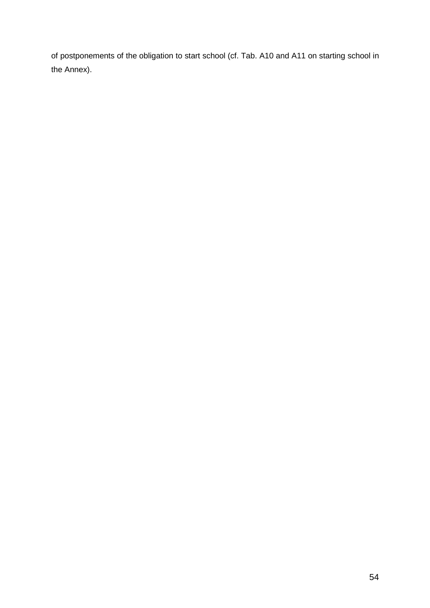of postponements of the obligation to start school (cf. Tab. A10 and A11 on starting school in the Annex).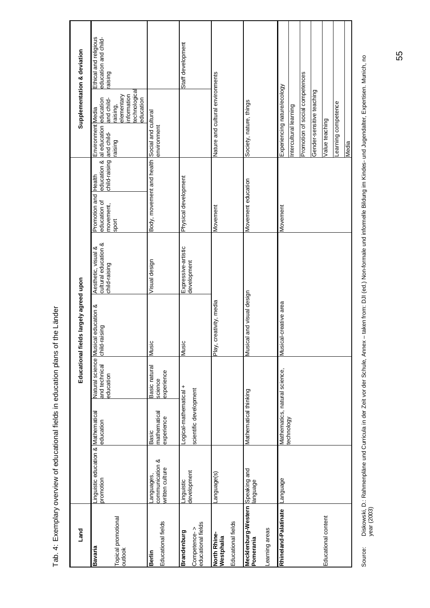|            | inguistic education & Mathematical              |                                                  | <b>Vatural science</b>                 | Educational fields largely agreed upon<br>Musical education & | Aesthetic, visual &                   | Health<br>Promotion and                                            | Environment Media                                                                                                                      | Ethical and religious<br>Supplementation & deviation |
|------------|-------------------------------------------------|--------------------------------------------------|----------------------------------------|---------------------------------------------------------------|---------------------------------------|--------------------------------------------------------------------|----------------------------------------------------------------------------------------------------------------------------------------|------------------------------------------------------|
| promotion  |                                                 | education                                        | and technical<br>education             | child-raising                                                 | cultural education &<br>child-raising | child-raising<br>education &<br>education of<br>movement,<br>sport | technological<br>nformation<br>elementary<br>aducation<br>education<br>and child-<br>raising,<br>al education<br>and child-<br>raising | education and child-<br>raising                      |
|            | communication &<br>written culture<br>anguages, | mathematical<br>experience<br>Basic              | Basic natural<br>experience<br>science | Music                                                         | Visual design                         | Body, movement and health Social and cultural                      | environment                                                                                                                            |                                                      |
| -inguistic | development                                     | .ogical-mathematical +<br>scientific development |                                        | Music                                                         | Expressive-artistic<br>development    | Physical development                                               |                                                                                                                                        | Staff development                                    |
|            | anguage(s)                                      |                                                  |                                        | , creativity, media<br>$\frac{1}{2}$                          |                                       | Movement                                                           | Nature and cultural environments                                                                                                       |                                                      |
|            | Mecklenburg-Western Speaking and<br>anguage     | Mathematical thinking                            |                                        | Musical and visual design                                     |                                       | Movement education                                                 | Society, nature, things                                                                                                                |                                                      |
|            | Language                                        | Mathematics, natural science,<br>echnology       |                                        | Musical-creative area                                         |                                       | Movement                                                           | Promotion of social competences<br>Experiencing nature/ecology<br>ntercultural learning                                                |                                                      |
|            |                                                 |                                                  |                                        |                                                               |                                       |                                                                    | Gender-sensitive teaching                                                                                                              |                                                      |
|            |                                                 |                                                  |                                        |                                                               |                                       |                                                                    | /alue teaching                                                                                                                         |                                                      |
|            |                                                 |                                                  |                                        |                                                               |                                       |                                                                    | earning competence                                                                                                                     |                                                      |
|            |                                                 |                                                  |                                        |                                                               |                                       |                                                                    | Media                                                                                                                                  |                                                      |

Tab. 4: Exemplary overview of educational fields in education plans of the Länder Tab. 4: Exemplary overview of educational fields in education plans of the Länder Diskowski, D.: Rahmenpläne und Curricula in der Zeit vor der Schule, Annex – taken from: DJI (ed.) Non-formale und informelle Bildung im Kindes- und Jugendalter, Expertisen. Munich, no<br>year (2003) Source: Diskowski, D.: Rahmenpläne und Curricula in der Zeit vor der Schule, Annex – taken from: DJI (ed.) Non-formale und informelle Bildung im Kindes- und Jugendalter, Expertisen. Munich, no year (2003) Source: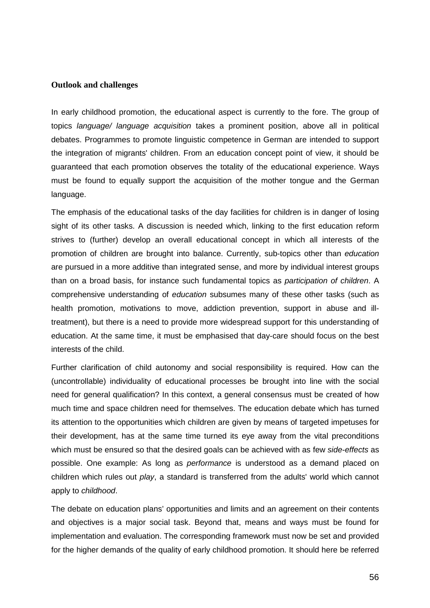#### **Outlook and challenges**

In early childhood promotion, the educational aspect is currently to the fore. The group of topics language/ language acquisition takes a prominent position, above all in political debates. Programmes to promote linguistic competence in German are intended to support the integration of migrants' children. From an education concept point of view, it should be guaranteed that each promotion observes the totality of the educational experience. Ways must be found to equally support the acquisition of the mother tongue and the German language.

The emphasis of the educational tasks of the day facilities for children is in danger of losing sight of its other tasks. A discussion is needed which, linking to the first education reform strives to (further) develop an overall educational concept in which all interests of the promotion of children are brought into balance. Currently, sub-topics other than education are pursued in a more additive than integrated sense, and more by individual interest groups than on a broad basis, for instance such fundamental topics as participation of children. A comprehensive understanding of education subsumes many of these other tasks (such as health promotion, motivations to move, addiction prevention, support in abuse and illtreatment), but there is a need to provide more widespread support for this understanding of education. At the same time, it must be emphasised that day-care should focus on the best interests of the child.

Further clarification of child autonomy and social responsibility is required. How can the (uncontrollable) individuality of educational processes be brought into line with the social need for general qualification? In this context, a general consensus must be created of how much time and space children need for themselves. The education debate which has turned its attention to the opportunities which children are given by means of targeted impetuses for their development, has at the same time turned its eye away from the vital preconditions which must be ensured so that the desired goals can be achieved with as few side-effects as possible. One example: As long as performance is understood as a demand placed on children which rules out play, a standard is transferred from the adults' world which cannot apply to childhood.

The debate on education plans' opportunities and limits and an agreement on their contents and objectives is a major social task. Beyond that, means and ways must be found for implementation and evaluation. The corresponding framework must now be set and provided for the higher demands of the quality of early childhood promotion. It should here be referred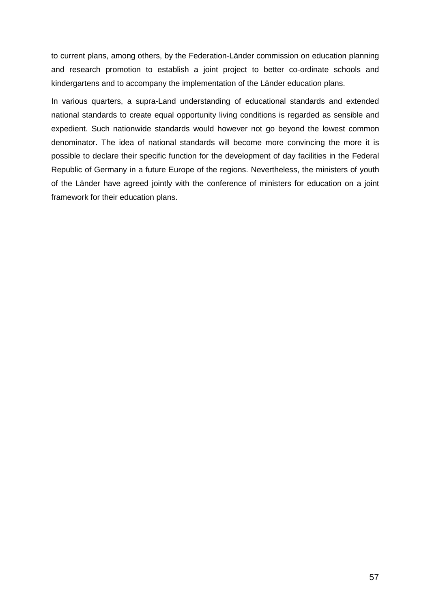to current plans, among others, by the Federation-Länder commission on education planning and research promotion to establish a joint project to better co-ordinate schools and kindergartens and to accompany the implementation of the Länder education plans.

In various quarters, a supra-Land understanding of educational standards and extended national standards to create equal opportunity living conditions is regarded as sensible and expedient. Such nationwide standards would however not go beyond the lowest common denominator. The idea of national standards will become more convincing the more it is possible to declare their specific function for the development of day facilities in the Federal Republic of Germany in a future Europe of the regions. Nevertheless, the ministers of youth of the Länder have agreed jointly with the conference of ministers for education on a joint framework for their education plans.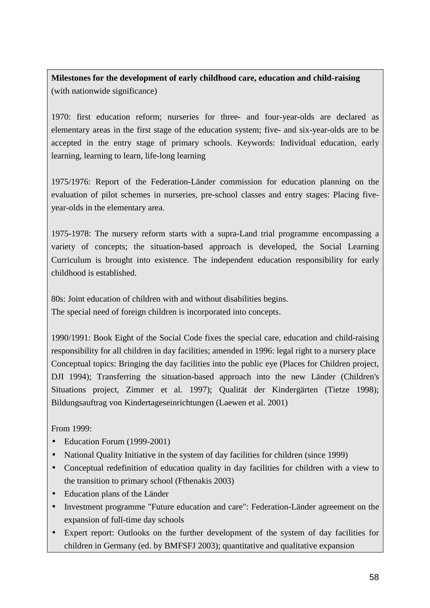**Milestones for the development of early childhood care, education and child-raising**  (with nationwide significance)

1970: first education reform; nurseries for three- and four-year-olds are declared as elementary areas in the first stage of the education system; five- and six-year-olds are to be accepted in the entry stage of primary schools. Keywords: Individual education, early learning, learning to learn, life-long learning

1975/1976: Report of the Federation-Länder commission for education planning on the evaluation of pilot schemes in nurseries, pre-school classes and entry stages: Placing fiveyear-olds in the elementary area.

1975-1978: The nursery reform starts with a supra-Land trial programme encompassing a variety of concepts; the situation-based approach is developed, the Social Learning Curriculum is brought into existence. The independent education responsibility for early childhood is established.

80s: Joint education of children with and without disabilities begins. The special need of foreign children is incorporated into concepts.

1990/1991: Book Eight of the Social Code fixes the special care, education and child-raising responsibility for all children in day facilities; amended in 1996: legal right to a nursery place Conceptual topics: Bringing the day facilities into the public eye (Places for Children project, DJI 1994); Transferring the situation-based approach into the new Länder (Children's Situations project, Zimmer et al. 1997); Qualität der Kindergärten (Tietze 1998); Bildungsauftrag von Kindertageseinrichtungen (Laewen et al. 2001)

From 1999:

- Education Forum (1999-2001)
- National Quality Initiative in the system of day facilities for children (since 1999)
- Conceptual redefinition of education quality in day facilities for children with a view to the transition to primary school (Fthenakis 2003)
- Education plans of the Länder
- Investment programme "Future education and care": Federation-Länder agreement on the expansion of full-time day schools
- Expert report: Outlooks on the further development of the system of day facilities for children in Germany (ed. by BMFSFJ 2003); quantitative and qualitative expansion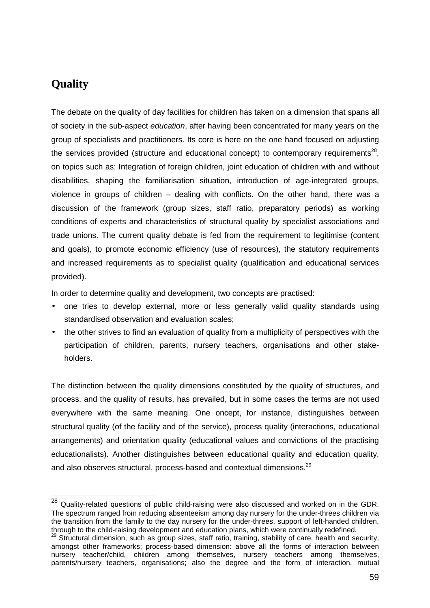# **Quality**

l

The debate on the quality of day facilities for children has taken on a dimension that spans all of society in the sub-aspect education, after having been concentrated for many years on the group of specialists and practitioners. Its core is here on the one hand focused on adjusting the services provided (structure and educational concept) to contemporary requirements<sup>28</sup>, on topics such as: Integration of foreign children, joint education of children with and without disabilities, shaping the familiarisation situation, introduction of age-integrated groups, violence in groups of children – dealing with conflicts. On the other hand, there was a discussion of the framework (group sizes, staff ratio, preparatory periods) as working conditions of experts and characteristics of structural quality by specialist associations and trade unions. The current quality debate is fed from the requirement to legitimise (content and goals), to promote economic efficiency (use of resources), the statutory requirements and increased requirements as to specialist quality (qualification and educational services provided).

In order to determine quality and development, two concepts are practised:

- one tries to develop external, more or less generally valid quality standards using standardised observation and evaluation scales;
- the other strives to find an evaluation of quality from a multiplicity of perspectives with the participation of children, parents, nursery teachers, organisations and other stakeholders.

The distinction between the quality dimensions constituted by the quality of structures, and process, and the quality of results, has prevailed, but in some cases the terms are not used everywhere with the same meaning. One oncept, for instance, distinguishes between structural quality (of the facility and of the service), process quality (interactions, educational arrangements) and orientation quality (educational values and convictions of the practising educationalists). Another distinguishes between educational quality and education quality, and also observes structural, process-based and contextual dimensions.<sup>29</sup>

 $^{28}$  Quality-related questions of public child-raising were also discussed and worked on in the GDR. The spectrum ranged from reducing absenteeism among day nursery for the under-threes children via the transition from the family to the day nursery for the under-threes, support of left-handed children, through to the child-raising development and education plans, which were continually redefined.

<sup>&</sup>lt;sup>29</sup> Structural dimension, such as group sizes, staff ratio, training, stability of care, health and security, amongst other frameworks; process-based dimension: above all the forms of interaction between nursery teacher/child, children among themselves, nursery teachers among themselves, parents/nursery teachers, organisations; also the degree and the form of interaction, mutual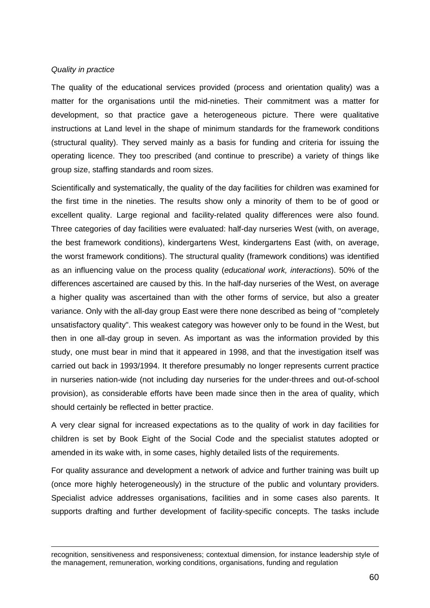#### Quality in practice

l

The quality of the educational services provided (process and orientation quality) was a matter for the organisations until the mid-nineties. Their commitment was a matter for development, so that practice gave a heterogeneous picture. There were qualitative instructions at Land level in the shape of minimum standards for the framework conditions (structural quality). They served mainly as a basis for funding and criteria for issuing the operating licence. They too prescribed (and continue to prescribe) a variety of things like group size, staffing standards and room sizes.

Scientifically and systematically, the quality of the day facilities for children was examined for the first time in the nineties. The results show only a minority of them to be of good or excellent quality. Large regional and facility-related quality differences were also found. Three categories of day facilities were evaluated: half-day nurseries West (with, on average, the best framework conditions), kindergartens West, kindergartens East (with, on average, the worst framework conditions). The structural quality (framework conditions) was identified as an influencing value on the process quality (educational work, interactions). 50% of the differences ascertained are caused by this. In the half-day nurseries of the West, on average a higher quality was ascertained than with the other forms of service, but also a greater variance. Only with the all-day group East were there none described as being of "completely unsatisfactory quality". This weakest category was however only to be found in the West, but then in one all-day group in seven. As important as was the information provided by this study, one must bear in mind that it appeared in 1998, and that the investigation itself was carried out back in 1993/1994. It therefore presumably no longer represents current practice in nurseries nation-wide (not including day nurseries for the under-threes and out-of-school provision), as considerable efforts have been made since then in the area of quality, which should certainly be reflected in better practice.

A very clear signal for increased expectations as to the quality of work in day facilities for children is set by Book Eight of the Social Code and the specialist statutes adopted or amended in its wake with, in some cases, highly detailed lists of the requirements.

For quality assurance and development a network of advice and further training was built up (once more highly heterogeneously) in the structure of the public and voluntary providers. Specialist advice addresses organisations, facilities and in some cases also parents. It supports drafting and further development of facility-specific concepts. The tasks include

recognition, sensitiveness and responsiveness; contextual dimension, for instance leadership style of the management, remuneration, working conditions, organisations, funding and regulation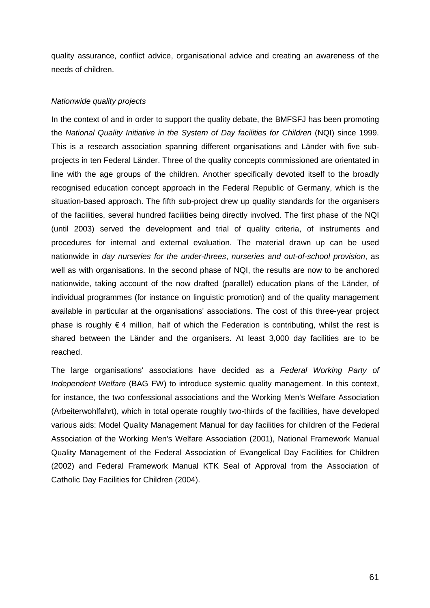quality assurance, conflict advice, organisational advice and creating an awareness of the needs of children.

# Nationwide quality projects

In the context of and in order to support the quality debate, the BMFSFJ has been promoting the National Quality Initiative in the System of Day facilities for Children (NQI) since 1999. This is a research association spanning different organisations and Länder with five subprojects in ten Federal Länder. Three of the quality concepts commissioned are orientated in line with the age groups of the children. Another specifically devoted itself to the broadly recognised education concept approach in the Federal Republic of Germany, which is the situation-based approach. The fifth sub-project drew up quality standards for the organisers of the facilities, several hundred facilities being directly involved. The first phase of the NQI (until 2003) served the development and trial of quality criteria, of instruments and procedures for internal and external evaluation. The material drawn up can be used nationwide in day nurseries for the under-threes, nurseries and out-of-school provision, as well as with organisations. In the second phase of NQI, the results are now to be anchored nationwide, taking account of the now drafted (parallel) education plans of the Länder, of individual programmes (for instance on linguistic promotion) and of the quality management available in particular at the organisations' associations. The cost of this three-year project phase is roughly  $\epsilon$  4 million, half of which the Federation is contributing, whilst the rest is shared between the Länder and the organisers. At least 3,000 day facilities are to be reached.

The large organisations' associations have decided as a Federal Working Party of Independent Welfare (BAG FW) to introduce systemic quality management. In this context, for instance, the two confessional associations and the Working Men's Welfare Association (Arbeiterwohlfahrt), which in total operate roughly two-thirds of the facilities, have developed various aids: Model Quality Management Manual for day facilities for children of the Federal Association of the Working Men's Welfare Association (2001), National Framework Manual Quality Management of the Federal Association of Evangelical Day Facilities for Children (2002) and Federal Framework Manual KTK Seal of Approval from the Association of Catholic Day Facilities for Children (2004).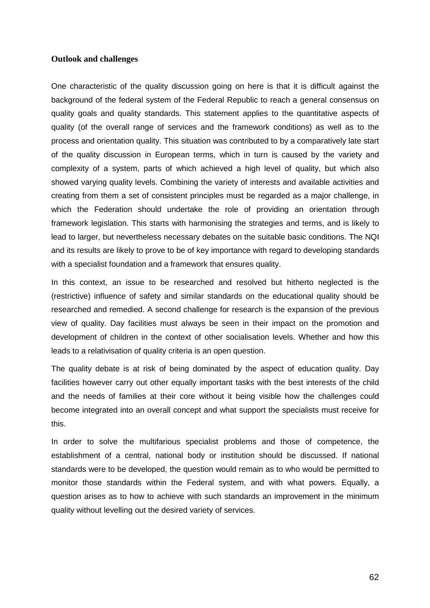#### **Outlook and challenges**

One characteristic of the quality discussion going on here is that it is difficult against the background of the federal system of the Federal Republic to reach a general consensus on quality goals and quality standards. This statement applies to the quantitative aspects of quality (of the overall range of services and the framework conditions) as well as to the process and orientation quality. This situation was contributed to by a comparatively late start of the quality discussion in European terms, which in turn is caused by the variety and complexity of a system, parts of which achieved a high level of quality, but which also showed varying quality levels. Combining the variety of interests and available activities and creating from them a set of consistent principles must be regarded as a major challenge, in which the Federation should undertake the role of providing an orientation through framework legislation. This starts with harmonising the strategies and terms, and is likely to lead to larger, but nevertheless necessary debates on the suitable basic conditions. The NQI and its results are likely to prove to be of key importance with regard to developing standards with a specialist foundation and a framework that ensures quality.

In this context, an issue to be researched and resolved but hitherto neglected is the (restrictive) influence of safety and similar standards on the educational quality should be researched and remedied. A second challenge for research is the expansion of the previous view of quality. Day facilities must always be seen in their impact on the promotion and development of children in the context of other socialisation levels. Whether and how this leads to a relativisation of quality criteria is an open question.

The quality debate is at risk of being dominated by the aspect of education quality. Day facilities however carry out other equally important tasks with the best interests of the child and the needs of families at their core without it being visible how the challenges could become integrated into an overall concept and what support the specialists must receive for this.

In order to solve the multifarious specialist problems and those of competence, the establishment of a central, national body or institution should be discussed. If national standards were to be developed, the question would remain as to who would be permitted to monitor those standards within the Federal system, and with what powers. Equally, a question arises as to how to achieve with such standards an improvement in the minimum quality without levelling out the desired variety of services.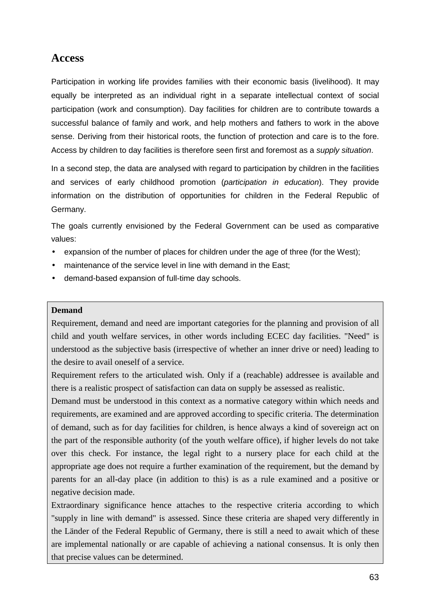# **Access**

Participation in working life provides families with their economic basis (livelihood). It may equally be interpreted as an individual right in a separate intellectual context of social participation (work and consumption). Day facilities for children are to contribute towards a successful balance of family and work, and help mothers and fathers to work in the above sense. Deriving from their historical roots, the function of protection and care is to the fore. Access by children to day facilities is therefore seen first and foremost as a supply situation.

In a second step, the data are analysed with regard to participation by children in the facilities and services of early childhood promotion (participation in education). They provide information on the distribution of opportunities for children in the Federal Republic of Germany.

The goals currently envisioned by the Federal Government can be used as comparative values:

- expansion of the number of places for children under the age of three (for the West);
- maintenance of the service level in line with demand in the East;
- demand-based expansion of full-time day schools.

## **Demand**

Requirement, demand and need are important categories for the planning and provision of all child and youth welfare services, in other words including ECEC day facilities. "Need" is understood as the subjective basis (irrespective of whether an inner drive or need) leading to the desire to avail oneself of a service.

Requirement refers to the articulated wish. Only if a (reachable) addressee is available and there is a realistic prospect of satisfaction can data on supply be assessed as realistic.

Demand must be understood in this context as a normative category within which needs and requirements, are examined and are approved according to specific criteria. The determination of demand, such as for day facilities for children, is hence always a kind of sovereign act on the part of the responsible authority (of the youth welfare office), if higher levels do not take over this check. For instance, the legal right to a nursery place for each child at the appropriate age does not require a further examination of the requirement, but the demand by parents for an all-day place (in addition to this) is as a rule examined and a positive or negative decision made.

Extraordinary significance hence attaches to the respective criteria according to which "supply in line with demand" is assessed. Since these criteria are shaped very differently in the Länder of the Federal Republic of Germany, there is still a need to await which of these are implemental nationally or are capable of achieving a national consensus. It is only then that precise values can be determined.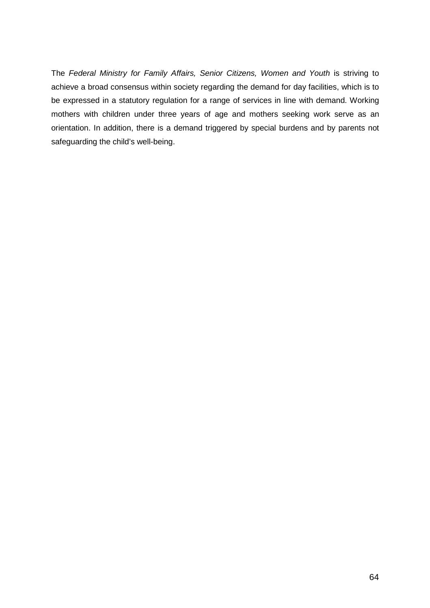The Federal Ministry for Family Affairs, Senior Citizens, Women and Youth is striving to achieve a broad consensus within society regarding the demand for day facilities, which is to be expressed in a statutory regulation for a range of services in line with demand. Working mothers with children under three years of age and mothers seeking work serve as an orientation. In addition, there is a demand triggered by special burdens and by parents not safeguarding the child's well-being.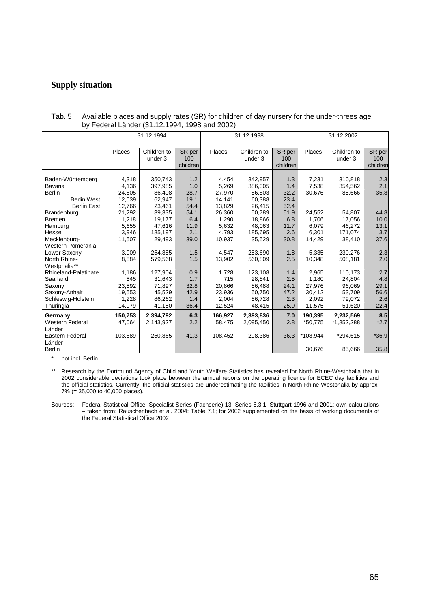## **Supply situation**

|                                                        | 31.12.1994                                                 |                                                   | 31.12.1998                                             |                                                            |                                                   | 31.12.2002                         |                                        |                                    |
|--------------------------------------------------------|------------------------------------------------------------|---------------------------------------------------|--------------------------------------------------------|------------------------------------------------------------|---------------------------------------------------|------------------------------------|----------------------------------------|------------------------------------|
| Places                                                 | Children to<br>under 3                                     | SR per<br>100<br>children                         | Places                                                 | Children to<br>under 3                                     | SR per<br>100<br>children                         | Places                             | Children to<br>under 3                 | SR per<br>100<br>children          |
| 4,318<br>4,136<br>24.805<br>12,039<br>12,766<br>21,292 | 350.743<br>397,985<br>86.408<br>62,947<br>23,461<br>39,335 | 1.2<br>1.0<br>28.7<br>19.1<br>54.4<br>54.1<br>6.4 | 4.454<br>5,269<br>27,970<br>14,141<br>13,829<br>26,360 | 342,957<br>386,305<br>86.803<br>60,388<br>26,415<br>50,789 | 1.3<br>1.4<br>32.2<br>23.4<br>52.4<br>51.9<br>6.8 | 7,231<br>7,538<br>30,676<br>24,552 | 310.818<br>354,562<br>85,666<br>54,807 | 2.3<br>2.1<br>35.8<br>44.8<br>10.0 |
| 5,655<br>3,946<br>11,507                               | 47,616<br>185,197<br>29,493                                | 11.9<br>2.1<br>39.0                               | 5,632<br>4,793<br>10,937                               | 48.063<br>185,695<br>35,529                                | 11.7<br>2.6<br>30.8                               | 6.079<br>6,301<br>14,429           | 46,272<br>171,074<br>38,410            | 13.1<br>3.7<br>37.6                |
| 3,909<br>8,884                                         | 254,885<br>579,568                                         | 1.5<br>1.5                                        | 4.547<br>13,902                                        | 253,690<br>560,809                                         | 1.8<br>2.5                                        | 5,335<br>10,348                    | 230,276<br>508,181                     | 2.3<br>2.0                         |
| 1,186<br>545<br>23,592<br>19,553                       | 127,904<br>31,643<br>71,897<br>45,529                      | 0.9<br>1.7<br>32.8<br>42.9                        | 1,728<br>715<br>20.866<br>23,936                       | 123,108<br>28.841<br>86,488<br>50,750                      | 1.4<br>2.5<br>24.1<br>47.2                        | 2,965<br>1,180<br>27,976<br>30,412 | 110,173<br>24.804<br>96,069<br>53,709  | 2.7<br>4.8<br>29.1<br>56.6         |
| 14,979                                                 | 41,150                                                     | 36.4                                              | 12,524                                                 | 48,415                                                     | 25.9                                              | 11,575                             | 51,620                                 | 2.6<br>22.4                        |
| 150,753                                                | 2,394,792                                                  | 6.3                                               | 166,927                                                | 2,393,836                                                  | 7.0                                               | 190,395                            | 2,232,569                              | 8.5                                |
| 47,064<br>103,689                                      | 2.143.927<br>250,865                                       | 2.2<br>41.3                                       | 58,475<br>108,452                                      | 2.095.450<br>298,386                                       | 2.8<br>36.3                                       | *50,775<br>*108,944                | *1,852,288<br>*294,615                 | $*2.7$<br>$*36.9$<br>35.8          |
|                                                        | 1,218<br>1,228                                             | 19,177<br>86,262                                  | 1.4                                                    | 1,290<br>2,004                                             | 18,866<br>86,728                                  | 2.3                                | 1,706<br>2,092<br>30,676               | 17,056<br>79,072<br>85,666         |

Tab. 5 Available places and supply rates (SR) for children of day nursery for the under-threes age by Federal Länder (31.12.1994, 1998 and 2002)

not incl. Berlin

\*\* Research by the Dortmund Agency of Child and Youth Welfare Statistics has revealed for North Rhine-Westphalia that in 2002 considerable deviations took place between the annual reports on the operating licence for ECEC day facilities and the official statistics. Currently, the official statistics are underestimating the facilities in North Rhine-Westphalia by approx. 7% (= 35,000 to 40,000 places).

Sources: Federal Statistical Office: Specialist Series (Fachserie) 13, Series 6.3.1, Stuttgart 1996 and 2001; own calculations – taken from: Rauschenbach et al. 2004: Table 7.1; for 2002 supplemented on the basis of working documents of the Federal Statistical Office 2002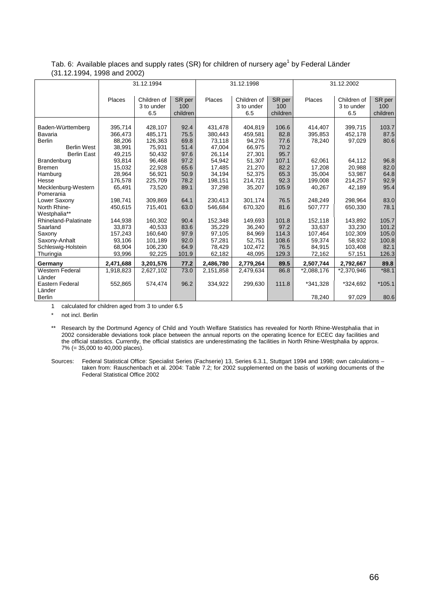| Tab. 6: Available places and supply rates (SR) for children of nursery age <sup>1</sup> by Federal Länder |  |
|-----------------------------------------------------------------------------------------------------------|--|
| (31.12.1994, 1998 and 2002)                                                                               |  |

|                                                                                           | 31.12.1994                                       |                                                   |                                      |                                                  | 31.12.1998                                       |                                       | 31.12.2002                            |                                        |                                 |  |
|-------------------------------------------------------------------------------------------|--------------------------------------------------|---------------------------------------------------|--------------------------------------|--------------------------------------------------|--------------------------------------------------|---------------------------------------|---------------------------------------|----------------------------------------|---------------------------------|--|
|                                                                                           | Places                                           | Children of<br>3 to under<br>6.5                  | SR per<br>100<br>children            | Places                                           | Children of<br>3 to under<br>6.5                 | SR per<br>100<br>children             | Places                                | Children of<br>3 to under<br>6.5       | SR per<br>100<br>children       |  |
| Baden-Württemberg<br>Bavaria<br><b>Berlin</b><br><b>Berlin West</b><br><b>Berlin East</b> | 395,714<br>366,473<br>88,206<br>38.991<br>49.215 | 428,107<br>485,171<br>126,363<br>75,931<br>50.432 | 92.4<br>75.5<br>69.8<br>51.4<br>97.6 | 431,478<br>380,443<br>73,118<br>47.004<br>26.114 | 404,819<br>459,581<br>94,276<br>66,975<br>27.301 | 106.6<br>82.8<br>77.6<br>70.2<br>95.7 | 414,407<br>395,853<br>78,240          | 399,715<br>452,178<br>97,029           | 103.7<br>87.5<br>80.6           |  |
| <b>Brandenburg</b><br>Bremen<br>Hamburg<br>Hesse                                          | 93,814<br>15,032<br>28,964<br>176,578            | 96,468<br>22,928<br>56,921<br>225,709             | 97.2<br>65.6<br>50.9<br>78.2         | 54,942<br>17,485<br>34,194<br>198,151            | 51,307<br>21,270<br>52,375<br>214,721            | 107.1<br>82.2<br>65.3<br>92.3         | 62,061<br>17,208<br>35,004<br>199,008 | 64,112<br>20,988<br>53,987<br>214,257  | 96.8<br>82.0<br>64.8<br>92.9    |  |
| Mecklenburg-Western<br>Pomerania<br>Lower Saxony                                          | 65,491<br>198,741                                | 73,520<br>309,869                                 | 89.1<br>64.1                         | 37,298<br>230,413                                | 35,207<br>301,174                                | 105.9<br>76.5                         | 40,267<br>248,249                     | 42,189<br>298,964                      | 95.4<br>83.0                    |  |
| North Rhine-<br>Westphalia**<br>Rhineland-Palatinate<br>Saarland                          | 450,615<br>144.938<br>33.873                     | 715,401<br>160.302<br>40.533                      | 63.0<br>90.4<br>83.6                 | 546,684<br>152.348<br>35,229                     | 670,320<br>149.693<br>36.240                     | 81.6<br>101.8<br>97.2                 | 507,777<br>152,118<br>33.637          | 650,330<br>143.892<br>33,230           | 78.1<br>105.7<br>101.2          |  |
| Saxony<br>Saxony-Anhalt<br>Schleswig-Holstein<br>Thuringia                                | 157,243<br>93,106<br>68,904<br>93,996            | 160,640<br>101,189<br>106,230<br>92,225           | 97.9<br>92.0<br>64.9<br>101.9        | 97,105<br>57,281<br>78,429<br>62,182             | 84,969<br>52,751<br>102,472<br>48,095            | 114.3<br>108.6<br>76.5<br>129.3       | 107,464<br>59,374<br>84,915<br>72,162 | 102,309<br>58,932<br>103,408<br>57,151 | 105.0<br>100.8<br>82.1<br>126.3 |  |
| Germany                                                                                   | 2,471,688                                        | 3,201,576                                         | 77.2                                 | 2,486,780                                        | 2,779,264                                        | 89.5                                  | 2,507,744                             | 2,792,667                              | 89.8                            |  |
| <b>Western Federal</b><br>Länder<br>Eastern Federal                                       | 1,918,823<br>552,865                             | 2,627,102<br>574,474                              | 73.0<br>96.2                         | 2,151,858<br>334,922                             | 2,479,634<br>299,630                             | 86.8<br>111.8                         | $\overline{2,088,176}$<br>*341,328    | *2,370,946<br>*324.692                 | $*88.1$<br>$*105.1$             |  |
| Länder<br>Berlin                                                                          |                                                  |                                                   |                                      |                                                  |                                                  |                                       | 78,240                                | 97,029                                 | 80.6                            |  |

1 calculated for children aged from 3 to under 6.5

\* not incl. Berlin

Sources: Federal Statistical Office: Specialist Series (Fachserie) 13, Series 6.3.1, Stuttgart 1994 and 1998; own calculations – taken from: Rauschenbach et al. 2004: Table 7.2; for 2002 supplemented on the basis of working documents of the Federal Statistical Office 2002

<sup>\*\*</sup> Research by the Dortmund Agency of Child and Youth Welfare Statistics has revealed for North Rhine-Westphalia that in 2002 considerable deviations took place between the annual reports on the operating licence for ECEC day facilities and the official statistics. Currently, the official statistics are underestimating the facilities in North Rhine-Westphalia by approx. 7% (= 35,000 to 40,000 places).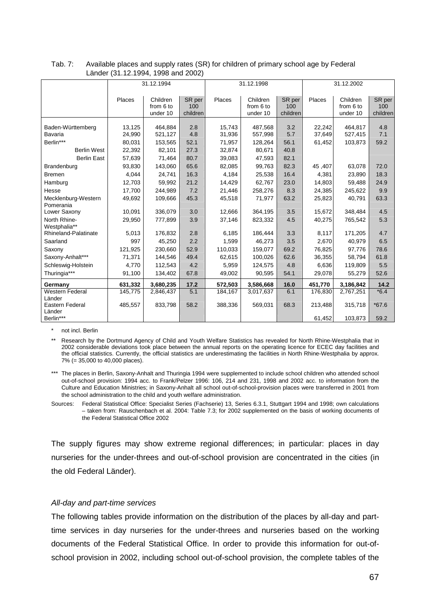|                              | $=$ $\frac{1}{2}$ $\frac{1}{2}$ $\frac{1}{2}$ $\frac{1}{2}$ $\frac{1}{2}$ $\frac{1}{2}$ $\frac{1}{2}$ $\frac{1}{2}$ $\frac{1}{2}$ $\frac{1}{2}$ $\frac{1}{2}$ $\frac{1}{2}$ $\frac{1}{2}$ $\frac{1}{2}$ $\frac{1}{2}$ $\frac{1}{2}$ $\frac{1}{2}$ $\frac{1}{2}$ $\frac{1}{2}$ $\frac{1}{2}$ $\frac{1}{2}$ $\frac{1}{2$ |                    |            |                  |                    |            |                  |                    |            |  |
|------------------------------|------------------------------------------------------------------------------------------------------------------------------------------------------------------------------------------------------------------------------------------------------------------------------------------------------------------------|--------------------|------------|------------------|--------------------|------------|------------------|--------------------|------------|--|
|                              |                                                                                                                                                                                                                                                                                                                        | 31.12.1994         |            |                  | 31.12.1998         |            | 31.12.2002       |                    |            |  |
|                              |                                                                                                                                                                                                                                                                                                                        |                    |            |                  |                    |            |                  |                    |            |  |
|                              | Places                                                                                                                                                                                                                                                                                                                 | Children           | SR per     | Places           | Children           | SR per     | Places           | Children           | SR per     |  |
|                              |                                                                                                                                                                                                                                                                                                                        | from 6 to          | 100        |                  | from 6 to          | 100        |                  | from 6 to          | 100        |  |
|                              |                                                                                                                                                                                                                                                                                                                        | under 10           | children   |                  | under 10           | children   |                  | under 10           | children   |  |
|                              |                                                                                                                                                                                                                                                                                                                        |                    |            |                  |                    |            |                  |                    |            |  |
| Baden-Württemberg<br>Bavaria | 13,125<br>24,990                                                                                                                                                                                                                                                                                                       | 464,884<br>521,127 | 2.8<br>4.8 | 15,743<br>31,936 | 487,568<br>557,998 | 3.2<br>5.7 | 22,242<br>37,649 | 464,817<br>527,415 | 4.8<br>7.1 |  |
|                              |                                                                                                                                                                                                                                                                                                                        |                    |            |                  |                    |            |                  |                    |            |  |
| Berlin***                    | 80,031                                                                                                                                                                                                                                                                                                                 | 153,565            | 52.1       | 71,957           | 128,264            | 56.1       | 61,452           | 103,873            | 59.2       |  |
| <b>Berlin West</b>           | 22,392                                                                                                                                                                                                                                                                                                                 | 82,101             | 27.3       | 32,874           | 80,671             | 40.8       |                  |                    |            |  |
| <b>Berlin East</b>           | 57,639                                                                                                                                                                                                                                                                                                                 | 71,464             | 80.7       | 39,083           | 47,593             | 82.1       |                  |                    |            |  |
| Brandenburg                  | 93,830                                                                                                                                                                                                                                                                                                                 | 143,060            | 65.6       | 82,085           | 99,763             | 82.3       | 45,407           | 63,078             | 72.0       |  |
| <b>Bremen</b>                | 4,044                                                                                                                                                                                                                                                                                                                  | 24,741             | 16.3       | 4,184            | 25,538             | 16.4       | 4,381            | 23,890             | 18.3       |  |
| Hamburg                      | 12,703                                                                                                                                                                                                                                                                                                                 | 59,992             | 21.2       | 14,429           | 62,767             | 23.0       | 14,803           | 59,488             | 24.9       |  |
| Hesse                        | 17,700                                                                                                                                                                                                                                                                                                                 | 244,989            | 7.2        | 21,446           | 258,276            | 8.3        | 24,385           | 245,622            | 9.9        |  |
| Mecklenburg-Western          | 49,692                                                                                                                                                                                                                                                                                                                 | 109,666            | 45.3       | 45,518           | 71,977             | 63.2       | 25,823           | 40,791             | 63.3       |  |
| Pomerania                    |                                                                                                                                                                                                                                                                                                                        |                    |            |                  |                    |            |                  |                    |            |  |
| Lower Saxony                 | 10,091                                                                                                                                                                                                                                                                                                                 | 336,079            | 3.0        | 12,666           | 364,195            | 3.5        | 15,672           | 348,484            | 4.5        |  |
| North Rhine-                 | 29,950                                                                                                                                                                                                                                                                                                                 | 777,899            | 3.9        | 37,146           | 823,332            | 4.5        | 40,275           | 765,542            | 5.3        |  |
| Westphalia**                 |                                                                                                                                                                                                                                                                                                                        |                    |            |                  |                    |            |                  |                    |            |  |
| <b>Rhineland-Palatinate</b>  | 5.013                                                                                                                                                                                                                                                                                                                  | 176,832            | 2.8        | 6,185            | 186,444            | 3.3        | 8,117            | 171,205            | 4.7        |  |
| Saarland                     | 997                                                                                                                                                                                                                                                                                                                    | 45,250             | 2.2        | 1,599            | 46,273             | 3.5        | 2,670            | 40,979             | 6.5        |  |
| Saxony                       | 121,925                                                                                                                                                                                                                                                                                                                | 230,660            | 52.9       | 110,033          | 159,077            | 69.2       | 76,825           | 97,776             | 78.6       |  |
| Saxony-Anhalt***             | 71,371                                                                                                                                                                                                                                                                                                                 | 144,546            | 49.4       | 62,615           | 100,026            | 62.6       | 36,355           | 58,794             | 61.8       |  |
| Schleswig-Holstein           | 4,770                                                                                                                                                                                                                                                                                                                  | 112,543            | 4.2        | 5,959            | 124,575            | 4.8        | 6,636            | 119,809            | 5.5        |  |
| Thuringia***                 | 91,100                                                                                                                                                                                                                                                                                                                 | 134,402            | 67.8       | 49,002           | 90,595             | 54.1       | 29,078           | 55,279             | 52.6       |  |
| Germany                      | 631,332                                                                                                                                                                                                                                                                                                                | 3,680,235          | 17.2       | 572,503          | 3,586,668          | 16.0       | 451,770          | 3,186,842          | 14.2       |  |
| <b>Western Federal</b>       | 145,775                                                                                                                                                                                                                                                                                                                | 2,846,437          | 5.1        | 184,167          | 3,017,637          | 6.1        | 176,830          | 2,767,251          | $*6.4$     |  |
| Länder                       |                                                                                                                                                                                                                                                                                                                        |                    |            |                  |                    |            |                  |                    |            |  |
| Eastern Federal              | 485,557                                                                                                                                                                                                                                                                                                                | 833,798            | 58.2       | 388,336          | 569,031            | 68.3       | 213,488          | 315,718            | $*67.6$    |  |
| Länder                       |                                                                                                                                                                                                                                                                                                                        |                    |            |                  |                    |            |                  |                    |            |  |
| Berlin***                    |                                                                                                                                                                                                                                                                                                                        |                    |            |                  |                    |            | 61,452           | 103,873            | 59.2       |  |

#### Tab. 7: Available places and supply rates (SR) for children of primary school age by Federal Länder (31.12.1994, 1998 and 2002)

\* not incl. Berlin

\*\* Research by the Dortmund Agency of Child and Youth Welfare Statistics has revealed for North Rhine-Westphalia that in 2002 considerable deviations took place between the annual reports on the operating licence for ECEC day facilities and the official statistics. Currently, the official statistics are underestimating the facilities in North Rhine-Westphalia by approx. 7% (= 35,000 to 40,000 places).

\*\*\* The places in Berlin, Saxony-Anhalt and Thuringia 1994 were supplemented to include school children who attended school out-of-school provision: 1994 acc. to Frank/Pelzer 1996: 106, 214 and 231, 1998 and 2002 acc. to information from the Culture and Education Ministries; in Saxony-Anhalt all school out-of-school-provision places were transferred in 2001 from the school administration to the child and youth welfare administration.

Sources: Federal Statistical Office: Specialist Series (Fachserie) 13, Series 6.3.1, Stuttgart 1994 and 1998; own calculations – taken from: Rauschenbach et al. 2004: Table 7.3; for 2002 supplemented on the basis of working documents of the Federal Statistical Office 2002

The supply figures may show extreme regional differences; in particular: places in day nurseries for the under-threes and out-of-school provision are concentrated in the cities (in the old Federal Länder).

## All-day and part-time services

The following tables provide information on the distribution of the places by all-day and parttime services in day nurseries for the under-threes and nurseries based on the working documents of the Federal Statistical Office. In order to provide this information for out-ofschool provision in 2002, including school out-of-school provision, the complete tables of the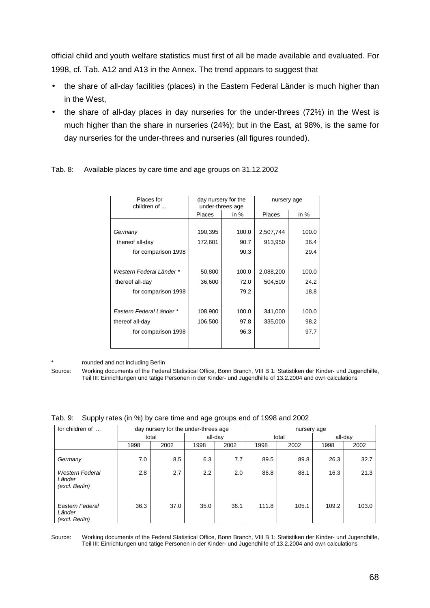official child and youth welfare statistics must first of all be made available and evaluated. For 1998, cf. Tab. A12 and A13 in the Annex. The trend appears to suggest that

- the share of all-day facilities (places) in the Eastern Federal Länder is much higher than in the West,
- the share of all-day places in day nurseries for the under-threes (72%) in the West is much higher than the share in nurseries (24%); but in the East, at 98%, is the same for day nurseries for the under-threes and nurseries (all figures rounded).

| Places for<br>children of |               | day nursery for the<br>under-threes age | nursery age   |        |  |  |
|---------------------------|---------------|-----------------------------------------|---------------|--------|--|--|
|                           | <b>Places</b> | in %                                    | <b>Places</b> | in $%$ |  |  |
|                           |               |                                         |               |        |  |  |
| Germany                   | 190,395       | 100.0                                   | 2,507,744     | 100.0  |  |  |
| thereof all-day           | 172,601       | 90.7                                    | 913,950       | 36.4   |  |  |
| for comparison 1998       |               | 90.3                                    |               | 29.4   |  |  |
|                           |               |                                         |               |        |  |  |
| Western Federal Länder *  | 50,800        | 100.0                                   | 2,088,200     | 100.0  |  |  |
| thereof all-day           | 36,600        | 72.0                                    | 504,500       | 24.2   |  |  |
| for comparison 1998       |               | 79.2                                    |               | 18.8   |  |  |
|                           |               |                                         |               |        |  |  |
| Eastern Federal Länder *  | 108,900       | 100.0                                   | 341,000       | 100.0  |  |  |
| thereof all-day           | 106,500       | 97.8                                    | 335,000       | 98.2   |  |  |
| for comparison 1998       |               | 96.3                                    |               | 97.7   |  |  |
|                           |               |                                         |               |        |  |  |

Tab. 8: Available places by care time and age groups on 31.12.2002

rounded and not including Berlin

Source: Working documents of the Federal Statistical Office, Bonn Branch, VIII B 1: Statistiken der Kinder- und Jugendhilfe, Teil III: Einrichtungen und tätige Personen in der Kinder- und Jugendhilfe of 13.2.2004 and own calculations

Tab. 9: Supply rates (in %) by care time and age groups end of 1998 and 2002

| for children of                                    |       | day nursery for the under-threes age |         |      | nursery age |       |       |         |  |
|----------------------------------------------------|-------|--------------------------------------|---------|------|-------------|-------|-------|---------|--|
|                                                    | total |                                      | all-day |      |             | total |       | all-day |  |
|                                                    | 1998  | 2002                                 | 1998    | 2002 | 1998        | 2002  | 1998  | 2002    |  |
| Germany                                            | 7.0   | 8.5                                  | 6.3     | 7.7  | 89.5        | 89.8  | 26.3  | 32.7    |  |
| <b>Western Federal</b><br>Länder<br>(excl. Berlin) | 2.8   | 2.7                                  | 2.2     | 2.0  | 86.8        | 88.1  | 16.3  | 21.3    |  |
| Eastern Federal<br>Länder<br>(excl. Berlin)        | 36.3  | 37.0                                 | 35.0    | 36.1 | 111.8       | 105.1 | 109.2 | 103.0   |  |

Source: Working documents of the Federal Statistical Office, Bonn Branch, VIII B 1: Statistiken der Kinder- und Jugendhilfe, Teil III: Einrichtungen und tätige Personen in der Kinder- und Jugendhilfe of 13.2.2004 and own calculations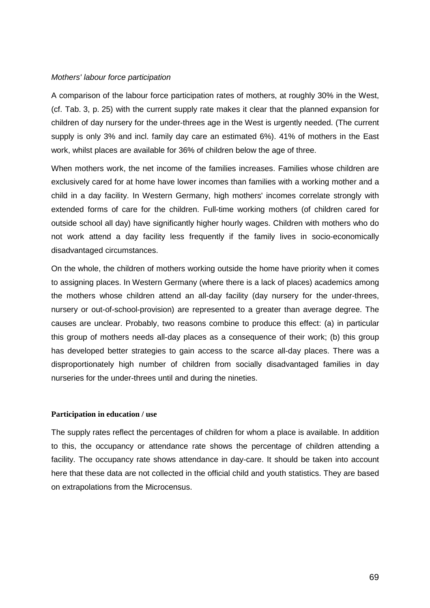#### Mothers' labour force participation

A comparison of the labour force participation rates of mothers, at roughly 30% in the West, (cf. Tab. 3, p. 25) with the current supply rate makes it clear that the planned expansion for children of day nursery for the under-threes age in the West is urgently needed. (The current supply is only 3% and incl. family day care an estimated 6%). 41% of mothers in the East work, whilst places are available for 36% of children below the age of three.

When mothers work, the net income of the families increases. Families whose children are exclusively cared for at home have lower incomes than families with a working mother and a child in a day facility. In Western Germany, high mothers' incomes correlate strongly with extended forms of care for the children. Full-time working mothers (of children cared for outside school all day) have significantly higher hourly wages. Children with mothers who do not work attend a day facility less frequently if the family lives in socio-economically disadvantaged circumstances.

On the whole, the children of mothers working outside the home have priority when it comes to assigning places. In Western Germany (where there is a lack of places) academics among the mothers whose children attend an all-day facility (day nursery for the under-threes, nursery or out-of-school-provision) are represented to a greater than average degree. The causes are unclear. Probably, two reasons combine to produce this effect: (a) in particular this group of mothers needs all-day places as a consequence of their work; (b) this group has developed better strategies to gain access to the scarce all-day places. There was a disproportionately high number of children from socially disadvantaged families in day nurseries for the under-threes until and during the nineties.

#### **Participation in education / use**

The supply rates reflect the percentages of children for whom a place is available. In addition to this, the occupancy or attendance rate shows the percentage of children attending a facility. The occupancy rate shows attendance in day-care. It should be taken into account here that these data are not collected in the official child and youth statistics. They are based on extrapolations from the Microcensus.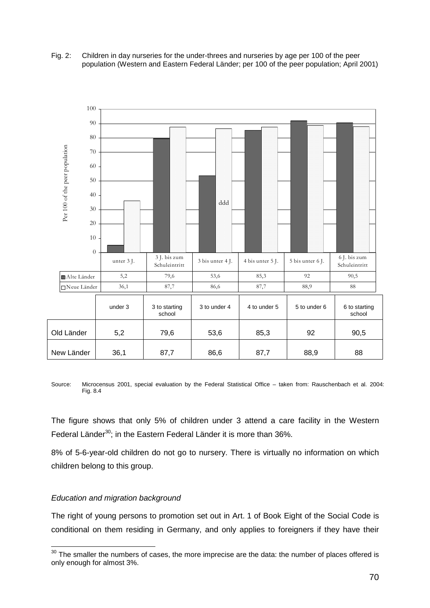#### Fig. 2: Children in day nurseries for the under-threes and nurseries by age per 100 of the peer population (Western and Eastern Federal Länder; per 100 of the peer population; April 2001)



Source: Microcensus 2001, special evaluation by the Federal Statistical Office – taken from: Rauschenbach et al. 2004: Fig. 8.4

The figure shows that only 5% of children under 3 attend a care facility in the Western Federal Länder<sup>30</sup>; in the Eastern Federal Länder it is more than 36%.

8% of 5-6-year-old children do not go to nursery. There is virtually no information on which children belong to this group.

## Education and migration background

The right of young persons to promotion set out in Art. 1 of Book Eight of the Social Code is conditional on them residing in Germany, and only applies to foreigners if they have their

l  $30$  The smaller the numbers of cases, the more imprecise are the data: the number of places offered is only enough for almost 3%.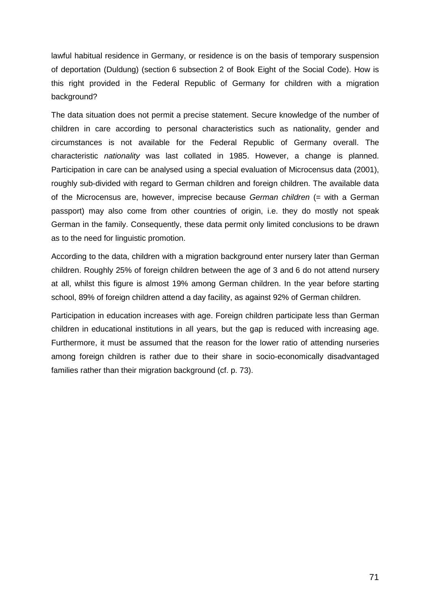lawful habitual residence in Germany, or residence is on the basis of temporary suspension of deportation (Duldung) (section 6 subsection 2 of Book Eight of the Social Code). How is this right provided in the Federal Republic of Germany for children with a migration background?

The data situation does not permit a precise statement. Secure knowledge of the number of children in care according to personal characteristics such as nationality, gender and circumstances is not available for the Federal Republic of Germany overall. The characteristic nationality was last collated in 1985. However, a change is planned. Participation in care can be analysed using a special evaluation of Microcensus data (2001), roughly sub-divided with regard to German children and foreign children. The available data of the Microcensus are, however, imprecise because German children (= with a German passport) may also come from other countries of origin, i.e. they do mostly not speak German in the family. Consequently, these data permit only limited conclusions to be drawn as to the need for linguistic promotion.

According to the data, children with a migration background enter nursery later than German children. Roughly 25% of foreign children between the age of 3 and 6 do not attend nursery at all, whilst this figure is almost 19% among German children. In the year before starting school, 89% of foreign children attend a day facility, as against 92% of German children.

Participation in education increases with age. Foreign children participate less than German children in educational institutions in all years, but the gap is reduced with increasing age. Furthermore, it must be assumed that the reason for the lower ratio of attending nurseries among foreign children is rather due to their share in socio-economically disadvantaged families rather than their migration background (cf. p. 73).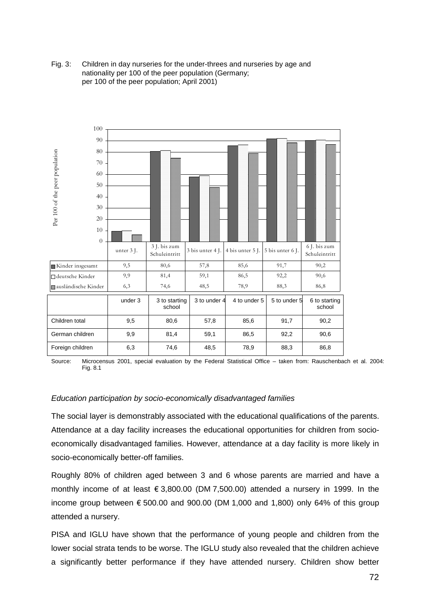Fig. 3: Children in day nurseries for the under-threes and nurseries by age and nationality per 100 of the peer population (Germany; per 100 of the peer population; April 2001)



Source: Microcensus 2001, special evaluation by the Federal Statistical Office – taken from: Rauschenbach et al. 2004: Fig. 8.1

## Education participation by socio-economically disadvantaged families

The social layer is demonstrably associated with the educational qualifications of the parents. Attendance at a day facility increases the educational opportunities for children from socioeconomically disadvantaged families. However, attendance at a day facility is more likely in socio-economically better-off families.

Roughly 80% of children aged between 3 and 6 whose parents are married and have a monthly income of at least  $\epsilon$  3,800.00 (DM 7,500.00) attended a nursery in 1999. In the income group between  $\epsilon$  500.00 and 900.00 (DM 1,000 and 1,800) only 64% of this group attended a nursery.

PISA and IGLU have shown that the performance of young people and children from the lower social strata tends to be worse. The IGLU study also revealed that the children achieve a significantly better performance if they have attended nursery. Children show better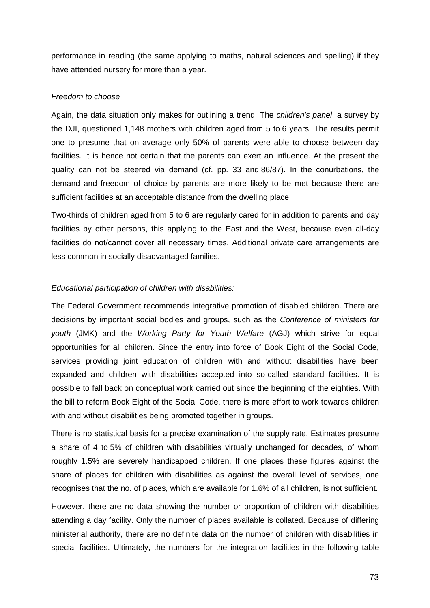performance in reading (the same applying to maths, natural sciences and spelling) if they have attended nursery for more than a year.

# Freedom to choose

Again, the data situation only makes for outlining a trend. The *children's panel*, a survey by the DJI, questioned 1,148 mothers with children aged from 5 to 6 years. The results permit one to presume that on average only 50% of parents were able to choose between day facilities. It is hence not certain that the parents can exert an influence. At the present the quality can not be steered via demand (cf. pp. 33 and 86/87). In the conurbations, the demand and freedom of choice by parents are more likely to be met because there are sufficient facilities at an acceptable distance from the dwelling place.

Two-thirds of children aged from 5 to 6 are regularly cared for in addition to parents and day facilities by other persons, this applying to the East and the West, because even all-day facilities do not/cannot cover all necessary times. Additional private care arrangements are less common in socially disadvantaged families.

# Educational participation of children with disabilities:

The Federal Government recommends integrative promotion of disabled children. There are decisions by important social bodies and groups, such as the Conference of ministers for youth (JMK) and the Working Party for Youth Welfare (AGJ) which strive for equal opportunities for all children. Since the entry into force of Book Eight of the Social Code, services providing joint education of children with and without disabilities have been expanded and children with disabilities accepted into so-called standard facilities. It is possible to fall back on conceptual work carried out since the beginning of the eighties. With the bill to reform Book Eight of the Social Code, there is more effort to work towards children with and without disabilities being promoted together in groups.

There is no statistical basis for a precise examination of the supply rate. Estimates presume a share of 4 to 5% of children with disabilities virtually unchanged for decades, of whom roughly 1.5% are severely handicapped children. If one places these figures against the share of places for children with disabilities as against the overall level of services, one recognises that the no. of places, which are available for 1.6% of all children, is not sufficient.

However, there are no data showing the number or proportion of children with disabilities attending a day facility. Only the number of places available is collated. Because of differing ministerial authority, there are no definite data on the number of children with disabilities in special facilities. Ultimately, the numbers for the integration facilities in the following table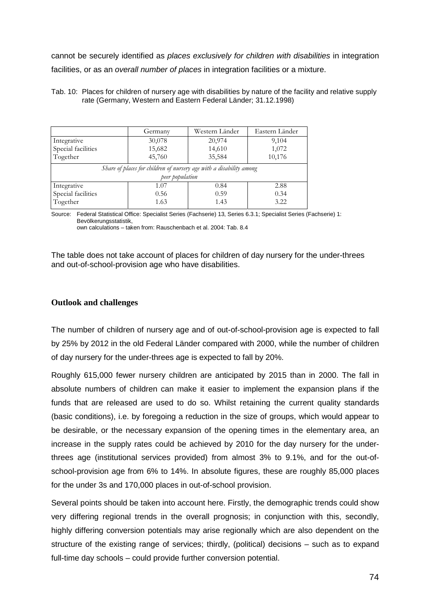cannot be securely identified as places exclusively for children with disabilities in integration facilities, or as an overall number of places in integration facilities or a mixture.

#### Tab. 10: Places for children of nursery age with disabilities by nature of the facility and relative supply rate (Germany, Western and Eastern Federal Länder; 31.12.1998)

|                                                                     | Germany | Western Länder | Eastern Länder |
|---------------------------------------------------------------------|---------|----------------|----------------|
|                                                                     |         |                |                |
| Integrative                                                         | 30,078  | 20,974         | 9,104          |
| Special facilities                                                  | 15,682  | 14,610         | 1,072          |
| Together                                                            | 45,760  | 35,584         | 10,176         |
| Share of places for children of nursery age with a disability among |         |                |                |
| peer population                                                     |         |                |                |
| Integrative                                                         | 1.07    | 0.84           | 2.88           |
| Special facilities                                                  | 0.56    | 0.59           | 0.34           |
| Together                                                            | 1.63    | 1.43           | 3.22           |

Source: Federal Statistical Office: Specialist Series (Fachserie) 13, Series 6.3.1; Specialist Series (Fachserie) 1: Bevölkerungsstatistik, own calculations – taken from: Rauschenbach et al. 2004: Tab. 8.4

The table does not take account of places for children of day nursery for the under-threes and out-of-school-provision age who have disabilities.

# **Outlook and challenges**

The number of children of nursery age and of out-of-school-provision age is expected to fall by 25% by 2012 in the old Federal Länder compared with 2000, while the number of children of day nursery for the under-threes age is expected to fall by 20%.

Roughly 615,000 fewer nursery children are anticipated by 2015 than in 2000. The fall in absolute numbers of children can make it easier to implement the expansion plans if the funds that are released are used to do so. Whilst retaining the current quality standards (basic conditions), i.e. by foregoing a reduction in the size of groups, which would appear to be desirable, or the necessary expansion of the opening times in the elementary area, an increase in the supply rates could be achieved by 2010 for the day nursery for the underthrees age (institutional services provided) from almost 3% to 9.1%, and for the out-ofschool-provision age from 6% to 14%. In absolute figures, these are roughly 85,000 places for the under 3s and 170,000 places in out-of-school provision.

Several points should be taken into account here. Firstly, the demographic trends could show very differing regional trends in the overall prognosis; in conjunction with this, secondly, highly differing conversion potentials may arise regionally which are also dependent on the structure of the existing range of services; thirdly, (political) decisions – such as to expand full-time day schools – could provide further conversion potential.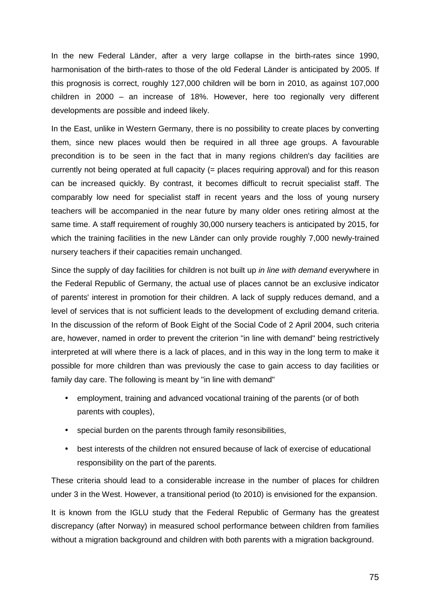In the new Federal Länder, after a very large collapse in the birth-rates since 1990, harmonisation of the birth-rates to those of the old Federal Länder is anticipated by 2005. If this prognosis is correct, roughly 127,000 children will be born in 2010, as against 107,000 children in 2000 – an increase of 18%. However, here too regionally very different developments are possible and indeed likely.

In the East, unlike in Western Germany, there is no possibility to create places by converting them, since new places would then be required in all three age groups. A favourable precondition is to be seen in the fact that in many regions children's day facilities are currently not being operated at full capacity (= places requiring approval) and for this reason can be increased quickly. By contrast, it becomes difficult to recruit specialist staff. The comparably low need for specialist staff in recent years and the loss of young nursery teachers will be accompanied in the near future by many older ones retiring almost at the same time. A staff requirement of roughly 30,000 nursery teachers is anticipated by 2015, for which the training facilities in the new Länder can only provide roughly 7,000 newly-trained nursery teachers if their capacities remain unchanged.

Since the supply of day facilities for children is not built up *in line with demand* everywhere in the Federal Republic of Germany, the actual use of places cannot be an exclusive indicator of parents' interest in promotion for their children. A lack of supply reduces demand, and a level of services that is not sufficient leads to the development of excluding demand criteria. In the discussion of the reform of Book Eight of the Social Code of 2 April 2004, such criteria are, however, named in order to prevent the criterion "in line with demand" being restrictively interpreted at will where there is a lack of places, and in this way in the long term to make it possible for more children than was previously the case to gain access to day facilities or family day care. The following is meant by "in line with demand"

- employment, training and advanced vocational training of the parents (or of both parents with couples),
- special burden on the parents through family resonsibilities,
- best interests of the children not ensured because of lack of exercise of educational responsibility on the part of the parents.

These criteria should lead to a considerable increase in the number of places for children under 3 in the West. However, a transitional period (to 2010) is envisioned for the expansion.

It is known from the IGLU study that the Federal Republic of Germany has the greatest discrepancy (after Norway) in measured school performance between children from families without a migration background and children with both parents with a migration background.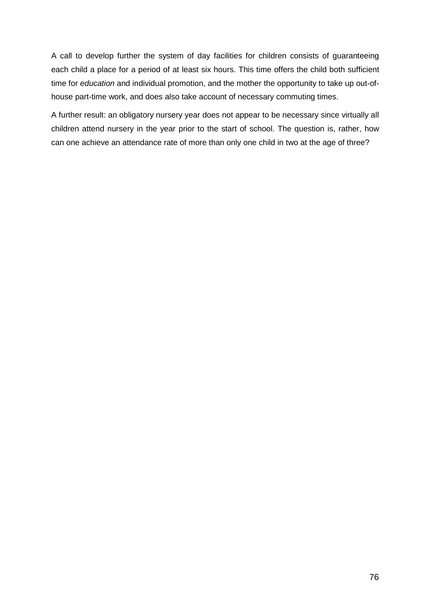A call to develop further the system of day facilities for children consists of guaranteeing each child a place for a period of at least six hours. This time offers the child both sufficient time for education and individual promotion, and the mother the opportunity to take up out-ofhouse part-time work, and does also take account of necessary commuting times.

A further result: an obligatory nursery year does not appear to be necessary since virtually all children attend nursery in the year prior to the start of school. The question is, rather, how can one achieve an attendance rate of more than only one child in two at the age of three?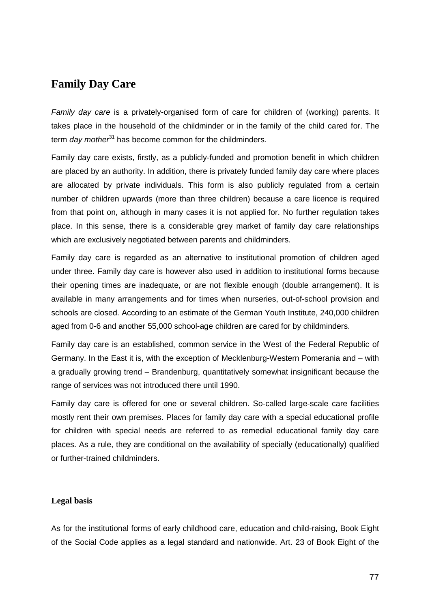# **Family Day Care**

Family day care is a privately-organised form of care for children of (working) parents. It takes place in the household of the childminder or in the family of the child cared for. The term day mother<sup>31</sup> has become common for the childminders.

Family day care exists, firstly, as a publicly-funded and promotion benefit in which children are placed by an authority. In addition, there is privately funded family day care where places are allocated by private individuals. This form is also publicly regulated from a certain number of children upwards (more than three children) because a care licence is required from that point on, although in many cases it is not applied for. No further regulation takes place. In this sense, there is a considerable grey market of family day care relationships which are exclusively negotiated between parents and childminders.

Family day care is regarded as an alternative to institutional promotion of children aged under three. Family day care is however also used in addition to institutional forms because their opening times are inadequate, or are not flexible enough (double arrangement). It is available in many arrangements and for times when nurseries, out-of-school provision and schools are closed. According to an estimate of the German Youth Institute, 240,000 children aged from 0-6 and another 55,000 school-age children are cared for by childminders.

Family day care is an established, common service in the West of the Federal Republic of Germany. In the East it is, with the exception of Mecklenburg-Western Pomerania and – with a gradually growing trend – Brandenburg, quantitatively somewhat insignificant because the range of services was not introduced there until 1990.

Family day care is offered for one or several children. So-called large-scale care facilities mostly rent their own premises. Places for family day care with a special educational profile for children with special needs are referred to as remedial educational family day care places. As a rule, they are conditional on the availability of specially (educationally) qualified or further-trained childminders.

# **Legal basis**

As for the institutional forms of early childhood care, education and child-raising, Book Eight of the Social Code applies as a legal standard and nationwide. Art. 23 of Book Eight of the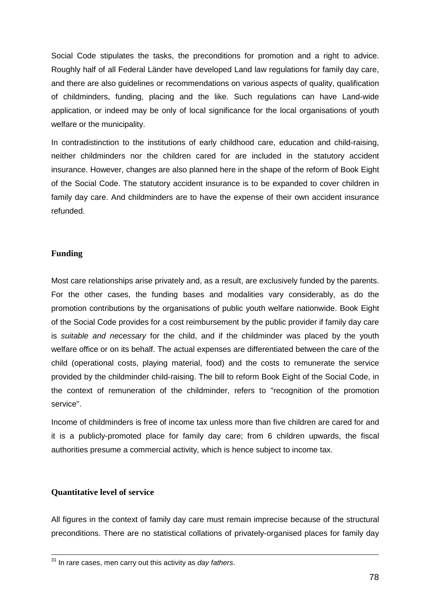Social Code stipulates the tasks, the preconditions for promotion and a right to advice. Roughly half of all Federal Länder have developed Land law regulations for family day care, and there are also guidelines or recommendations on various aspects of quality, qualification of childminders, funding, placing and the like. Such regulations can have Land-wide application, or indeed may be only of local significance for the local organisations of youth welfare or the municipality.

In contradistinction to the institutions of early childhood care, education and child-raising, neither childminders nor the children cared for are included in the statutory accident insurance. However, changes are also planned here in the shape of the reform of Book Eight of the Social Code. The statutory accident insurance is to be expanded to cover children in family day care. And childminders are to have the expense of their own accident insurance refunded.

# **Funding**

Most care relationships arise privately and, as a result, are exclusively funded by the parents. For the other cases, the funding bases and modalities vary considerably, as do the promotion contributions by the organisations of public youth welfare nationwide. Book Eight of the Social Code provides for a cost reimbursement by the public provider if family day care is suitable and necessary for the child, and if the childminder was placed by the youth welfare office or on its behalf. The actual expenses are differentiated between the care of the child (operational costs, playing material, food) and the costs to remunerate the service provided by the childminder child-raising. The bill to reform Book Eight of the Social Code, in the context of remuneration of the childminder, refers to "recognition of the promotion service".

Income of childminders is free of income tax unless more than five children are cared for and it is a publicly-promoted place for family day care; from 6 children upwards, the fiscal authorities presume a commercial activity, which is hence subject to income tax.

# **Quantitative level of service**

All figures in the context of family day care must remain imprecise because of the structural preconditions. There are no statistical collations of privately-organised places for family day

 $31$  In rare cases, men carry out this activity as day fathers.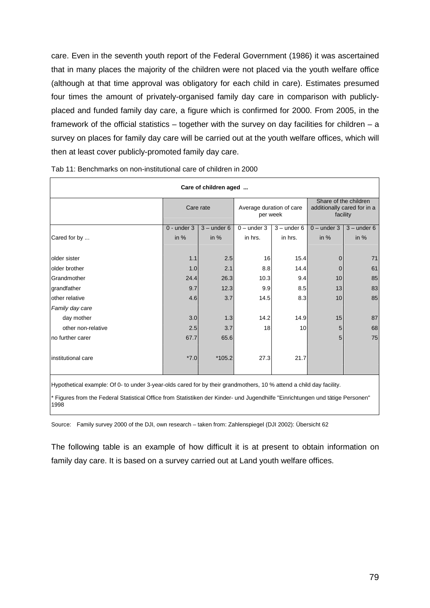care. Even in the seventh youth report of the Federal Government (1986) it was ascertained that in many places the majority of the children were not placed via the youth welfare office (although at that time approval was obligatory for each child in care). Estimates presumed four times the amount of privately-organised family day care in comparison with publiclyplaced and funded family day care, a figure which is confirmed for 2000. From 2005, in the framework of the official statistics – together with the survey on day facilities for children – a survey on places for family day care will be carried out at the youth welfare offices, which will then at least cover publicly-promoted family day care.

| Care of children aged |                 |               |                                      |               |               |                                                                  |
|-----------------------|-----------------|---------------|--------------------------------------|---------------|---------------|------------------------------------------------------------------|
|                       |                 | Care rate     | Average duration of care<br>per week |               |               | Share of the children<br>additionally cared for in a<br>facility |
|                       | $0 -$ under $3$ | $3 -$ under 6 | $0$ – under 3                        | $3 -$ under 6 | $0$ – under 3 | $3 -$ under 6                                                    |
| Cared for by          | in $%$          | in $%$        | in hrs.                              | in hrs.       | in $%$        | in $%$                                                           |
| older sister          | 1.1             | 2.5           | 16                                   | 15.4          | 0             | 71                                                               |
| older brother         | 1.0             | 2.1           | 8.8                                  | 14.4          | $\mathbf 0$   | 61                                                               |
| Grandmother           | 24.4            | 26.3          | 10.3                                 | 9.4           | 10            | 85                                                               |
| grandfather           | 9.7             | 12.3          | 9.9                                  | 8.5           | 13            | 83                                                               |
| other relative        | 4.6             | 3.7           | 14.5                                 | 8.3           | 10            | 85                                                               |
| Family day care       |                 |               |                                      |               |               |                                                                  |
| day mother            | 3.0             | 1.3           | 14.2                                 | 14.9          | 15            | 87                                                               |
| other non-relative    | 2.5             | 3.7           | 18                                   | 10            | 5             | 68                                                               |
| no further carer      | 67.7            | 65.6          |                                      |               | 5             | 75                                                               |
| institutional care    | $*7.0$          | $*105.2$      | 27.3                                 | 21.7          |               |                                                                  |
|                       |                 |               |                                      |               |               |                                                                  |

| Tab 11: Benchmarks on non-institutional care of children in 2000 |  |
|------------------------------------------------------------------|--|
|                                                                  |  |

Hypothetical example: Of 0- to under 3-year-olds cared for by their grandmothers, 10 % attend a child day facility.

Figures from the Federal Statistical Office from Statistiken der Kinder- und Jugendhilfe "Einrichtungen und tätige Personen" 1998

Source: Family survey 2000 of the DJI, own research – taken from: Zahlenspiegel (DJI 2002): Übersicht 62

The following table is an example of how difficult it is at present to obtain information on family day care. It is based on a survey carried out at Land youth welfare offices.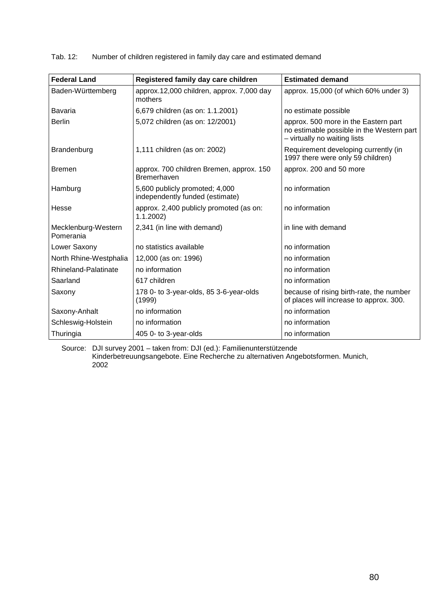Tab. 12: Number of children registered in family day care and estimated demand

| <b>Federal Land</b>              | Registered family day care children                               | <b>Estimated demand</b>                                                                                           |
|----------------------------------|-------------------------------------------------------------------|-------------------------------------------------------------------------------------------------------------------|
| Baden-Württemberg                | approx.12,000 children, approx. 7,000 day<br>mothers              | approx. 15,000 (of which 60% under 3)                                                                             |
| <b>Bavaria</b>                   | 6,679 children (as on: 1.1.2001)                                  | no estimate possible                                                                                              |
| <b>Berlin</b>                    | 5,072 children (as on: 12/2001)                                   | approx. 500 more in the Eastern part<br>no estimable possible in the Western part<br>- virtually no waiting lists |
| Brandenburg                      | 1,111 children (as on: 2002)                                      | Requirement developing currently (in<br>1997 there were only 59 children)                                         |
| <b>Bremen</b>                    | approx. 700 children Bremen, approx. 150<br><b>Bremerhaven</b>    | approx. 200 and 50 more                                                                                           |
| Hamburg                          | 5,600 publicly promoted; 4,000<br>independently funded (estimate) | no information                                                                                                    |
| Hesse                            | approx. 2,400 publicly promoted (as on:<br>1.1.2002               | no information                                                                                                    |
| Mecklenburg-Western<br>Pomerania | 2,341 (in line with demand)                                       | in line with demand                                                                                               |
| Lower Saxony                     | no statistics available                                           | no information                                                                                                    |
| North Rhine-Westphalia           | 12,000 (as on: 1996)                                              | no information                                                                                                    |
| Rhineland-Palatinate             | no information                                                    | no information                                                                                                    |
| Saarland                         | 617 children                                                      | no information                                                                                                    |
| Saxony                           | 178 0- to 3-year-olds, 85 3-6-year-olds<br>(1999)                 | because of rising birth-rate, the number<br>of places will increase to approx. 300.                               |
| Saxony-Anhalt                    | no information                                                    | no information                                                                                                    |
| Schleswig-Holstein               | no information                                                    | no information                                                                                                    |
| Thuringia                        | 405 0- to 3-year-olds                                             | no information                                                                                                    |

Source: DJI survey 2001 – taken from: DJI (ed.): Familienunterstützende Kinderbetreuungsangebote. Eine Recherche zu alternativen Angebotsformen. Munich, 2002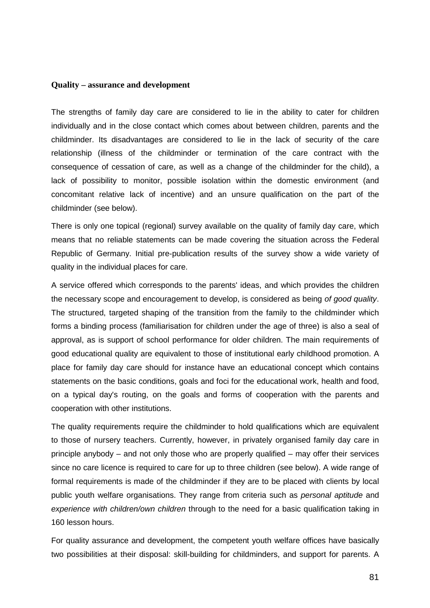#### **Quality – assurance and development**

The strengths of family day care are considered to lie in the ability to cater for children individually and in the close contact which comes about between children, parents and the childminder. Its disadvantages are considered to lie in the lack of security of the care relationship (illness of the childminder or termination of the care contract with the consequence of cessation of care, as well as a change of the childminder for the child), a lack of possibility to monitor, possible isolation within the domestic environment (and concomitant relative lack of incentive) and an unsure qualification on the part of the childminder (see below).

There is only one topical (regional) survey available on the quality of family day care, which means that no reliable statements can be made covering the situation across the Federal Republic of Germany. Initial pre-publication results of the survey show a wide variety of quality in the individual places for care.

A service offered which corresponds to the parents' ideas, and which provides the children the necessary scope and encouragement to develop, is considered as being of good quality. The structured, targeted shaping of the transition from the family to the childminder which forms a binding process (familiarisation for children under the age of three) is also a seal of approval, as is support of school performance for older children. The main requirements of good educational quality are equivalent to those of institutional early childhood promotion. A place for family day care should for instance have an educational concept which contains statements on the basic conditions, goals and foci for the educational work, health and food, on a typical day's routing, on the goals and forms of cooperation with the parents and cooperation with other institutions.

The quality requirements require the childminder to hold qualifications which are equivalent to those of nursery teachers. Currently, however, in privately organised family day care in principle anybody – and not only those who are properly qualified – may offer their services since no care licence is required to care for up to three children (see below). A wide range of formal requirements is made of the childminder if they are to be placed with clients by local public youth welfare organisations. They range from criteria such as *personal aptitude* and experience with children/own children through to the need for a basic qualification taking in 160 lesson hours.

For quality assurance and development, the competent youth welfare offices have basically two possibilities at their disposal: skill-building for childminders, and support for parents. A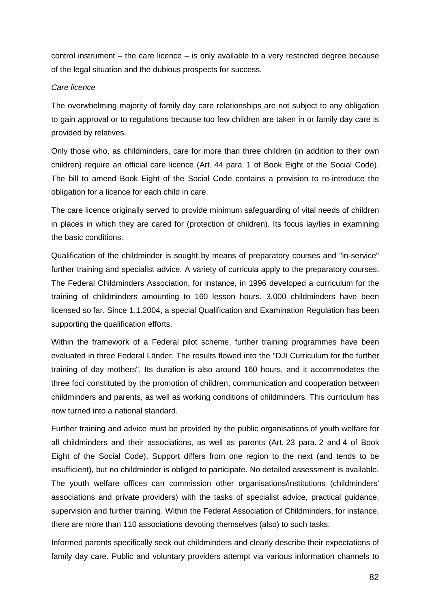control instrument – the care licence – is only available to a very restricted degree because of the legal situation and the dubious prospects for success.

### Care licence

The overwhelming majority of family day care relationships are not subject to any obligation to gain approval or to regulations because too few children are taken in or family day care is provided by relatives.

Only those who, as childminders, care for more than three children (in addition to their own children) require an official care licence (Art. 44 para. 1 of Book Eight of the Social Code). The bill to amend Book Eight of the Social Code contains a provision to re-introduce the obligation for a licence for each child in care.

The care licence originally served to provide minimum safeguarding of vital needs of children in places in which they are cared for (protection of children). Its focus lay/lies in examining the basic conditions.

Qualification of the childminder is sought by means of preparatory courses and "in-service" further training and specialist advice. A variety of curricula apply to the preparatory courses. The Federal Childminders Association, for instance, in 1996 developed a curriculum for the training of childminders amounting to 160 lesson hours. 3,000 childminders have been licensed so far. Since 1.1.2004, a special Qualification and Examination Regulation has been supporting the qualification efforts.

Within the framework of a Federal pilot scheme, further training programmes have been evaluated in three Federal Länder. The results flowed into the "DJI Curriculum for the further training of day mothers". Its duration is also around 160 hours, and it accommodates the three foci constituted by the promotion of children, communication and cooperation between childminders and parents, as well as working conditions of childminders. This curriculum has now turned into a national standard.

Further training and advice must be provided by the public organisations of youth welfare for all childminders and their associations, as well as parents (Art. 23 para. 2 and 4 of Book Eight of the Social Code). Support differs from one region to the next (and tends to be insufficient), but no childminder is obliged to participate. No detailed assessment is available. The youth welfare offices can commission other organisations/institutions (childminders' associations and private providers) with the tasks of specialist advice, practical guidance, supervision and further training. Within the Federal Association of Childminders, for instance, there are more than 110 associations devoting themselves (also) to such tasks.

Informed parents specifically seek out childminders and clearly describe their expectations of family day care. Public and voluntary providers attempt via various information channels to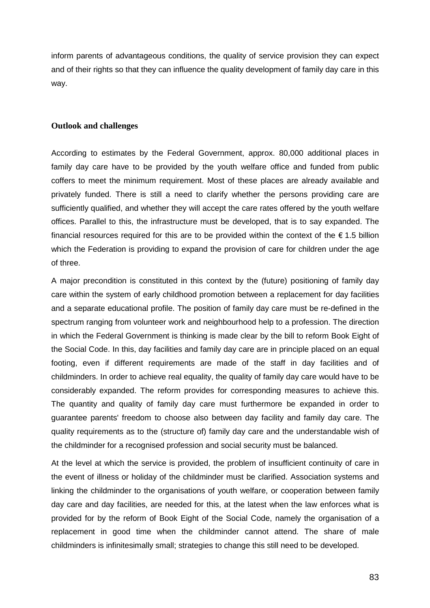inform parents of advantageous conditions, the quality of service provision they can expect and of their rights so that they can influence the quality development of family day care in this way.

# **Outlook and challenges**

According to estimates by the Federal Government, approx. 80,000 additional places in family day care have to be provided by the youth welfare office and funded from public coffers to meet the minimum requirement. Most of these places are already available and privately funded. There is still a need to clarify whether the persons providing care are sufficiently qualified, and whether they will accept the care rates offered by the youth welfare offices. Parallel to this, the infrastructure must be developed, that is to say expanded. The financial resources required for this are to be provided within the context of the  $\epsilon$  1.5 billion which the Federation is providing to expand the provision of care for children under the age of three.

A major precondition is constituted in this context by the (future) positioning of family day care within the system of early childhood promotion between a replacement for day facilities and a separate educational profile. The position of family day care must be re-defined in the spectrum ranging from volunteer work and neighbourhood help to a profession. The direction in which the Federal Government is thinking is made clear by the bill to reform Book Eight of the Social Code. In this, day facilities and family day care are in principle placed on an equal footing, even if different requirements are made of the staff in day facilities and of childminders. In order to achieve real equality, the quality of family day care would have to be considerably expanded. The reform provides for corresponding measures to achieve this. The quantity and quality of family day care must furthermore be expanded in order to guarantee parents' freedom to choose also between day facility and family day care. The quality requirements as to the (structure of) family day care and the understandable wish of the childminder for a recognised profession and social security must be balanced.

At the level at which the service is provided, the problem of insufficient continuity of care in the event of illness or holiday of the childminder must be clarified. Association systems and linking the childminder to the organisations of youth welfare, or cooperation between family day care and day facilities, are needed for this, at the latest when the law enforces what is provided for by the reform of Book Eight of the Social Code, namely the organisation of a replacement in good time when the childminder cannot attend. The share of male childminders is infinitesimally small; strategies to change this still need to be developed.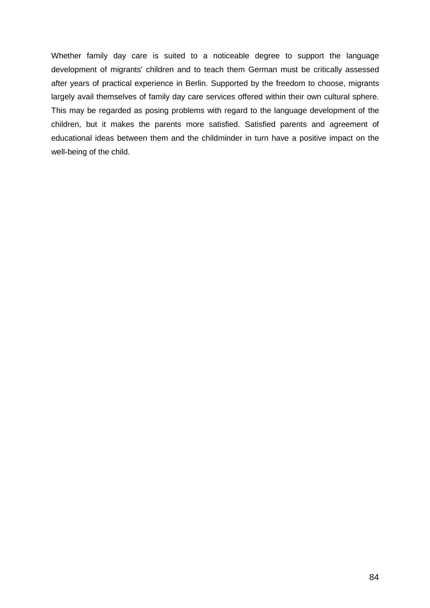Whether family day care is suited to a noticeable degree to support the language development of migrants' children and to teach them German must be critically assessed after years of practical experience in Berlin. Supported by the freedom to choose, migrants largely avail themselves of family day care services offered within their own cultural sphere. This may be regarded as posing problems with regard to the language development of the children, but it makes the parents more satisfied. Satisfied parents and agreement of educational ideas between them and the childminder in turn have a positive impact on the well-being of the child.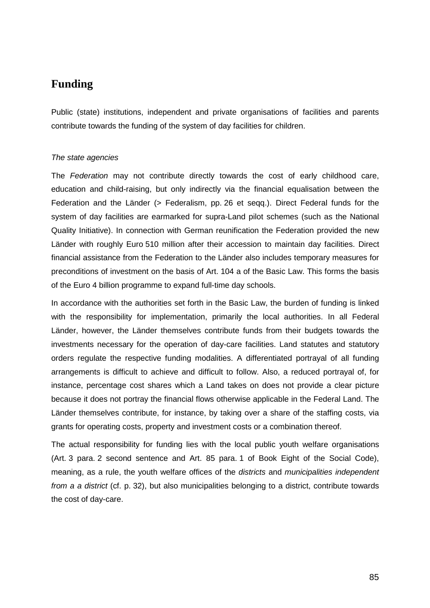# **Funding**

Public (state) institutions, independent and private organisations of facilities and parents contribute towards the funding of the system of day facilities for children.

## The state agencies

The Federation may not contribute directly towards the cost of early childhood care, education and child-raising, but only indirectly via the financial equalisation between the Federation and the Länder (> Federalism, pp. 26 et seqq.). Direct Federal funds for the system of day facilities are earmarked for supra-Land pilot schemes (such as the National Quality Initiative). In connection with German reunification the Federation provided the new Länder with roughly Euro 510 million after their accession to maintain day facilities. Direct financial assistance from the Federation to the Länder also includes temporary measures for preconditions of investment on the basis of Art. 104 a of the Basic Law. This forms the basis of the Euro 4 billion programme to expand full-time day schools.

In accordance with the authorities set forth in the Basic Law, the burden of funding is linked with the responsibility for implementation, primarily the local authorities. In all Federal Länder, however, the Länder themselves contribute funds from their budgets towards the investments necessary for the operation of day-care facilities. Land statutes and statutory orders regulate the respective funding modalities. A differentiated portrayal of all funding arrangements is difficult to achieve and difficult to follow. Also, a reduced portrayal of, for instance, percentage cost shares which a Land takes on does not provide a clear picture because it does not portray the financial flows otherwise applicable in the Federal Land. The Länder themselves contribute, for instance, by taking over a share of the staffing costs, via grants for operating costs, property and investment costs or a combination thereof.

The actual responsibility for funding lies with the local public youth welfare organisations (Art. 3 para. 2 second sentence and Art. 85 para. 1 of Book Eight of the Social Code), meaning, as a rule, the youth welfare offices of the *districts* and *municipalities independent* from a a district (cf. p. 32), but also municipalities belonging to a district, contribute towards the cost of day-care.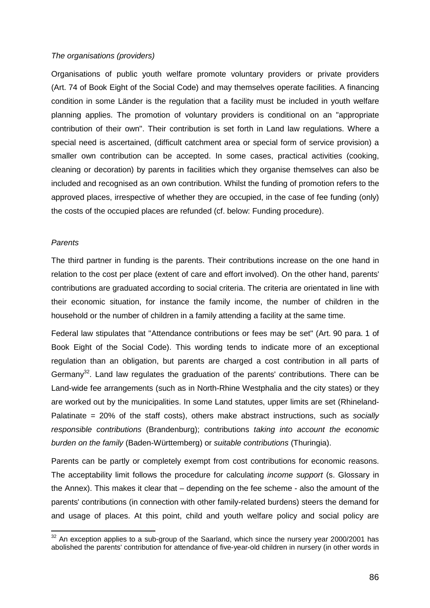#### The organisations (providers)

Organisations of public youth welfare promote voluntary providers or private providers (Art. 74 of Book Eight of the Social Code) and may themselves operate facilities. A financing condition in some Länder is the regulation that a facility must be included in youth welfare planning applies. The promotion of voluntary providers is conditional on an "appropriate contribution of their own". Their contribution is set forth in Land law regulations. Where a special need is ascertained, (difficult catchment area or special form of service provision) a smaller own contribution can be accepted. In some cases, practical activities (cooking, cleaning or decoration) by parents in facilities which they organise themselves can also be included and recognised as an own contribution. Whilst the funding of promotion refers to the approved places, irrespective of whether they are occupied, in the case of fee funding (only) the costs of the occupied places are refunded (cf. below: Funding procedure).

#### **Parents**

 $\overline{a}$ 

The third partner in funding is the parents. Their contributions increase on the one hand in relation to the cost per place (extent of care and effort involved). On the other hand, parents' contributions are graduated according to social criteria. The criteria are orientated in line with their economic situation, for instance the family income, the number of children in the household or the number of children in a family attending a facility at the same time.

Federal law stipulates that "Attendance contributions or fees may be set" (Art. 90 para. 1 of Book Eight of the Social Code). This wording tends to indicate more of an exceptional regulation than an obligation, but parents are charged a cost contribution in all parts of Germany<sup>32</sup>. Land law regulates the graduation of the parents' contributions. There can be Land-wide fee arrangements (such as in North-Rhine Westphalia and the city states) or they are worked out by the municipalities. In some Land statutes, upper limits are set (Rhineland-Palatinate  $= 20\%$  of the staff costs), others make abstract instructions, such as socially responsible contributions (Brandenburg); contributions taking into account the economic burden on the family (Baden-Württemberg) or suitable contributions (Thuringia).

Parents can be partly or completely exempt from cost contributions for economic reasons. The acceptability limit follows the procedure for calculating income support (s. Glossary in the Annex). This makes it clear that – depending on the fee scheme - also the amount of the parents' contributions (in connection with other family-related burdens) steers the demand for and usage of places. At this point, child and youth welfare policy and social policy are

 $32$  An exception applies to a sub-group of the Saarland, which since the nursery year 2000/2001 has abolished the parents' contribution for attendance of five-year-old children in nursery (in other words in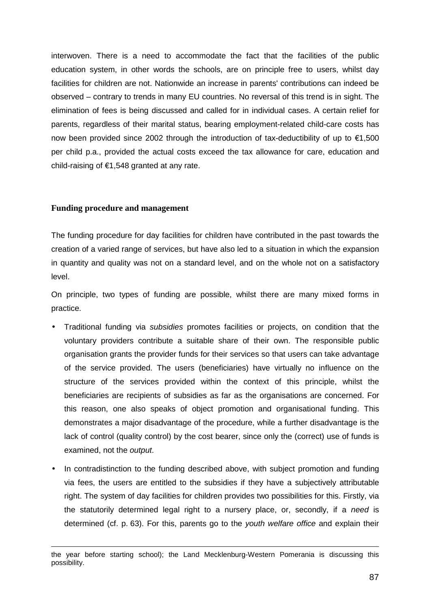interwoven. There is a need to accommodate the fact that the facilities of the public education system, in other words the schools, are on principle free to users, whilst day facilities for children are not. Nationwide an increase in parents' contributions can indeed be observed – contrary to trends in many EU countries. No reversal of this trend is in sight. The elimination of fees is being discussed and called for in individual cases. A certain relief for parents, regardless of their marital status, bearing employment-related child-care costs has now been provided since 2002 through the introduction of tax-deductibility of up to €1,500 per child p.a., provided the actual costs exceed the tax allowance for care, education and child-raising of €1,548 granted at any rate.

# **Funding procedure and management**

l

The funding procedure for day facilities for children have contributed in the past towards the creation of a varied range of services, but have also led to a situation in which the expansion in quantity and quality was not on a standard level, and on the whole not on a satisfactory level.

On principle, two types of funding are possible, whilst there are many mixed forms in practice.

- Traditional funding via subsidies promotes facilities or projects, on condition that the voluntary providers contribute a suitable share of their own. The responsible public organisation grants the provider funds for their services so that users can take advantage of the service provided. The users (beneficiaries) have virtually no influence on the structure of the services provided within the context of this principle, whilst the beneficiaries are recipients of subsidies as far as the organisations are concerned. For this reason, one also speaks of object promotion and organisational funding. This demonstrates a major disadvantage of the procedure, while a further disadvantage is the lack of control (quality control) by the cost bearer, since only the (correct) use of funds is examined, not the output.
- In contradistinction to the funding described above, with subject promotion and funding via fees, the users are entitled to the subsidies if they have a subjectively attributable right. The system of day facilities for children provides two possibilities for this. Firstly, via the statutorily determined legal right to a nursery place, or, secondly, if a *need* is determined (cf. p. 63). For this, parents go to the youth welfare office and explain their

the year before starting school); the Land Mecklenburg-Western Pomerania is discussing this possibility.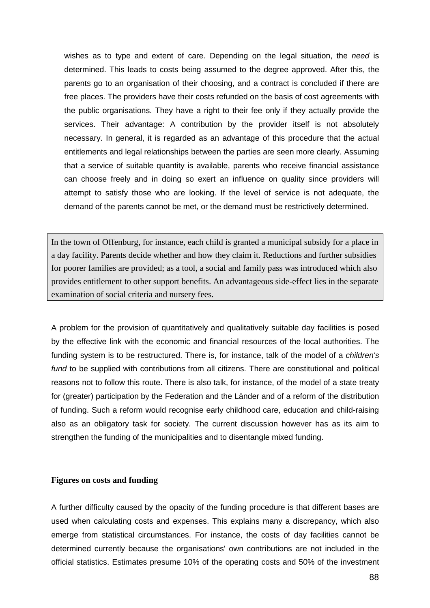wishes as to type and extent of care. Depending on the legal situation, the need is determined. This leads to costs being assumed to the degree approved. After this, the parents go to an organisation of their choosing, and a contract is concluded if there are free places. The providers have their costs refunded on the basis of cost agreements with the public organisations. They have a right to their fee only if they actually provide the services. Their advantage: A contribution by the provider itself is not absolutely necessary. In general, it is regarded as an advantage of this procedure that the actual entitlements and legal relationships between the parties are seen more clearly. Assuming that a service of suitable quantity is available, parents who receive financial assistance can choose freely and in doing so exert an influence on quality since providers will attempt to satisfy those who are looking. If the level of service is not adequate, the demand of the parents cannot be met, or the demand must be restrictively determined.

In the town of Offenburg, for instance, each child is granted a municipal subsidy for a place in a day facility. Parents decide whether and how they claim it. Reductions and further subsidies for poorer families are provided; as a tool, a social and family pass was introduced which also provides entitlement to other support benefits. An advantageous side-effect lies in the separate examination of social criteria and nursery fees.

A problem for the provision of quantitatively and qualitatively suitable day facilities is posed by the effective link with the economic and financial resources of the local authorities. The funding system is to be restructured. There is, for instance, talk of the model of a *children's* fund to be supplied with contributions from all citizens. There are constitutional and political reasons not to follow this route. There is also talk, for instance, of the model of a state treaty for (greater) participation by the Federation and the Länder and of a reform of the distribution of funding. Such a reform would recognise early childhood care, education and child-raising also as an obligatory task for society. The current discussion however has as its aim to strengthen the funding of the municipalities and to disentangle mixed funding.

#### **Figures on costs and funding**

A further difficulty caused by the opacity of the funding procedure is that different bases are used when calculating costs and expenses. This explains many a discrepancy, which also emerge from statistical circumstances. For instance, the costs of day facilities cannot be determined currently because the organisations' own contributions are not included in the official statistics. Estimates presume 10% of the operating costs and 50% of the investment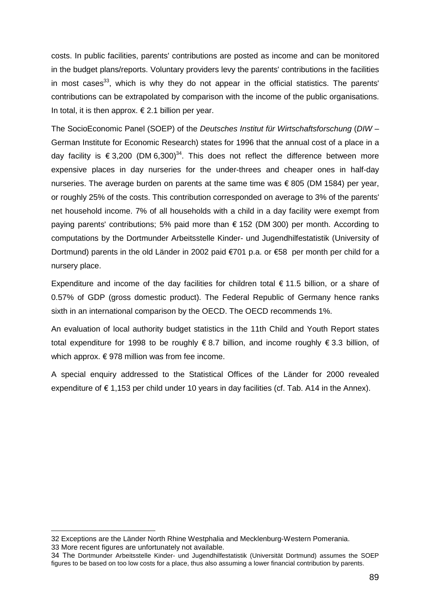costs. In public facilities, parents' contributions are posted as income and can be monitored in the budget plans/reports. Voluntary providers levy the parents' contributions in the facilities in most cases<sup>33</sup>, which is why they do not appear in the official statistics. The parents' contributions can be extrapolated by comparison with the income of the public organisations. In total, it is then approx.  $\epsilon$  2.1 billion per year.

The SocioEconomic Panel (SOEP) of the Deutsches Institut für Wirtschaftsforschung (DIW – German Institute for Economic Research) states for 1996 that the annual cost of a place in a day facility is  $\epsilon$  3,200 (DM 6,300)<sup>34</sup>. This does not reflect the difference between more expensive places in day nurseries for the under-threes and cheaper ones in half-day nurseries. The average burden on parents at the same time was  $\epsilon$  805 (DM 1584) per year, or roughly 25% of the costs. This contribution corresponded on average to 3% of the parents' net household income. 7% of all households with a child in a day facility were exempt from paying parents' contributions; 5% paid more than € 152 (DM 300) per month. According to computations by the Dortmunder Arbeitsstelle Kinder- und Jugendhilfestatistik (University of Dortmund) parents in the old Länder in 2002 paid €701 p.a. or €58 per month per child for a nursery place.

Expenditure and income of the day facilities for children total  $\epsilon$  11.5 billion, or a share of 0.57% of GDP (gross domestic product). The Federal Republic of Germany hence ranks sixth in an international comparison by the OECD. The OECD recommends 1%.

An evaluation of local authority budget statistics in the 11th Child and Youth Report states total expenditure for 1998 to be roughly € 8.7 billion, and income roughly € 3.3 billion, of which approx.  $\epsilon$  978 million was from fee income.

A special enquiry addressed to the Statistical Offices of the Länder for 2000 revealed expenditure of  $\epsilon$  1,153 per child under 10 years in day facilities (cf. Tab. A14 in the Annex).

l

<sup>32</sup> Exceptions are the Länder North Rhine Westphalia and Mecklenburg-Western Pomerania. 33 More recent figures are unfortunately not available.

<sup>34</sup> The Dortmunder Arbeitsstelle Kinder- und Jugendhilfestatistik (Universität Dortmund) assumes the SOEP figures to be based on too low costs for a place, thus also assuming a lower financial contribution by parents.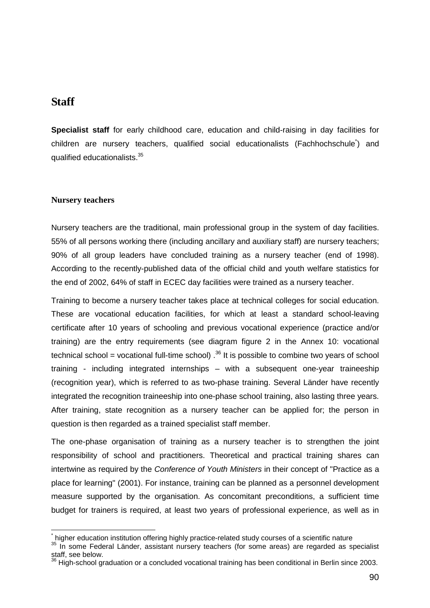# **Staff**

**Specialist staff** for early childhood care, education and child-raising in day facilities for children are nursery teachers, qualified social educationalists (Fachhochschule\* ) and qualified educationalists.35

# **Nursery teachers**

Nursery teachers are the traditional, main professional group in the system of day facilities. 55% of all persons working there (including ancillary and auxiliary staff) are nursery teachers; 90% of all group leaders have concluded training as a nursery teacher (end of 1998). According to the recently-published data of the official child and youth welfare statistics for the end of 2002, 64% of staff in ECEC day facilities were trained as a nursery teacher.

Training to become a nursery teacher takes place at technical colleges for social education. These are vocational education facilities, for which at least a standard school-leaving certificate after 10 years of schooling and previous vocational experience (practice and/or training) are the entry requirements (see diagram figure 2 in the Annex 10: vocational technical school = vocational full-time school)  $^{36}$  It is possible to combine two years of school training - including integrated internships – with a subsequent one-year traineeship (recognition year), which is referred to as two-phase training. Several Länder have recently integrated the recognition traineeship into one-phase school training, also lasting three years. After training, state recognition as a nursery teacher can be applied for; the person in question is then regarded as a trained specialist staff member.

The one-phase organisation of training as a nursery teacher is to strengthen the joint responsibility of school and practitioners. Theoretical and practical training shares can intertwine as required by the Conference of Youth Ministers in their concept of "Practice as a place for learning" (2001). For instance, training can be planned as a personnel development measure supported by the organisation. As concomitant preconditions, a sufficient time budget for trainers is required, at least two years of professional experience, as well as in

l \* higher education institution offering highly practice-related study courses of a scientific nature

<sup>&</sup>lt;sup>35</sup> In some Federal Länder, assistant nursery teachers (for some areas) are regarded as specialist staff, see below.

 $36$  High-school graduation or a concluded vocational training has been conditional in Berlin since 2003.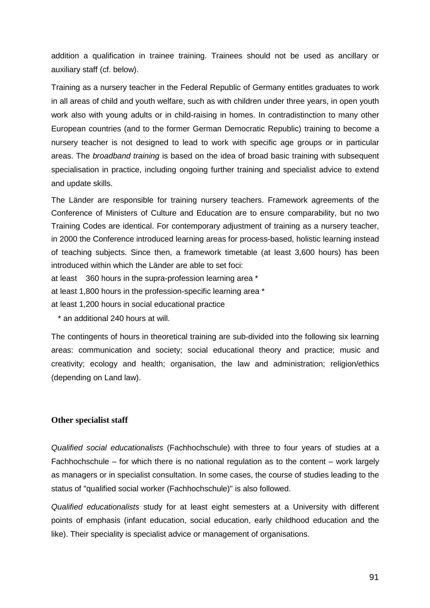addition a qualification in trainee training. Trainees should not be used as ancillary or auxiliary staff (cf. below).

Training as a nursery teacher in the Federal Republic of Germany entitles graduates to work in all areas of child and youth welfare, such as with children under three years, in open youth work also with young adults or in child-raising in homes. In contradistinction to many other European countries (and to the former German Democratic Republic) training to become a nursery teacher is not designed to lead to work with specific age groups or in particular areas. The *broadband training* is based on the idea of broad basic training with subsequent specialisation in practice, including ongoing further training and specialist advice to extend and update skills.

The Länder are responsible for training nursery teachers. Framework agreements of the Conference of Ministers of Culture and Education are to ensure comparability, but no two Training Codes are identical. For contemporary adjustment of training as a nursery teacher, in 2000 the Conference introduced learning areas for process-based, holistic learning instead of teaching subjects. Since then, a framework timetable (at least 3,600 hours) has been introduced within which the Länder are able to set foci:

at least 360 hours in the supra-profession learning area \*

at least 1,800 hours in the profession-specific learning area \*

at least 1,200 hours in social educational practice

\* an additional 240 hours at will.

The contingents of hours in theoretical training are sub-divided into the following six learning areas: communication and society; social educational theory and practice; music and creativity; ecology and health; organisation, the law and administration; religion/ethics (depending on Land law).

## **Other specialist staff**

Qualified social educationalists (Fachhochschule) with three to four years of studies at a Fachhochschule – for which there is no national regulation as to the content – work largely as managers or in specialist consultation. In some cases, the course of studies leading to the status of "qualified social worker (Fachhochschule)" is also followed.

Qualified educationalists study for at least eight semesters at a University with different points of emphasis (infant education, social education, early childhood education and the like). Their speciality is specialist advice or management of organisations.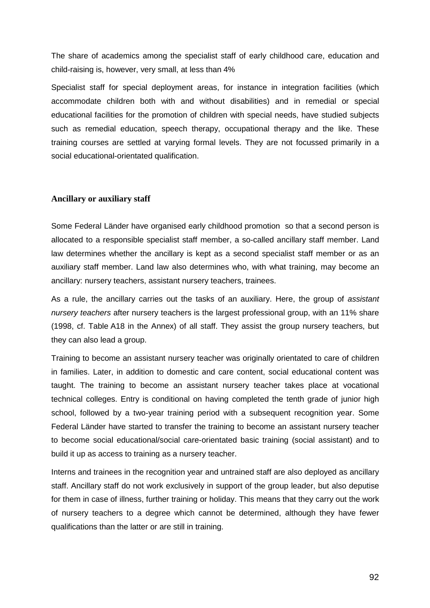The share of academics among the specialist staff of early childhood care, education and child-raising is, however, very small, at less than 4%

Specialist staff for special deployment areas, for instance in integration facilities (which accommodate children both with and without disabilities) and in remedial or special educational facilities for the promotion of children with special needs, have studied subjects such as remedial education, speech therapy, occupational therapy and the like. These training courses are settled at varying formal levels. They are not focussed primarily in a social educational-orientated qualification.

## **Ancillary or auxiliary staff**

Some Federal Länder have organised early childhood promotion so that a second person is allocated to a responsible specialist staff member, a so-called ancillary staff member. Land law determines whether the ancillary is kept as a second specialist staff member or as an auxiliary staff member. Land law also determines who, with what training, may become an ancillary: nursery teachers, assistant nursery teachers, trainees.

As a rule, the ancillary carries out the tasks of an auxiliary. Here, the group of assistant nursery teachers after nursery teachers is the largest professional group, with an 11% share (1998, cf. Table A18 in the Annex) of all staff. They assist the group nursery teachers, but they can also lead a group.

Training to become an assistant nursery teacher was originally orientated to care of children in families. Later, in addition to domestic and care content, social educational content was taught. The training to become an assistant nursery teacher takes place at vocational technical colleges. Entry is conditional on having completed the tenth grade of junior high school, followed by a two-year training period with a subsequent recognition year. Some Federal Länder have started to transfer the training to become an assistant nursery teacher to become social educational/social care-orientated basic training (social assistant) and to build it up as access to training as a nursery teacher.

Interns and trainees in the recognition year and untrained staff are also deployed as ancillary staff. Ancillary staff do not work exclusively in support of the group leader, but also deputise for them in case of illness, further training or holiday. This means that they carry out the work of nursery teachers to a degree which cannot be determined, although they have fewer qualifications than the latter or are still in training.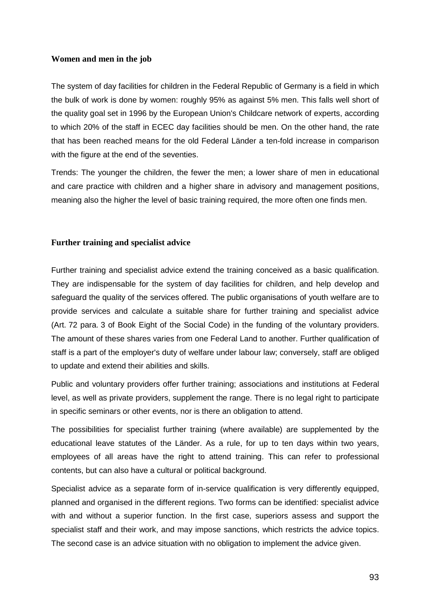# **Women and men in the job**

The system of day facilities for children in the Federal Republic of Germany is a field in which the bulk of work is done by women: roughly 95% as against 5% men. This falls well short of the quality goal set in 1996 by the European Union's Childcare network of experts, according to which 20% of the staff in ECEC day facilities should be men. On the other hand, the rate that has been reached means for the old Federal Länder a ten-fold increase in comparison with the figure at the end of the seventies.

Trends: The younger the children, the fewer the men; a lower share of men in educational and care practice with children and a higher share in advisory and management positions, meaning also the higher the level of basic training required, the more often one finds men.

# **Further training and specialist advice**

Further training and specialist advice extend the training conceived as a basic qualification. They are indispensable for the system of day facilities for children, and help develop and safeguard the quality of the services offered. The public organisations of youth welfare are to provide services and calculate a suitable share for further training and specialist advice (Art. 72 para. 3 of Book Eight of the Social Code) in the funding of the voluntary providers. The amount of these shares varies from one Federal Land to another. Further qualification of staff is a part of the employer's duty of welfare under labour law; conversely, staff are obliged to update and extend their abilities and skills.

Public and voluntary providers offer further training; associations and institutions at Federal level, as well as private providers, supplement the range. There is no legal right to participate in specific seminars or other events, nor is there an obligation to attend.

The possibilities for specialist further training (where available) are supplemented by the educational leave statutes of the Länder. As a rule, for up to ten days within two years, employees of all areas have the right to attend training. This can refer to professional contents, but can also have a cultural or political background.

Specialist advice as a separate form of in-service qualification is very differently equipped, planned and organised in the different regions. Two forms can be identified: specialist advice with and without a superior function. In the first case, superiors assess and support the specialist staff and their work, and may impose sanctions, which restricts the advice topics. The second case is an advice situation with no obligation to implement the advice given.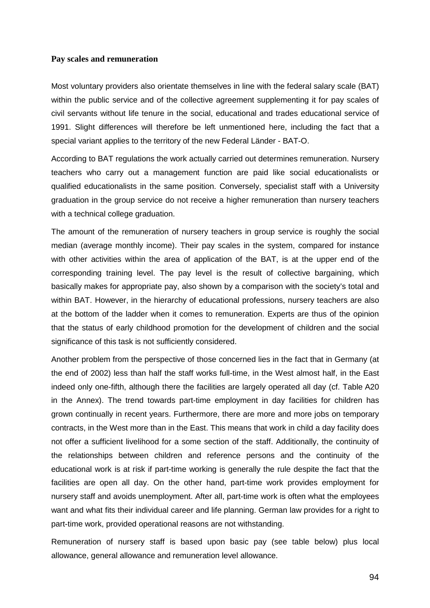#### **Pay scales and remuneration**

Most voluntary providers also orientate themselves in line with the federal salary scale (BAT) within the public service and of the collective agreement supplementing it for pay scales of civil servants without life tenure in the social, educational and trades educational service of 1991. Slight differences will therefore be left unmentioned here, including the fact that a special variant applies to the territory of the new Federal Länder - BAT-O.

According to BAT regulations the work actually carried out determines remuneration. Nursery teachers who carry out a management function are paid like social educationalists or qualified educationalists in the same position. Conversely, specialist staff with a University graduation in the group service do not receive a higher remuneration than nursery teachers with a technical college graduation.

The amount of the remuneration of nursery teachers in group service is roughly the social median (average monthly income). Their pay scales in the system, compared for instance with other activities within the area of application of the BAT, is at the upper end of the corresponding training level. The pay level is the result of collective bargaining, which basically makes for appropriate pay, also shown by a comparison with the society's total and within BAT. However, in the hierarchy of educational professions, nursery teachers are also at the bottom of the ladder when it comes to remuneration. Experts are thus of the opinion that the status of early childhood promotion for the development of children and the social significance of this task is not sufficiently considered.

Another problem from the perspective of those concerned lies in the fact that in Germany (at the end of 2002) less than half the staff works full-time, in the West almost half, in the East indeed only one-fifth, although there the facilities are largely operated all day (cf. Table A20 in the Annex). The trend towards part-time employment in day facilities for children has grown continually in recent years. Furthermore, there are more and more jobs on temporary contracts, in the West more than in the East. This means that work in child a day facility does not offer a sufficient livelihood for a some section of the staff. Additionally, the continuity of the relationships between children and reference persons and the continuity of the educational work is at risk if part-time working is generally the rule despite the fact that the facilities are open all day. On the other hand, part-time work provides employment for nursery staff and avoids unemployment. After all, part-time work is often what the employees want and what fits their individual career and life planning. German law provides for a right to part-time work, provided operational reasons are not withstanding.

Remuneration of nursery staff is based upon basic pay (see table below) plus local allowance, general allowance and remuneration level allowance.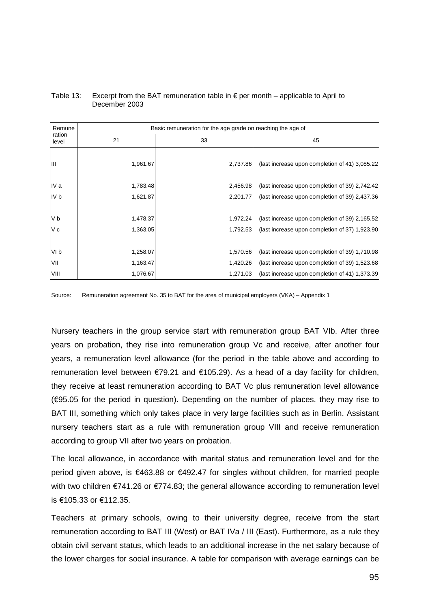| Remune          |          | Basic remuneration for the age grade on reaching the age of |                                                |  |
|-----------------|----------|-------------------------------------------------------------|------------------------------------------------|--|
| ration<br>level | 21       | 33                                                          | 45                                             |  |
| Ш               | 1,961.67 | 2,737.86                                                    | (last increase upon completion of 41) 3,085.22 |  |
| IV a            | 1,783.48 | 2,456.98                                                    | (last increase upon completion of 39) 2,742.42 |  |
| IV b            | 1,621.87 | 2,201.77                                                    | (last increase upon completion of 39) 2,437.36 |  |
|                 |          |                                                             |                                                |  |
| V b             | 1,478.37 | 1,972.24                                                    | (last increase upon completion of 39) 2,165.52 |  |
| V c             | 1,363.05 | 1,792.53                                                    | (last increase upon completion of 37) 1,923.90 |  |
|                 |          |                                                             |                                                |  |
| VI b            | 1,258.07 | 1,570.56                                                    | (last increase upon completion of 39) 1,710.98 |  |
| VII             | 1,163.47 | 1,420.26                                                    | (last increase upon completion of 39) 1,523.68 |  |
| VIII            | 1,076.67 | 1,271.03                                                    | (last increase upon completion of 41) 1,373.39 |  |

#### Table 13: Excerpt from the BAT remuneration table in  $\epsilon$  per month – applicable to April to December 2003

Source: Remuneration agreement No. 35 to BAT for the area of municipal employers (VKA) – Appendix 1

Nursery teachers in the group service start with remuneration group BAT VIb. After three years on probation, they rise into remuneration group Vc and receive, after another four years, a remuneration level allowance (for the period in the table above and according to remuneration level between €79.21 and €105.29). As a head of a day facility for children, they receive at least remuneration according to BAT Vc plus remuneration level allowance (€95.05 for the period in question). Depending on the number of places, they may rise to BAT III, something which only takes place in very large facilities such as in Berlin. Assistant nursery teachers start as a rule with remuneration group VIII and receive remuneration according to group VII after two years on probation.

The local allowance, in accordance with marital status and remuneration level and for the period given above, is €463.88 or €492.47 for singles without children, for married people with two children €741.26 or €774.83; the general allowance according to remuneration level is €105.33 or €112.35.

Teachers at primary schools, owing to their university degree, receive from the start remuneration according to BAT III (West) or BAT IVa / III (East). Furthermore, as a rule they obtain civil servant status, which leads to an additional increase in the net salary because of the lower charges for social insurance. A table for comparison with average earnings can be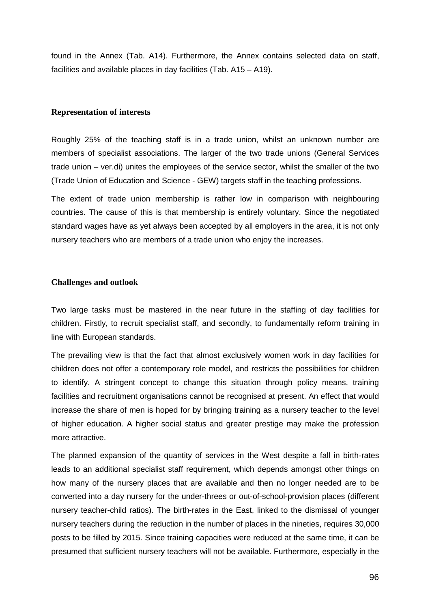found in the Annex (Tab. A14). Furthermore, the Annex contains selected data on staff, facilities and available places in day facilities (Tab. A15 – A19).

### **Representation of interests**

Roughly 25% of the teaching staff is in a trade union, whilst an unknown number are members of specialist associations. The larger of the two trade unions (General Services trade union – ver.di) unites the employees of the service sector, whilst the smaller of the two (Trade Union of Education and Science - GEW) targets staff in the teaching professions.

The extent of trade union membership is rather low in comparison with neighbouring countries. The cause of this is that membership is entirely voluntary. Since the negotiated standard wages have as yet always been accepted by all employers in the area, it is not only nursery teachers who are members of a trade union who enjoy the increases.

#### **Challenges and outlook**

Two large tasks must be mastered in the near future in the staffing of day facilities for children. Firstly, to recruit specialist staff, and secondly, to fundamentally reform training in line with European standards.

The prevailing view is that the fact that almost exclusively women work in day facilities for children does not offer a contemporary role model, and restricts the possibilities for children to identify. A stringent concept to change this situation through policy means, training facilities and recruitment organisations cannot be recognised at present. An effect that would increase the share of men is hoped for by bringing training as a nursery teacher to the level of higher education. A higher social status and greater prestige may make the profession more attractive.

The planned expansion of the quantity of services in the West despite a fall in birth-rates leads to an additional specialist staff requirement, which depends amongst other things on how many of the nursery places that are available and then no longer needed are to be converted into a day nursery for the under-threes or out-of-school-provision places (different nursery teacher-child ratios). The birth-rates in the East, linked to the dismissal of younger nursery teachers during the reduction in the number of places in the nineties, requires 30,000 posts to be filled by 2015. Since training capacities were reduced at the same time, it can be presumed that sufficient nursery teachers will not be available. Furthermore, especially in the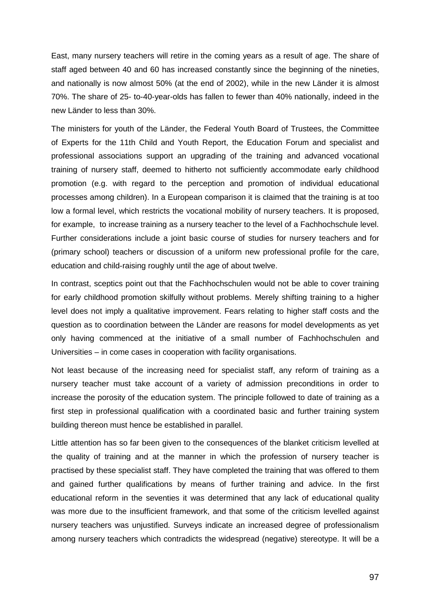East, many nursery teachers will retire in the coming years as a result of age. The share of staff aged between 40 and 60 has increased constantly since the beginning of the nineties, and nationally is now almost 50% (at the end of 2002), while in the new Länder it is almost 70%. The share of 25- to-40-year-olds has fallen to fewer than 40% nationally, indeed in the new Länder to less than 30%.

The ministers for youth of the Länder, the Federal Youth Board of Trustees, the Committee of Experts for the 11th Child and Youth Report, the Education Forum and specialist and professional associations support an upgrading of the training and advanced vocational training of nursery staff, deemed to hitherto not sufficiently accommodate early childhood promotion (e.g. with regard to the perception and promotion of individual educational processes among children). In a European comparison it is claimed that the training is at too low a formal level, which restricts the vocational mobility of nursery teachers. It is proposed, for example, to increase training as a nursery teacher to the level of a Fachhochschule level. Further considerations include a joint basic course of studies for nursery teachers and for (primary school) teachers or discussion of a uniform new professional profile for the care, education and child-raising roughly until the age of about twelve.

In contrast, sceptics point out that the Fachhochschulen would not be able to cover training for early childhood promotion skilfully without problems. Merely shifting training to a higher level does not imply a qualitative improvement. Fears relating to higher staff costs and the question as to coordination between the Länder are reasons for model developments as yet only having commenced at the initiative of a small number of Fachhochschulen and Universities – in come cases in cooperation with facility organisations.

Not least because of the increasing need for specialist staff, any reform of training as a nursery teacher must take account of a variety of admission preconditions in order to increase the porosity of the education system. The principle followed to date of training as a first step in professional qualification with a coordinated basic and further training system building thereon must hence be established in parallel.

Little attention has so far been given to the consequences of the blanket criticism levelled at the quality of training and at the manner in which the profession of nursery teacher is practised by these specialist staff. They have completed the training that was offered to them and gained further qualifications by means of further training and advice. In the first educational reform in the seventies it was determined that any lack of educational quality was more due to the insufficient framework, and that some of the criticism levelled against nursery teachers was unjustified. Surveys indicate an increased degree of professionalism among nursery teachers which contradicts the widespread (negative) stereotype. It will be a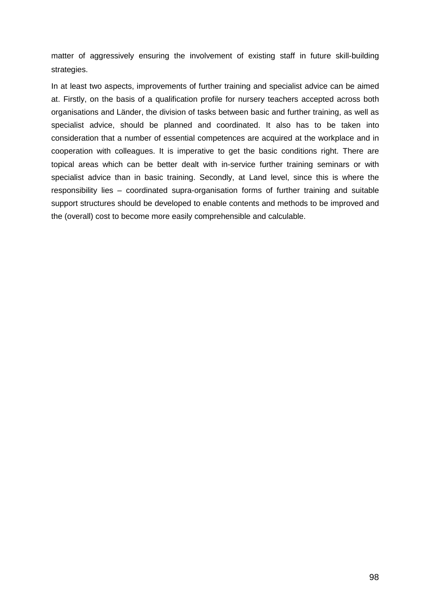matter of aggressively ensuring the involvement of existing staff in future skill-building strategies.

In at least two aspects, improvements of further training and specialist advice can be aimed at. Firstly, on the basis of a qualification profile for nursery teachers accepted across both organisations and Länder, the division of tasks between basic and further training, as well as specialist advice, should be planned and coordinated. It also has to be taken into consideration that a number of essential competences are acquired at the workplace and in cooperation with colleagues. It is imperative to get the basic conditions right. There are topical areas which can be better dealt with in-service further training seminars or with specialist advice than in basic training. Secondly, at Land level, since this is where the responsibility lies – coordinated supra-organisation forms of further training and suitable support structures should be developed to enable contents and methods to be improved and the (overall) cost to become more easily comprehensible and calculable.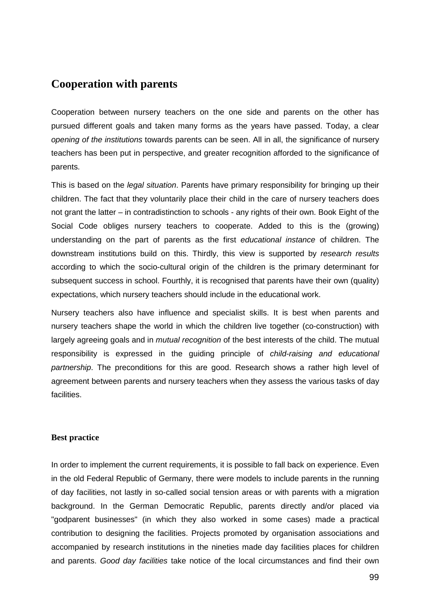# **Cooperation with parents**

Cooperation between nursery teachers on the one side and parents on the other has pursued different goals and taken many forms as the years have passed. Today, a clear opening of the institutions towards parents can be seen. All in all, the significance of nursery teachers has been put in perspective, and greater recognition afforded to the significance of parents.

This is based on the *legal situation*. Parents have primary responsibility for bringing up their children. The fact that they voluntarily place their child in the care of nursery teachers does not grant the latter – in contradistinction to schools - any rights of their own. Book Eight of the Social Code obliges nursery teachers to cooperate. Added to this is the (growing) understanding on the part of parents as the first educational instance of children. The downstream institutions build on this. Thirdly, this view is supported by research results according to which the socio-cultural origin of the children is the primary determinant for subsequent success in school. Fourthly, it is recognised that parents have their own (quality) expectations, which nursery teachers should include in the educational work.

Nursery teachers also have influence and specialist skills. It is best when parents and nursery teachers shape the world in which the children live together (co-construction) with largely agreeing goals and in *mutual recognition* of the best interests of the child. The mutual responsibility is expressed in the guiding principle of child-raising and educational partnership. The preconditions for this are good. Research shows a rather high level of agreement between parents and nursery teachers when they assess the various tasks of day facilities.

## **Best practice**

In order to implement the current requirements, it is possible to fall back on experience. Even in the old Federal Republic of Germany, there were models to include parents in the running of day facilities, not lastly in so-called social tension areas or with parents with a migration background. In the German Democratic Republic, parents directly and/or placed via "godparent businesses" (in which they also worked in some cases) made a practical contribution to designing the facilities. Projects promoted by organisation associations and accompanied by research institutions in the nineties made day facilities places for children and parents. Good day facilities take notice of the local circumstances and find their own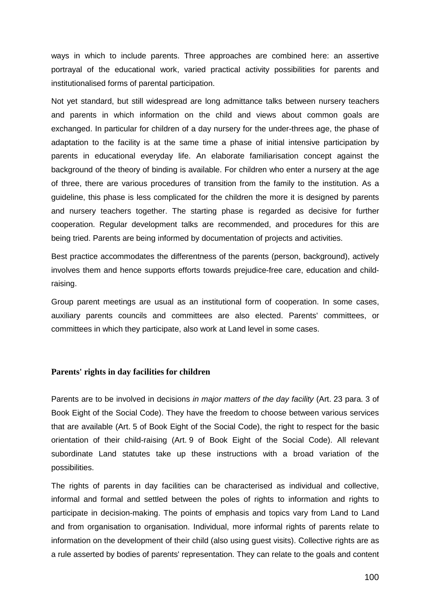ways in which to include parents. Three approaches are combined here: an assertive portrayal of the educational work, varied practical activity possibilities for parents and institutionalised forms of parental participation.

Not yet standard, but still widespread are long admittance talks between nursery teachers and parents in which information on the child and views about common goals are exchanged. In particular for children of a day nursery for the under-threes age, the phase of adaptation to the facility is at the same time a phase of initial intensive participation by parents in educational everyday life. An elaborate familiarisation concept against the background of the theory of binding is available. For children who enter a nursery at the age of three, there are various procedures of transition from the family to the institution. As a guideline, this phase is less complicated for the children the more it is designed by parents and nursery teachers together. The starting phase is regarded as decisive for further cooperation. Regular development talks are recommended, and procedures for this are being tried. Parents are being informed by documentation of projects and activities.

Best practice accommodates the differentness of the parents (person, background), actively involves them and hence supports efforts towards prejudice-free care, education and childraising.

Group parent meetings are usual as an institutional form of cooperation. In some cases, auxiliary parents councils and committees are also elected. Parents' committees, or committees in which they participate, also work at Land level in some cases.

## **Parents' rights in day facilities for children**

Parents are to be involved in decisions in major matters of the day facility (Art. 23 para, 3 of Book Eight of the Social Code). They have the freedom to choose between various services that are available (Art. 5 of Book Eight of the Social Code), the right to respect for the basic orientation of their child-raising (Art. 9 of Book Eight of the Social Code). All relevant subordinate Land statutes take up these instructions with a broad variation of the possibilities.

The rights of parents in day facilities can be characterised as individual and collective, informal and formal and settled between the poles of rights to information and rights to participate in decision-making. The points of emphasis and topics vary from Land to Land and from organisation to organisation. Individual, more informal rights of parents relate to information on the development of their child (also using guest visits). Collective rights are as a rule asserted by bodies of parents' representation. They can relate to the goals and content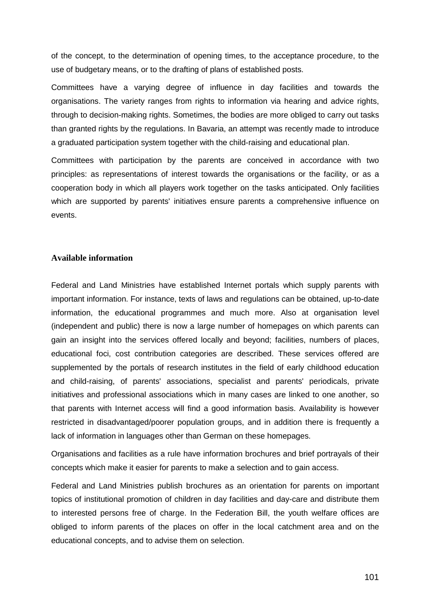of the concept, to the determination of opening times, to the acceptance procedure, to the use of budgetary means, or to the drafting of plans of established posts.

Committees have a varying degree of influence in day facilities and towards the organisations. The variety ranges from rights to information via hearing and advice rights, through to decision-making rights. Sometimes, the bodies are more obliged to carry out tasks than granted rights by the regulations. In Bavaria, an attempt was recently made to introduce a graduated participation system together with the child-raising and educational plan.

Committees with participation by the parents are conceived in accordance with two principles: as representations of interest towards the organisations or the facility, or as a cooperation body in which all players work together on the tasks anticipated. Only facilities which are supported by parents' initiatives ensure parents a comprehensive influence on events.

## **Available information**

Federal and Land Ministries have established Internet portals which supply parents with important information. For instance, texts of laws and regulations can be obtained, up-to-date information, the educational programmes and much more. Also at organisation level (independent and public) there is now a large number of homepages on which parents can gain an insight into the services offered locally and beyond; facilities, numbers of places, educational foci, cost contribution categories are described. These services offered are supplemented by the portals of research institutes in the field of early childhood education and child-raising, of parents' associations, specialist and parents' periodicals, private initiatives and professional associations which in many cases are linked to one another, so that parents with Internet access will find a good information basis. Availability is however restricted in disadvantaged/poorer population groups, and in addition there is frequently a lack of information in languages other than German on these homepages.

Organisations and facilities as a rule have information brochures and brief portrayals of their concepts which make it easier for parents to make a selection and to gain access.

Federal and Land Ministries publish brochures as an orientation for parents on important topics of institutional promotion of children in day facilities and day-care and distribute them to interested persons free of charge. In the Federation Bill, the youth welfare offices are obliged to inform parents of the places on offer in the local catchment area and on the educational concepts, and to advise them on selection.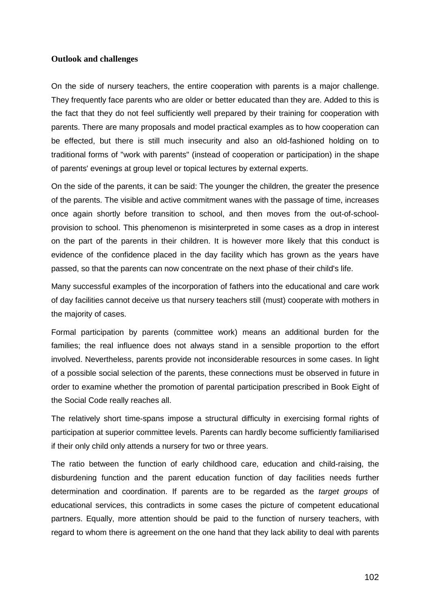### **Outlook and challenges**

On the side of nursery teachers, the entire cooperation with parents is a major challenge. They frequently face parents who are older or better educated than they are. Added to this is the fact that they do not feel sufficiently well prepared by their training for cooperation with parents. There are many proposals and model practical examples as to how cooperation can be effected, but there is still much insecurity and also an old-fashioned holding on to traditional forms of "work with parents" (instead of cooperation or participation) in the shape of parents' evenings at group level or topical lectures by external experts.

On the side of the parents, it can be said: The younger the children, the greater the presence of the parents. The visible and active commitment wanes with the passage of time, increases once again shortly before transition to school, and then moves from the out-of-schoolprovision to school. This phenomenon is misinterpreted in some cases as a drop in interest on the part of the parents in their children. It is however more likely that this conduct is evidence of the confidence placed in the day facility which has grown as the years have passed, so that the parents can now concentrate on the next phase of their child's life.

Many successful examples of the incorporation of fathers into the educational and care work of day facilities cannot deceive us that nursery teachers still (must) cooperate with mothers in the majority of cases.

Formal participation by parents (committee work) means an additional burden for the families; the real influence does not always stand in a sensible proportion to the effort involved. Nevertheless, parents provide not inconsiderable resources in some cases. In light of a possible social selection of the parents, these connections must be observed in future in order to examine whether the promotion of parental participation prescribed in Book Eight of the Social Code really reaches all.

The relatively short time-spans impose a structural difficulty in exercising formal rights of participation at superior committee levels. Parents can hardly become sufficiently familiarised if their only child only attends a nursery for two or three years.

The ratio between the function of early childhood care, education and child-raising, the disburdening function and the parent education function of day facilities needs further determination and coordination. If parents are to be regarded as the *target groups* of educational services, this contradicts in some cases the picture of competent educational partners. Equally, more attention should be paid to the function of nursery teachers, with regard to whom there is agreement on the one hand that they lack ability to deal with parents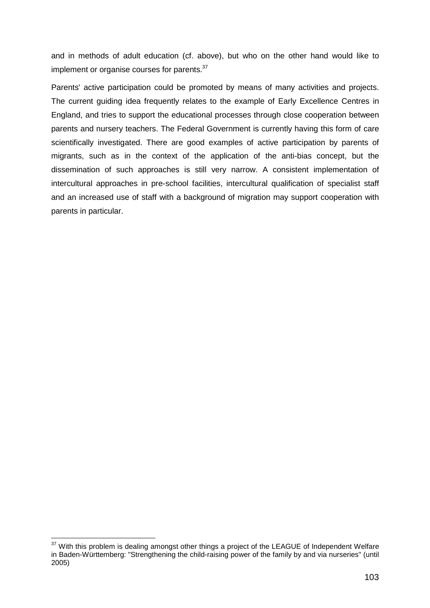and in methods of adult education (cf. above), but who on the other hand would like to implement or organise courses for parents.<sup>37</sup>

Parents' active participation could be promoted by means of many activities and projects. The current guiding idea frequently relates to the example of Early Excellence Centres in England, and tries to support the educational processes through close cooperation between parents and nursery teachers. The Federal Government is currently having this form of care scientifically investigated. There are good examples of active participation by parents of migrants, such as in the context of the application of the anti-bias concept, but the dissemination of such approaches is still very narrow. A consistent implementation of intercultural approaches in pre-school facilities, intercultural qualification of specialist staff and an increased use of staff with a background of migration may support cooperation with parents in particular.

l

 $37$  With this problem is dealing amongst other things a project of the LEAGUE of Independent Welfare in Baden-Württemberg: "Strengthening the child-raising power of the family by and via nurseries" (until 2005)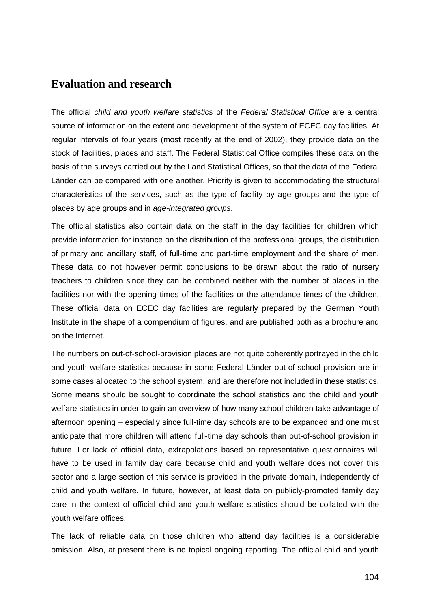# **Evaluation and research**

The official child and youth welfare statistics of the Federal Statistical Office are a central source of information on the extent and development of the system of ECEC day facilities. At regular intervals of four years (most recently at the end of 2002), they provide data on the stock of facilities, places and staff. The Federal Statistical Office compiles these data on the basis of the surveys carried out by the Land Statistical Offices, so that the data of the Federal Länder can be compared with one another. Priority is given to accommodating the structural characteristics of the services, such as the type of facility by age groups and the type of places by age groups and in age-integrated groups.

The official statistics also contain data on the staff in the day facilities for children which provide information for instance on the distribution of the professional groups, the distribution of primary and ancillary staff, of full-time and part-time employment and the share of men. These data do not however permit conclusions to be drawn about the ratio of nursery teachers to children since they can be combined neither with the number of places in the facilities nor with the opening times of the facilities or the attendance times of the children. These official data on ECEC day facilities are regularly prepared by the German Youth Institute in the shape of a compendium of figures, and are published both as a brochure and on the Internet.

The numbers on out-of-school-provision places are not quite coherently portrayed in the child and youth welfare statistics because in some Federal Länder out-of-school provision are in some cases allocated to the school system, and are therefore not included in these statistics. Some means should be sought to coordinate the school statistics and the child and youth welfare statistics in order to gain an overview of how many school children take advantage of afternoon opening – especially since full-time day schools are to be expanded and one must anticipate that more children will attend full-time day schools than out-of-school provision in future. For lack of official data, extrapolations based on representative questionnaires will have to be used in family day care because child and youth welfare does not cover this sector and a large section of this service is provided in the private domain, independently of child and youth welfare. In future, however, at least data on publicly-promoted family day care in the context of official child and youth welfare statistics should be collated with the youth welfare offices.

The lack of reliable data on those children who attend day facilities is a considerable omission. Also, at present there is no topical ongoing reporting. The official child and youth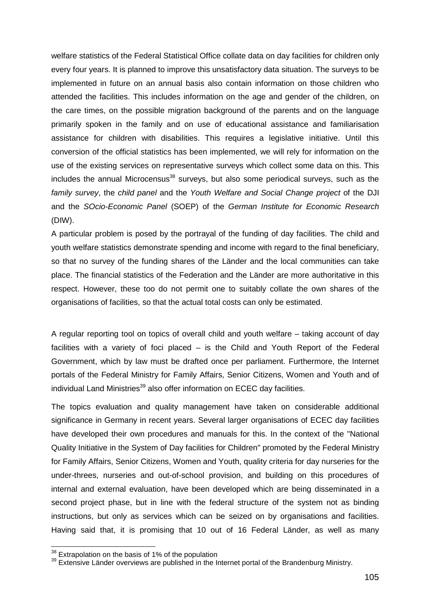welfare statistics of the Federal Statistical Office collate data on day facilities for children only every four years. It is planned to improve this unsatisfactory data situation. The surveys to be implemented in future on an annual basis also contain information on those children who attended the facilities. This includes information on the age and gender of the children, on the care times, on the possible migration background of the parents and on the language primarily spoken in the family and on use of educational assistance and familiarisation assistance for children with disabilities. This requires a legislative initiative. Until this conversion of the official statistics has been implemented, we will rely for information on the use of the existing services on representative surveys which collect some data on this. This  $in$ cludes the annual Microcensus<sup>38</sup> surveys, but also some periodical surveys, such as the family survey, the child panel and the Youth Welfare and Social Change project of the DJI and the SOcio-Economic Panel (SOEP) of the German Institute for Economic Research (DIW).

A particular problem is posed by the portrayal of the funding of day facilities. The child and youth welfare statistics demonstrate spending and income with regard to the final beneficiary, so that no survey of the funding shares of the Länder and the local communities can take place. The financial statistics of the Federation and the Länder are more authoritative in this respect. However, these too do not permit one to suitably collate the own shares of the organisations of facilities, so that the actual total costs can only be estimated.

A regular reporting tool on topics of overall child and youth welfare – taking account of day facilities with a variety of foci placed – is the Child and Youth Report of the Federal Government, which by law must be drafted once per parliament. Furthermore, the Internet portals of the Federal Ministry for Family Affairs, Senior Citizens, Women and Youth and of individual Land Ministries $39$  also offer information on ECEC day facilities.

The topics evaluation and quality management have taken on considerable additional significance in Germany in recent years. Several larger organisations of ECEC day facilities have developed their own procedures and manuals for this. In the context of the "National Quality Initiative in the System of Day facilities for Children" promoted by the Federal Ministry for Family Affairs, Senior Citizens, Women and Youth, quality criteria for day nurseries for the under-threes, nurseries and out-of-school provision, and building on this procedures of internal and external evaluation, have been developed which are being disseminated in a second project phase, but in line with the federal structure of the system not as binding instructions, but only as services which can be seized on by organisations and facilities. Having said that, it is promising that 10 out of 16 Federal Länder, as well as many

l

 $38$  Extrapolation on the basis of 1% of the population<br> $39$  Extensive Länder overviews are published in the Internet portal of the Brandenburg Ministry.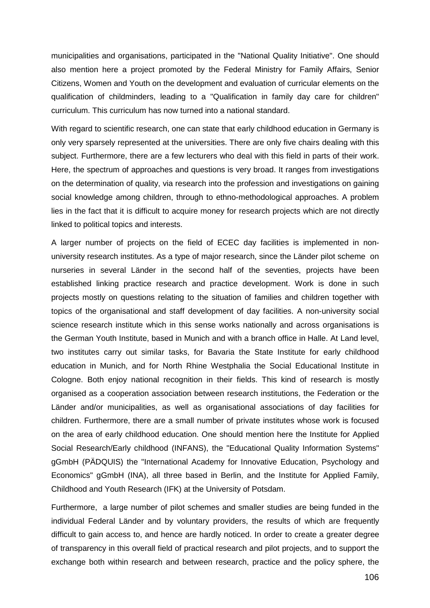municipalities and organisations, participated in the "National Quality Initiative". One should also mention here a project promoted by the Federal Ministry for Family Affairs, Senior Citizens, Women and Youth on the development and evaluation of curricular elements on the qualification of childminders, leading to a "Qualification in family day care for children" curriculum. This curriculum has now turned into a national standard.

With regard to scientific research, one can state that early childhood education in Germany is only very sparsely represented at the universities. There are only five chairs dealing with this subject. Furthermore, there are a few lecturers who deal with this field in parts of their work. Here, the spectrum of approaches and questions is very broad. It ranges from investigations on the determination of quality, via research into the profession and investigations on gaining social knowledge among children, through to ethno-methodological approaches. A problem lies in the fact that it is difficult to acquire money for research projects which are not directly linked to political topics and interests.

A larger number of projects on the field of ECEC day facilities is implemented in nonuniversity research institutes. As a type of major research, since the Länder pilot scheme on nurseries in several Länder in the second half of the seventies, projects have been established linking practice research and practice development. Work is done in such projects mostly on questions relating to the situation of families and children together with topics of the organisational and staff development of day facilities. A non-university social science research institute which in this sense works nationally and across organisations is the German Youth Institute, based in Munich and with a branch office in Halle. At Land level, two institutes carry out similar tasks, for Bavaria the State Institute for early childhood education in Munich, and for North Rhine Westphalia the Social Educational Institute in Cologne. Both enjoy national recognition in their fields. This kind of research is mostly organised as a cooperation association between research institutions, the Federation or the Länder and/or municipalities, as well as organisational associations of day facilities for children. Furthermore, there are a small number of private institutes whose work is focused on the area of early childhood education. One should mention here the Institute for Applied Social Research/Early childhood (INFANS), the "Educational Quality Information Systems" gGmbH (PÄDQUIS) the "International Academy for Innovative Education, Psychology and Economics" gGmbH (INA), all three based in Berlin, and the Institute for Applied Family, Childhood and Youth Research (IFK) at the University of Potsdam.

Furthermore, a large number of pilot schemes and smaller studies are being funded in the individual Federal Länder and by voluntary providers, the results of which are frequently difficult to gain access to, and hence are hardly noticed. In order to create a greater degree of transparency in this overall field of practical research and pilot projects, and to support the exchange both within research and between research, practice and the policy sphere, the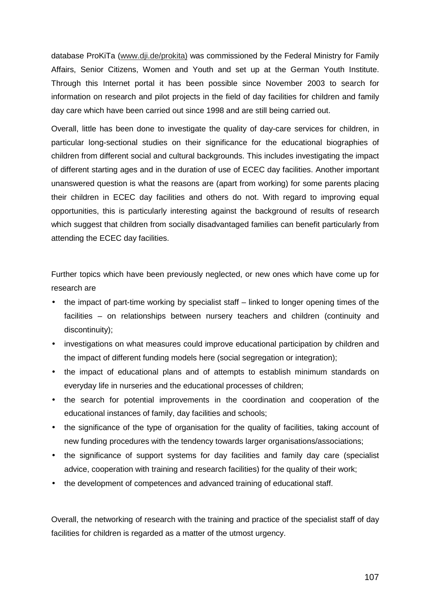database ProKiTa (www.dji.de/prokita) was commissioned by the Federal Ministry for Family Affairs, Senior Citizens, Women and Youth and set up at the German Youth Institute. Through this Internet portal it has been possible since November 2003 to search for information on research and pilot projects in the field of day facilities for children and family day care which have been carried out since 1998 and are still being carried out.

Overall, little has been done to investigate the quality of day-care services for children, in particular long-sectional studies on their significance for the educational biographies of children from different social and cultural backgrounds. This includes investigating the impact of different starting ages and in the duration of use of ECEC day facilities. Another important unanswered question is what the reasons are (apart from working) for some parents placing their children in ECEC day facilities and others do not. With regard to improving equal opportunities, this is particularly interesting against the background of results of research which suggest that children from socially disadvantaged families can benefit particularly from attending the ECEC day facilities.

Further topics which have been previously neglected, or new ones which have come up for research are

- the impact of part-time working by specialist staff linked to longer opening times of the facilities – on relationships between nursery teachers and children (continuity and discontinuity);
- investigations on what measures could improve educational participation by children and the impact of different funding models here (social segregation or integration);
- the impact of educational plans and of attempts to establish minimum standards on everyday life in nurseries and the educational processes of children;
- the search for potential improvements in the coordination and cooperation of the educational instances of family, day facilities and schools;
- the significance of the type of organisation for the quality of facilities, taking account of new funding procedures with the tendency towards larger organisations/associations;
- the significance of support systems for day facilities and family day care (specialist advice, cooperation with training and research facilities) for the quality of their work;
- the development of competences and advanced training of educational staff.

Overall, the networking of research with the training and practice of the specialist staff of day facilities for children is regarded as a matter of the utmost urgency.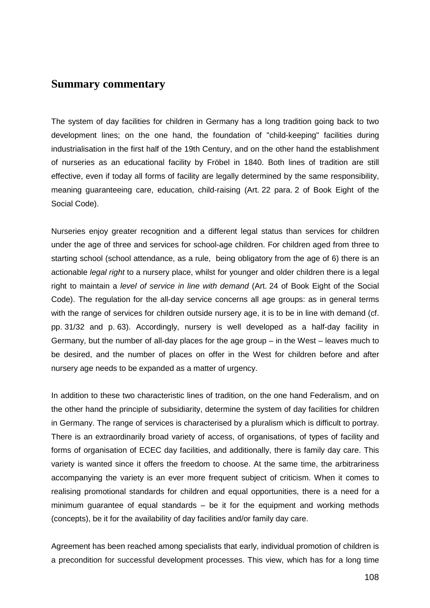# **Summary commentary**

The system of day facilities for children in Germany has a long tradition going back to two development lines; on the one hand, the foundation of "child-keeping" facilities during industrialisation in the first half of the 19th Century, and on the other hand the establishment of nurseries as an educational facility by Fröbel in 1840. Both lines of tradition are still effective, even if today all forms of facility are legally determined by the same responsibility, meaning guaranteeing care, education, child-raising (Art. 22 para. 2 of Book Eight of the Social Code).

Nurseries enjoy greater recognition and a different legal status than services for children under the age of three and services for school-age children. For children aged from three to starting school (school attendance, as a rule, being obligatory from the age of 6) there is an actionable *legal right* to a nursery place, whilst for younger and older children there is a legal right to maintain a level of service in line with demand (Art. 24 of Book Eight of the Social Code). The regulation for the all-day service concerns all age groups: as in general terms with the range of services for children outside nursery age, it is to be in line with demand (cf. pp. 31/32 and p. 63). Accordingly, nursery is well developed as a half-day facility in Germany, but the number of all-day places for the age group – in the West – leaves much to be desired, and the number of places on offer in the West for children before and after nursery age needs to be expanded as a matter of urgency.

In addition to these two characteristic lines of tradition, on the one hand Federalism, and on the other hand the principle of subsidiarity, determine the system of day facilities for children in Germany. The range of services is characterised by a pluralism which is difficult to portray. There is an extraordinarily broad variety of access, of organisations, of types of facility and forms of organisation of ECEC day facilities, and additionally, there is family day care. This variety is wanted since it offers the freedom to choose. At the same time, the arbitrariness accompanying the variety is an ever more frequent subject of criticism. When it comes to realising promotional standards for children and equal opportunities, there is a need for a minimum guarantee of equal standards – be it for the equipment and working methods (concepts), be it for the availability of day facilities and/or family day care.

Agreement has been reached among specialists that early, individual promotion of children is a precondition for successful development processes. This view, which has for a long time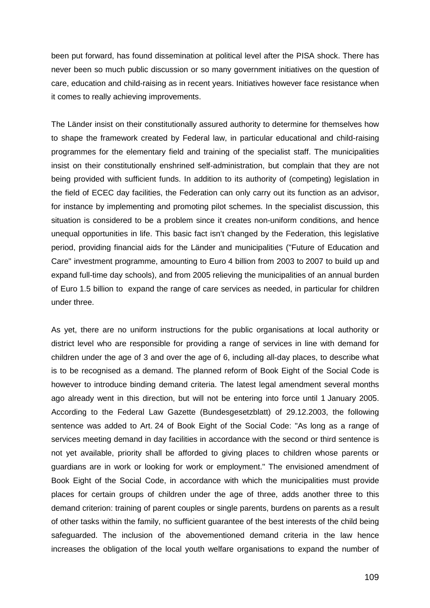been put forward, has found dissemination at political level after the PISA shock. There has never been so much public discussion or so many government initiatives on the question of care, education and child-raising as in recent years. Initiatives however face resistance when it comes to really achieving improvements.

The Länder insist on their constitutionally assured authority to determine for themselves how to shape the framework created by Federal law, in particular educational and child-raising programmes for the elementary field and training of the specialist staff. The municipalities insist on their constitutionally enshrined self-administration, but complain that they are not being provided with sufficient funds. In addition to its authority of (competing) legislation in the field of ECEC day facilities, the Federation can only carry out its function as an advisor, for instance by implementing and promoting pilot schemes. In the specialist discussion, this situation is considered to be a problem since it creates non-uniform conditions, and hence unequal opportunities in life. This basic fact isn't changed by the Federation, this legislative period, providing financial aids for the Länder and municipalities ("Future of Education and Care" investment programme, amounting to Euro 4 billion from 2003 to 2007 to build up and expand full-time day schools), and from 2005 relieving the municipalities of an annual burden of Euro 1.5 billion to expand the range of care services as needed, in particular for children under three.

As yet, there are no uniform instructions for the public organisations at local authority or district level who are responsible for providing a range of services in line with demand for children under the age of 3 and over the age of 6, including all-day places, to describe what is to be recognised as a demand. The planned reform of Book Eight of the Social Code is however to introduce binding demand criteria. The latest legal amendment several months ago already went in this direction, but will not be entering into force until 1 January 2005. According to the Federal Law Gazette (Bundesgesetzblatt) of 29.12.2003, the following sentence was added to Art. 24 of Book Eight of the Social Code: "As long as a range of services meeting demand in day facilities in accordance with the second or third sentence is not yet available, priority shall be afforded to giving places to children whose parents or guardians are in work or looking for work or employment." The envisioned amendment of Book Eight of the Social Code, in accordance with which the municipalities must provide places for certain groups of children under the age of three, adds another three to this demand criterion: training of parent couples or single parents, burdens on parents as a result of other tasks within the family, no sufficient guarantee of the best interests of the child being safeguarded. The inclusion of the abovementioned demand criteria in the law hence increases the obligation of the local youth welfare organisations to expand the number of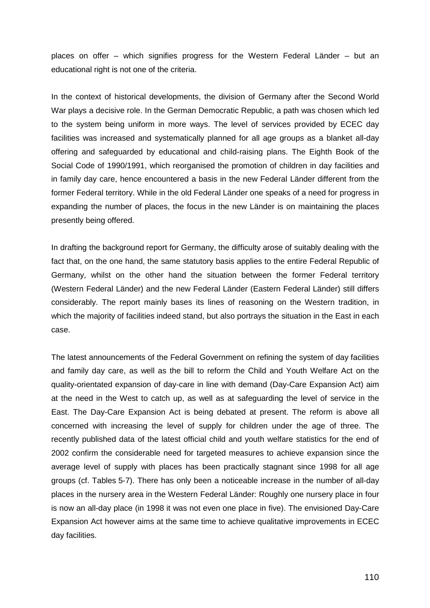places on offer – which signifies progress for the Western Federal Länder – but an educational right is not one of the criteria.

In the context of historical developments, the division of Germany after the Second World War plays a decisive role. In the German Democratic Republic, a path was chosen which led to the system being uniform in more ways. The level of services provided by ECEC day facilities was increased and systematically planned for all age groups as a blanket all-day offering and safeguarded by educational and child-raising plans. The Eighth Book of the Social Code of 1990/1991, which reorganised the promotion of children in day facilities and in family day care, hence encountered a basis in the new Federal Länder different from the former Federal territory. While in the old Federal Länder one speaks of a need for progress in expanding the number of places, the focus in the new Länder is on maintaining the places presently being offered.

In drafting the background report for Germany, the difficulty arose of suitably dealing with the fact that, on the one hand, the same statutory basis applies to the entire Federal Republic of Germany, whilst on the other hand the situation between the former Federal territory (Western Federal Länder) and the new Federal Länder (Eastern Federal Länder) still differs considerably. The report mainly bases its lines of reasoning on the Western tradition, in which the majority of facilities indeed stand, but also portrays the situation in the East in each case.

The latest announcements of the Federal Government on refining the system of day facilities and family day care, as well as the bill to reform the Child and Youth Welfare Act on the quality-orientated expansion of day-care in line with demand (Day-Care Expansion Act) aim at the need in the West to catch up, as well as at safeguarding the level of service in the East. The Day-Care Expansion Act is being debated at present. The reform is above all concerned with increasing the level of supply for children under the age of three. The recently published data of the latest official child and youth welfare statistics for the end of 2002 confirm the considerable need for targeted measures to achieve expansion since the average level of supply with places has been practically stagnant since 1998 for all age groups (cf. Tables 5-7). There has only been a noticeable increase in the number of all-day places in the nursery area in the Western Federal Länder: Roughly one nursery place in four is now an all-day place (in 1998 it was not even one place in five). The envisioned Day-Care Expansion Act however aims at the same time to achieve qualitative improvements in ECEC day facilities.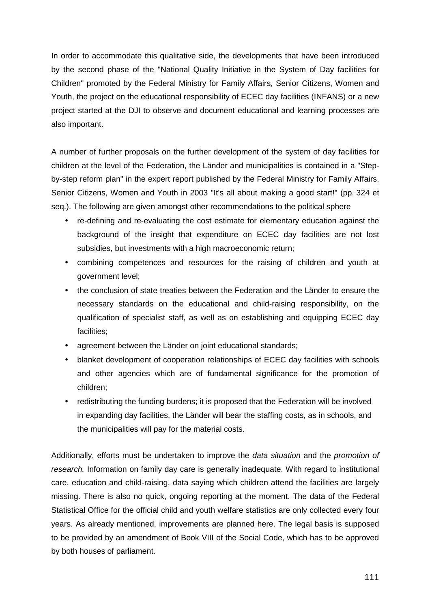In order to accommodate this qualitative side, the developments that have been introduced by the second phase of the "National Quality Initiative in the System of Day facilities for Children" promoted by the Federal Ministry for Family Affairs, Senior Citizens, Women and Youth, the project on the educational responsibility of ECEC day facilities (INFANS) or a new project started at the DJI to observe and document educational and learning processes are also important.

A number of further proposals on the further development of the system of day facilities for children at the level of the Federation, the Länder and municipalities is contained in a "Stepby-step reform plan" in the expert report published by the Federal Ministry for Family Affairs, Senior Citizens, Women and Youth in 2003 "It's all about making a good start!" (pp. 324 et seq.). The following are given amongst other recommendations to the political sphere

- re-defining and re-evaluating the cost estimate for elementary education against the background of the insight that expenditure on ECEC day facilities are not lost subsidies, but investments with a high macroeconomic return;
- combining competences and resources for the raising of children and youth at government level;
- the conclusion of state treaties between the Federation and the Länder to ensure the necessary standards on the educational and child-raising responsibility, on the qualification of specialist staff, as well as on establishing and equipping ECEC day facilities;
- agreement between the Länder on joint educational standards;
- blanket development of cooperation relationships of ECEC day facilities with schools and other agencies which are of fundamental significance for the promotion of children;
- redistributing the funding burdens; it is proposed that the Federation will be involved in expanding day facilities, the Länder will bear the staffing costs, as in schools, and the municipalities will pay for the material costs.

Additionally, efforts must be undertaken to improve the *data situation* and the *promotion of* research. Information on family day care is generally inadequate. With regard to institutional care, education and child-raising, data saying which children attend the facilities are largely missing. There is also no quick, ongoing reporting at the moment. The data of the Federal Statistical Office for the official child and youth welfare statistics are only collected every four years. As already mentioned, improvements are planned here. The legal basis is supposed to be provided by an amendment of Book VIII of the Social Code, which has to be approved by both houses of parliament.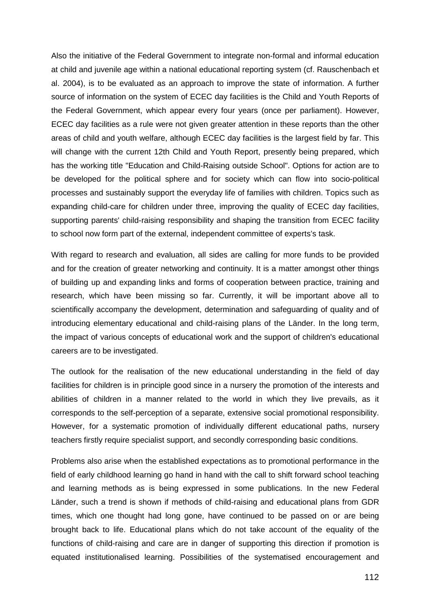Also the initiative of the Federal Government to integrate non-formal and informal education at child and juvenile age within a national educational reporting system (cf. Rauschenbach et al. 2004), is to be evaluated as an approach to improve the state of information. A further source of information on the system of ECEC day facilities is the Child and Youth Reports of the Federal Government, which appear every four years (once per parliament). However, ECEC day facilities as a rule were not given greater attention in these reports than the other areas of child and youth welfare, although ECEC day facilities is the largest field by far. This will change with the current 12th Child and Youth Report, presently being prepared, which has the working title "Education and Child-Raising outside School". Options for action are to be developed for the political sphere and for society which can flow into socio-political processes and sustainably support the everyday life of families with children. Topics such as expanding child-care for children under three, improving the quality of ECEC day facilities, supporting parents' child-raising responsibility and shaping the transition from ECEC facility to school now form part of the external, independent committee of experts's task.

With regard to research and evaluation, all sides are calling for more funds to be provided and for the creation of greater networking and continuity. It is a matter amongst other things of building up and expanding links and forms of cooperation between practice, training and research, which have been missing so far. Currently, it will be important above all to scientifically accompany the development, determination and safeguarding of quality and of introducing elementary educational and child-raising plans of the Länder. In the long term, the impact of various concepts of educational work and the support of children's educational careers are to be investigated.

The outlook for the realisation of the new educational understanding in the field of day facilities for children is in principle good since in a nursery the promotion of the interests and abilities of children in a manner related to the world in which they live prevails, as it corresponds to the self-perception of a separate, extensive social promotional responsibility. However, for a systematic promotion of individually different educational paths, nursery teachers firstly require specialist support, and secondly corresponding basic conditions.

Problems also arise when the established expectations as to promotional performance in the field of early childhood learning go hand in hand with the call to shift forward school teaching and learning methods as is being expressed in some publications. In the new Federal Länder, such a trend is shown if methods of child-raising and educational plans from GDR times, which one thought had long gone, have continued to be passed on or are being brought back to life. Educational plans which do not take account of the equality of the functions of child-raising and care are in danger of supporting this direction if promotion is equated institutionalised learning. Possibilities of the systematised encouragement and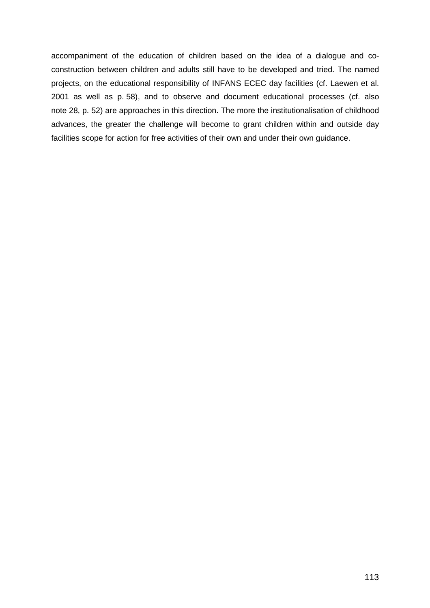accompaniment of the education of children based on the idea of a dialogue and coconstruction between children and adults still have to be developed and tried. The named projects, on the educational responsibility of INFANS ECEC day facilities (cf. Laewen et al. 2001 as well as p. 58), and to observe and document educational processes (cf. also note 28, p. 52) are approaches in this direction. The more the institutionalisation of childhood advances, the greater the challenge will become to grant children within and outside day facilities scope for action for free activities of their own and under their own guidance.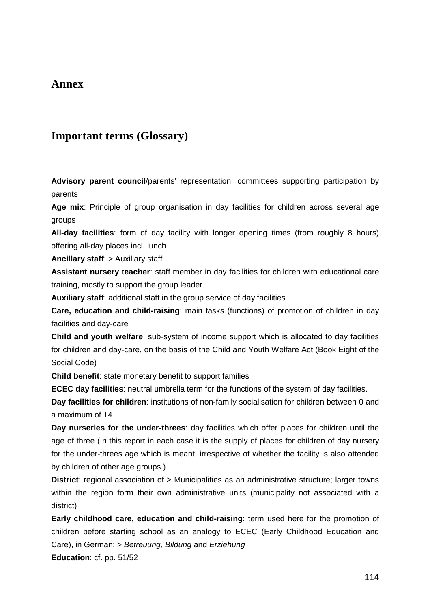## **Annex**

# **Important terms (Glossary)**

**Advisory parent council**/parents' representation: committees supporting participation by parents

**Age mix**: Principle of group organisation in day facilities for children across several age groups

**All-day facilities**: form of day facility with longer opening times (from roughly 8 hours) offering all-day places incl. lunch

**Ancillary staff**: > Auxiliary staff

**Assistant nursery teacher**: staff member in day facilities for children with educational care training, mostly to support the group leader

**Auxiliary staff**: additional staff in the group service of day facilities

**Care, education and child-raising**: main tasks (functions) of promotion of children in day facilities and day-care

**Child and youth welfare**: sub-system of income support which is allocated to day facilities for children and day-care, on the basis of the Child and Youth Welfare Act (Book Eight of the Social Code)

**Child benefit**: state monetary benefit to support families

**ECEC day facilities**: neutral umbrella term for the functions of the system of day facilities.

**Day facilities for children**: institutions of non-family socialisation for children between 0 and a maximum of 14

**Day nurseries for the under-threes**: day facilities which offer places for children until the age of three (In this report in each case it is the supply of places for children of day nursery for the under-threes age which is meant, irrespective of whether the facility is also attended by children of other age groups.)

**District:** regional association of > Municipalities as an administrative structure: larger towns within the region form their own administrative units (municipality not associated with a district)

**Early childhood care, education and child-raising**: term used here for the promotion of children before starting school as an analogy to ECEC (Early Childhood Education and Care), in German: > Betreuung, Bildung and Erziehung

**Education**: cf. pp. 51/52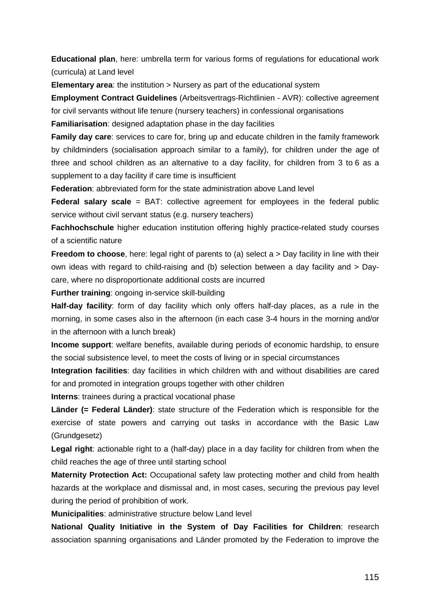**Educational plan**, here: umbrella term for various forms of regulations for educational work (curricula) at Land level

**Elementary area**: the institution > Nursery as part of the educational system

**Employment Contract Guidelines** (Arbeitsvertrags-Richtlinien - AVR): collective agreement for civil servants without life tenure (nursery teachers) in confessional organisations

**Familiarisation**: designed adaptation phase in the day facilities

**Family day care**: services to care for, bring up and educate children in the family framework by childminders (socialisation approach similar to a family), for children under the age of three and school children as an alternative to a day facility, for children from 3 to 6 as a supplement to a day facility if care time is insufficient

**Federation**: abbreviated form for the state administration above Land level

**Federal salary scale** = BAT: collective agreement for employees in the federal public service without civil servant status (e.g. nursery teachers)

**Fachhochschule** higher education institution offering highly practice-related study courses of a scientific nature

**Freedom to choose**, here: legal right of parents to (a) select a > Day facility in line with their own ideas with regard to child-raising and (b) selection between a day facility and > Daycare, where no disproportionate additional costs are incurred

**Further training**: ongoing in-service skill-building

**Half-day facility**: form of day facility which only offers half-day places, as a rule in the morning, in some cases also in the afternoon (in each case 3-4 hours in the morning and/or in the afternoon with a lunch break)

**Income support**: welfare benefits, available during periods of economic hardship, to ensure the social subsistence level, to meet the costs of living or in special circumstances

**Integration facilities**: day facilities in which children with and without disabilities are cared for and promoted in integration groups together with other children

**Interns**: trainees during a practical vocational phase

**Länder (= Federal Länder)**: state structure of the Federation which is responsible for the exercise of state powers and carrying out tasks in accordance with the Basic Law (Grundgesetz)

**Legal right**: actionable right to a (half-day) place in a day facility for children from when the child reaches the age of three until starting school

**Maternity Protection Act:** Occupational safety law protecting mother and child from health hazards at the workplace and dismissal and, in most cases, securing the previous pay level during the period of prohibition of work.

**Municipalities**: administrative structure below Land level

**National Quality Initiative in the System of Day Facilities for Children**: research association spanning organisations and Länder promoted by the Federation to improve the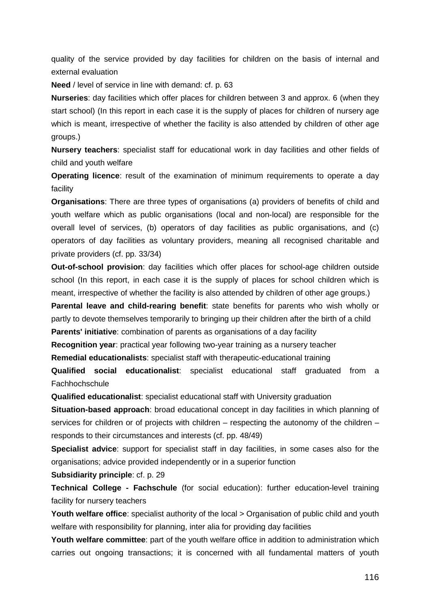quality of the service provided by day facilities for children on the basis of internal and external evaluation

**Need** / level of service in line with demand: cf. p. 63

**Nurseries**: day facilities which offer places for children between 3 and approx. 6 (when they start school) (In this report in each case it is the supply of places for children of nursery age which is meant, irrespective of whether the facility is also attended by children of other age groups.)

**Nursery teachers**: specialist staff for educational work in day facilities and other fields of child and youth welfare

**Operating licence**: result of the examination of minimum requirements to operate a day facility

**Organisations**: There are three types of organisations (a) providers of benefits of child and youth welfare which as public organisations (local and non-local) are responsible for the overall level of services, (b) operators of day facilities as public organisations, and (c) operators of day facilities as voluntary providers, meaning all recognised charitable and private providers (cf. pp. 33/34)

**Out-of-school provision**: day facilities which offer places for school-age children outside school (In this report, in each case it is the supply of places for school children which is meant, irrespective of whether the facility is also attended by children of other age groups.)

**Parental leave and child-rearing benefit**: state benefits for parents who wish wholly or partly to devote themselves temporarily to bringing up their children after the birth of a child **Parents' initiative**: combination of parents as organisations of a day facility

**Recognition year**: practical year following two-year training as a nursery teacher **Remedial educationalists**: specialist staff with therapeutic-educational training

**Qualified social educationalist**: specialist educational staff graduated from a **Fachhochschule** 

**Qualified educationalist**: specialist educational staff with University graduation

**Situation-based approach**: broad educational concept in day facilities in which planning of services for children or of projects with children – respecting the autonomy of the children – responds to their circumstances and interests (cf. pp. 48/49)

**Specialist advice**: support for specialist staff in day facilities, in some cases also for the organisations; advice provided independently or in a superior function

## **Subsidiarity principle**: cf. p. 29

**Technical College - Fachschule** (for social education): further education-level training facility for nursery teachers

Youth welfare office: specialist authority of the local > Organisation of public child and youth welfare with responsibility for planning, inter alia for providing day facilities

**Youth welfare committee**: part of the youth welfare office in addition to administration which carries out ongoing transactions; it is concerned with all fundamental matters of youth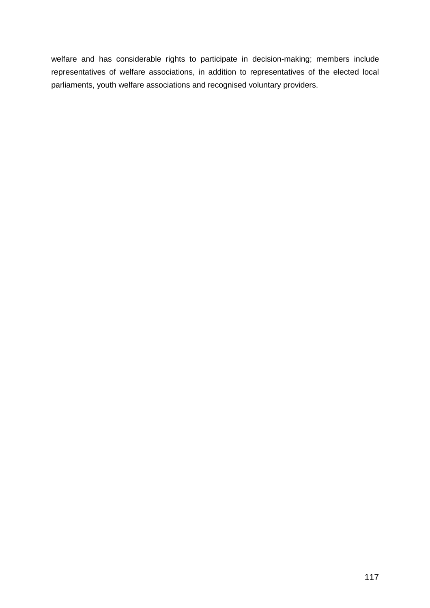welfare and has considerable rights to participate in decision-making; members include representatives of welfare associations, in addition to representatives of the elected local parliaments, youth welfare associations and recognised voluntary providers.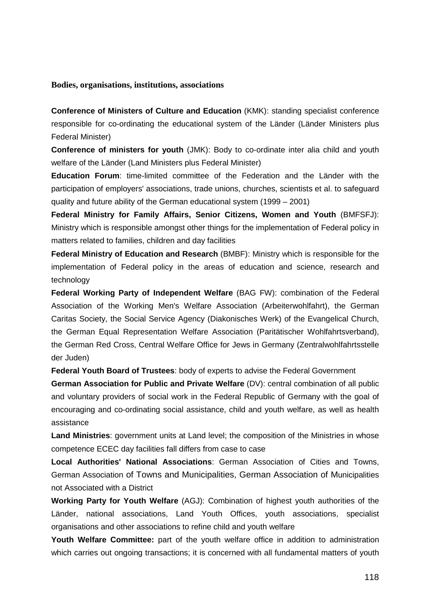## **Bodies, organisations, institutions, associations**

**Conference of Ministers of Culture and Education** (KMK): standing specialist conference responsible for co-ordinating the educational system of the Länder (Länder Ministers plus Federal Minister)

**Conference of ministers for youth** (JMK): Body to co-ordinate inter alia child and youth welfare of the Länder (Land Ministers plus Federal Minister)

**Education Forum**: time-limited committee of the Federation and the Länder with the participation of employers' associations, trade unions, churches, scientists et al. to safeguard quality and future ability of the German educational system (1999 – 2001)

**Federal Ministry for Family Affairs, Senior Citizens, Women and Youth** (BMFSFJ): Ministry which is responsible amongst other things for the implementation of Federal policy in matters related to families, children and day facilities

**Federal Ministry of Education and Research** (BMBF): Ministry which is responsible for the implementation of Federal policy in the areas of education and science, research and technology

**Federal Working Party of Independent Welfare** (BAG FW): combination of the Federal Association of the Working Men's Welfare Association (Arbeiterwohlfahrt), the German Caritas Society, the Social Service Agency (Diakonisches Werk) of the Evangelical Church, the German Equal Representation Welfare Association (Paritätischer Wohlfahrtsverband), the German Red Cross, Central Welfare Office for Jews in Germany (Zentralwohlfahrtsstelle der Juden)

**Federal Youth Board of Trustees**: body of experts to advise the Federal Government

**German Association for Public and Private Welfare** (DV): central combination of all public and voluntary providers of social work in the Federal Republic of Germany with the goal of encouraging and co-ordinating social assistance, child and youth welfare, as well as health assistance

**Land Ministries**: government units at Land level; the composition of the Ministries in whose competence ECEC day facilities fall differs from case to case

**Local Authorities' National Associations**: German Association of Cities and Towns, German Association of Towns and Municipalities, German Association of Municipalities not Associated with a District

**Working Party for Youth Welfare** (AGJ): Combination of highest youth authorities of the Länder, national associations, Land Youth Offices, youth associations, specialist organisations and other associations to refine child and youth welfare

**Youth Welfare Committee:** part of the youth welfare office in addition to administration which carries out ongoing transactions; it is concerned with all fundamental matters of youth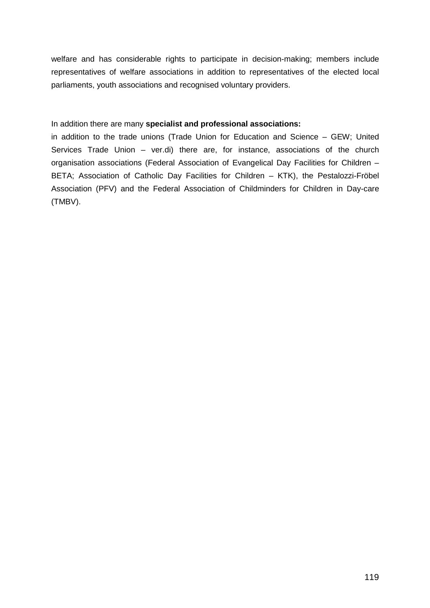welfare and has considerable rights to participate in decision-making; members include representatives of welfare associations in addition to representatives of the elected local parliaments, youth associations and recognised voluntary providers.

## In addition there are many **specialist and professional associations:**

in addition to the trade unions (Trade Union for Education and Science – GEW; United Services Trade Union – ver.di) there are, for instance, associations of the church organisation associations (Federal Association of Evangelical Day Facilities for Children – BETA; Association of Catholic Day Facilities for Children – KTK), the Pestalozzi-Fröbel Association (PFV) and the Federal Association of Childminders for Children in Day-care (TMBV).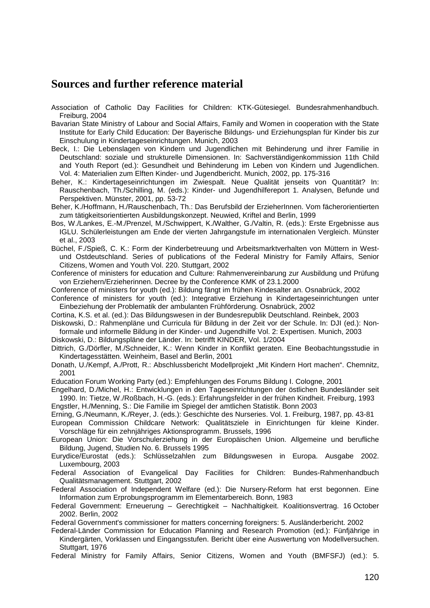# **Sources and further reference material**

Association of Catholic Day Facilities for Children: KTK-Gütesiegel. Bundesrahmenhandbuch. Freiburg, 2004

Bavarian State Ministry of Labour and Social Affairs, Family and Women in cooperation with the State Institute for Early Child Education: Der Bayerische Bildungs- und Erziehungsplan für Kinder bis zur Einschulung in Kindertageseinrichtungen. Munich, 2003

- Beck, I.: Die Lebenslagen von Kindern und Jugendlichen mit Behinderung und ihrer Familie in Deutschland: soziale und strukturelle Dimensionen. In: Sachverständigenkommission 11th Child and Youth Report (ed.): Gesundheit und Behinderung im Leben von Kindern und Jugendlichen. Vol. 4: Materialien zum Elften Kinder- und Jugendbericht. Munich, 2002, pp. 175-316
- Beher, K.: Kindertageseinrichtungen im Zwiespalt. Neue Qualität jenseits von Quantität? In: Rauschenbach, Th./Schilling, M. (eds.): Kinder- und Jugendhilfereport 1. Analysen, Befunde und Perspektiven. Münster, 2001, pp. 53-72
- Beher, K./Hoffmann, H./Rauschenbach, Th.: Das Berufsbild der ErzieherInnen. Vom fächerorientierten zum tätigkeitsorientierten Ausbildungskonzept. Neuwied, Kriftel and Berlin, 1999
- Bos, W./Lankes, E.-M./Prenzel, M./Schwippert, K./Walther, G./Valtin, R. (eds.): Erste Ergebnisse aus IGLU. Schülerleistungen am Ende der vierten Jahrgangstufe im internationalen Vergleich. Münster et al., 2003
- Büchel, F./Spieß, C. K.: Form der Kinderbetreuung und Arbeitsmarktverhalten von Müttern in Westund Ostdeutschland. Series of publications of the Federal Ministry for Family Affairs, Senior Citizens, Women and Youth Vol. 220. Stuttgart, 2002
- Conference of ministers for education and Culture: Rahmenvereinbarung zur Ausbildung und Prüfung von Erziehern/Erzieherinnen. Decree by the Conference KMK of 23.1.2000
- Conference of ministers for youth (ed.): Bildung fängt im frühen Kindesalter an. Osnabrück, 2002
- Conference of ministers for youth (ed.): Integrative Erziehung in Kindertageseinrichtungen unter Einbeziehung der Problematik der ambulanten Frühförderung. Osnabrück, 2002
- Cortina, K.S. et al. (ed.): Das Bildungswesen in der Bundesrepublik Deutschland. Reinbek, 2003
- Diskowski, D.: Rahmenpläne und Curricula für Bildung in der Zeit vor der Schule. In: DJI (ed.): Nonformale und informelle Bildung in der Kinder- und Jugendhilfe Vol. 2: Expertisen. Munich, 2003

Diskowski, D.: Bildungspläne der Länder. In: betrifft KINDER, Vol. 1/2004

- Dittrich, G./Dörfler, M./Schneider, K.: Wenn Kinder in Konflikt geraten. Eine Beobachtungsstudie in Kindertagesstätten. Weinheim, Basel and Berlin, 2001
- Donath, U./Kempf, A./Prott, R.: Abschlussbericht Modellprojekt "Mit Kindern Hort machen". Chemnitz, 2001

Education Forum Working Party (ed.): Empfehlungen des Forums Bildung I. Cologne, 2001

Engelhard, D./Michel, H.: Entwicklungen in den Tageseinrichtungen der östlichen Bundesländer seit 1990. In: Tietze, W./Roßbach, H.-G. (eds.): Erfahrungsfelder in der frühen Kindheit. Freiburg, 1993

Engstler, H./Menning, S.: Die Familie im Spiegel der amtlichen Statistik. Bonn 2003

Erning, G./Neumann, K./Reyer, J. (eds.): Geschichte des Nurseries. Vol. 1. Freiburg, 1987, pp. 43-81

- European Commission Childcare Network: Qualitätsziele in Einrichtungen für kleine Kinder. Vorschläge für ein zehnjähriges Aktionsprogramm. Brussels, 1996
- European Union: Die Vorschulerziehung in der Europäischen Union. Allgemeine und berufliche Bildung, Jugend, Studien No. 6. Brussels 1995
- Eurydice/Eurostat (eds.): Schlüsselzahlen zum Bildungswesen in Europa. Ausgabe 2002. Luxembourg, 2003
- Federal Association of Evangelical Day Facilities for Children: Bundes-Rahmenhandbuch Qualitätsmanagement. Stuttgart, 2002
- Federal Association of Independent Welfare (ed.): Die Nursery-Reform hat erst begonnen. Eine Information zum Erprobungsprogramm im Elementarbereich. Bonn, 1983
- Federal Government: Erneuerung Gerechtigkeit Nachhaltigkeit. Koalitionsvertrag. 16 October 2002. Berlin, 2002

Federal Government's commissioner for matters concerning foreigners: 5. Ausländerbericht. 2002

- Federal-Länder Commission for Education Planning and Research Promotion (ed.): Fünfjährige in Kindergärten, Vorklassen und Eingangsstufen. Bericht über eine Auswertung von Modellversuchen. Stuttgart, 1976
- Federal Ministry for Family Affairs, Senior Citizens, Women and Youth (BMFSFJ) (ed.): 5.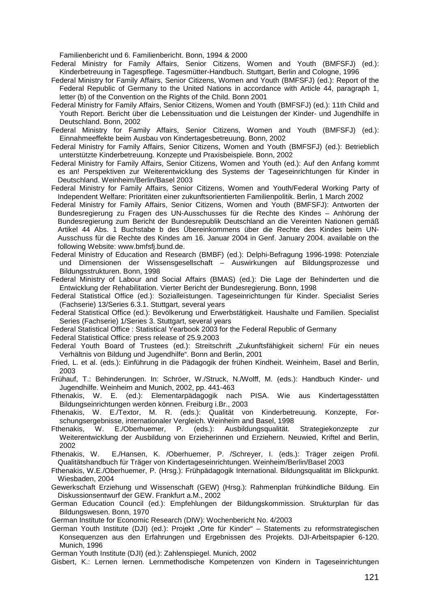Familienbericht und 6. Familienbericht. Bonn, 1994 & 2000

Federal Ministry for Family Affairs, Senior Citizens, Women and Youth (BMFSFJ) (ed.): Kinderbetreuung in Tagespflege. Tagesmütter-Handbuch. Stuttgart, Berlin and Cologne, 1996

- Federal Ministry for Family Affairs, Senior Citizens, Women and Youth (BMFSFJ) (ed.): Report of the Federal Republic of Germany to the United Nations in accordance with Article 44, paragraph 1, letter (b) of the Convention on the Rights of the Child. Bonn 2001
- Federal Ministry for Family Affairs, Senior Citizens, Women and Youth (BMFSFJ) (ed.): 11th Child and Youth Report. Bericht über die Lebenssituation und die Leistungen der Kinder- und Jugendhilfe in Deutschland. Bonn, 2002
- Federal Ministry for Family Affairs, Senior Citizens, Women and Youth (BMFSFJ) (ed.): Einnahmeeffekte beim Ausbau von Kindertagesbetreuung. Bonn, 2002
- Federal Ministry for Family Affairs, Senior Citizens, Women and Youth (BMFSFJ) (ed.): Betrieblich unterstützte Kinderbetreuung. Konzepte und Praxisbeispiele. Bonn, 2002
- Federal Ministry for Family Affairs, Senior Citizens, Women and Youth (ed.): Auf den Anfang kommt es an! Perspektiven zur Weiterentwicklung des Systems der Tageseinrichtungen für Kinder in Deutschland. Weinheim/Berlin/Basel 2003
- Federal Ministry for Family Affairs, Senior Citizens, Women and Youth/Federal Working Party of Independent Welfare: Prioritäten einer zukunftsorientierten Familienpolitik. Berlin, 1 March 2002
- Federal Ministry for Family Affairs, Senior Citizens, Women and Youth (BMFSFJ): Antworten der Bundesregierung zu Fragen des UN-Ausschusses für die Rechte des Kindes – Anhörung der Bundesregierung zum Bericht der Bundesrepublik Deutschland an die Vereinten Nationen gemäß Artikel 44 Abs. 1 Buchstabe b des Übereinkommens über die Rechte des Kindes beim UN-Ausschuss für die Rechte des Kindes am 16. Januar 2004 in Genf. January 2004. available on the following Website: www.bmfsfj.bund.de.
- Federal Ministry of Education and Research (BMBF) (ed.): Delphi-Befragung 1996-1998: Potenziale und Dimensionen der Wissensgesellschaft – Auswirkungen auf Bildungsprozesse und Bildungsstrukturen. Bonn, 1998
- Federal Ministry of Labour and Social Affairs (BMAS) (ed.): Die Lage der Behinderten und die Entwicklung der Rehabilitation. Vierter Bericht der Bundesregierung. Bonn, 1998
- Federal Statistical Office (ed.): Sozialleistungen. Tageseinrichtungen für Kinder. Specialist Series (Fachserie) 13/Series 6.3.1. Stuttgart, several years
- Federal Statistical Office (ed.): Bevölkerung und Erwerbstätigkeit. Haushalte und Familien. Specialist Series (Fachserie) 1/Series 3. Stuttgart, several years
- Federal Statistical Office : Statistical Yearbook 2003 for the Federal Republic of Germany

Federal Statistical Office: press release of 25.9.2003

Federal Youth Board of Trustees (ed.): Streitschrift "Zukunftsfähigkeit sichern! Für ein neues Verhältnis von Bildung und Jugendhilfe". Bonn and Berlin, 2001

- Fried, L. et al. (eds.): Einführung in die Pädagogik der frühen Kindheit. Weinheim, Basel and Berlin, 2003
- Frühauf, T.: Behinderungen. In: Schröer, W./Struck, N./Wolff, M. (eds.): Handbuch Kinder- und Jugendhilfe. Weinheim and Munich, 2002, pp. 441-463
- Fthenakis, W. E. (ed.): Elementarpädagogik nach PISA. Wie aus Kindertagesstätten Bildungseinrichtungen werden können. Freiburg i.Br., 2003
- Fthenakis, W. E./Textor, M. R. (eds.): Qualität von Kinderbetreuung. Konzepte, Forschungsergebnisse, internationaler Vergleich. Weinheim and Basel, 1998
- Fthenakis, W. E./Oberhuemer, P. (eds.): Ausbildungsqualität. Strategiekonzepte zur Weiterentwicklung der Ausbildung von Erzieherinnen und Erziehern. Neuwied, Kriftel and Berlin, 2002
- Fthenakis, W. E./Hansen, K. /Oberhuemer, P. /Schreyer, I. (eds.): Träger zeigen Profil. Qualitätshandbuch für Träger von Kindertageseinrichtungen. Weinheim/Berlin/Basel 2003
- Fthenakis, W.E./Oberhuemer, P. (Hrsg.): Frühpädagogik International. Bildungsqualität im Blickpunkt. Wiesbaden, 2004
- Gewerkschaft Erziehung und Wissenschaft (GEW) (Hrsg.): Rahmenplan frühkindliche Bildung. Ein Diskussionsentwurf der GEW. Frankfurt a.M., 2002
- German Education Council (ed.): Empfehlungen der Bildungskommission. Strukturplan für das Bildungswesen. Bonn, 1970
- German Institute for Economic Research (DIW): Wochenbericht No. 4/2003
- German Youth Institute (DJI) (ed.): Projekt "Orte für Kinder" Statements zu reformstrategischen Konsequenzen aus den Erfahrungen und Ergebnissen des Projekts. DJI-Arbeitspapier 6-120. Munich, 1996
- German Youth Institute (DJI) (ed.): Zahlenspiegel. Munich, 2002
- Gisbert, K.: Lernen lernen. Lernmethodische Kompetenzen von Kindern in Tageseinrichtungen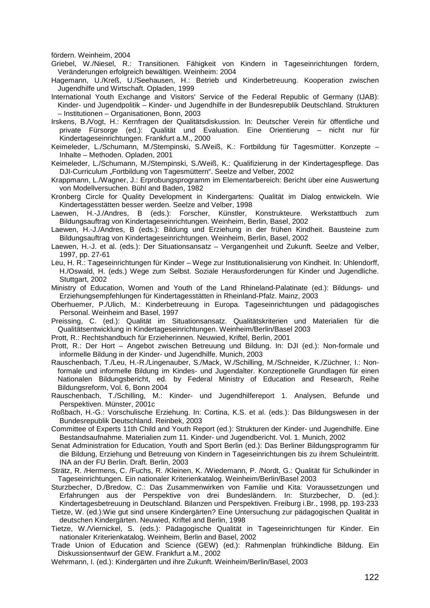fördern. Weinheim, 2004

Griebel, W./Niesel, R.: Transitionen. Fähigkeit von Kindern in Tageseinrichtungen fördern, Veränderungen erfolgreich bewältigen. Weinheim: 2004

Hagemann, U./Kreß, U./Seehausen, H.: Betrieb und Kinderbetreuung. Kooperation zwischen Jugendhilfe und Wirtschaft. Opladen, 1999

International Youth Exchange and Visitors' Service of the Federal Republic of Germany (IJAB): Kinder- und Jugendpolitik – Kinder- und Jugendhilfe in der Bundesrepublik Deutschland. Strukturen – Institutionen – Organisationen, Bonn, 2003

Irskens, B./Vogt, H.: Kernfragen der Qualitätsdiskussion. In: Deutscher Verein für öffentliche und private Fürsorge (ed.): Qualität und Evaluation. Eine Orientierung – nicht nur für Kindertageseinrichtungen. Frankfurt a.M., 2000

Keimeleder, L./Schumann, M./Stempinski, S./Weiß, K.: Fortbildung für Tagesmütter. Konzepte – Inhalte – Methoden. Opladen, 2001

Keimeleder, L./Schumann, M./Stempinski, S./Weiß, K.: Qualifizierung in der Kindertagespflege. Das DJI-Curriculum "Fortbildung von Tagesmüttern". Seelze and Velber, 2002

Krappmann, L./Wagner, J.: Erprobungsprogramm im Elementarbereich: Bericht über eine Auswertung von Modellversuchen. Bühl and Baden, 1982

Kronberg Circle for Quality Development in Kindergartens: Qualität im Dialog entwickeln. Wie Kindertagesstätten besser werden. Seelze and Velber, 1998

Laewen, H.-J./Andres, B (eds.): Forscher, Künstler, Konstrukteure. Werkstattbuch zum Bildungsauftrag von Kindertageseinrichtungen. Weinheim, Berlin, Basel, 2002

Laewen, H.-J./Andres, B (eds.): Bildung und Erziehung in der frühen Kindheit. Bausteine zum Bildungsauftrag von Kindertageseinrichtungen. Weinheim, Berlin, Basel, 2002

Laewen, H.-J. et al. (eds.): Der Situationsansatz – Vergangenheit und Zukunft. Seelze and Velber, 1997, pp. 27-61

Leu, H. R.: Tageseinrichtungen für Kinder – Wege zur Institutionalisierung von Kindheit. In: Uhlendorff, H./Oswald, H. (eds.) Wege zum Selbst. Soziale Herausforderungen für Kinder und Jugendliche. Stuttgart, 2002

Ministry of Education, Women and Youth of the Land Rhineland-Palatinate (ed.): Bildungs- und Erziehungsempfehlungen für Kindertagesstätten in Rheinland-Pfalz. Mainz, 2003

Oberhuemer, P./Ulich, M.: Kinderbetreuung in Europa. Tageseinrichtungen und pädagogisches Personal. Weinheim and Basel, 1997

Preissing, C. (ed.): Qualität im Situationsansatz. Qualitätskriterien und Materialien für die Qualitätsentwicklung in Kindertageseinrichtungen. Weinheim/Berlin/Basel 2003

Prott, R.: Rechtshandbuch für Erzieherinnen. Neuwied, Kriftel, Berlin, 2001

Prott, R.: Der Hort – Angebot zwischen Betreuung und Bildung. In: DJI (ed.): Non-formale und informelle Bildung in der Kinder- und Jugendhilfe. Munich, 2003

Rauschenbach, T./Leu, H.-R./Lingenauber, S./Mack, W./Schilling, M./Schneider, K./Züchner, I.: Nonformale und informelle Bildung im Kindes- und Jugendalter. Konzeptionelle Grundlagen für einen Nationalen Bildungsbericht, ed. by Federal Ministry of Education and Research, Reihe Bildungsreform, Vol. 6, Bonn 2004

Rauschenbach, T./Schilling, M.: Kinder- und Jugendhilfereport 1. Analysen, Befunde und Perspektiven. Münster, 2001c

Roßbach, H.-G.: Vorschulische Erziehung. In: Cortina, K.S. et al. (eds.): Das Bildungswesen in der Bundesrepublik Deutschland. Reinbek, 2003

Committee of Experts 11th Child and Youth Report (ed.): Strukturen der Kinder- und Jugendhilfe. Eine Bestandsaufnahme. Materialien zum 11. Kinder- und Jugendbericht. Vol. 1. Munich, 2002

Senat Administration for Education, Youth and Sport Berlin (ed.): Das Berliner Bildungsprogramm für die Bildung, Erziehung und Betreuung von Kindern in Tageseinrichtungen bis zu ihrem Schuleintritt. INA an der FU Berlin. Draft. Berlin, 2003

Strätz, R. /Hermens, C. /Fuchs, R. /Kleinen, K. /Wiedemann, P. /Nordt, G.: Qualität für Schulkinder in Tageseinrichtungen. Ein nationaler Kriterienkatalog. Weinheim/Berlin/Basel 2003

Sturzbecher, D./Bredow, C.: Das Zusammenwirken von Familie und Kita: Voraussetzungen und Erfahrungen aus der Perspektive von drei Bundesländern. In: Sturzbecher, D. (ed.): Kindertagesbetreuung in Deutschland. Bilanzen und Perspektiven. Freiburg i.Br., 1998, pp. 193-233

Tietze, W. (ed.):Wie gut sind unsere Kindergärten? Eine Untersuchung zur pädagogischen Qualität in deutschen Kindergärten. Neuwied, Kriftel and Berlin, 1998

Tietze, W./Viernickel, S. (eds.): Pädagogische Qualität in Tageseinrichtungen für Kinder. Ein nationaler Kriterienkatalog. Weinheim, Berlin and Basel, 2002

Trade Union of Education and Science (GEW) (ed.): Rahmenplan frühkindliche Bildung. Ein Diskussionsentwurf der GEW. Frankfurt a.M., 2002

Wehrmann, I. (ed.): Kindergärten und ihre Zukunft. Weinheim/Berlin/Basel, 2003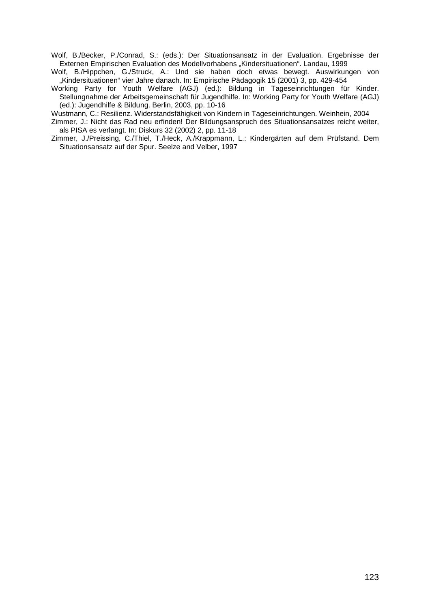Wolf, B./Becker, P./Conrad, S.: (eds.): Der Situationsansatz in der Evaluation. Ergebnisse der Externen Empirischen Evaluation des Modellvorhabens "Kindersituationen". Landau, 1999

Wolf, B./Hippchen, G./Struck, A.: Und sie haben doch etwas bewegt. Auswirkungen von "Kindersituationen" vier Jahre danach. In: Empirische Pädagogik 15 (2001) 3, pp. 429-454

Working Party for Youth Welfare (AGJ) (ed.): Bildung in Tageseinrichtungen für Kinder. Stellungnahme der Arbeitsgemeinschaft für Jugendhilfe. In: Working Party for Youth Welfare (AGJ) (ed.): Jugendhilfe & Bildung. Berlin, 2003, pp. 10-16

Wustmann, C.: Resilienz. Widerstandsfähigkeit von Kindern in Tageseinrichtungen. Weinhein, 2004

Zimmer, J.: Nicht das Rad neu erfinden! Der Bildungsanspruch des Situationsansatzes reicht weiter, als PISA es verlangt. In: Diskurs 32 (2002) 2, pp. 11-18

Zimmer, J./Preissing, C./Thiel, T./Heck, A./Krappmann, L.: Kindergärten auf dem Prüfstand. Dem Situationsansatz auf der Spur. Seelze and Velber, 1997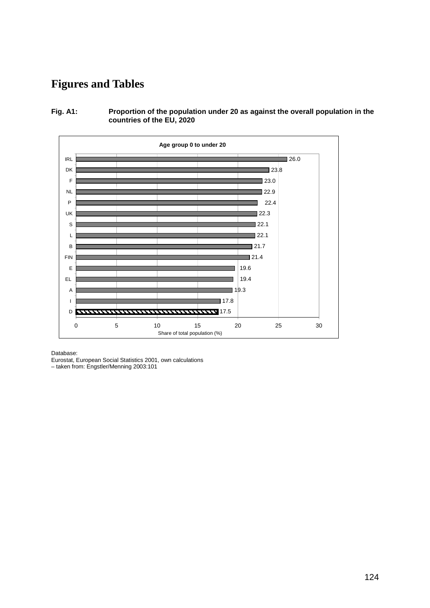# **Figures and Tables**

**Fig. A1: Proportion of the population under 20 as against the overall population in the countries of the EU, 2020** 



Database:

Eurostat, European Social Statistics 2001, own calculations

– taken from: Engstler/Menning 2003:101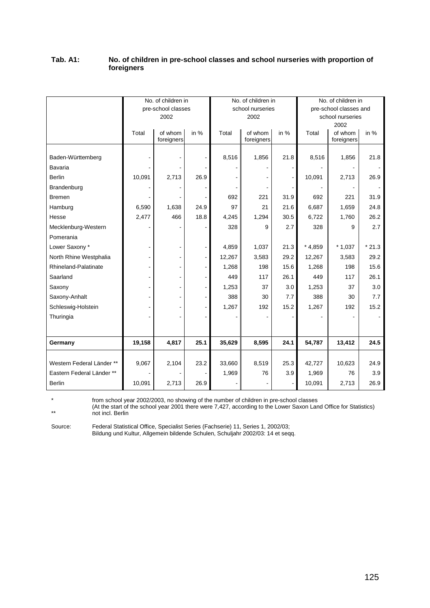## **Tab. A1: No. of children in pre-school classes and school nurseries with proportion of foreigners**

|                                                              |        | No. of children in<br>pre-school classes<br>2002 |                          |                 | No. of children in<br>school nurseries<br>2002 |             |                 | No. of children in<br>pre-school classes and<br>school nurseries |              |
|--------------------------------------------------------------|--------|--------------------------------------------------|--------------------------|-----------------|------------------------------------------------|-------------|-----------------|------------------------------------------------------------------|--------------|
|                                                              | Total  | of whom<br>foreigners                            | in $%$                   | Total           | of whom<br>foreigners                          | in $%$      | Total           | 2002<br>of whom<br>foreigners                                    | in $%$       |
| Baden-Württemberg<br>Bavaria<br><b>Berlin</b><br>Brandenburg | 10,091 | 2,713                                            | 26.9                     | 8,516           | 1,856                                          | 21.8        | 8,516<br>10,091 | 1,856<br>2,713                                                   | 21.8<br>26.9 |
| <b>Bremen</b>                                                |        |                                                  |                          | 692             | 221                                            | 31.9        | 692             | 221                                                              | 31.9         |
| Hamburg                                                      | 6,590  | 1,638                                            | 24.9                     | 97              | 21                                             | 21.6        | 6,687           | 1,659                                                            | 24.8         |
| Hesse                                                        | 2,477  | 466                                              | 18.8                     | 4,245           | 1,294                                          | 30.5        | 6,722           | 1,760                                                            | 26.2         |
| Mecklenburg-Western                                          |        |                                                  |                          | 328             | 9                                              | 2.7         | 328             | 9                                                                | 2.7          |
| Pomerania                                                    |        |                                                  |                          |                 |                                                |             |                 |                                                                  |              |
| Lower Saxony *                                               |        |                                                  | $\blacksquare$           | 4,859           | 1,037                                          | 21.3        | $*4,859$        | $*1,037$                                                         | $*21.3$      |
| North Rhine Westphalia                                       |        |                                                  |                          | 12,267          | 3,583                                          | 29.2        | 12,267          | 3,583                                                            | 29.2         |
| Rhineland-Palatinate                                         |        |                                                  | ÷                        | 1,268           | 198                                            | 15.6        | 1,268           | 198                                                              | 15.6         |
| Saarland                                                     |        |                                                  | $\overline{\phantom{a}}$ | 449             | 117                                            | 26.1        | 449             | 117                                                              | 26.1         |
| Saxony                                                       |        |                                                  |                          | 1,253           | 37                                             | 3.0         | 1,253           | 37                                                               | 3.0          |
| Saxony-Anhalt                                                |        |                                                  | $\overline{\phantom{a}}$ | 388             | 30                                             | 7.7         | 388             | 30                                                               | 7.7          |
| Schleswig-Holstein                                           |        |                                                  | ä,                       | 1,267           | 192                                            | 15.2        | 1,267           | 192                                                              | 15.2         |
| Thuringia                                                    |        |                                                  |                          |                 |                                                |             |                 |                                                                  |              |
|                                                              |        |                                                  |                          |                 |                                                |             |                 |                                                                  |              |
| Germany                                                      | 19,158 | 4,817                                            | 25.1                     | 35,629          | 8,595                                          | 24.1        | 54,787          | 13,412                                                           | 24.5         |
| Western Federal Länder **<br>Eastern Federal Länder **       | 9,067  | 2,104                                            | 23.2                     | 33,660<br>1,969 | 8,519<br>76                                    | 25.3<br>3.9 | 42,727<br>1,969 | 10,623<br>76                                                     | 24.9<br>3.9  |
| <b>Berlin</b>                                                | 10,091 | 2,713                                            | 26.9                     |                 |                                                |             | 10,091          | 2,713                                                            | 26.9         |

\* from school year 2002/2003, no showing of the number of children in pre-school classes

(At the start of the school year 2001 there were 7,427, according to the Lower Saxon Land Office for Statistics) \*\* not incl. Berlin

Source: Federal Statistical Office, Specialist Series (Fachserie) 11, Series 1, 2002/03; Bildung und Kultur, Allgemein bildende Schulen, Schuljahr 2002/03: 14 et seqq.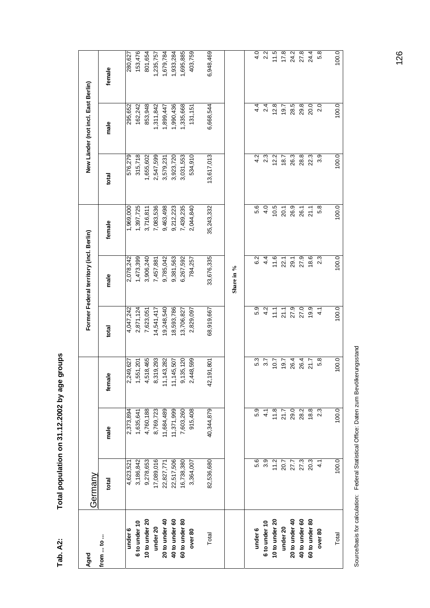| Aged           | Germany    |                     |                |               | Former Federal territory (incl. Berlin) |               |            | New Länder (not incl. East Berlin) |           |
|----------------|------------|---------------------|----------------|---------------|-----------------------------------------|---------------|------------|------------------------------------|-----------|
| from  to       | total      | male                | female         | total         | male                                    | female        | total      | male                               | female    |
| under 6        | 4,623,521  | 2,373,894           | 2,249,627      | 4,047,242     | 2,078,242                               | ,969,000      | 576,279    | 295,652                            | 280,627   |
| 6 to under 10  | 3,186,842  | 1,635,641           | 1,551,201      | 2,871,124     | 1,473,399                               | 1,397,725     | 315,718    | 162,242                            | 153,476   |
| 10 to under 20 | 9,278,653  | 4,760,188           | 18,465<br>4,51 | 7,623,051     | 3,906,240                               | 3,716,811     | 1,655,602  | 853,948                            | 801,654   |
| under 20       | 17,089,016 | 8,769,723           | 19,293<br>8,31 | 14,541,417    | 7,457,881                               | 7,083,536     | 2,547,599  | 1,311,842                          | 1,235,757 |
| 20 to under 40 | 22,827,771 | 11,684,489          | 11, 143, 282   | 9,248,540     | 9,785,042                               | 9,463,498     | 3,579,231  | 1,899,447                          | ,679,784  |
| 40 to under 60 | 22,517,506 | 11,371,999          | 11,145,507     | 18,593,786    | 9,381,563                               | 9,212,223     | 3,923,720  | 1,990,436                          | ,933,284  |
| 60 to under 80 | 16,738,380 | 7,603,260           | 9,135,120      | 13,706,827    | 6,267,592                               | 7,439,235     | 3,031,553  | 1,335,668                          | 1,695,885 |
| over 80        | 3,364,007  | 915,408             | 2,448,599      | 2,829,097     | 784,257                                 | 2,044,840     | 534,910    | 131,151                            | 403,759   |
| Total          | 82,536,680 | 40,344,879          | 42,191,801     | 68,919,667    | 33,676,335                              | 35,243,332    | 13,617,013 | 6,668,544                          | 6,948,469 |
|                |            |                     |                |               | Share in %                              |               |            |                                    |           |
| under 6        | 5.6        | 5.9                 | 5.3            | 5.9           | 6.2                                     | 5.6           | 4.2        | 4.4                                | 4.0       |
| 6 to under 10  | 3.9        | 4.1                 | 3.7            | 4.2           | $4\cdot$                                | $\frac{0}{4}$ | 2.3        | 2.4                                | 2.2       |
| 10 to under 20 | 11.2       |                     | 10.7           | 11.1          | 11.6                                    | 10.5          | 12.2       | 12.8                               | 11.5      |
| under 20       | 20.7       | $\frac{11.8}{21.7}$ | 19.7           | 21.1          | 22.1                                    | 20.1          | 18.7       | 19.7                               | 17.8      |
| 20 to under 40 | 27.7       | 29.0                | 26.4           | 27.9          | 29.1                                    | 26.9          | 26.3       | 28.5                               | 24.2      |
| 40 to under 60 | 27.3       | 28.2                | 26.4           | 27.0          | 27.9                                    | 26.1          | 28.8       | 29.8                               | 27.8      |
| 60 to under 80 | 20.3       | 18.8                | 21.7           | 19.9          | 18.6                                    | 21.1          | 22.3       | 20.0                               | 24.4      |
| over 80        | 4.1        | 2.3                 | 5.8            | $\frac{1}{4}$ | 2.3                                     | 5.8           | 3.9        | 2.0                                | 5.8       |
| Total          | 100.0      | 100.0               | 100.0          | 100.0         | 100.0                                   | 100.0         | 100.0      | 100.0                              | 100.0     |

Total population on 31.12.2002 by age groups **Tab. A2: Total population on 31.12.2002 by age groups** 

Tab. A2:

Source/basis for calculation: Federal Statistical Office: Daten zum Bevölkerungsstand Source/basis for calculation: Federal Statistical Office: Daten zum Bevölkerungsstand

126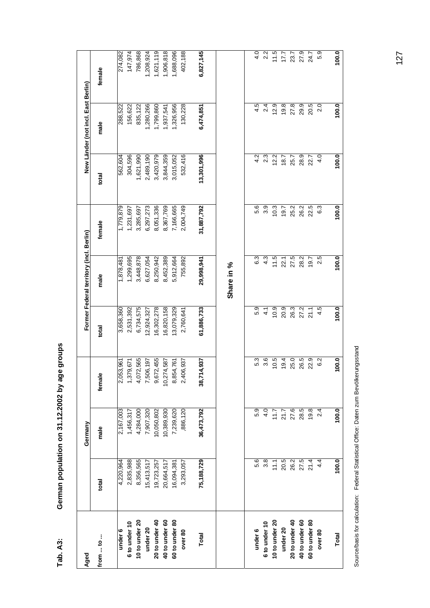| Aged               |               | Germany    |                 |               | Former Federal territory (incl. Berlin) |            |               | New Länder (not incl. East Berlin) |           |
|--------------------|---------------|------------|-----------------|---------------|-----------------------------------------|------------|---------------|------------------------------------|-----------|
| from  to           | total         | male       | female          | total         | male                                    | female     | total         | male                               | female    |
| under 6            | 4,220,964     | 2,167,003  | 2,053,961       | 3,658,360     | 1,878,481                               | 1,779,879  | 562,604       | 288,522                            | 274,082   |
| 6 to under 10      | 2,835,988     | 1,456,317  | 1,379,671       | 2,531,392     | 1,299,695                               | 1,231,697  | 304,596       | 156,622                            | 147,974   |
| 10 to under 20     | 8,356,565     | 4,284,000  | 4,072,565       | 6,734,575     | 3,448,878                               | 3,285,697  | 1,621,990     | 835,122                            | 786,868   |
| under 20           | 15,413,517    | 7,907,320  | 7,506,197       | 12,924,327    | 6,627,054                               | 6,297,273  | 2,489,190     | 1,280,266                          | 1,208,924 |
| $20$ to under $40$ | 19,723,257    | 10,050,802 | 9,672,455       | 6,302,278     | 8,250,942                               | 8,051,336  | 3,420,979     | 1,799,860                          | ,621,119  |
| 40 to under 60     | 20,664,517    | 10,389,930 | 10,274,587      | 6,820,158     | 8,452,389                               | 8,367,769  | 3,844,359     | 1,937,541                          | ,906,818  |
| 60 to under 80     | 16,094,381    | 7,239,620  | 8,854,761       | 3,079,329     | 5,912,664                               | 7,166,665  | 3,015,052     | 1,326,956                          | 1,688,096 |
| over 80            | 3,293,057     | ,886,120   | 2,406,937       | 2,760,641     | 755,892                                 | 2,004,749  | 532,416       | 130,228                            | 402,188   |
| <b>Total</b>       | 75,188,729    | 36,473,792 | 14,937<br>38,71 | 61,886,733    | 29,998,941                              | 31,887,792 | 13,301,996    | 6,474,851                          | 6,827,145 |
|                    |               |            |                 |               |                                         |            |               |                                    |           |
|                    |               |            |                 |               |                                         |            |               |                                    |           |
|                    |               |            |                 |               | Share in %                              |            |               |                                    |           |
| under 6            | 5.6           | 5.9        | 5.3             | 5.9           | 6.3                                     | 6.6        | 4.2           | 4.5                                | 4.0       |
| 6 to under 10      | 3.8           | 4.0        | 3.6             | $\frac{1}{4}$ | 4.3                                     | 3.9        | 23            | 2.4                                | 2.2       |
| 10 to under 20     | 11.1          | 11.7       | 10.5            | 10.9          | 11.5                                    | 10.3       | 12.2          | 12.9                               | 11.5      |
| under 20           | 20.5          | 21.7       | 19.4            | 20.9          | 22.1                                    | 7.61       | 18.7          | 19.8                               | 17.7      |
| 20 to under 40     | 26.2          | 27.6       | 25.0            | 26.3          | 27.5                                    | 25.2       | 25.7          | 27.8                               | 23.7      |
| 40 to under 60     | 27.5          | 28.5       | 26.5            | 27.2          | 28.2                                    | 26.2       | 28.9          | 29.9                               | 27.9      |
| 60 to under 80     | 21.4          | 19.8       | 22.9            | 21.1          | 19.7                                    | 22.5       | 22.7          | 20.5                               | 24.7      |
| over 80            | $\frac{4}{4}$ | 2.4        | 6.2             | 4.5           | 2.5                                     | 63         | $\frac{0}{4}$ | 2.0                                | 5.9       |
|                    |               |            |                 |               |                                         |            |               |                                    |           |
| Total              | 100.0         | 100.0      | 100.0           | 100.0         | 100.0                                   | 100.0      | 100.0         | 100.0                              | 100.0     |

German population on 31.12.2002 by age groups **Tab. A3: German population on 31.12.2002 by age groups** 

Tab. A3:

Source/basis for calculation: Federal Statistical Office: Daten zum Bevölkerungsstand Source/basis for calculation: Federal Statistical Office: Daten zum Bevölkerungsstand

127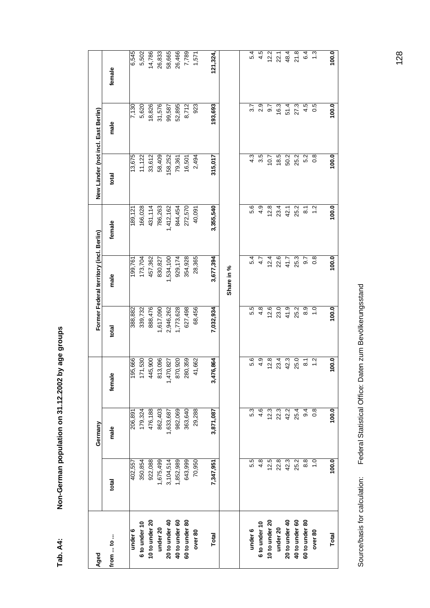| Aged           |               | Germany       |                               |                | Former Federal territory (incl. Berlin) |                    | New Länder (not incl. East Berlin) |                  |               |
|----------------|---------------|---------------|-------------------------------|----------------|-----------------------------------------|--------------------|------------------------------------|------------------|---------------|
| from  to       | total         | male          | female                        | total          | male                                    | female             | total                              | male             | female        |
| under 6        | 402,557       | 206,891       | 195,666                       | 388,882        | 199,761                                 | 189,121            | 13,675                             | 7,130            | 6,545         |
| 6 to under 10  | 350,854       | 179,324       |                               | 339,732        | 173,704                                 | 166,028            | 11,122                             | 5,620            | 5,502         |
| 10 to under 20 | 922,088       | 476,188       | 171,530<br>445,900<br>813,096 | 888,476        | 457,362                                 | 431,114            | 33,612                             | 18,826           | 14,786        |
| under 20       | 1,675,499     | 862,403       |                               | 1,617,090      | 830,827                                 | 786,263            | 58,409                             | 31,576           | 26,833        |
| 20 to under 40 | 3,104,514     | 1,633,687     | 1,470,827                     | 2,946,262      | 1,534,100                               | 1,412,162          | 158,252                            | 99,587           | 58,665        |
| 40 to under 60 | 1,852,989     | 982,069       | 870,920                       | 1,773,628      | 929,174                                 | 844,454            | 79,361                             | 52,895           | 26,466        |
| 60 to under 80 | 643,999       | 363,640       | 280,359                       | 627,498        | 354,928                                 | 272,570            | 16,501                             | 8,712            | 7,789         |
| over 80        | 70,950        | 29,288        | 41,662                        | 68,456         | 28,365                                  | 40,091             | 2,494                              | 923              | 1,571         |
| <b>Total</b>   | 7,347,951     | 3,871,087     | 3,476,864                     | 7,032,934      | 3,677,394                               | 3,355,540          | 315,017                            | 193,693          | 121,324,      |
|                |               |               |                               |                | Share in %                              |                    |                                    |                  |               |
| under 6        | 5.5           | 5.3           | 5.6                           | 5.5            | 5.4                                     | 5.6                | 4.3                                | 3.7              | 5.4           |
| 6 to under 10  | 4.8           | 4.6           | 4.9                           | 4.8            | 4.7                                     | $\frac{9}{4}$      | 3.5                                | 2.9              | 4.5           |
| 10 to under 20 | 12.5          | 12.3          | 12.8                          | 12.6           | 12.4                                    | 12.8               | 10.7                               | $\overline{9.7}$ | 12.2          |
| under 20       | 22.8          | 22.3          | 23.4                          | 23.0           | 22.6                                    | 23.4               | 18.5                               | 16.3             | 22.1          |
| 20 to under 40 | 42.3          | 42.2          | 42.3                          | 41.9           | 41.7                                    | 42.1               | 50.2                               | 51.4             | 48.4          |
| 40 to under 60 | 25.2          | 25.4          | 25.0                          | 25.2           | 25.3                                    | 25.2               | 25.2                               | 27.3             | 21.8          |
| 60 to under 80 | 8.8           | $\frac{4}{9}$ | $\overline{\circ}$            | 8.9            | $\overline{9.7}$                        | $\overline{\circ}$ | 5.2                                | 4.5              | 6.4           |
| over 80        | $\frac{0}{1}$ | $\frac{8}{2}$ | $\ddot{.}$                    | $\overline{1}$ | $\frac{8}{2}$                           | $\frac{2}{1}$      | $\frac{8}{2}$                      | 0.5              | $\frac{3}{2}$ |
| Total          | 100.0         | 100.0         | 100.0                         | 100.0          | 100.0                                   | 100.0              | 100.0                              | 100.0            | 100.0         |
|                |               |               |                               |                |                                         |                    |                                    |                  |               |

Federal Statistical Office: Daten zum Bevölkerungsstand Source/basis for calculation: Federal Statistical Office: Daten zum Bevölkerungsstand Source/basis for calculation:

128

Tab. A4: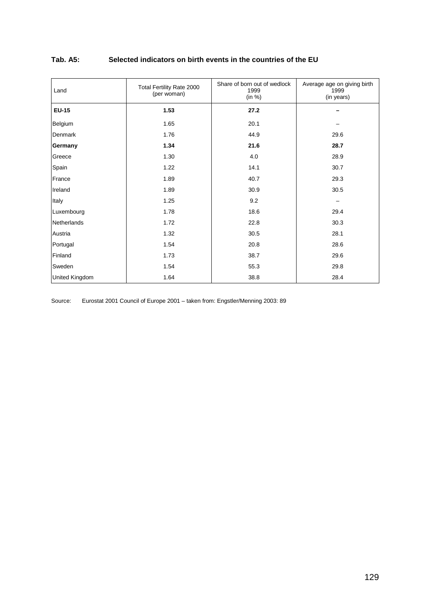## **Tab. A5: Selected indicators on birth events in the countries of the EU**

| Land                  | Total Fertility Rate 2000<br>(per woman) | Share of born out of wedlock<br>1999<br>(in %) | Average age on giving birth<br>1999<br>(in years) |
|-----------------------|------------------------------------------|------------------------------------------------|---------------------------------------------------|
| <b>EU-15</b>          | 1.53                                     | 27.2                                           |                                                   |
| Belgium               | 1.65                                     | 20.1                                           |                                                   |
| Denmark               | 1.76                                     | 44.9                                           | 29.6                                              |
| Germany               | 1.34                                     | 21.6                                           | 28.7                                              |
| Greece                | 1.30                                     | 4.0                                            | 28.9                                              |
| Spain                 | 1.22                                     | 14.1                                           | 30.7                                              |
| France                | 1.89                                     | 40.7                                           | 29.3                                              |
| Ireland               | 1.89                                     | 30.9                                           | 30.5                                              |
| Italy                 | 1.25                                     | 9.2                                            | -                                                 |
| Luxembourg            | 1.78                                     | 18.6                                           | 29.4                                              |
| Netherlands           | 1.72                                     | 22.8                                           | 30.3                                              |
| Austria               | 1.32                                     | 30.5                                           | 28.1                                              |
| Portugal              | 1.54                                     | 20.8                                           | 28.6                                              |
| Finland               | 1.73                                     | 38.7                                           | 29.6                                              |
| Sweden                | 1.54                                     | 55.3                                           | 29.8                                              |
| <b>United Kingdom</b> | 1.64                                     | 38.8                                           | 28.4                                              |

Source: Eurostat 2001 Council of Europe 2001 – taken from: Engstler/Menning 2003: 89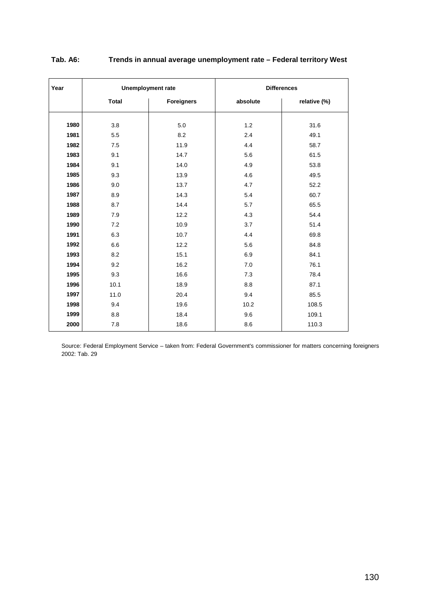| Year | <b>Unemployment rate</b> |                   |          | <b>Differences</b> |
|------|--------------------------|-------------------|----------|--------------------|
|      | <b>Total</b>             | <b>Foreigners</b> | absolute | relative (%)       |
|      |                          |                   |          |                    |
| 1980 | 3.8                      | 5.0               | 1.2      | 31.6               |
| 1981 | 5.5                      | 8.2               | 2.4      | 49.1               |
| 1982 | 7.5                      | 11.9              | 4.4      | 58.7               |
| 1983 | 9.1                      | 14.7              | 5.6      | 61.5               |
| 1984 | 9.1                      | 14.0              | 4.9      | 53.8               |
| 1985 | 9.3                      | 13.9              | 4.6      | 49.5               |
| 1986 | 9.0                      | 13.7              | 4.7      | 52.2               |
| 1987 | 8.9                      | 14.3              | 5.4      | 60.7               |
| 1988 | 8.7                      | 14.4              | 5.7      | 65.5               |
| 1989 | 7.9                      | 12.2              | 4.3      | 54.4               |
| 1990 | 7.2                      | 10.9              | 3.7      | 51.4               |
| 1991 | 6.3                      | 10.7              | 4.4      | 69.8               |
| 1992 | 6.6                      | 12.2              | 5.6      | 84.8               |
| 1993 | 8.2                      | 15.1              | 6.9      | 84.1               |
| 1994 | 9.2                      | 16.2              | 7.0      | 76.1               |
| 1995 | 9.3                      | 16.6              | 7.3      | 78.4               |
| 1996 | 10.1                     | 18.9              | 8.8      | 87.1               |
| 1997 | 11.0                     | 20.4              | 9.4      | 85.5               |
| 1998 | 9.4                      | 19.6              | 10.2     | 108.5              |
| 1999 | 8.8                      | 18.4              | 9.6      | 109.1              |
| 2000 | 7.8                      | 18.6              | 8.6      | 110.3              |

## **Tab. A6: Trends in annual average unemployment rate – Federal territory West**

Source: Federal Employment Service – taken from: Federal Government's commissioner for matters concerning foreigners 2002: Tab. 29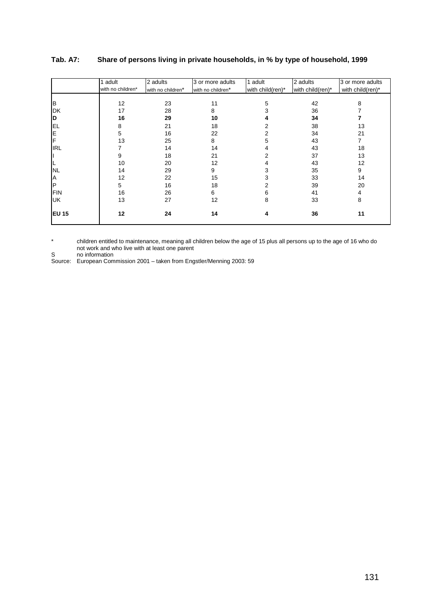|              | 1 adult           | 2 adults          | 3 or more adults  | 1 adult          | 2 adults         | 3 or more adults |
|--------------|-------------------|-------------------|-------------------|------------------|------------------|------------------|
|              | with no children* | with no children* | with no children* | with child(ren)* | with child(ren)* | with child(ren)* |
|              |                   |                   |                   |                  |                  |                  |
| B            | 12                | 23                | 11                | 5                | 42               | 8                |
| <b>DK</b>    | 17                | 28                | 8                 |                  | 36               |                  |
| D            | 16                | 29                | 10                |                  | 34               |                  |
| <b>EL</b>    | 8                 | 21                | 18                |                  | 38               | 13               |
| E            | 5                 | 16                | 22                |                  | 34               | 21               |
| F            | 13                | 25                | 8                 | 5                | 43               | 7                |
| <b>IRL</b>   |                   | 14                | 14                |                  | 43               | 18               |
| Ш            | 9                 | 18                | 21                |                  | 37               | 13               |
| L            | 10                | 20                | 12                | 4                | 43               | 12               |
| <b>NL</b>    | 14                | 29                | 9                 | 3                | 35               | 9                |
| A            | 12                | 22                | 15                | 3                | 33               | 14               |
| P            | 5                 | 16                | 18                |                  | 39               | 20               |
| <b>FIN</b>   | 16                | 26                | 6                 | 6                | 41               | 4                |
| <b>UK</b>    | 13                | 27                | 12                | 8                | 33               | 8                |
| <b>EU 15</b> | 12                | 24                | 14                | 4                | 36               | 11               |

## **Tab. A7: Share of persons living in private households, in % by type of household, 1999**

\* children entitled to maintenance, meaning all children below the age of 15 plus all persons up to the age of 16 who do not work and who live with at least one parent

S no information

Source: European Commission 2001 – taken from Engstler/Menning 2003: 59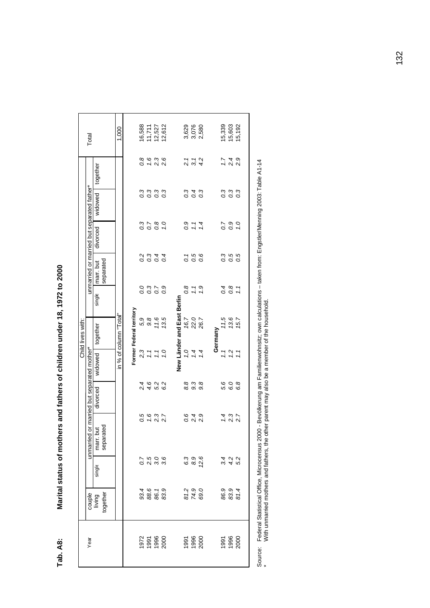| $\sim$<br>ノントリート<br>・フィ                                              |
|----------------------------------------------------------------------|
|                                                                      |
| <br> <br> <br> <br> <br> <br> <br>ׅ֘                                 |
|                                                                      |
|                                                                      |
| )<br>5                                                               |
| :<br>:<br>:<br>:                                                     |
|                                                                      |
| $\frac{1}{2}$                                                        |
| S<br>S<br>S<br>S<br>S<br>S<br>S<br>S<br>S<br>S<br>S<br><br>S<br><br> |
| ֚֚֚֚֚֚֚֚֚֚֚֚֚֚֚֡                                                     |
| ļ                                                                    |

| Total                                      |                              | 1,000                  |                          | 16,588 | 11,711                 | 12,527                                                                                                     | 12,612           |                                            |                      | 3,629<br>3,076<br>2,580 |                 |         | 15,339   | 15,603                     | 15,192 |
|--------------------------------------------|------------------------------|------------------------|--------------------------|--------|------------------------|------------------------------------------------------------------------------------------------------------|------------------|--------------------------------------------|----------------------|-------------------------|-----------------|---------|----------|----------------------------|--------|
|                                            | together                     |                        |                          | 0.8    | 1.6                    | $2.\overline{3}$<br>2.6                                                                                    |                  |                                            |                      | 2. 1<br>2. 1<br>4. 2    |                 |         | 1.7      | $2.4$<br>$2.9$             |        |
|                                            | widowed                      |                        |                          |        |                        |                                                                                                            |                  |                                            |                      | 0<br>0 0 0<br>0 0       |                 |         |          |                            |        |
|                                            | divorced                     |                        |                          |        |                        | 0<br>0<br>0<br>0<br>0<br>0<br>0<br>0<br>0<br>0<br>0<br>0<br>0<br>0<br>0<br>0<br>0<br>1<br>0<br>0<br>1<br>0 |                  |                                            |                      | 0.7                     | 1.4             |         |          | 0<br>0<br>0<br>0<br>0<br>1 |        |
| unmarried or married but separated father* | separated<br>marr. but       |                        |                          |        |                        |                                                                                                            |                  |                                            |                      | 7<br>0<br>0 0<br>0 0    |                 |         | $\sigma$ | 0.5                        | 0.5    |
|                                            | single                       |                        |                          |        | 0.3<br>0.3             | $\overline{0.7}$                                                                                           | $\overline{0}$ . |                                            | 0.8                  | 1.1                     | $\ddot{c}$      |         |          | 0.8                        | 1.1    |
| Child lives with:                          | together                     | in % of column "Total" | Former Federal territory | 5,9    | 9.8                    | 11.6                                                                                                       | 13.5             | New Länder and East Berlin                 | 16,7                 | 22.0                    | 26.7            | Germany | 1,5      | 13.6                       | 15.7   |
|                                            | widowed                      |                        |                          |        | $2, 7, 7$<br>$2, 7, 7$ |                                                                                                            | 0.1              |                                            | 0'1                  | 1.4                     | $\overline{14}$ |         | 1.1      | 7.7                        |        |
| or married but separated mother*           | divorced                     |                        |                          | 2.4    | 4.6                    | 5.2                                                                                                        | 6.2              |                                            | 8.8                  | 9.3                     | 9.8             |         | 5.6      | 6.0                        | 6.8    |
| unmarried                                  | marr.but<br>separated        |                        |                          | 0.5    | 1.6                    | $2.\overline{3}$                                                                                           | 2.7              |                                            | 0.6                  | 2.4                     | 2.9             |         | 1.4      | $2.\overline{3}$<br>2.7    |        |
|                                            | single                       |                        |                          |        |                        | 7<br>2<br>2<br>2<br>2<br>2<br>2<br>2<br>2<br>2<br>2<br>2<br>2<br>2<br>2<br>2<br>2<br>                      |                  |                                            |                      | ၁<br>၁၁<br>၁၉           |                 |         |          | 3 4 2<br>3 4 2<br>5 2      |        |
|                                            | together<br>couple<br>living |                        |                          |        |                        | 98658<br>98658                                                                                             |                  |                                            | 81.9<br>74.9<br>69.0 |                         |                 |         |          | 86.9<br>83.9<br>81.4       |        |
| Year                                       |                              |                        |                          |        |                        |                                                                                                            |                  | 075<br>09900<br>09900 09900<br>09900 09900 |                      |                         |                 |         |          | 1996<br>1996<br>2000       |        |
|                                            |                              |                        |                          |        |                        |                                                                                                            |                  |                                            |                      |                         |                 |         |          |                            |        |

Source: Federal Statistical Office, Microcensus 2000 - Bevölkerung am Familienwohnsitz; own calculations – taken from: Engstler/Menning 2003: Table A1-14<br>\* With unmarried mothers and fathers, the other parent may also be a Source: Federal Statistical Office, Microcensus 2000 - Bevölkerung am Familienwohnsitz; own calculations – taken from: Engstler/Menning 2003: Table A1-14 \* With unmarried mothers and fathers, the other parent may also be a member of the household.

132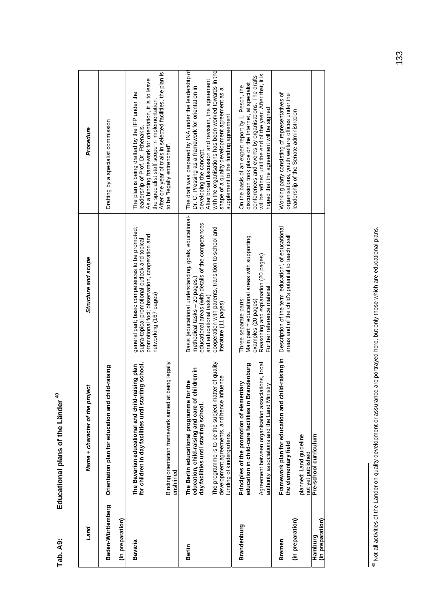Educational plans of the Länder<sup>40</sup> **Tab. A9: Educational plans of the Länder 40** Tab. A9:

| Land                                  | Name + character of the project                                                                                                       | Structure and scope                                                                                                                                                          | Procedure                                                                                                                                                                                                                                                       |
|---------------------------------------|---------------------------------------------------------------------------------------------------------------------------------------|------------------------------------------------------------------------------------------------------------------------------------------------------------------------------|-----------------------------------------------------------------------------------------------------------------------------------------------------------------------------------------------------------------------------------------------------------------|
| Baden-Württemberg<br>(in preparation) | Orientation plan for education and child-raising                                                                                      |                                                                                                                                                                              | Drafting by a specialist commission                                                                                                                                                                                                                             |
| Bavaria                               | for children in day facilities until starting school.<br>The Bavarian educational and child-raising plan                              | general part; basic competences to be promoted;<br>promotional foci; observation, cooperation and<br>supra-topical promotional outlook and topical<br>networking (167 pages) | After one year of trials in selected facilities, the plan is<br>As a binding framework for orientation, it is to leave<br>The plan is being drafted by the IFP under the<br>the specialist staff scope in implementation.<br>leadership of Prof. Dr. Fthenakis. |
|                                       | being legally<br>Binding orientation framework aimed at<br>enshrined                                                                  |                                                                                                                                                                              | to be "legally entrenched".                                                                                                                                                                                                                                     |
| Berlin                                | education, child-raising and care of children in<br>The Berlin educational programme for the<br>day facilities until starting school. | Basis (educational understanding, goals, educational-<br>educational areas (with details of the competences<br>methodical tasks - 20 pages.                                  | The draft was prepared by INA under the leadership of<br>Dr. C. Pressing as a framework for orientation in<br>developing the concept.                                                                                                                           |
|                                       | ter of quality<br>development agreements, and hence influence<br>The programme is to be the subject-mat<br>funding of kindergartens.  | cooperation with parents, transition to school and<br>and educational tasks)<br>literature (11 pages)                                                                        | with the organisations has been worked towards in the<br>After broad discussion and revision, the agreement<br>shape of a quality development agreement as a<br>supplement to the funding agreement                                                             |
| <b>Brandenburg</b>                    | education in child-care facilities in Brandenburg<br>Principles of the promotion of elementary                                        | Main part = educational areas with supporting<br>Three separate parts:                                                                                                       | discussion took place on the Internet, at specialist<br>On the basis of an expert report by L. Pesch, the                                                                                                                                                       |
|                                       | Agreement between organisation associations, local<br>authority associations and the Land Ministry                                    | Reasoning and explanation (20 pages)<br>Further reference material<br>examples (20 pages)                                                                                    | will be refined until the end of the year. After that, it is<br>conferences and events by organisations. The drafts<br>hoped that the agreement will be signed                                                                                                  |
| <b>Bremen</b>                         | Framework plan for education and child-raising in<br>the elementary field                                                             | Description of the term 'education', of educational<br>areas and of the child's potential to teach itself                                                                    | Working party consisting of representatives of<br>organisations, youth welfare offices under the                                                                                                                                                                |
| (in preparation)                      | planned: Land guideline<br>not yet published                                                                                          |                                                                                                                                                                              | leadership of the Senate administration                                                                                                                                                                                                                         |
| (in preparation)<br>Hamburg           | Pre-school curriculum                                                                                                                 |                                                                                                                                                                              |                                                                                                                                                                                                                                                                 |

<sup>40</sup> Not all activities of the Länder on quality development or assurance are portrayed here, but only those which are educational plans. 40 Not all activities of the Länder on quality development or assurance are portrayed here, but only those which are educational plans.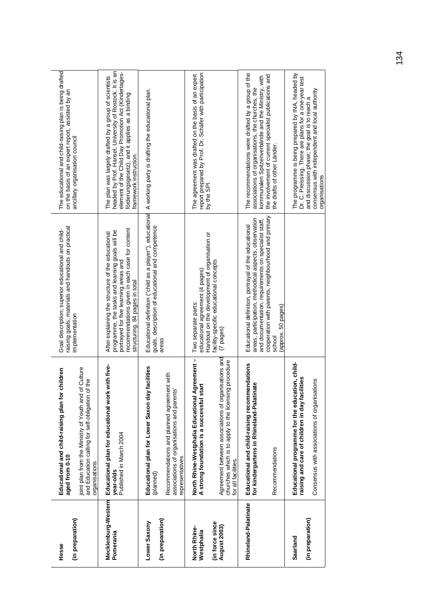| (in preparation)<br>Hesse        | Educational and child-raising plan for children<br>aged from 0-10                                                                   | raising goals; materials and handouts on practical<br>Goal description; superior educational and child-<br>implementation                                                                                                         | The educational and child-raising plan is being drafted<br>on the basis of an expert report, assisted by an                                                                                                                                          |
|----------------------------------|-------------------------------------------------------------------------------------------------------------------------------------|-----------------------------------------------------------------------------------------------------------------------------------------------------------------------------------------------------------------------------------|------------------------------------------------------------------------------------------------------------------------------------------------------------------------------------------------------------------------------------------------------|
|                                  | of Culture<br>and Education calling for self-obligation of the<br>joint plan from the Ministry of Youth and<br>organisations        |                                                                                                                                                                                                                                   | ancillary organisation council                                                                                                                                                                                                                       |
| Mecklenburg-Western<br>Pomerania | Educational plan for educational work with five-<br>Published in March 2004<br>year-olds                                            | recommendations given in each case for content<br>programme, the tasks and learning goals will be<br>After explaining the structure of the educational<br>portrayed for five learning areas and<br>structuring. 84 pages in total | headed by Prof. Hansel, University of Rostock. It is an<br>element of the Child Day Promotion Act (Kindertages-<br>The plan was largely drafted by a group of scientists<br>förderungsgesetz), and it applies as a binding<br>framework instruction. |
| Lower Saxony                     | Educational plan for Lower Saxon day facilities<br>(planned)                                                                        | Educational definition ("child as a player"), educational<br>goals, description of educational and competence                                                                                                                     | A working party is drafting the educational plan.                                                                                                                                                                                                    |
| (in preparation)                 | Recommendations and planned agreement with<br>associations of organisations and parents'<br>representatives                         | areas                                                                                                                                                                                                                             |                                                                                                                                                                                                                                                      |
| North Rhine-<br>Westphalia       | Agreement-<br>A strong foundation is a successful start<br>North Rhine-Westphalia Educational                                       | Handout on the development of organisation or<br>educational agreement (4 pages)<br>Two separate parts:                                                                                                                           | report prepared by Prof. Dr. Schäfer with participation<br>The agreement was drafted on the basis of an expert<br>by the SPI.                                                                                                                        |
| (in force since<br>August 2003)  | Agreement between associations of organisations and<br>churches which is to apply to the licensing procedure<br>for all facilities. | facility-specific educational concepts<br>(7 pages)                                                                                                                                                                               |                                                                                                                                                                                                                                                      |
| Rhineland-Palatinate             | Educational and child-raising recommendations<br>inate<br>for kindergartens in Rhineland-Palati                                     | areas, participation, methodical aspects, observation<br>and documentation, requirements on specialist staff,<br>Educational definition, portrayal of the educational                                                             | The recommendations were drafted by a group of the<br>kommunalen Spitzenverbände and the Ministry, with<br>associations of organisations, the churches, the                                                                                          |
|                                  | Recommendations                                                                                                                     | cooperation with parents, neighbourhood and primary<br>(approx. 50 pages)<br>school                                                                                                                                               | the involvement of current specialist publications and<br>the drafts of other Länder.                                                                                                                                                                |
| Saarland                         | Educational programme for the education, child-<br>raising and care of children in day facilities                                   |                                                                                                                                                                                                                                   | The programme is being prepared by INA, headed by<br>Dr. C. Preissing. There are plans for a one-year test                                                                                                                                           |
| (in preparation)                 | Consensus with associations of organisations                                                                                        |                                                                                                                                                                                                                                   | consensus with independent and local authority<br>and discussion phase; the goal is to reach a<br>organisations                                                                                                                                      |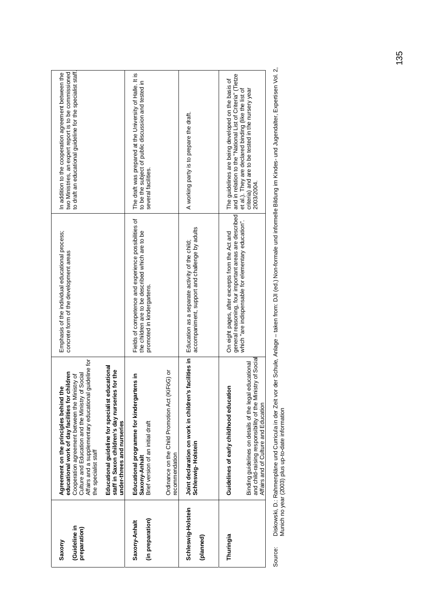| (Guideline in<br>preparation)<br>Saxony | guideline for<br>Educational guideline for specialist educational<br>staff in Saxon children's day nurseries for the<br>educational work of day facilities for children<br>Culture and Education and the Ministry of Social<br>Cooperation agreement between the Ministry of<br>Agreement on the principles behind the<br>Affairs and a supplementary educational<br>under-threes and nurseries<br>the specialist staff | Emphasis of the individual educational process;<br>concrete form of the development areas                                                                       | to draft an educational guideline for the specialist staff.<br>two Ministries, an expert report is to be commissioned<br>In addition to the cooperation agreement between the                                                                |
|-----------------------------------------|-------------------------------------------------------------------------------------------------------------------------------------------------------------------------------------------------------------------------------------------------------------------------------------------------------------------------------------------------------------------------------------------------------------------------|-----------------------------------------------------------------------------------------------------------------------------------------------------------------|----------------------------------------------------------------------------------------------------------------------------------------------------------------------------------------------------------------------------------------------|
| (in preparation)<br>Saxony-Anhalt       | Ordinance on the Child Promotion Act (KiFöG) or<br>tens in<br>Educational programme for kindergar<br>Brief version of an initial draft<br>ecommendation<br>Saxony-Anhalt                                                                                                                                                                                                                                                | Fields of competence and experience possibilities of<br>the children are to be described which are to be<br>promoted in kindergartens.                          | The draft was prepared at the University of Halle. It is<br>to be the subject of public discussion and tested in<br>several facilities.                                                                                                      |
| Schleswig-Holstein<br>(planned)         | Joint declaration on work in children's facilities in<br>Schleswig-Holstein                                                                                                                                                                                                                                                                                                                                             | accompaniment, support and challenge by adults<br>Education as a separate activity of the child;                                                                | A working party is to prepare the draft.                                                                                                                                                                                                     |
| Thuringia                               | and child-raising responsibility of the Ministry of Social<br>Binding guidelines on details of the legal educational<br>Guidelines of early childhood education<br>Affairs and of Culture and Education                                                                                                                                                                                                                 | general reasoning, four important areas are described<br>which "are indispensable for elementary education".<br>On eight pages, after excerpts from the Act and | and in relation to the "National List of Criteria" (Tietze<br>The guidelines are being developed on the basis of<br>et al.). They are declared binding (like the list of<br>criteria) and are to be tested in the nursery year<br>2003/2004. |

Diskowski, D.: Rahmenpläne und Curricula in der Zeit vor der Schule, Anlage – taken from: DJI (ed.) Non-formale und informelle Bildung im Kindes- und Jugendalter, Expertisen Vol. 2,<br>Munich no year (2003) plus up-to-date in Source: Diskowski, D.: Rahmenpläne und Curricula in der Zeit vor der Schule, Anlage – taken from: DJI (ed.) Non-formale und informelle Bildung im Kindes- und Jugendalter, Expertisen Vol. 2, Munich no year (2003) plus up-to-date information Source: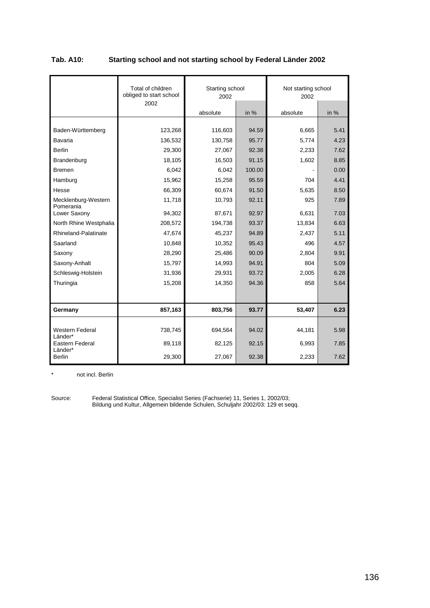| Tab. A10: | Starting school and not starting school by Federal Länder 2002 |
|-----------|----------------------------------------------------------------|
|-----------|----------------------------------------------------------------|

|                                   | Total of children<br>obliged to start school<br>2002 | Starting school<br>2002 |        | Not starting school<br>2002 |      |
|-----------------------------------|------------------------------------------------------|-------------------------|--------|-----------------------------|------|
|                                   |                                                      | absolute                | in $%$ | absolute                    | in % |
|                                   |                                                      |                         |        |                             |      |
| Baden-Württemberg                 | 123,268                                              | 116,603                 | 94.59  | 6,665                       | 5.41 |
| Bavaria                           | 136,532                                              | 130,758                 | 95.77  | 5,774                       | 4.23 |
| <b>Berlin</b>                     | 29,300                                               | 27,067                  | 92.38  | 2,233                       | 7.62 |
| Brandenburg                       | 18,105                                               | 16,503                  | 91.15  | 1,602                       | 8.85 |
| <b>Bremen</b>                     | 6,042                                                | 6,042                   | 100.00 |                             | 0.00 |
| Hamburg                           | 15,962                                               | 15,258                  | 95.59  | 704                         | 4.41 |
| Hesse                             | 66,309                                               | 60,674                  | 91.50  | 5,635                       | 8.50 |
| Mecklenburg-Western<br>Pomerania  | 11,718                                               | 10,793                  | 92.11  | 925                         | 7.89 |
| Lower Saxony                      | 94,302                                               | 87,671                  | 92.97  | 6,631                       | 7.03 |
| North Rhine Westphalia            | 208,572                                              | 194,738                 | 93.37  | 13,834                      | 6.63 |
| <b>Rhineland-Palatinate</b>       | 47,674                                               | 45,237                  | 94.89  | 2,437                       | 5.11 |
| Saarland                          | 10,848                                               | 10,352                  | 95.43  | 496                         | 4.57 |
| Saxony                            | 28,290                                               | 25,486                  | 90.09  | 2,804                       | 9.91 |
| Saxony-Anhalt                     | 15,797                                               | 14,993                  | 94.91  | 804                         | 5.09 |
| Schleswig-Holstein                | 31,936                                               | 29,931                  | 93.72  | 2,005                       | 6.28 |
| Thuringia                         | 15,208                                               | 14,350                  | 94.36  | 858                         | 5.64 |
|                                   |                                                      |                         |        |                             |      |
| Germany                           | 857,163                                              | 803,756                 | 93.77  | 53,407                      | 6.23 |
| <b>Western Federal</b><br>Länder* | 738,745                                              | 694,564                 | 94.02  | 44,181                      | 5.98 |
| Eastern Federal<br>Länder*        | 89,118                                               | 82,125                  | 92.15  | 6,993                       | 7.85 |
| <b>Berlin</b>                     | 29,300                                               | 27,067                  | 92.38  | 2,233                       | 7.62 |

\* not incl. Berlin

Source: Federal Statistical Office, Specialist Series (Fachserie) 11, Series 1, 2002/03; Bildung und Kultur, Allgemein bildende Schulen, Schuljahr 2002/03: 129 et seqq.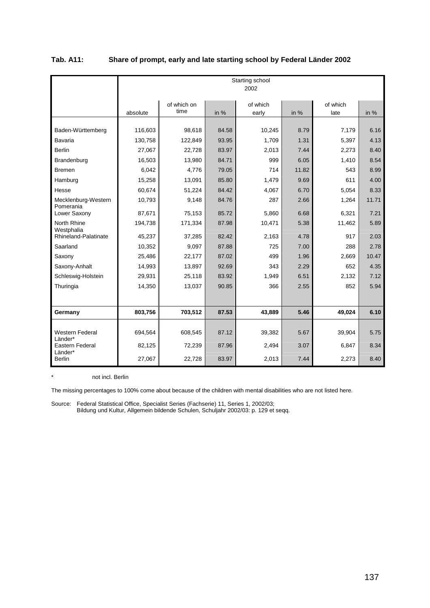|                                   |                    |                     |                | Starting school<br>2002 |              |                  |              |
|-----------------------------------|--------------------|---------------------|----------------|-------------------------|--------------|------------------|--------------|
|                                   | absolute           | of which on<br>time | in %           | of which<br>early       | in $%$       | of which<br>late | in $%$       |
| Baden-Württemberg<br>Bavaria      | 116,603<br>130,758 | 98.618<br>122.849   | 84.58<br>93.95 | 10,245<br>1,709         | 8.79<br>1.31 | 7,179<br>5,397   | 6.16<br>4.13 |
| <b>Berlin</b>                     | 27,067             | 22,728              | 83.97          | 2,013                   | 7.44         | 2,273            | 8.40         |
| Brandenburg                       | 16,503             | 13,980              | 84.71          | 999                     | 6.05         | 1,410            | 8.54         |
| <b>Bremen</b>                     | 6,042              | 4,776               | 79.05          | 714                     | 11.82        | 543              | 8.99         |
| Hamburg                           | 15,258             | 13,091              | 85.80          | 1,479                   | 9.69         | 611              | 4.00         |
| Hesse                             | 60,674             | 51,224              | 84.42          | 4,067                   | 6.70         | 5,054            | 8.33         |
| Mecklenburg-Western<br>Pomerania  | 10,793             | 9.148               | 84.76          | 287                     | 2.66         | 1,264            | 11.71        |
| Lower Saxony                      | 87,671             | 75,153              | 85.72          | 5,860                   | 6.68         | 6,321            | 7.21         |
| North Rhine<br>Westphalia         | 194,738            | 171,334             | 87.98          | 10,471                  | 5.38         | 11,462           | 5.89         |
| Rhineland-Palatinate              | 45,237             | 37,285              | 82.42          | 2,163                   | 4.78         | 917              | 2.03         |
| Saarland                          | 10,352             | 9,097               | 87.88          | 725                     | 7.00         | 288              | 2.78         |
| Saxony                            | 25,486             | 22,177              | 87.02          | 499                     | 1.96         | 2,669            | 10.47        |
| Saxony-Anhalt                     | 14,993             | 13,897              | 92.69          | 343                     | 2.29         | 652              | 4.35         |
| Schleswig-Holstein                | 29,931             | 25,118              | 83.92          | 1,949                   | 6.51         | 2,132            | 7.12         |
| Thuringia                         | 14,350             | 13,037              | 90.85          | 366                     | 2.55         | 852              | 5.94         |
|                                   |                    |                     |                |                         |              |                  |              |
| Germany                           | 803,756            | 703,512             | 87.53          | 43,889                  | 5.46         | 49,024           | 6.10         |
| <b>Western Federal</b><br>Länder* | 694,564            | 608,545             | 87.12          | 39,382                  | 5.67         | 39,904           | 5.75         |
| Eastern Federal<br>Länder*        | 82,125             | 72,239              | 87.96          | 2,494                   | 3.07         | 6,847            | 8.34         |
| <b>Berlin</b>                     | 27,067             | 22,728              | 83.97          | 2,013                   | 7.44         | 2,273            | 8.40         |

## **Tab. A11: Share of prompt, early and late starting school by Federal Länder 2002**

\* not incl. Berlin

The missing percentages to 100% come about because of the children with mental disabilities who are not listed here.

Source: Federal Statistical Office, Specialist Series (Fachserie) 11, Series 1, 2002/03; Bildung und Kultur, Allgemein bildende Schulen, Schuljahr 2002/03: p. 129 et seqq.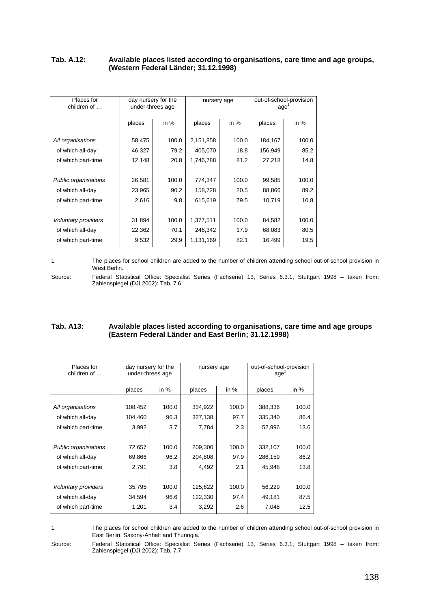#### **Tab. A.12: Available places listed according to organisations, care time and age groups, (Western Federal Länder; 31.12.1998)**

| Places for<br>children of   |        | day nursery for the<br>under-threes age | nursery age |        | age     | out-of-school-provision |
|-----------------------------|--------|-----------------------------------------|-------------|--------|---------|-------------------------|
|                             | places | in $%$                                  | places      | in $%$ | places  | in $%$                  |
|                             |        |                                         |             |        |         |                         |
| All organisations           | 58,475 | 100.0                                   | 2,151,858   | 100.0  | 184,167 | 100.0                   |
| of which all-day            | 46,327 | 79.2                                    | 405,070     | 18.8   | 156,949 | 85.2                    |
| of which part-time          | 12,148 | 20.8                                    | 1,746,788   | 81.2   | 27,218  | 14.8                    |
|                             |        |                                         |             |        |         |                         |
| <b>Public organisations</b> | 26,581 | 100.0                                   | 774,347     | 100.0  | 99,585  | 100.0                   |
| of which all-day            | 23,965 | 90.2                                    | 158,728     | 20.5   | 88,866  | 89.2                    |
| of which part-time          | 2,616  | 9.8                                     | 615,619     | 79.5   | 10,719  | 10.8                    |
|                             |        |                                         |             |        |         |                         |
| Voluntary providers         | 31,894 | 100.0                                   | 1,377,511   | 100.0  | 84,582  | 100.0                   |
| of which all-day            | 22,362 | 70.1                                    | 246,342     | 17.9   | 68,083  | 80.5                    |
| of which part-time          | 9.532  | 29,9                                    | 1,131,169   | 82.1   | 16.499  | 19.5                    |

1 The places for school children are added to the number of children attending school out-of-school provision in West Berlin.

Source: Federal Statistical Office: Specialist Series (Fachserie) 13, Series 6.3.1, Stuttgart 1998 – taken from: Zahlenspiegel (DJI 2002): Tab. 7.6

## **Tab. A13: Available places listed according to organisations, care time and age groups (Eastern Federal Länder and East Berlin; 31.12.1998)**

| Places for<br>children of   | under-threes age | day nursery for the | nursery age |        | out-of-school-provision<br>age <sup>'</sup> |        |
|-----------------------------|------------------|---------------------|-------------|--------|---------------------------------------------|--------|
|                             | places           | in $%$              | places      | in $%$ | places                                      | in $%$ |
|                             |                  |                     |             |        |                                             |        |
| All organisations           | 108,452          | 100.0               | 334,922     | 100.0  | 388,336                                     | 100.0  |
| of which all-day            | 104,460          | 96.3                | 327,138     | 97.7   | 335,340                                     | 86.4   |
| of which part-time          | 3,992            | 3.7                 | 7,784       | 2.3    | 52,996                                      | 13.6   |
|                             |                  |                     |             |        |                                             |        |
| <b>Public organisations</b> | 72,657           | 100.0               | 209,300     | 100.0  | 332,107                                     | 100.0  |
| of which all-day            | 69,866           | 96.2                | 204,808     | 97.9   | 286,159                                     | 86.2   |
| of which part-time          | 2,791            | 3.8                 | 4,492       | 2.1    | 45,948                                      | 13.8   |
|                             |                  |                     |             |        |                                             |        |
| Voluntary providers         | 35,795           | 100.0               | 125,622     | 100.0  | 56,229                                      | 100.0  |
| of which all-day            | 34,594           | 96.6                | 122,330     | 97.4   | 49,181                                      | 87.5   |
| of which part-time          | 1,201            | 3.4                 | 3,292       | 2.6    | 7,048                                       | 12.5   |

1 The places for school children are added to the number of children attending school out-of-school provision in East Berlin, Saxony-Anhalt and Thuringia.

Source: Federal Statistical Office: Specialist Series (Fachserie) 13, Series 6.3.1, Stuttgart 1998 – taken from: Zahlenspiegel (DJI 2002): Tab. 7.7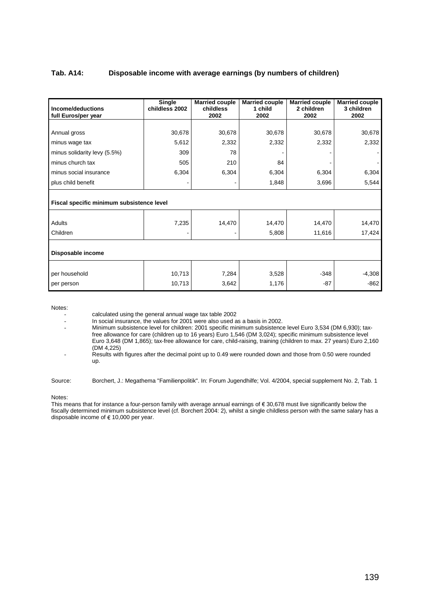#### **Tab. A14: Disposable income with average earnings (by numbers of children)**

| Income/deductions<br>full Euros/per year  | Single<br>childless 2002 | <b>Married couple</b><br>childless<br>2002 | <b>Married couple</b><br>1 child<br>2002 | <b>Married couple</b><br>2 children<br>2002 | <b>Married couple</b><br>3 children<br>2002 |
|-------------------------------------------|--------------------------|--------------------------------------------|------------------------------------------|---------------------------------------------|---------------------------------------------|
|                                           |                          |                                            |                                          |                                             |                                             |
| Annual gross                              | 30,678                   | 30,678                                     | 30,678                                   | 30,678                                      | 30,678                                      |
| minus wage tax                            | 5,612                    | 2,332                                      | 2,332                                    | 2,332                                       | 2,332                                       |
| minus solidarity levy (5.5%)              | 309                      | 78                                         |                                          |                                             |                                             |
| minus church tax                          | 505                      | 210                                        | 84                                       |                                             |                                             |
| minus social insurance                    | 6,304                    | 6,304                                      | 6,304                                    | 6,304                                       | 6,304                                       |
| plus child benefit                        |                          |                                            | 1,848                                    | 3,696                                       | 5,544                                       |
| Fiscal specific minimum subsistence level |                          |                                            |                                          |                                             |                                             |
| Adults                                    | 7,235                    | 14,470                                     | 14,470                                   | 14,470                                      | 14,470                                      |
| Children                                  |                          |                                            | 5,808                                    | 11,616                                      | 17,424                                      |
| Disposable income                         |                          |                                            |                                          |                                             |                                             |
| per household                             | 10,713                   | 7,284                                      | 3,528                                    | $-348$                                      | $-4,308$                                    |
| per person                                | 10,713                   | 3,642                                      | 1,176                                    | $-87$                                       | $-862$                                      |

Notes:

calculated using the general annual wage tax table 2002

- In social insurance, the values for 2001 were also used as a basis in 2002.<br>In social insurance, the values for 2001 were also used as a basis in 2002.

- Minimum subsistence level for children: 2001 specific minimum subsistence level Euro 3,534 (DM 6,930); taxfree allowance for care (children up to 16 years) Euro 1,546 (DM 3,024); specific minimum subsistence level Euro 3,648 (DM 1,865); tax-free allowance for care, child-raising, training (children to max. 27 years) Euro 2,160 (DM 4,225)

Results with figures after the decimal point up to 0.49 were rounded down and those from 0.50 were rounded up.

Source: Borchert, J.: Megathema "Familienpolitik". In: Forum Jugendhilfe; Vol. 4/2004, special supplement No. 2, Tab. 1

Notes:

This means that for instance a four-person family with average annual earnings of € 30,678 must live significantly below the fiscally determined minimum subsistence level (cf. Borchert 2004: 2), whilst a single childless person with the same salary has a disposable income of € 10,000 per year.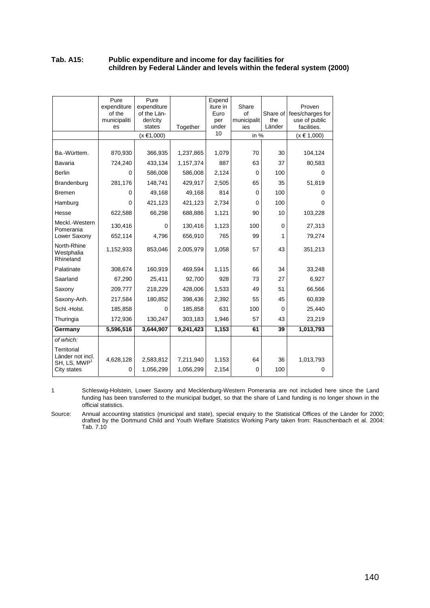#### **Tab. A15: Public expenditure and income for day facilities for children by Federal Länder and levels within the federal system (2000)**

|                                                                               | expenditure<br>of the<br>municipaliti<br>es | expenditure<br>of the Län-<br>der/city<br>states | Together               | Expend<br>iture in<br>Euro<br>per<br>under | Share<br>of<br>municipalit<br>ies | Share of<br>the<br>Länder | Proven<br>fees/charges for<br>use of public<br>facilities. |
|-------------------------------------------------------------------------------|---------------------------------------------|--------------------------------------------------|------------------------|--------------------------------------------|-----------------------------------|---------------------------|------------------------------------------------------------|
|                                                                               |                                             | $(x \in 1,000)$                                  |                        | 10                                         | in $%$                            |                           | $(x \in 1,000)$                                            |
|                                                                               |                                             |                                                  |                        |                                            |                                   |                           |                                                            |
| Ba.-Württem.                                                                  | 870,930                                     | 366,935                                          | 1,237,865              | 1,079                                      | 70                                | 30                        | 104,124                                                    |
| <b>Bavaria</b>                                                                | 724,240                                     | 433,134                                          | 1,157,374              | 887                                        | 63                                | 37                        | 80,583                                                     |
| <b>Berlin</b>                                                                 | 0                                           | 586,008                                          | 586,008                | 2,124                                      | 0                                 | 100                       | 0                                                          |
| Brandenburg                                                                   | 281,176                                     | 148,741                                          | 429,917                | 2,505                                      | 65                                | 35                        | 51,819                                                     |
| <b>Bremen</b>                                                                 | 0                                           | 49,168                                           | 49,168                 | 814                                        | $\mathbf 0$                       | 100                       | 0                                                          |
| Hamburg                                                                       | 0                                           | 421,123                                          | 421,123                | 2,734                                      | $\mathbf 0$                       | 100                       | 0                                                          |
| Hesse                                                                         | 622,588                                     | 66,298                                           | 688,886                | 1,121                                      | 90                                | 10                        | 103,228                                                    |
| Meckl.-Western<br>Pomerania                                                   | 130,416                                     | $\mathbf 0$                                      | 130,416                | 1,123                                      | 100                               | $\mathbf 0$               | 27,313                                                     |
| Lower Saxony                                                                  | 652,114                                     | 4,796                                            | 656,910                | 765                                        | 99                                | 1                         | 79,274                                                     |
| North-Rhine<br>Westphalia<br>Rhineland                                        | 1,152,933                                   | 853,046                                          | 2,005,979              | 1,058                                      | 57                                | 43                        | 351,213                                                    |
| Palatinate                                                                    | 308,674                                     | 160,919                                          | 469,594                | 1,115                                      | 66                                | 34                        | 33,248                                                     |
| Saarland                                                                      | 67,290                                      | 25,411                                           | 92,700                 | 928                                        | 73                                | 27                        | 6,927                                                      |
| Saxony                                                                        | 209,777                                     | 218,229                                          | 428,006                | 1,533                                      | 49                                | 51                        | 66,566                                                     |
| Saxony-Anh.                                                                   | 217,584                                     | 180,852                                          | 398,436                | 2,392                                      | 55                                | 45                        | 60,839                                                     |
| Schl.-Holst.                                                                  | 185,858                                     | $\mathbf 0$                                      | 185,858                | 631                                        | 100                               | $\Omega$                  | 25,440                                                     |
| Thuringia                                                                     | 172,936                                     | 130,247                                          | 303,183                | 1,946                                      | 57                                | 43                        | 23,219                                                     |
| Germany                                                                       | 5,596,516                                   | 3,644,907                                        | 9,241,423              | 1,153                                      | 61                                | 39                        | 1,013,793                                                  |
| of which:                                                                     |                                             |                                                  |                        |                                            |                                   |                           |                                                            |
| Territorial<br>Länder not incl.<br>$SH$ , LS, MWP <sup>1</sup><br>City states | 4,628,128<br>0                              | 2,583,812<br>1,056,299                           | 7,211,940<br>1,056,299 | 1,153<br>2,154                             | 64<br>$\mathbf 0$                 | 36<br>100                 | 1,013,793<br>0                                             |

1 Schleswig-Holstein, Lower Saxony and Mecklenburg-Western Pomerania are not included here since the Land funding has been transferred to the municipal budget, so that the share of Land funding is no longer shown in the official statistics.

Source: Annual accounting statistics (municipal and state), special enquiry to the Statistical Offices of the Länder for 2000; drafted by the Dortmund Child and Youth Welfare Statistics Working Party taken from: Rauschenbach et al. 2004: Tab. 7.10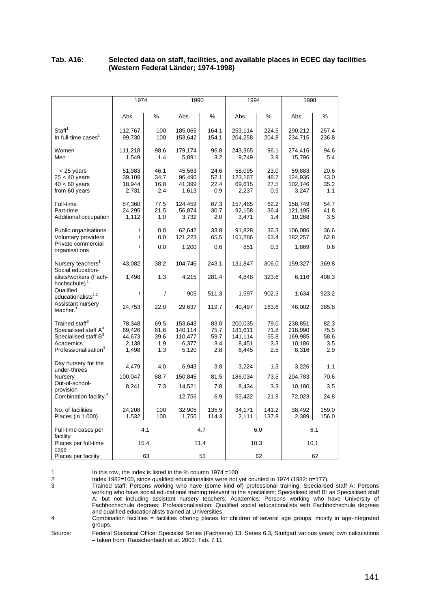## **Tab. A16: Selected data on staff, facilities, and available places in ECEC day facilities (Western Federal Länder; 1974-1998)**

|                                                                                                                                                     | 1974                                         |                                    | 1990                                            |                                    | 1994                                            |                                    | 1998                                             |                                    |
|-----------------------------------------------------------------------------------------------------------------------------------------------------|----------------------------------------------|------------------------------------|-------------------------------------------------|------------------------------------|-------------------------------------------------|------------------------------------|--------------------------------------------------|------------------------------------|
|                                                                                                                                                     | Abs.                                         | %                                  | Abs.                                            | %                                  | Abs.                                            | %                                  | Abs.                                             | %                                  |
| Staff <sup>1</sup><br>In full-time cases <sup>1</sup>                                                                                               | 112,767<br>99,730                            | 100<br>100                         | 185,065<br>153,642                              | 164.1<br>154.1                     | 253,114<br>204,258                              | 224.5<br>204.8                     | 290,212<br>234,715                               | 257.4<br>236.8                     |
| Women<br>Men                                                                                                                                        | 111,218<br>1,549                             | 98.6<br>1.4                        | 179,174<br>5,891                                | 96.8<br>3.2                        | 243,365<br>9,749                                | 96.1<br>3.9                        | 274,416<br>15,796                                | 94.6<br>5.4                        |
| $<$ 25 years<br>$25 < 40$ years<br>$40 < 60$ years<br>from 60 years                                                                                 | 51,983<br>39,109<br>18,944<br>2,731          | 46.1<br>34.7<br>16.8<br>2.4        | 45,563<br>96,490<br>41,399<br>1,613             | 24.6<br>52.1<br>22.4<br>0.9        | 58,095<br>123,167<br>69,615<br>2,237            | 23.0<br>48.7<br>27.5<br>0.9        | 59,883<br>124,936<br>102,146<br>3,247            | 20.6<br>43.0<br>35.2<br>1.1        |
| Full-time<br>Part-time<br>Additional occupation                                                                                                     | 87,360<br>24,295<br>1,112                    | 77.5<br>21.5<br>1.0                | 124,459<br>56,874<br>3,732                      | 67.3<br>30.7<br>2.0                | 157,485<br>92,158<br>3,471                      | 62.2<br>36.4<br>1.4                | 158,749<br>121,195<br>10,268                     | 54.7<br>41.8<br>3.5                |
| Public organisations<br>Voluntary providers<br>Private commercial                                                                                   | /                                            | 0.0<br>0.0                         | 62,642<br>121,223                               | 33.8<br>65.5                       | 91,828<br>161,286                               | 36.3<br>63.4                       | 106,086<br>182,257                               | 36.6<br>62.8                       |
| organisations                                                                                                                                       |                                              | 0.0                                | 1,200                                           | 0.6                                | 851                                             | 0.3                                | 1,869                                            | 0.6                                |
| Nursery teachers <sup>1</sup><br>Social education-                                                                                                  | 43,082                                       | 38.2                               | 104,746                                         | 243.1                              | 131,847                                         | 306.0                              | 159,327                                          | 369.8                              |
| alists/workers (Fach-<br>hochschule) <sup>1</sup>                                                                                                   | 1,498                                        | 1.3                                | 4,215                                           | 281.4                              | 4,848                                           | 323.6                              | 6,116                                            | 408.3                              |
| Qualified<br>educationalists $1,2$                                                                                                                  | /                                            | $\prime$                           | 905                                             | 511.3                              | 1,597                                           | 902.3                              | 1,634                                            | 923.2                              |
| Assistant nursery<br>teacher. <sup>1</sup>                                                                                                          | 24,753                                       | 22.0                               | 29,637                                          | 119.7                              | 40,497                                          | 163.6                              | 46,002                                           | 185.8                              |
| Trained staff <sup>3</sup><br>Specialised staff A <sup>3</sup><br>Specialised staff B <sup>3</sup><br>Academics<br>Professionalisation <sup>3</sup> | 78,348<br>69,426<br>44,673<br>2,138<br>1,498 | 69.5<br>61.6<br>39.6<br>1.9<br>1.3 | 153,643<br>140,114<br>110,477<br>6,377<br>5,120 | 83.0<br>75.7<br>59.7<br>3.4<br>2.8 | 200.035<br>181,611<br>141,114<br>8,451<br>6,445 | 79.0<br>71.8<br>55.8<br>3.3<br>2.5 | 238,851<br>218,990<br>169,985<br>10,186<br>8,316 | 82.3<br>75.5<br>58.6<br>3.5<br>2.9 |
| Day nursery for the<br>under-threes                                                                                                                 | 4,479                                        | 4.0                                | 6,943                                           | 3.8                                | 3,224                                           | 1.3                                | 3,226                                            | 1.1                                |
| Nursery                                                                                                                                             | 100,047                                      | 88.7                               | 150,845                                         | 81.5                               | 186,034                                         | 73.5                               | 204,783                                          | 70.6                               |
| Out-of-school-<br>provision                                                                                                                         | 8,241                                        | 7.3                                | 14,521                                          | 7.8                                | 8,434                                           | 3.3                                | 10,180                                           | 3.5                                |
| Combination facility. <sup>4</sup>                                                                                                                  |                                              |                                    | 12,756                                          | 6.9                                | 55,422                                          | 21.9                               | 72,023                                           | 24.8                               |
| No. of facilities<br>Places (in 1.000)                                                                                                              | 24,208<br>1,532                              | 100<br>100                         | 32,905<br>1,750                                 | 135.9<br>114.3                     | 34,171<br>2,111                                 | 141.2<br>137.8                     | 38,492<br>2,389                                  | 159.0<br>156.0                     |
| Full-time cases per<br>facility                                                                                                                     |                                              | 4.1                                |                                                 | 4.7                                |                                                 | 6.0                                |                                                  | 6.1                                |
| Places per full-time<br>case                                                                                                                        |                                              | 15.4                               |                                                 | 11.4                               |                                                 | 10.3                               |                                                  | 10.1                               |
| Places per facility                                                                                                                                 |                                              | 63                                 |                                                 | 53                                 |                                                 | 62                                 |                                                  | 62                                 |

1 In this row, the index is listed in the % column 1974 =100.<br>
1 Index 1982=100, since qualified educationalists were not y<br>
1 Trained staff: Persons working who have (some kind of 2 Index 1982=100, since qualified educationalists were not yet counted in 1974 (1982: n=177). 3 Trained staff: Persons working who have (some kind of) professional training; Specialised staff A: Persons working who have social educational training relevant to the specialism; Specialised staff B: as Specialised staff

A; but not including assistant nursery teachers; Academics: Persons working who have University of Fachhochschule degrees; Professionalisation: Qualified social educationalists with Fachhochschule degrees and qualified educationalists trained at Universities

4 Combination facilities = facilities offering places for children of several age groups, mostly in age-integrated groups.

Source: Federal Statistical Office: Specialist Series (Fachserie) 13, Series 6.3, Stuttgart various years; own calculations – taken from: Rauschenbach et al. 2003: Tab. 7.11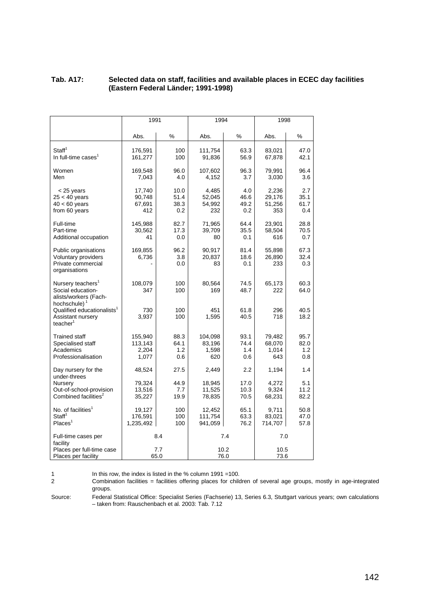#### **Tab. A17: Selected data on staff, facilities and available places in ECEC day facilities (Eastern Federal Länder; 1991-1998)**

|                                                                                                         | 1991                                 |                             | 1994                              |                            | 1998                             |                            |
|---------------------------------------------------------------------------------------------------------|--------------------------------------|-----------------------------|-----------------------------------|----------------------------|----------------------------------|----------------------------|
|                                                                                                         | Abs.                                 | %                           | Abs.                              | %                          | Abs.                             | ℅                          |
| Staff <sup>1</sup><br>In full-time cases <sup>1</sup>                                                   | 176,591<br>161,277                   | 100<br>100                  | 111,754<br>91,836                 | 63.3<br>56.9               | 83,021<br>67,878                 | 47.0<br>42.1               |
| Women<br>Men                                                                                            | 169,548<br>7,043                     | 96.0<br>4.0                 | 107,602<br>4,152                  | 96.3<br>3.7                | 79,991<br>3,030                  | 96.4<br>3.6                |
| < 25 years<br>$25 < 40$ years<br>$40 < 60$ years<br>from 60 years                                       | 17,740<br>90,748<br>67,691<br>412    | 10.0<br>51.4<br>38.3<br>0.2 | 4,485<br>52,045<br>54,992<br>232  | 4.0<br>46.6<br>49.2<br>0.2 | 2,236<br>29,176<br>51,256<br>353 | 2.7<br>35.1<br>61.7<br>0.4 |
| Full-time<br>Part-time<br>Additional occupation                                                         | 145,988<br>30,562<br>41              | 82.7<br>17.3<br>0.0         | 71,965<br>39,709<br>80            | 64.4<br>35.5<br>0.1        | 23,901<br>58,504<br>616          | 28.8<br>70.5<br>0.7        |
| Public organisations<br><b>Voluntary providers</b><br>Private commercial<br>organisations               | 169,855<br>6,736                     | 96.2<br>3.8<br>0.0          | 90,917<br>20,837<br>83            | 81.4<br>18.6<br>0.1        | 55,898<br>26,890<br>233          | 67.3<br>32.4<br>0.3        |
| Nursery teachers <sup>1</sup><br>Social education-<br>alists/workers (Fach-<br>hochschule) <sup>1</sup> | 108,079<br>347                       | 100<br>100                  | 80,564<br>169                     | 74.5<br>48.7               | 65,173<br>222                    | 60.3<br>64.0               |
| Qualified educationalists <sup>1</sup><br>Assistant nursery<br>teacher <sup>1</sup>                     | 730<br>3,937                         | 100<br>100                  | 451<br>1,595                      | 61.8<br>40.5               | 296<br>718                       | 40.5<br>18.2               |
| <b>Trained staff</b><br>Specialised staff<br>Academics<br>Professionalisation                           | 155,940<br>113,143<br>2,204<br>1,077 | 88.3<br>64.1<br>1.2<br>0.6  | 104,098<br>83,196<br>1,598<br>620 | 93.1<br>74.4<br>1.4<br>0.6 | 79,482<br>68,070<br>1,014<br>643 | 95.7<br>82.0<br>1.2<br>0.8 |
| Day nursery for the<br>under-threes                                                                     | 48,524                               | 27.5                        | 2,449                             | 2.2                        | 1,194                            | 1.4                        |
| Nursery<br>Out-of-school-provision<br>Combined facilities <sup>2</sup>                                  | 79,324<br>13,516<br>35,227           | 44.9<br>7.7<br>19.9         | 18,945<br>11,525<br>78,835        | 17.0<br>10.3<br>70.5       | 4,272<br>9,324<br>68,231         | 5.1<br>11.2<br>82.2        |
| No. of facilities <sup>1</sup><br>Staff <sup>1</sup><br>Places <sup>1</sup>                             | 19,127<br>176,591<br>1,235,492       | 100<br>100<br>100           | 12,452<br>111,754<br>941,059      | 65.1<br>63.3<br>76.2       | 9.711<br>83,021<br>714,707       | 50.8<br>47.0<br>57.8       |
| Full-time cases per<br>facility                                                                         |                                      | 8.4                         |                                   | 7.4                        | 7.0                              |                            |
| Places per full-time case<br>Places per facility                                                        |                                      | 7.7<br>65.0                 |                                   | 10.2<br>76.0               | 10.5<br>73.6                     |                            |

1 In this row, the index is listed in the % column 1991 =100.<br>2 Combination facilities = facilities offering places for child 2 Combination facilities = facilities offering places for children of several age groups, mostly in age-integrated groups.

Source: Federal Statistical Office: Specialist Series (Fachserie) 13, Series 6.3, Stuttgart various years; own calculations – taken from: Rauschenbach et al. 2003: Tab. 7.12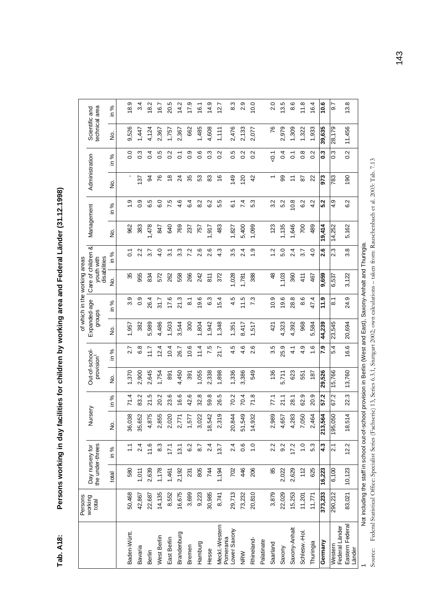Persons working in day facilities for children by working area and Federal Länder (31.12.1998) **Tab. A18: Persons working in day facilities for children by working area and Federal Länder (31.12.1998)**  Tab. A18:

|                                   | Persons                                                                                                          |                                     |                   |                         |                |                                          |                |                        |                    | of which in the working areas                    |                              |            |          |                                                              |                        |                                  |                              |
|-----------------------------------|------------------------------------------------------------------------------------------------------------------|-------------------------------------|-------------------|-------------------------|----------------|------------------------------------------|----------------|------------------------|--------------------|--------------------------------------------------|------------------------------|------------|----------|--------------------------------------------------------------|------------------------|----------------------------------|------------------------------|
|                                   | working<br>total                                                                                                 | the under-threes<br>Day nursery for |                   | Nursery                 |                | Out-of-school-<br>provision <sup>1</sup> |                | Expanded-age<br>groups |                    | Care of children &<br>disabilities<br>youth with |                              | Management |          | Administration                                               |                        | technical area<br>Scientific and |                              |
|                                   |                                                                                                                  | total                               | in %              | ş                       | ಸಿ<br>≘.       | ġ                                        | %<br>≘.        | ġ                      | ৯<br>≘.            | 9<br>No                                          | ಸಿ<br>≘                      | ġ          | %<br>≘.  | ş                                                            | ಸಿ<br>≘.               | ġ                                | ಸಿ<br>$\subseteq$            |
|                                   |                                                                                                                  |                                     |                   |                         |                |                                          |                |                        |                    |                                                  |                              |            |          |                                                              |                        |                                  |                              |
| Baden-Wurtt.                      | 50,468                                                                                                           | 580                                 |                   | 38<br>36,0              | 71.4           | 1,370                                    | 2.7            | 1,957                  | တ<br>က             | 35                                               | $\overline{C}$               | 962        | တ္       |                                                              | $\overline{0}$         | 9,526                            | တ<br>$\frac{8}{2}$           |
| Bavaria                           | 42,867                                                                                                           | 1,011                               | 2.4               | 52<br>35,6              | 83.2           | 2,900                                    | 6.8            | 382                    | တ္<br>ö            | 955                                              | 2.2                          | 383        | 0.9      | 137                                                          | $\overline{0}$ .3      | 1,447                            | 3.4                          |
| Berlin                            | 22,687                                                                                                           | 2,639                               | 11.6              | 4,875                   | Iņ<br><u>ನ</u> | 2,645                                    | $\frac{7}{11}$ | 5,989                  | 26.4               | 834                                              | $\overline{3.7}$             | 1,478      | 6.5      | क्ष                                                          | 4<br>ö                 | 4,124                            | 18.2                         |
| West Berlin                       | 14,135                                                                                                           | 1,178                               | 8.3               | 55<br>2,8               | 20.2           | 1,754                                    | $\frac{4}{2}$  | 4,486                  | 51.7               | 572                                              | $\frac{4}{10}$               | 847        | 6.0      | ۴                                                            | Ю<br>ö                 | 2,367                            | 16.7                         |
| East Berlin                       | 8,552                                                                                                            | 1,461                               | 17.1              | $\overline{20}$<br>20   | 23.6           | 891                                      | 0.4            | 1,503                  | 17.6               | 262                                              | $\overline{3}$               | 640        | 7.5      | $\frac{8}{1}$                                                | Ņ<br>ö                 | 1,757                            | 20.5                         |
| Brandenburg                       | 16,675                                                                                                           | 2,192                               | 13.1              | 71<br>2,7               | 16.6           | 4,450                                    | 26.7           | 3,544                  | 21.3               | 558                                              | 33                           | 769        | 4.6      | $\overline{2}$                                               | $\overline{0}$         | 2,367                            | 14.2                         |
| Bremen                            | 3,699                                                                                                            | 231                                 | 6.2               | 1,577                   | 42.6           | 391                                      | 0.6            | 300                    | $\overline{8}$ .   | 266                                              | 7.2                          | 237        | 6.4      | 35                                                           | တ<br>ö                 | 662                              | 17.9                         |
| Hamburg                           | 9,223                                                                                                            | 805                                 | 8.7               | 22<br>3,0               | 32.8           | 1,055                                    | 11.4           | 1,804                  | 19.6               | 242                                              | ဖ<br>$\overline{\mathsf{N}}$ | 757        | 8.2      | S3                                                           | ဖ<br>$\dot{\circ}$     | 1,485                            | 16.1                         |
| Hesse                             | 30,985                                                                                                           | 744                                 | 2.4               | 18,542                  | 59.8           | 2,338                                    | 7.5            | ,942                   | 63                 | $\frac{81}{1}$                                   | ဖ<br>Ń۰                      | 1,917      | 6.2      | 83                                                           | ო<br>ö                 | 4,608                            | 14.9                         |
| Meckl.-Western<br>Pomerania       | 8,741                                                                                                            | 1,194                               | 13.7              | တ<br>23                 | 26.5           | 1,898                                    | 21.7           | 1,348                  | 15.4               | 372                                              | w<br>4                       | 483        | 5.5      | 9                                                            | $\mathbf{\Omega}$<br>Ö | 1, 111                           | 12.7                         |
| Lower Saxony                      | 29,713                                                                                                           | 702                                 | 2.4               | $\overline{4}$<br>20,8  | 70.2           | 1,336                                    | 4.5            | 1,351                  | 4.5                | 1,028                                            | 3.5                          | 1,827      | <u>်</u> | 149                                                          | Ю<br>ö                 | 2,476                            | 83                           |
| <b>NRW</b>                        | 73,232                                                                                                           | 446                                 | 0.6               | $\frac{3}{4}$<br>51,5   | 70.4           | 3,386                                    | 4.6            | 8,417                  | 11.5               | 1,781                                            | 2.4                          | 5,400      | 7.4      | 120                                                          | Ņ<br>$\circ$           | 2,133                            | တ<br>$\overline{\mathbf{c}}$ |
| Rhineland-                        | 20,810                                                                                                           | 206                                 | $\overline{1}$ .0 | 32<br>14.9              | 71.8           | 549                                      | 2.6            | 1,517                  | 7.3                | 388                                              | $\frac{0}{1}$                | 1,099      | 53       | $\overline{4}$                                               | Ņ<br>ö                 | 2,077                            | 10.0                         |
| Palatinate                        |                                                                                                                  |                                     |                   |                         |                |                                          |                |                        |                    |                                                  |                              |            |          |                                                              |                        |                                  |                              |
| Saarland                          | 3,879                                                                                                            | 85                                  | 2.2               | 89<br>$2\overline{3}$   | 77.1           | 136                                      | 3.5            | 421                    | 10.9               | $\frac{8}{3}$                                    | $\frac{2}{1}$                | 123        | 3.2      | $\overline{ }$                                               | $\overline{Q}$         | 76                               | 2.0                          |
| Saxony                            | 22,029                                                                                                           | 2,022                               | 9.2               | 79<br>4,6               | 21.1           | 5,711                                    | 25.9           | 4,323                  | 19.6               | 1,103                                            | 5.0                          | 135        | 5.2      | 8                                                            | $\frac{4}{1}$          | 2,979                            | 13.5                         |
| Saxony-Anhalt                     | 15,253                                                                                                           | 2,629                               | 17.2              | 83<br>4.2               | 28.1           | 623                                      | 4.1            | 4,392                  | 28.8               | 360                                              | 2.4                          | 1,646      | 10.8     | $\stackrel{\textstyle\scriptstyle\smile}{\scriptstyle\cdot}$ | $\frac{1}{2}$          | 1,309                            | ဖ<br>∞                       |
| Schlesw.-Hol                      | 11,201                                                                                                           | 112                                 | $\overline{1}$ .0 | 50<br>$\overline{7}$ ,0 | 62.9           | 551                                      | 4.9            | 968                    | ဖ<br>ထံ            | 41                                               | $\overline{3.7}$             | 700        | 6.2      | 52                                                           | $\frac{8}{2}$          | 1,322                            | 11.8                         |
| Thuringia                         | 11,771                                                                                                           | 625                                 | 5.3               | 64<br>2,4               | 20.9           | 187                                      | 16             | 5,584                  | 47.4               | 467                                              | 4.0                          | 489        | 4.2      | 22                                                           | $\mathbf{N}$<br>ö      | 1,933                            | 16.4                         |
| Germany                           | 373,233                                                                                                          | 16,223                              | 4.3               | $\tilde{z}$<br>213,5    | 57.2           | 29,526                                   | 6:2            | 44,239                 | 11.9               | 9,659                                            | 2.6                          | 19,414     | 5.2      | 873                                                          | 0.3                    | 39,635                           | 0.01                         |
| Western                           | 290,212                                                                                                          | 6,100                               | $\overline{2.1}$  | <sub>50</sub><br>195,0  | 67.2           | 15,766                                   | 5.4            | 23,545                 | $\overline{\circ}$ | 6,537                                            | 2.3                          | 14,252     | თ<br>4   | 783                                                          | $\overline{0}$ .3      | 28,179                           | $\overline{6}$               |
| Eastern Federal<br>Federal Länder | 83,021                                                                                                           | 10,123                              | 12.2              | 18,514                  | 22.3           | 13,760                                   | 16.6           | 20,694                 | 24.9               | 3,122                                            | $3.\overline{8}$             | 5,162      | 6.2      | 190                                                          | 0.2                    | 11,456                           | 13.8                         |
| Länder                            |                                                                                                                  |                                     |                   |                         |                |                                          |                |                        |                    |                                                  |                              |            |          |                                                              |                        |                                  |                              |
|                                   | Not including the staff in school out-of-school provision in Berlin (West and East), Saxony-Anhalt and Thuringia |                                     |                   |                         |                |                                          |                |                        |                    |                                                  |                              |            |          |                                                              |                        |                                  |                              |

1<br>Source Federal Statistical Office: Specialist Series (Fachserie) 13, Series 6.3.1, Stuttgart 2002; own calculations – taken from: Rauschenbach et al. 2003: Tab. 7.13<br>Source Federal Statistical Office: Specialist Series ( Source: Federal Statistical Office: Specialist Series (Fachserie) 13, Series 6.3.1, Stuttgart 2002; own calculations – taken from: Rauschenbach et al. 2003: Tab. 7.13Not present a restart in scatter starting between the starting of the starting cools of the starting cools. Not a red and rest and Last), Seast, Seast, and Last and East, and Designal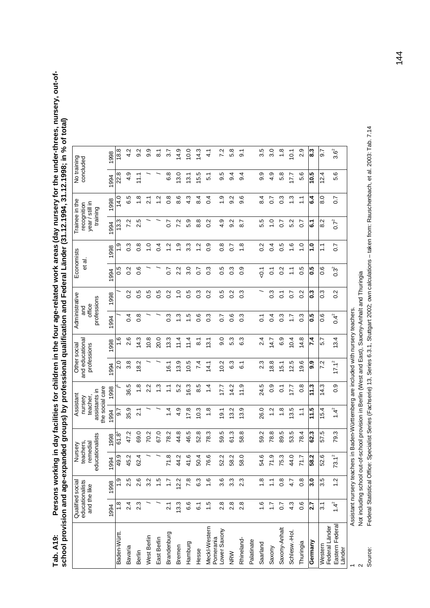| r children in the four age-related work areas (day nursery for the under-threes, nursery, out-of |                                                                                     |
|--------------------------------------------------------------------------------------------------|-------------------------------------------------------------------------------------|
|                                                                                                  |                                                                                     |
|                                                                                                  |                                                                                     |
|                                                                                                  |                                                                                     |
|                                                                                                  |                                                                                     |
|                                                                                                  | ofessional qualification and Federal Länder (31.12.1994, 31.12.1998; in % of total) |
|                                                                                                  |                                                                                     |
|                                                                                                  |                                                                                     |
|                                                                                                  |                                                                                     |
|                                                                                                  |                                                                                     |
|                                                                                                  |                                                                                     |
| $\cdots$ facilities ion $\cdots$                                                                 | ו<br>יו                                                                             |
| さくこくこう                                                                                           |                                                                                     |
| ミりこう                                                                                             |                                                                                     |
|                                                                                                  |                                                                                     |
| Tab. An                                                                                          | hool provision and age-expand                                                       |
|                                                                                                  |                                                                                     |

|                            | and the like      | educationalists<br>Qualified social | educationalists<br>Nursery<br>teachers,<br>remedial |                | the social care<br>assistants in<br>Assistant<br>nursery<br>teacher |                | and educational<br>professions<br>Other | social           | Administrative<br>professions<br>office<br>and |                  | Economists<br>et al. |                   | Trainee in the<br>year / still in<br>recognition<br>training |                     | No training<br>concluded |                  |
|----------------------------|-------------------|-------------------------------------|-----------------------------------------------------|----------------|---------------------------------------------------------------------|----------------|-----------------------------------------|------------------|------------------------------------------------|------------------|----------------------|-------------------|--------------------------------------------------------------|---------------------|--------------------------|------------------|
|                            | 1994              | 1998                                | 1994                                                | 998            | 1994                                                                | 1998           | 1994                                    | 998              | 1994                                           | 1998             | 1994                 | 1998              | 1994                                                         | 1998                | 994                      | 998              |
| Baden-Württ.               | $\frac{8}{1}$     | <u>თ</u>                            | 49.9                                                | $\frac{8}{61}$ | 5.6                                                                 |                | o<br>N                                  | $\frac{6}{1}$    |                                                |                  | 5.O                  | ن<br>ب            | 13.3                                                         | 14.0                | 22.8                     | 18.8             |
| Bavaria                    | 2.4               | 2.5                                 | 45.2                                                | 47.2           | 35.9                                                                | 36.5           | 3.8                                     | 2.6              | $\sigma$                                       | $\frac{2}{3}$    | $\frac{2}{3}$        | 0.3               | 7.2                                                          | 65                  | 4.9                      | 4.2              |
| Berlin                     | 2.3               | 2.6                                 | 62.4                                                | 69.0           | 2.1                                                                 | $\frac{8}{1}$  | 18.2                                    | 4.3              | $\frac{8}{2}$                                  | 0.5              | $\frac{6}{1}$        | $\frac{8}{1}$     | 2.5                                                          | $\frac{8}{1}$       | 11.1                     | 9.2              |
| West Berlin                |                   | 3.2                                 |                                                     | 70.2           |                                                                     | 2.2            |                                         | 0.8              |                                                | 5.0              |                      | $\frac{0}{1}$     |                                                              | $\tilde{2}$         |                          | 9.9              |
| East Berlin                |                   | 1.5                                 |                                                     | 67.0           |                                                                     | c.             |                                         | 20.0             |                                                | 0.5              |                      | $\overline{0.4}$  |                                                              | $\overline{a}$      |                          | $\overline{8}$   |
| Brandenburg                | 2.1               | $\overline{1.7}$                    | $\frac{8}{7}$                                       | 78.2           | $1\overline{4}$                                                     | Ξ              | 16.1                                    | 13.3             | $\frac{3}{2}$                                  | $\overline{0}$   | $\overline{0}$       | $\frac{1}{2}$     | $\overline{0}$                                               | $\frac{8}{1}$       | 6.8                      | 3.7              |
| Bremen                     | 13.3              | 12.2                                | 44.2                                                | 44.8           | 4.9                                                                 | 5.2            | 13.9                                    | $\frac{4}{1}$    | $\frac{3}{2}$                                  | $\frac{0}{1}$    | 2.2                  | $\frac{6}{1}$     | 7.2                                                          | ဖ<br>œ              | 13.0                     | $\frac{9}{4}$    |
| Hamburg                    | 6.6               | 7.8                                 | 41.6                                                | 46.5           | 17.8                                                                | 16.3           | 10.5                                    | $\frac{4}{1}$    | $\frac{5}{1}$                                  | 0.5              | $\frac{0}{3}$        | 33                | 5.9                                                          | 4.3                 | 13.1                     | 10.0             |
| Hesse                      | 6.1               | 6.3                                 | 50.4                                                | 52.8           | 10.3                                                                | 8.5            | 7.4                                     | $\overline{8}$   | $\frac{6}{1}$                                  | $\frac{3}{2}$    | $\overline{0}$ .     | $\frac{2}{3}$     | $\frac{8}{8}$                                                | $\frac{4}{6}$       | 15.5                     | 14.3             |
| Meckl-Western<br>Pomerania | 1.5               | $\frac{6}{1}$                       | 76.6                                                | 78.3           | $\frac{8}{1}$                                                       | $\overline{4}$ | 14.1                                    | $\overline{3.1}$ | $\frac{3}{2}$                                  | $\overline{0}$   | $\overline{0}$       | 0.9               | $\frac{2}{3}$                                                | 0.4                 | $\overline{5}$ 1         | $\frac{1}{4}$    |
| -ower Saxony               | 2.8               | 3.6                                 | 52.2                                                | 59.5           | $\overline{9}$ .                                                    | 17.7           | 10.2                                    | 9.0              | $\overline{0}$                                 | 0.5              | 0.5                  | $\frac{8}{1}$     | 4.9                                                          | $\frac{0}{1}$       | ယ္<br>တ                  | 72               |
| <b>NRW</b>                 | $2.\overline{8}$  | 3.3                                 | 58.2                                                | 61.3           | 3.2                                                                 | 14.2           | 6.3                                     | 5.3              | $\frac{6}{2}$                                  | $\frac{2}{3}$    | $\frac{3}{2}$        | 50                | 9.2                                                          | $\frac{2}{9}$       | 9.4                      | 5.8              |
| Rhineland-                 | 2.8               | 2.3                                 | 58.0                                                | 58.8           | 13.9                                                                | 11.9           | $\overline{6}$                          | 63               | $\frac{3}{2}$                                  | $\overline{0}$   | $\frac{0}{2}$        | $\frac{8}{1}$     | $\overline{8.7}$                                             | 9.6                 | 9.4                      | $\overline{9}$ . |
| Palatinate                 |                   |                                     |                                                     |                |                                                                     |                |                                         |                  |                                                |                  |                      |                   |                                                              |                     |                          |                  |
| Saarland                   | $\frac{6}{1}$     | 1.8                                 | 54.6                                                | 59.2           | 26.0                                                                | 24.5           | 2.3                                     | 2.4              | $\overline{C}$                                 |                  | $-0.1$               | $\overline{0}$    | 5.5                                                          | 8.4                 | 9.9                      | 3.5              |
| Saxony                     | $\ddot{ }$ :      | $\tilde{\phantom{0}}$               | ب<br>71.9                                           | 78.8           | $\frac{2}{1}$                                                       | $\frac{0}{2}$  | 18.8                                    | 14.7             | $\overline{0.4}$                               | $0.\overline{3}$ | $\overline{0}$ .     | $\overline{0}$ .4 | $\frac{1}{1}$                                                | $\overline{0}$      | 4.9                      | 3.0              |
| Saxony-Anhalt              | 0.7               | $\frac{8}{2}$                       | 75.3                                                | 89.5           | $\frac{8}{1}$                                                       | $\overline{O}$ | 15.1                                    | 6.9              | $\frac{3}{2}$                                  | $\overline{0}$   | 0.2                  | 0.5               | $\overline{0}$                                               | $\frac{3}{2}$       | 5.8                      | $\frac{8}{1}$    |
| Schlesw.-Hol.              | 4.3               | 4.7                                 | 44.0                                                | 53.5           | 3.5                                                                 | 7.7            | 12.5                                    | 10.4             | 17                                             | 20               | $\frac{1}{1}$        | $\frac{6}{1}$     | 5.2                                                          | $\frac{3}{2}$       | 17.7                     | 10.1             |
| Thuringia                  | 0.6               | $\frac{8}{2}$                       | 71.7                                                | 78.4           | $\frac{1}{2}$                                                       | $\frac{8}{2}$  | 19.6                                    | 14.8             | $\frac{3}{2}$                                  | 0.2              | 0.5                  | $\frac{0}{1}$     | $\overline{0}$                                               | $\tilde{\cdot}$     | 5.6                      | 2.9              |
| Germany                    | <b>Z.7</b>        | 3.0                                 | 58.2                                                | 62.3           | 11.5                                                                | 11.3           | 9.9                                     | 4.7              | 0.5                                            | <b>C.3</b>       | 0.5                  | $\frac{1}{2}$     | $\ddot{6}$                                                   | ჭ<br>ბ              | 5.01                     | 8.3              |
| Federal Länder<br>Western  | $\overline{3}$ .1 | 3.5                                 | 52.6                                                | 57.5           | 15.4                                                                | 14.3           | 7.2                                     | 5.7              | 0.6                                            | $\overline{0}$   | 0.6                  | $\tilde{L}$       | $\frac{2}{8}$                                                | 0<br>$\bar{\infty}$ | 12.4                     | 9.7              |
| Eastern Federal<br>Länder  | $1.4^{2}$         | 1.2                                 | $73.1^2$                                            | 79.3           | 4 <sup>2</sup>                                                      | 0.9            | $17.1^2$                                | $\frac{3.4}{5}$  | $0.4^{2}$                                      | $0.\overline{2}$ | $0.3^{2}$            | $\overline{0}$    | $0.7^{2}$                                                    | $\overline{0}$      | 5.6                      | $3.6^{2}$        |

Not including school out-of-school provision in Berlin (West and East), Saxony-Anhalt and Thuringia<br>Federal Statistical Office: Specialist Series (Fachserie) 13, Series 6.3.1, Stuttgart 2002; own calculations – taken from: Source: Federal Statistical Office: Specialist Series (Fachserie) 13, Series 6.3.1, Stuttgart 2002; own calculations – taken from: Rauschenbach, et al. 2003: Tab. 7.14 2<br>Source:

144